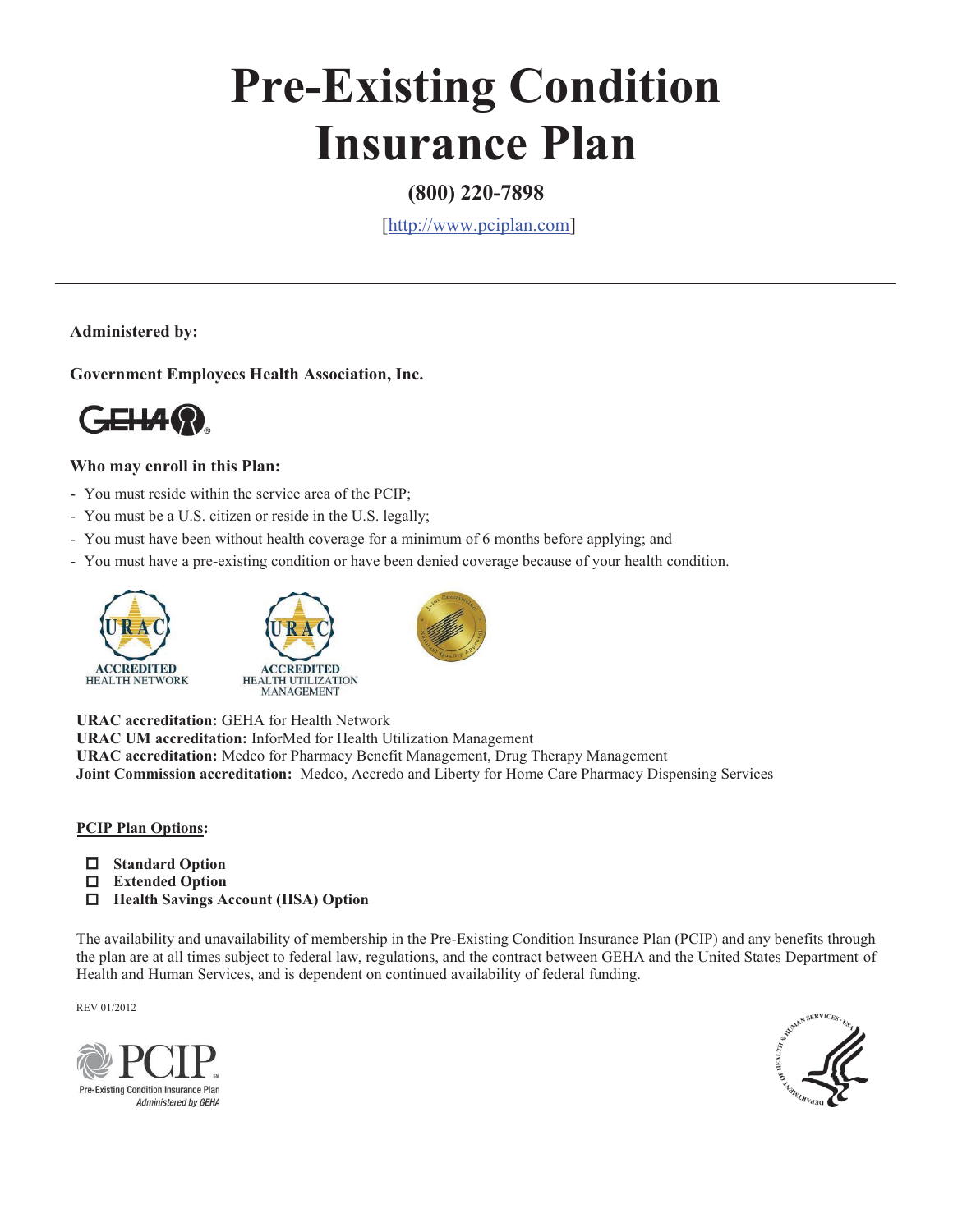# **Pre-Existing Condition Insurance Plan**

### **(800) 220-7898**

[http://www.pciplan.com]

**Administered by:**

**Government Employees Health Association, Inc.** 



#### **Who may enroll in this Plan:**

- You must reside within the service area of the PCIP;
- You must be a U.S. citizen or reside in the U.S. legally;
- You must have been without health coverage for a minimum of 6 months before applying; and
- You must have a pre-existing condition or have been denied coverage because of your health condition.







**URAC accreditation:** GEHA for Health Network **URAC UM accreditation:** InforMed for Health Utilization Management **URAC accreditation:** Medco for Pharmacy Benefit Management, Drug Therapy Management **Joint Commission accreditation:** Medco, Accredo and Liberty for Home Care Pharmacy Dispensing Services

#### **PCIP Plan Options:**

- **Standard Option**
- **Extended Option**
- **Health Savings Account (HSA) Option**

The availability and unavailability of membership in the Pre-Existing Condition Insurance Plan (PCIP) and any benefits through the plan are at all times subject to federal law, regulations, and the contract between GEHA and the United States Department of Health and Human Services, and is dependent on continued availability of federal funding.

REV 01/2012



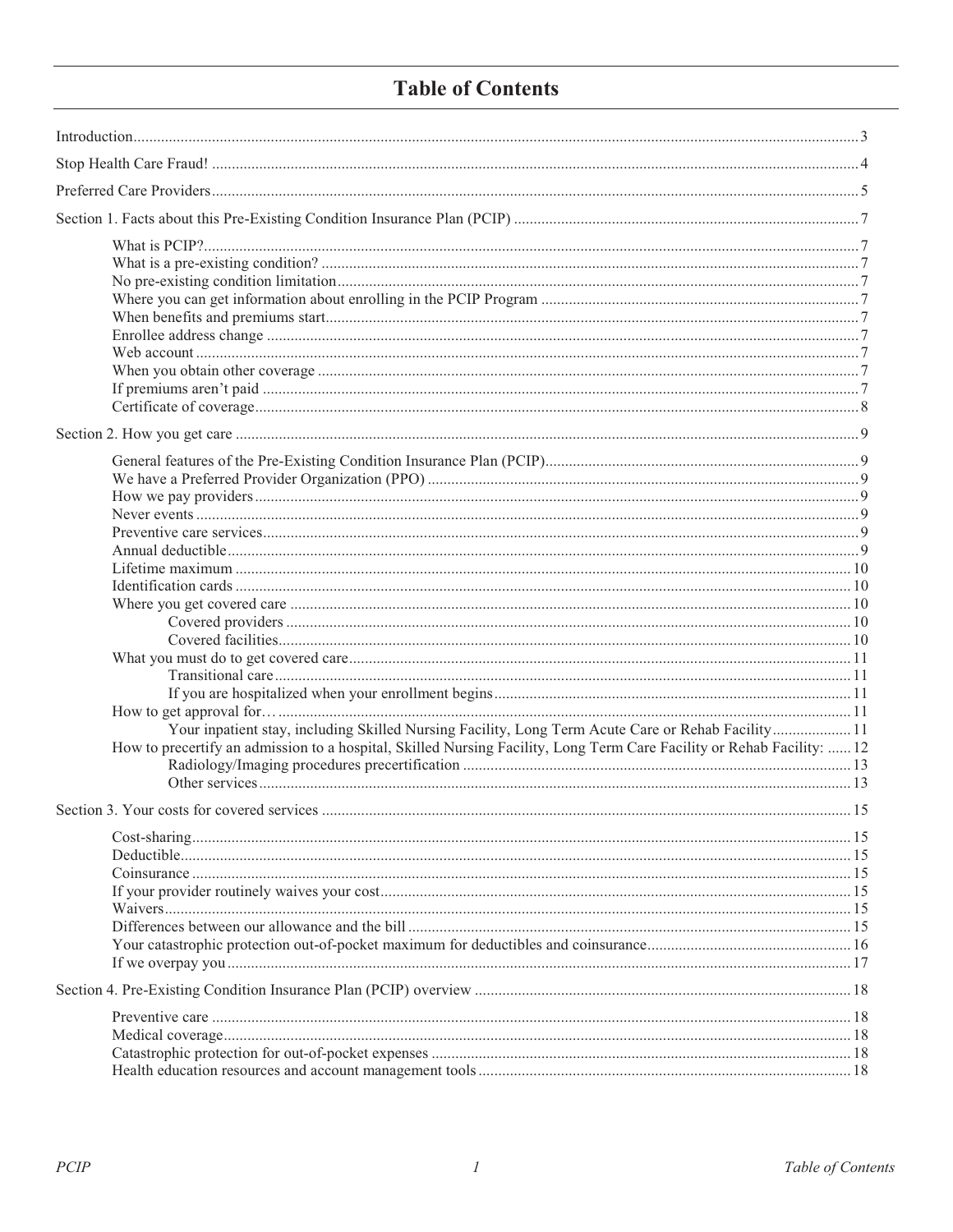## **Table of Contents**

| Your inpatient stay, including Skilled Nursing Facility, Long Term Acute Care or Rehab Facility11                      |  |  |  |
|------------------------------------------------------------------------------------------------------------------------|--|--|--|
| How to precertify an admission to a hospital, Skilled Nursing Facility, Long Term Care Facility or Rehab Facility:  12 |  |  |  |
|                                                                                                                        |  |  |  |
|                                                                                                                        |  |  |  |
|                                                                                                                        |  |  |  |
|                                                                                                                        |  |  |  |
|                                                                                                                        |  |  |  |
|                                                                                                                        |  |  |  |
|                                                                                                                        |  |  |  |
|                                                                                                                        |  |  |  |
|                                                                                                                        |  |  |  |
|                                                                                                                        |  |  |  |
|                                                                                                                        |  |  |  |
|                                                                                                                        |  |  |  |
|                                                                                                                        |  |  |  |
|                                                                                                                        |  |  |  |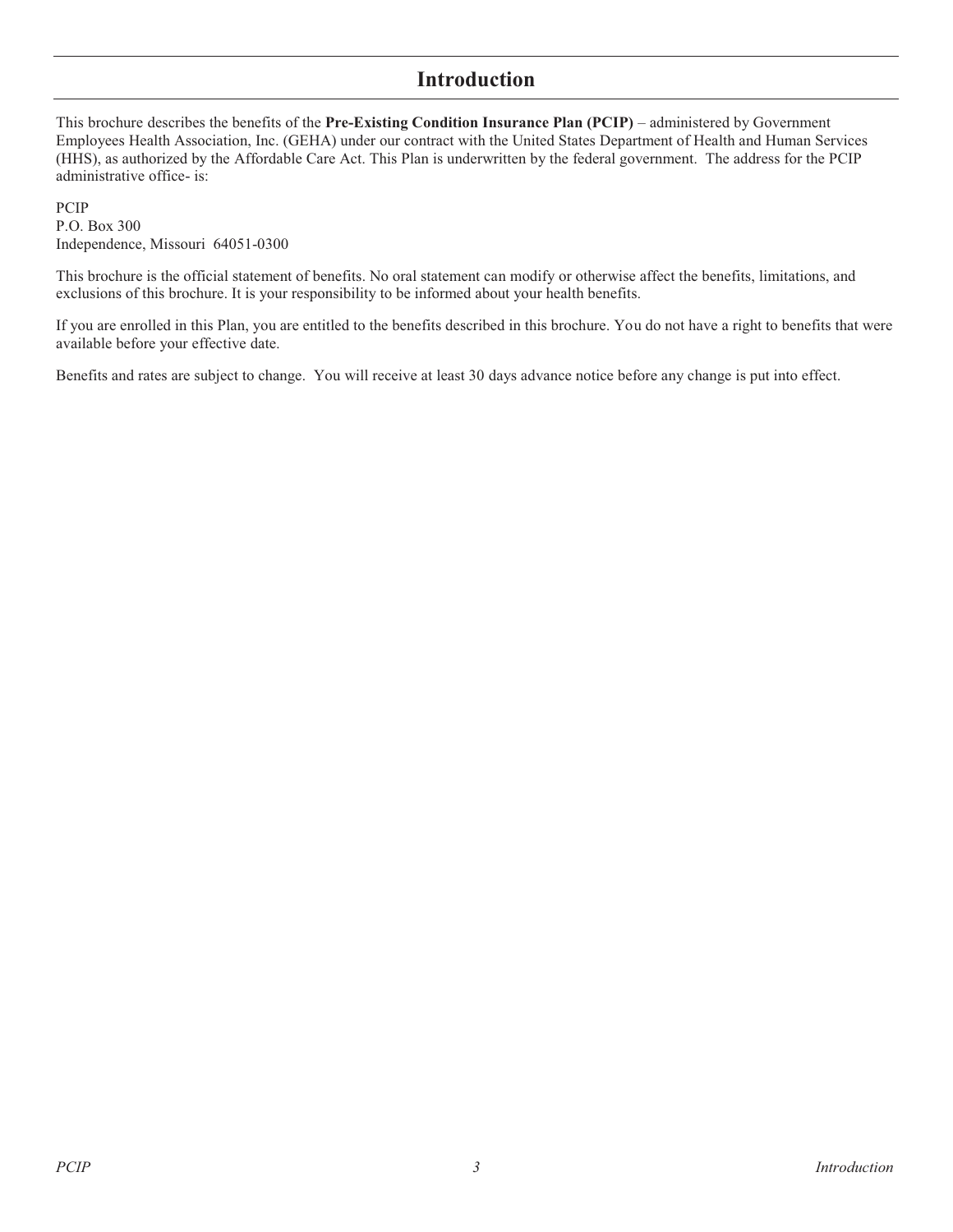### **Introduction**

This brochure describes the benefits of the **Pre-Existing Condition Insurance Plan (PCIP)** – administered by Government Employees Health Association, Inc. (GEHA) under our contract with the United States Department of Health and Human Services (HHS), as authorized by the Affordable Care Act. This Plan is underwritten by the federal government. The address for the PCIP administrative office- is:

PCIP P.O. Box 300 Independence, Missouri 64051-0300

This brochure is the official statement of benefits. No oral statement can modify or otherwise affect the benefits, limitations, and exclusions of this brochure. It is your responsibility to be informed about your health benefits.

If you are enrolled in this Plan, you are entitled to the benefits described in this brochure. You do not have a right to benefits that were available before your effective date.

Benefits and rates are subject to change. You will receive at least 30 days advance notice before any change is put into effect.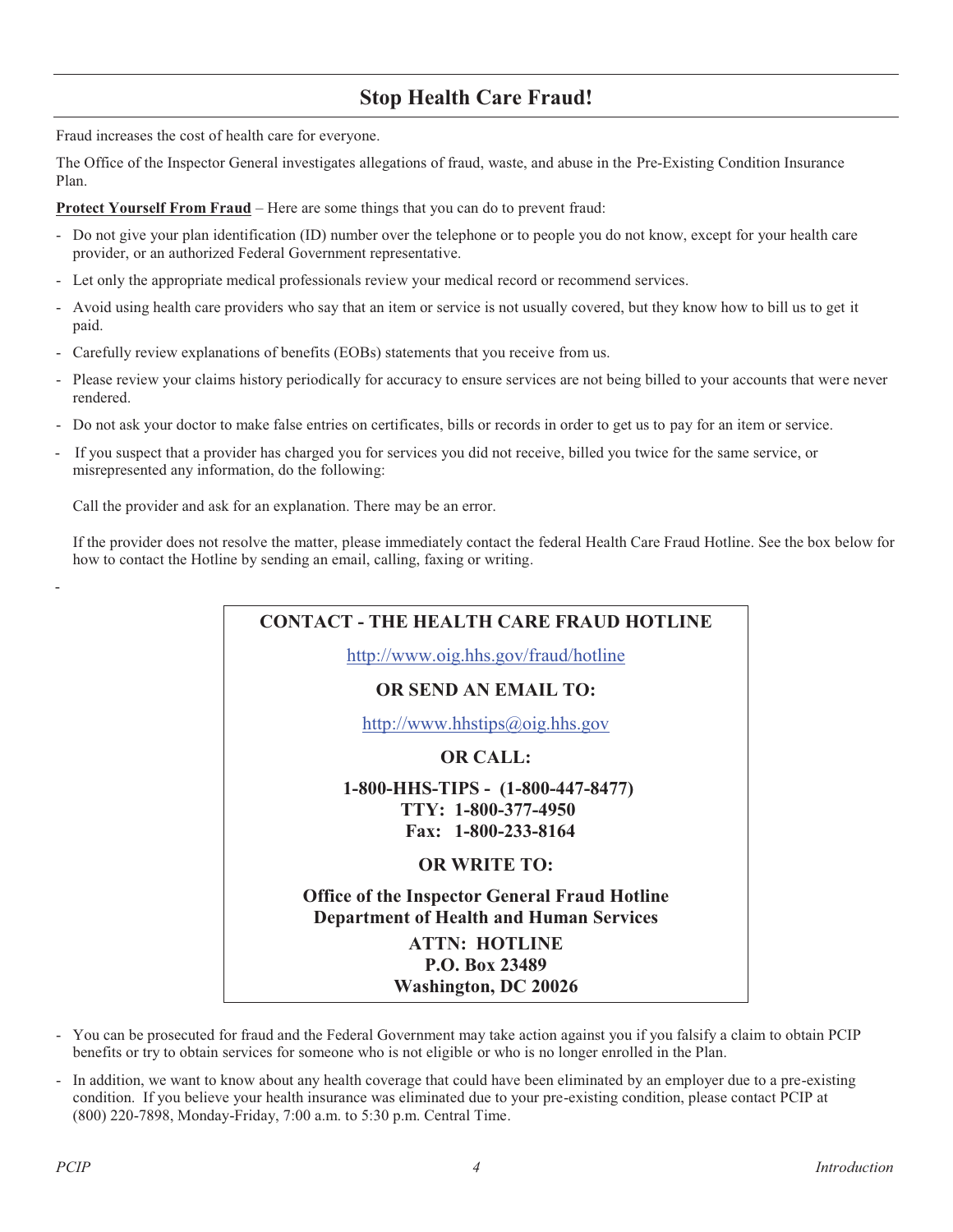## **Stop Health Care Fraud!**

Fraud increases the cost of health care for everyone.

The Office of the Inspector General investigates allegations of fraud, waste, and abuse in the Pre-Existing Condition Insurance Plan.

**Protect Yourself From Fraud** – Here are some things that you can do to prevent fraud:

- Do not give your plan identification (ID) number over the telephone or to people you do not know, except for your health care provider, or an authorized Federal Government representative.
- Let only the appropriate medical professionals review your medical record or recommend services.
- Avoid using health care providers who say that an item or service is not usually covered, but they know how to bill us to get it paid.
- Carefully review explanations of benefits (EOBs) statements that you receive from us.
- Please review your claims history periodically for accuracy to ensure services are not being billed to your accounts that were never rendered.
- Do not ask your doctor to make false entries on certificates, bills or records in order to get us to pay for an item or service.
- If you suspect that a provider has charged you for services you did not receive, billed you twice for the same service, or misrepresented any information, do the following:

Call the provider and ask for an explanation. There may be an error.

If the provider does not resolve the matter, please immediately contact the federal Health Care Fraud Hotline. See the box below for how to contact the Hotline by sending an email, calling, faxing or writing.



- You can be prosecuted for fraud and the Federal Government may take action against you if you falsify a claim to obtain PCIP benefits or try to obtain services for someone who is not eligible or who is no longer enrolled in the Plan.
- In addition, we want to know about any health coverage that could have been eliminated by an employer due to a pre-existing condition. If you believe your health insurance was eliminated due to your pre-existing condition, please contact PCIP at (800) 220-7898, Monday-Friday, 7:00 a.m. to 5:30 p.m. Central Time.

-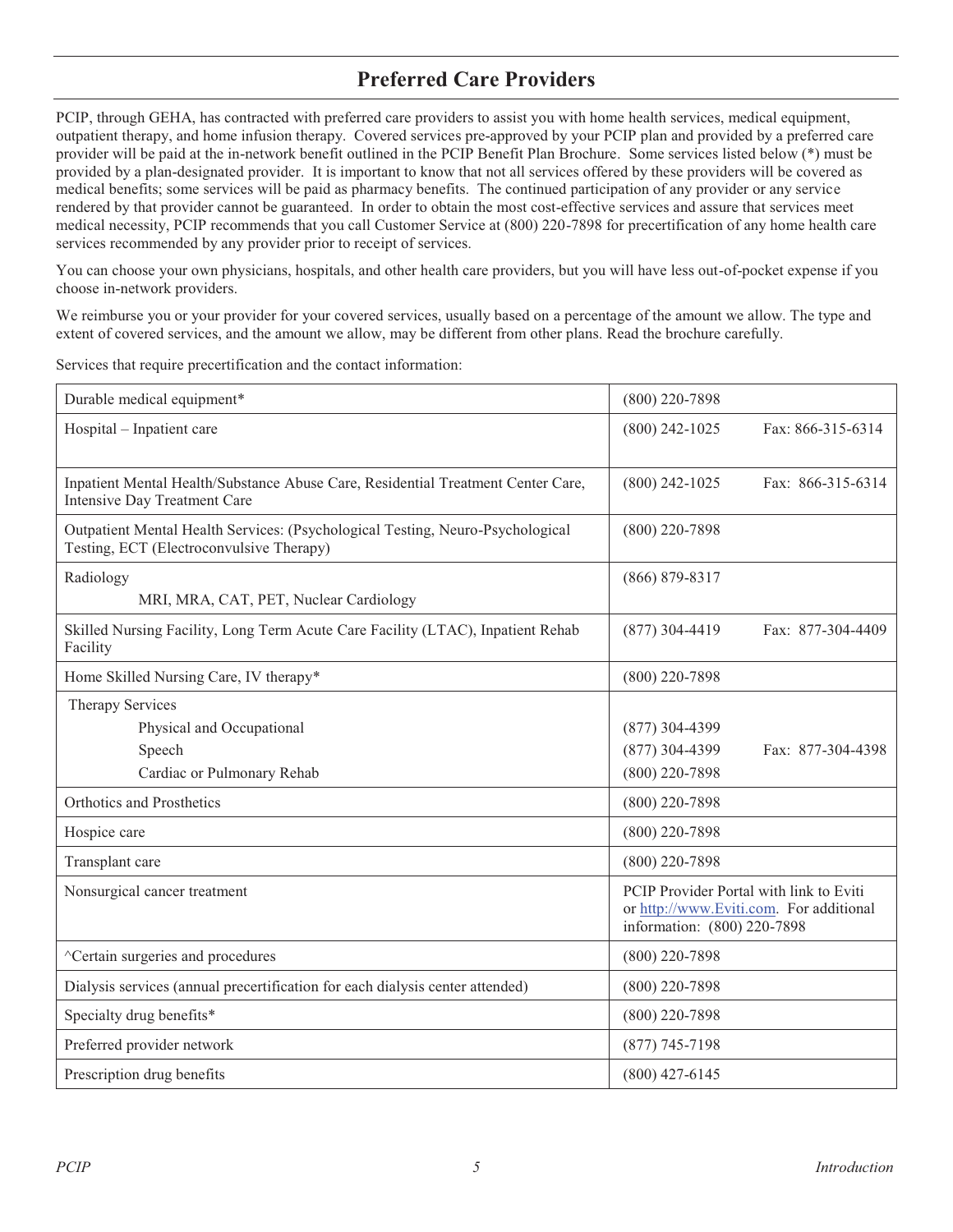## **Preferred Care Providers**

PCIP, through GEHA, has contracted with preferred care providers to assist you with home health services, medical equipment, outpatient therapy, and home infusion therapy. Covered services pre-approved by your PCIP plan and provided by a preferred care provider will be paid at the in-network benefit outlined in the PCIP Benefit Plan Brochure. Some services listed below (\*) must be provided by a plan-designated provider. It is important to know that not all services offered by these providers will be covered as medical benefits; some services will be paid as pharmacy benefits. The continued participation of any provider or any service rendered by that provider cannot be guaranteed. In order to obtain the most cost-effective services and assure that services meet medical necessity, PCIP recommends that you call Customer Service at (800) 220-7898 for precertification of any home health care services recommended by any provider prior to receipt of services.

You can choose your own physicians, hospitals, and other health care providers, but you will have less out-of-pocket expense if you choose in-network providers.

We reimburse you or your provider for your covered services, usually based on a percentage of the amount we allow. The type and extent of covered services, and the amount we allow, may be different from other plans. Read the brochure carefully.

Services that require precertification and the contact information:

| Durable medical equipment*                                                                                                 | $(800)$ 220-7898                                                                                                  |
|----------------------------------------------------------------------------------------------------------------------------|-------------------------------------------------------------------------------------------------------------------|
| Hospital - Inpatient care                                                                                                  | $(800)$ 242-1025<br>Fax: 866-315-6314                                                                             |
| Inpatient Mental Health/Substance Abuse Care, Residential Treatment Center Care,<br>Intensive Day Treatment Care           | Fax: 866-315-6314<br>$(800)$ 242-1025                                                                             |
| Outpatient Mental Health Services: (Psychological Testing, Neuro-Psychological<br>Testing, ECT (Electroconvulsive Therapy) | $(800)$ 220-7898                                                                                                  |
| Radiology<br>MRI, MRA, CAT, PET, Nuclear Cardiology                                                                        | $(866) 879 - 8317$                                                                                                |
| Skilled Nursing Facility, Long Term Acute Care Facility (LTAC), Inpatient Rehab<br>Facility                                | $(877)$ 304-4419<br>Fax: 877-304-4409                                                                             |
| Home Skilled Nursing Care, IV therapy*                                                                                     | $(800)$ 220-7898                                                                                                  |
| Therapy Services<br>Physical and Occupational<br>Speech<br>Cardiac or Pulmonary Rehab                                      | $(877)$ 304-4399<br>$(877)$ 304-4399<br>Fax: 877-304-4398<br>$(800)$ 220-7898                                     |
| Orthotics and Prosthetics                                                                                                  | $(800)$ 220-7898                                                                                                  |
| Hospice care                                                                                                               | $(800)$ 220-7898                                                                                                  |
| Transplant care                                                                                                            | $(800)$ 220-7898                                                                                                  |
| Nonsurgical cancer treatment                                                                                               | PCIP Provider Portal with link to Eviti<br>or http://www.Eviti.com. For additional<br>information: (800) 220-7898 |
| ^Certain surgeries and procedures                                                                                          | $(800)$ 220-7898                                                                                                  |
| Dialysis services (annual precertification for each dialysis center attended)                                              | $(800)$ 220-7898                                                                                                  |
| Specialty drug benefits*                                                                                                   | $(800)$ 220-7898                                                                                                  |
| Preferred provider network                                                                                                 | $(877)$ 745-7198                                                                                                  |
| Prescription drug benefits                                                                                                 | $(800)$ 427-6145                                                                                                  |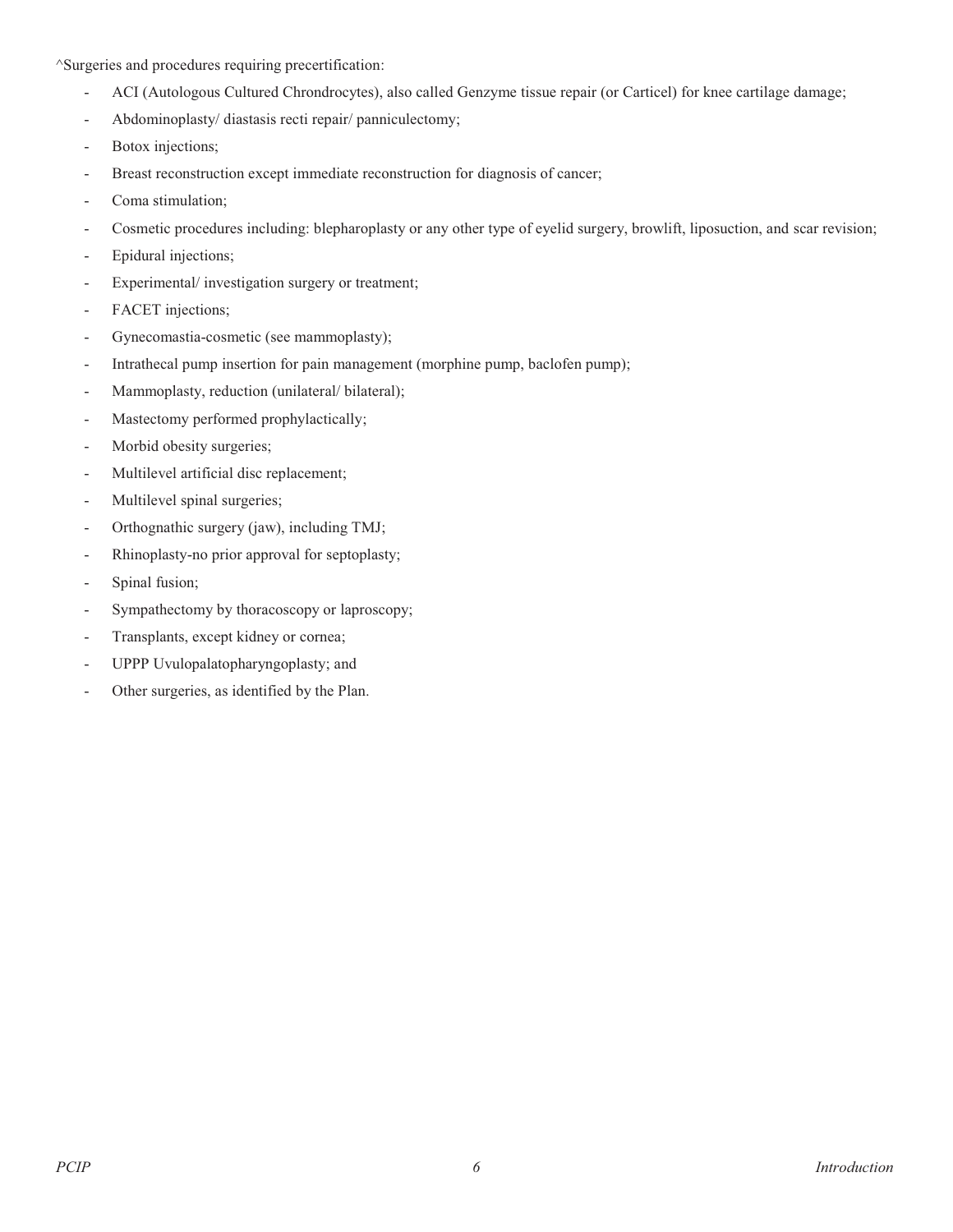^Surgeries and procedures requiring precertification:

- ACI (Autologous Cultured Chrondrocytes), also called Genzyme tissue repair (or Carticel) for knee cartilage damage;
- Abdominoplasty/ diastasis recti repair/ panniculectomy;
- Botox injections;
- Breast reconstruction except immediate reconstruction for diagnosis of cancer;
- Coma stimulation;
- Cosmetic procedures including: blepharoplasty or any other type of eyelid surgery, browlift, liposuction, and scar revision;
- Epidural injections;
- Experimental/ investigation surgery or treatment;
- FACET injections;
- Gynecomastia-cosmetic (see mammoplasty);
- Intrathecal pump insertion for pain management (morphine pump, baclofen pump);
- Mammoplasty, reduction (unilateral/ bilateral);
- Mastectomy performed prophylactically;
- Morbid obesity surgeries;
- Multilevel artificial disc replacement;
- Multilevel spinal surgeries;
- Orthognathic surgery (jaw), including TMJ;
- Rhinoplasty-no prior approval for septoplasty;
- Spinal fusion;
- Sympathectomy by thoracoscopy or laproscopy;
- Transplants, except kidney or cornea;
- UPPP Uvulopalatopharyngoplasty; and
- Other surgeries, as identified by the Plan.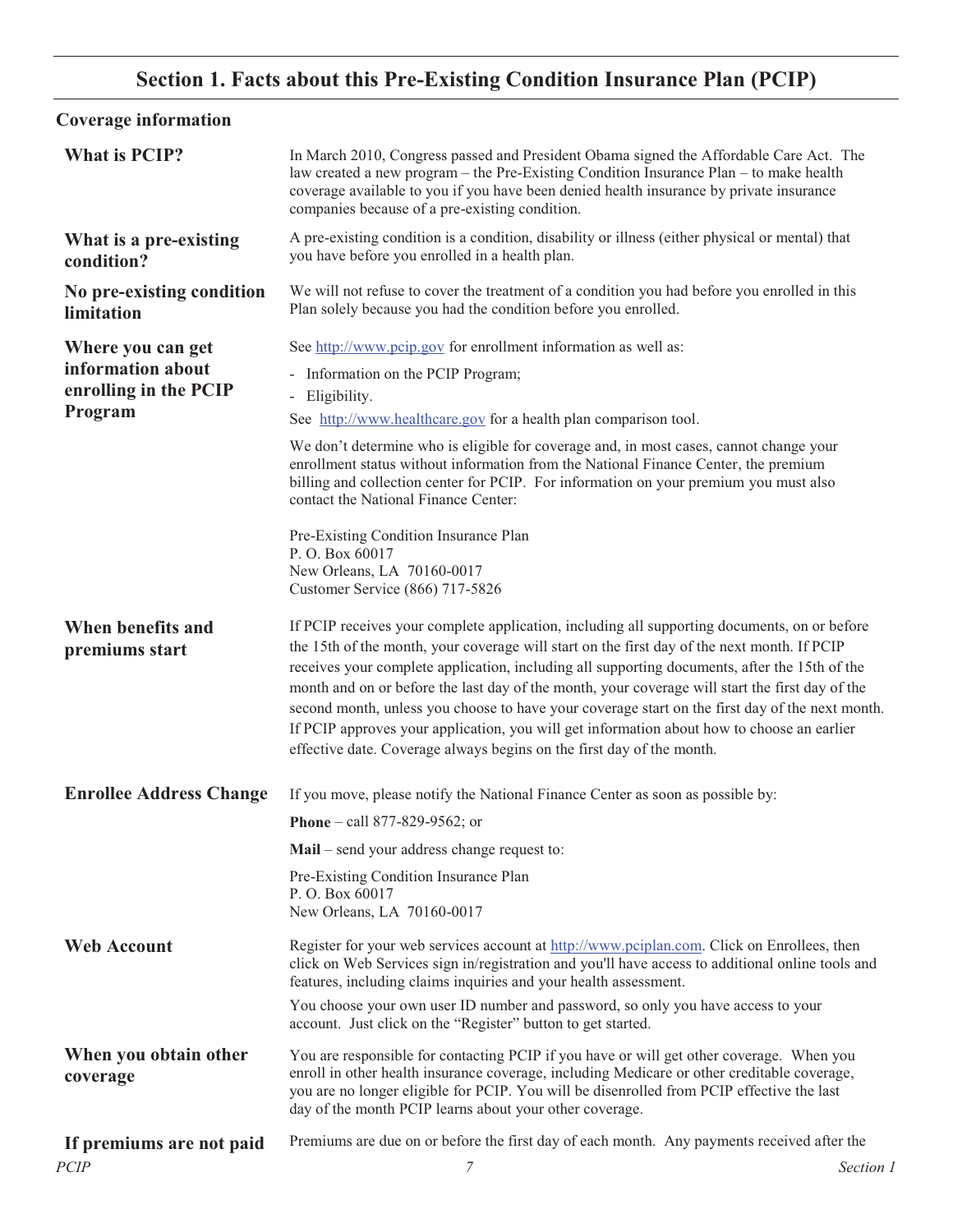## **Section 1. Facts about this Pre-Existing Condition Insurance Plan (PCIP)**

## **Coverage information**

| <b>What is PCIP?</b>                    | In March 2010, Congress passed and President Obama signed the Affordable Care Act. The<br>law created a new program – the Pre-Existing Condition Insurance Plan – to make health<br>coverage available to you if you have been denied health insurance by private insurance<br>companies because of a pre-existing condition.                                                                                                                                                                                                                                                                                                                                             |           |
|-----------------------------------------|---------------------------------------------------------------------------------------------------------------------------------------------------------------------------------------------------------------------------------------------------------------------------------------------------------------------------------------------------------------------------------------------------------------------------------------------------------------------------------------------------------------------------------------------------------------------------------------------------------------------------------------------------------------------------|-----------|
| What is a pre-existing<br>condition?    | A pre-existing condition is a condition, disability or illness (either physical or mental) that<br>you have before you enrolled in a health plan.                                                                                                                                                                                                                                                                                                                                                                                                                                                                                                                         |           |
| No pre-existing condition<br>limitation | We will not refuse to cover the treatment of a condition you had before you enrolled in this<br>Plan solely because you had the condition before you enrolled.                                                                                                                                                                                                                                                                                                                                                                                                                                                                                                            |           |
| Where you can get                       | See http://www.pcip.gov for enrollment information as well as:                                                                                                                                                                                                                                                                                                                                                                                                                                                                                                                                                                                                            |           |
| information about                       | - Information on the PCIP Program;                                                                                                                                                                                                                                                                                                                                                                                                                                                                                                                                                                                                                                        |           |
| enrolling in the PCIP                   | - Eligibility.                                                                                                                                                                                                                                                                                                                                                                                                                                                                                                                                                                                                                                                            |           |
| Program                                 | See http://www.healthcare.gov for a health plan comparison tool.                                                                                                                                                                                                                                                                                                                                                                                                                                                                                                                                                                                                          |           |
|                                         | We don't determine who is eligible for coverage and, in most cases, cannot change your<br>enrollment status without information from the National Finance Center, the premium<br>billing and collection center for PCIP. For information on your premium you must also<br>contact the National Finance Center:                                                                                                                                                                                                                                                                                                                                                            |           |
|                                         | Pre-Existing Condition Insurance Plan                                                                                                                                                                                                                                                                                                                                                                                                                                                                                                                                                                                                                                     |           |
|                                         | P.O. Box 60017                                                                                                                                                                                                                                                                                                                                                                                                                                                                                                                                                                                                                                                            |           |
|                                         | New Orleans, LA 70160-0017<br>Customer Service (866) 717-5826                                                                                                                                                                                                                                                                                                                                                                                                                                                                                                                                                                                                             |           |
| When benefits and<br>premiums start     | If PCIP receives your complete application, including all supporting documents, on or before<br>the 15th of the month, your coverage will start on the first day of the next month. If PCIP<br>receives your complete application, including all supporting documents, after the 15th of the<br>month and on or before the last day of the month, your coverage will start the first day of the<br>second month, unless you choose to have your coverage start on the first day of the next month.<br>If PCIP approves your application, you will get information about how to choose an earlier<br>effective date. Coverage always begins on the first day of the month. |           |
| <b>Enrollee Address Change</b>          | If you move, please notify the National Finance Center as soon as possible by:                                                                                                                                                                                                                                                                                                                                                                                                                                                                                                                                                                                            |           |
|                                         | <b>Phone</b> – call 877-829-9562; or                                                                                                                                                                                                                                                                                                                                                                                                                                                                                                                                                                                                                                      |           |
|                                         | Mail – send your address change request to:                                                                                                                                                                                                                                                                                                                                                                                                                                                                                                                                                                                                                               |           |
|                                         | Pre-Existing Condition Insurance Plan<br>P. O. Box 60017<br>New Orleans, LA 70160-0017                                                                                                                                                                                                                                                                                                                                                                                                                                                                                                                                                                                    |           |
| <b>Web Account</b>                      | Register for your web services account at http://www.pciplan.com. Click on Enrollees, then<br>click on Web Services sign in/registration and you'll have access to additional online tools and<br>features, including claims inquiries and your health assessment.                                                                                                                                                                                                                                                                                                                                                                                                        |           |
|                                         | You choose your own user ID number and password, so only you have access to your<br>account. Just click on the "Register" button to get started.                                                                                                                                                                                                                                                                                                                                                                                                                                                                                                                          |           |
| When you obtain other<br>coverage       | You are responsible for contacting PCIP if you have or will get other coverage. When you<br>enroll in other health insurance coverage, including Medicare or other creditable coverage,<br>you are no longer eligible for PCIP. You will be disenrolled from PCIP effective the last<br>day of the month PCIP learns about your other coverage.                                                                                                                                                                                                                                                                                                                           |           |
| If premiums are not paid                | Premiums are due on or before the first day of each month. Any payments received after the                                                                                                                                                                                                                                                                                                                                                                                                                                                                                                                                                                                |           |
| <b>PCIP</b>                             | 7                                                                                                                                                                                                                                                                                                                                                                                                                                                                                                                                                                                                                                                                         | Section 1 |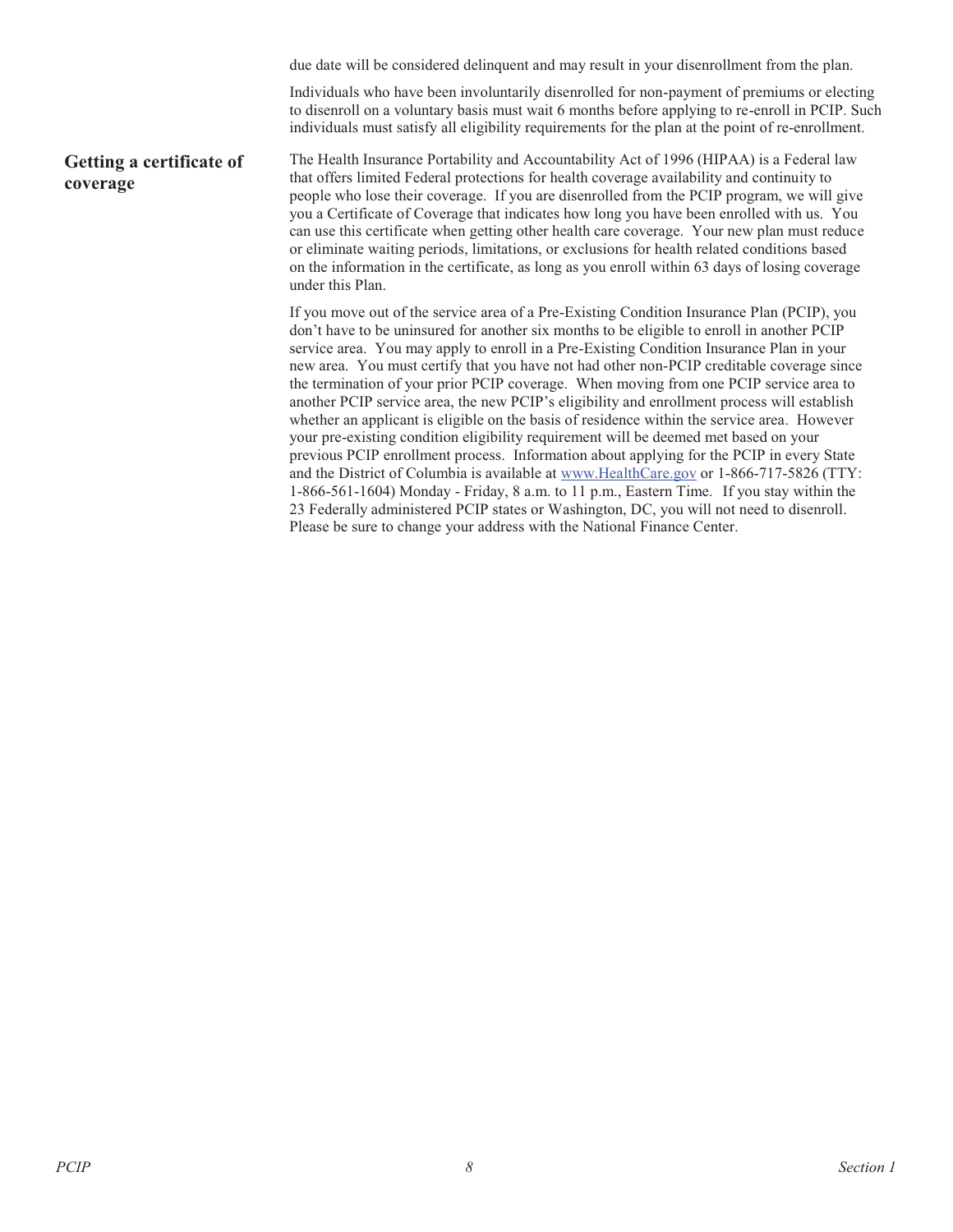due date will be considered delinquent and may result in your disenrollment from the plan. Individuals who have been involuntarily disenrolled for non-payment of premiums or electing to disenroll on a voluntary basis must wait 6 months before applying to re-enroll in PCIP. Such individuals must satisfy all eligibility requirements for the plan at the point of re-enrollment. **Getting a certificate of coverage** The Health Insurance Portability and Accountability Act of 1996 (HIPAA) is a Federal law that offers limited Federal protections for health coverage availability and continuity to people who lose their coverage. If you are disenrolled from the PCIP program, we will give you a Certificate of Coverage that indicates how long you have been enrolled with us. You can use this certificate when getting other health care coverage. Your new plan must reduce or eliminate waiting periods, limitations, or exclusions for health related conditions based on the information in the certificate, as long as you enroll within 63 days of losing coverage under this Plan. If you move out of the service area of a Pre-Existing Condition Insurance Plan (PCIP), you don't have to be uninsured for another six months to be eligible to enroll in another PCIP service area. You may apply to enroll in a Pre-Existing Condition Insurance Plan in your new area. You must certify that you have not had other non-PCIP creditable coverage since the termination of your prior PCIP coverage. When moving from one PCIP service area to another PCIP service area, the new PCIP's eligibility and enrollment process will establish whether an applicant is eligible on the basis of residence within the service area. However your pre-existing condition eligibility requirement will be deemed met based on your previous PCIP enrollment process. Information about applying for the PCIP in every State and the District of Columbia is available at www.HealthCare.gov or 1-866-717-5826 (TTY: 1-866-561-1604) Monday - Friday, 8 a.m. to 11 p.m., Eastern Time. If you stay within the 23 Federally administered PCIP states or Washington, DC, you will not need to disenroll.

Please be sure to change your address with the National Finance Center.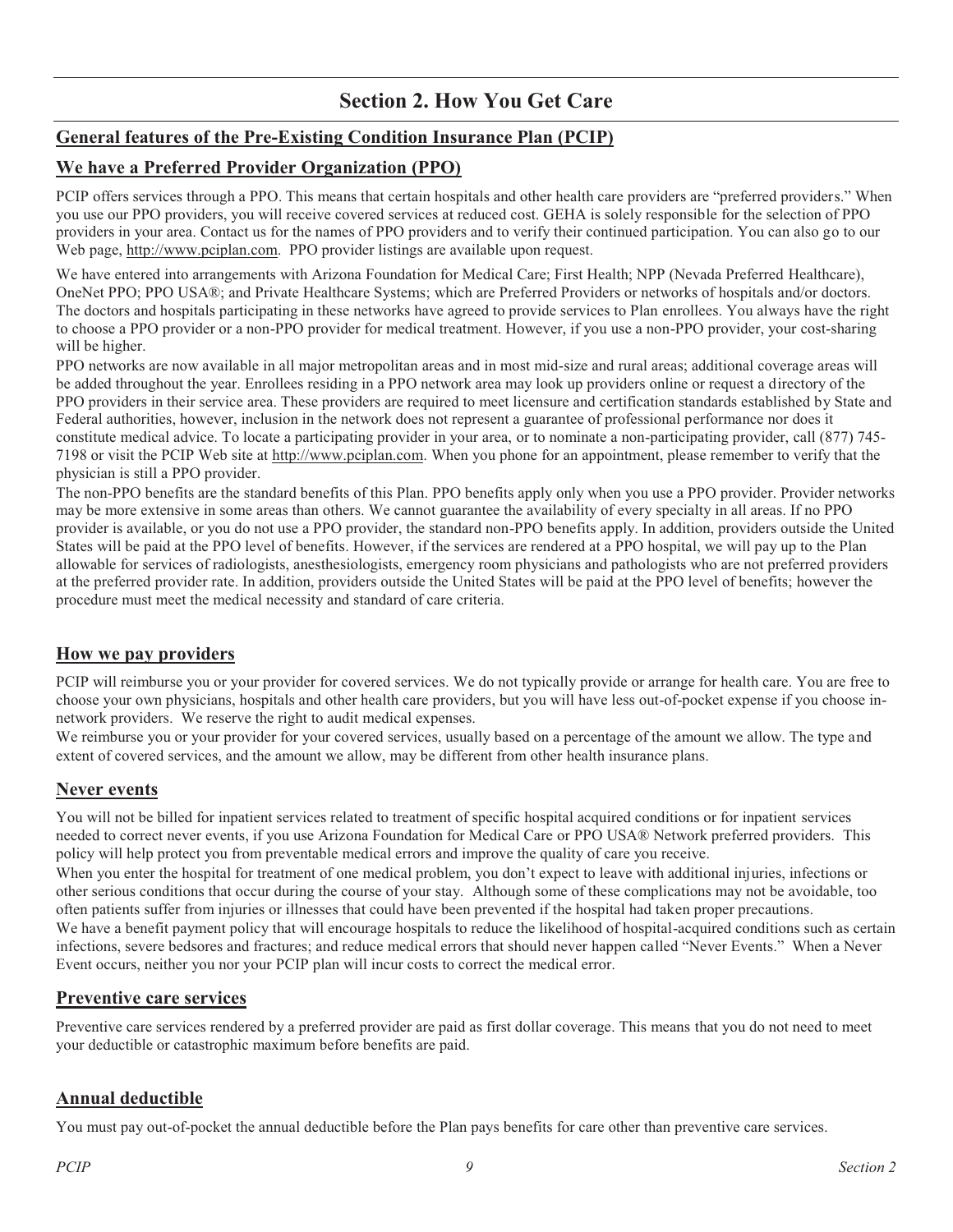### **Section 2. How You Get Care**

### **General features of the Pre-Existing Condition Insurance Plan (PCIP)**

#### **We have a Preferred Provider Organization (PPO)**

PCIP offers services through a PPO. This means that certain hospitals and other health care providers are "preferred providers." When you use our PPO providers, you will receive covered services at reduced cost. GEHA is solely responsible for the selection of PPO providers in your area. Contact us for the names of PPO providers and to verify their continued participation. You can also go to our Web page, http://www.pciplan.com. PPO provider listings are available upon request.

We have entered into arrangements with Arizona Foundation for Medical Care; First Health; NPP (Nevada Preferred Healthcare), OneNet PPO; PPO USA®; and Private Healthcare Systems; which are Preferred Providers or networks of hospitals and/or doctors. The doctors and hospitals participating in these networks have agreed to provide services to Plan enrollees. You always have the right to choose a PPO provider or a non-PPO provider for medical treatment. However, if you use a non-PPO provider, your cost-sharing will be higher.

PPO networks are now available in all major metropolitan areas and in most mid-size and rural areas; additional coverage areas will be added throughout the year. Enrollees residing in a PPO network area may look up providers online or request a directory of the PPO providers in their service area. These providers are required to meet licensure and certification standards established by State and Federal authorities, however, inclusion in the network does not represent a guarantee of professional performance nor does it constitute medical advice. To locate a participating provider in your area, or to nominate a non-participating provider, call (877) 745- 7198 or visit the PCIP Web site at http://www.pciplan.com. When you phone for an appointment, please remember to verify that the physician is still a PPO provider.

The non-PPO benefits are the standard benefits of this Plan. PPO benefits apply only when you use a PPO provider. Provider networks may be more extensive in some areas than others. We cannot guarantee the availability of every specialty in all areas. If no PPO provider is available, or you do not use a PPO provider, the standard non-PPO benefits apply. In addition, providers outside the United States will be paid at the PPO level of benefits. However, if the services are rendered at a PPO hospital, we will pay up to the Plan allowable for services of radiologists, anesthesiologists, emergency room physicians and pathologists who are not preferred providers at the preferred provider rate. In addition, providers outside the United States will be paid at the PPO level of benefits; however the procedure must meet the medical necessity and standard of care criteria.

#### **How we pay providers**

PCIP will reimburse you or your provider for covered services. We do not typically provide or arrange for health care. You are free to choose your own physicians, hospitals and other health care providers, but you will have less out-of-pocket expense if you choose innetwork providers. We reserve the right to audit medical expenses.

We reimburse you or your provider for your covered services, usually based on a percentage of the amount we allow. The type and extent of covered services, and the amount we allow, may be different from other health insurance plans.

#### **Never events**

You will not be billed for inpatient services related to treatment of specific hospital acquired conditions or for inpatient services needed to correct never events, if you use Arizona Foundation for Medical Care or PPO USA® Network preferred providers. This policy will help protect you from preventable medical errors and improve the quality of care you receive.

When you enter the hospital for treatment of one medical problem, you don't expect to leave with additional injuries, infections or other serious conditions that occur during the course of your stay. Although some of these complications may not be avoidable, too often patients suffer from injuries or illnesses that could have been prevented if the hospital had taken proper precautions. We have a benefit payment policy that will encourage hospitals to reduce the likelihood of hospital-acquired conditions such as certain infections, severe bedsores and fractures; and reduce medical errors that should never happen called "Never Events." When a Never Event occurs, neither you nor your PCIP plan will incur costs to correct the medical error.

#### **Preventive care services**

Preventive care services rendered by a preferred provider are paid as first dollar coverage. This means that you do not need to meet your deductible or catastrophic maximum before benefits are paid.

#### **Annual deductible**

You must pay out-of-pocket the annual deductible before the Plan pays benefits for care other than preventive care services.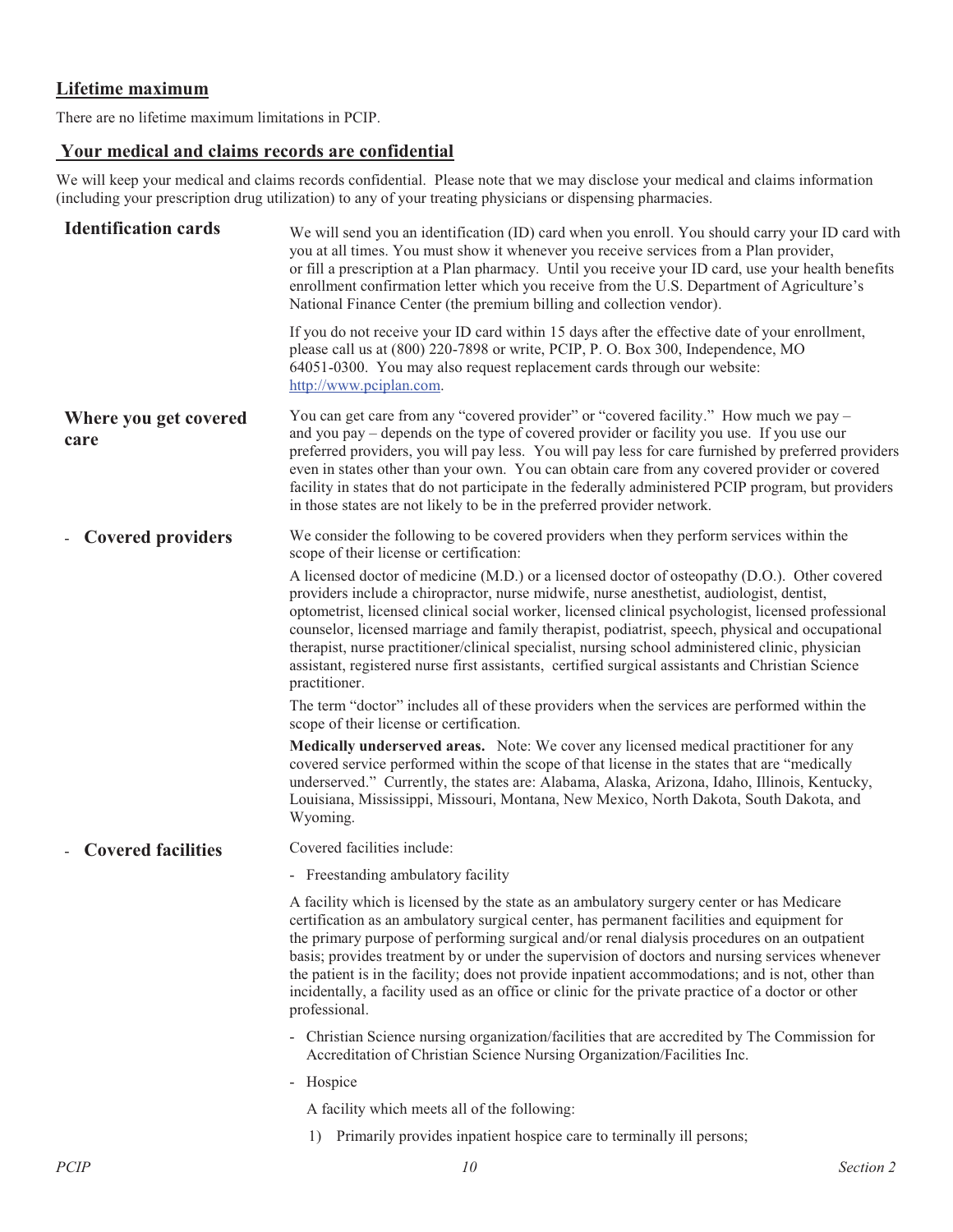### **Lifetime maximum**

There are no lifetime maximum limitations in PCIP.

### **Your medical and claims records are confidential**

We will keep your medical and claims records confidential. Please note that we may disclose your medical and claims information (including your prescription drug utilization) to any of your treating physicians or dispensing pharmacies.

| <b>Identification cards</b>                           | We will send you an identification (ID) card when you enroll. You should carry your ID card with<br>you at all times. You must show it whenever you receive services from a Plan provider,<br>or fill a prescription at a Plan pharmacy. Until you receive your ID card, use your health benefits<br>enrollment confirmation letter which you receive from the U.S. Department of Agriculture's<br>National Finance Center (the premium billing and collection vendor).                                                                                                                                                         |
|-------------------------------------------------------|---------------------------------------------------------------------------------------------------------------------------------------------------------------------------------------------------------------------------------------------------------------------------------------------------------------------------------------------------------------------------------------------------------------------------------------------------------------------------------------------------------------------------------------------------------------------------------------------------------------------------------|
|                                                       | If you do not receive your ID card within 15 days after the effective date of your enrollment,<br>please call us at (800) 220-7898 or write, PCIP, P. O. Box 300, Independence, MO<br>64051-0300. You may also request replacement cards through our website:<br>http://www.pciplan.com.                                                                                                                                                                                                                                                                                                                                        |
| Where you get covered<br>care                         | You can get care from any "covered provider" or "covered facility." How much we pay –<br>and you pay – depends on the type of covered provider or facility you use. If you use our<br>preferred providers, you will pay less. You will pay less for care furnished by preferred providers<br>even in states other than your own. You can obtain care from any covered provider or covered<br>facility in states that do not participate in the federally administered PCIP program, but providers<br>in those states are not likely to be in the preferred provider network.                                                    |
| <b>Covered providers</b>                              | We consider the following to be covered providers when they perform services within the<br>scope of their license or certification:                                                                                                                                                                                                                                                                                                                                                                                                                                                                                             |
|                                                       | A licensed doctor of medicine (M.D.) or a licensed doctor of osteopathy (D.O.). Other covered<br>providers include a chiropractor, nurse midwife, nurse anesthetist, audiologist, dentist,<br>optometrist, licensed clinical social worker, licensed clinical psychologist, licensed professional<br>counselor, licensed marriage and family therapist, podiatrist, speech, physical and occupational<br>therapist, nurse practitioner/clinical specialist, nursing school administered clinic, physician<br>assistant, registered nurse first assistants, certified surgical assistants and Christian Science<br>practitioner. |
|                                                       | The term "doctor" includes all of these providers when the services are performed within the<br>scope of their license or certification.                                                                                                                                                                                                                                                                                                                                                                                                                                                                                        |
|                                                       | Medically underserved areas. Note: We cover any licensed medical practitioner for any<br>covered service performed within the scope of that license in the states that are "medically<br>underserved." Currently, the states are: Alabama, Alaska, Arizona, Idaho, Illinois, Kentucky,<br>Louisiana, Mississippi, Missouri, Montana, New Mexico, North Dakota, South Dakota, and<br>Wyoming.                                                                                                                                                                                                                                    |
| <b>Covered facilities</b><br>$\overline{\phantom{0}}$ | Covered facilities include:                                                                                                                                                                                                                                                                                                                                                                                                                                                                                                                                                                                                     |
|                                                       | - Freestanding ambulatory facility                                                                                                                                                                                                                                                                                                                                                                                                                                                                                                                                                                                              |
|                                                       | A facility which is licensed by the state as an ambulatory surgery center or has Medicare<br>certification as an ambulatory surgical center, has permanent facilities and equipment for<br>the primary purpose of performing surgical and/or renal dialysis procedures on an outpatient<br>basis; provides treatment by or under the supervision of doctors and nursing services whenever<br>the patient is in the facility; does not provide inpatient accommodations; and is not, other than<br>incidentally, a facility used as an office or clinic for the private practice of a doctor or other<br>professional.           |
|                                                       | - Christian Science nursing organization/facilities that are accredited by The Commission for<br>Accreditation of Christian Science Nursing Organization/Facilities Inc.                                                                                                                                                                                                                                                                                                                                                                                                                                                        |
|                                                       | - Hospice                                                                                                                                                                                                                                                                                                                                                                                                                                                                                                                                                                                                                       |
|                                                       | A facility which meets all of the following:                                                                                                                                                                                                                                                                                                                                                                                                                                                                                                                                                                                    |
|                                                       | Primarily provides inpatient hospice care to terminally ill persons;<br>1)                                                                                                                                                                                                                                                                                                                                                                                                                                                                                                                                                      |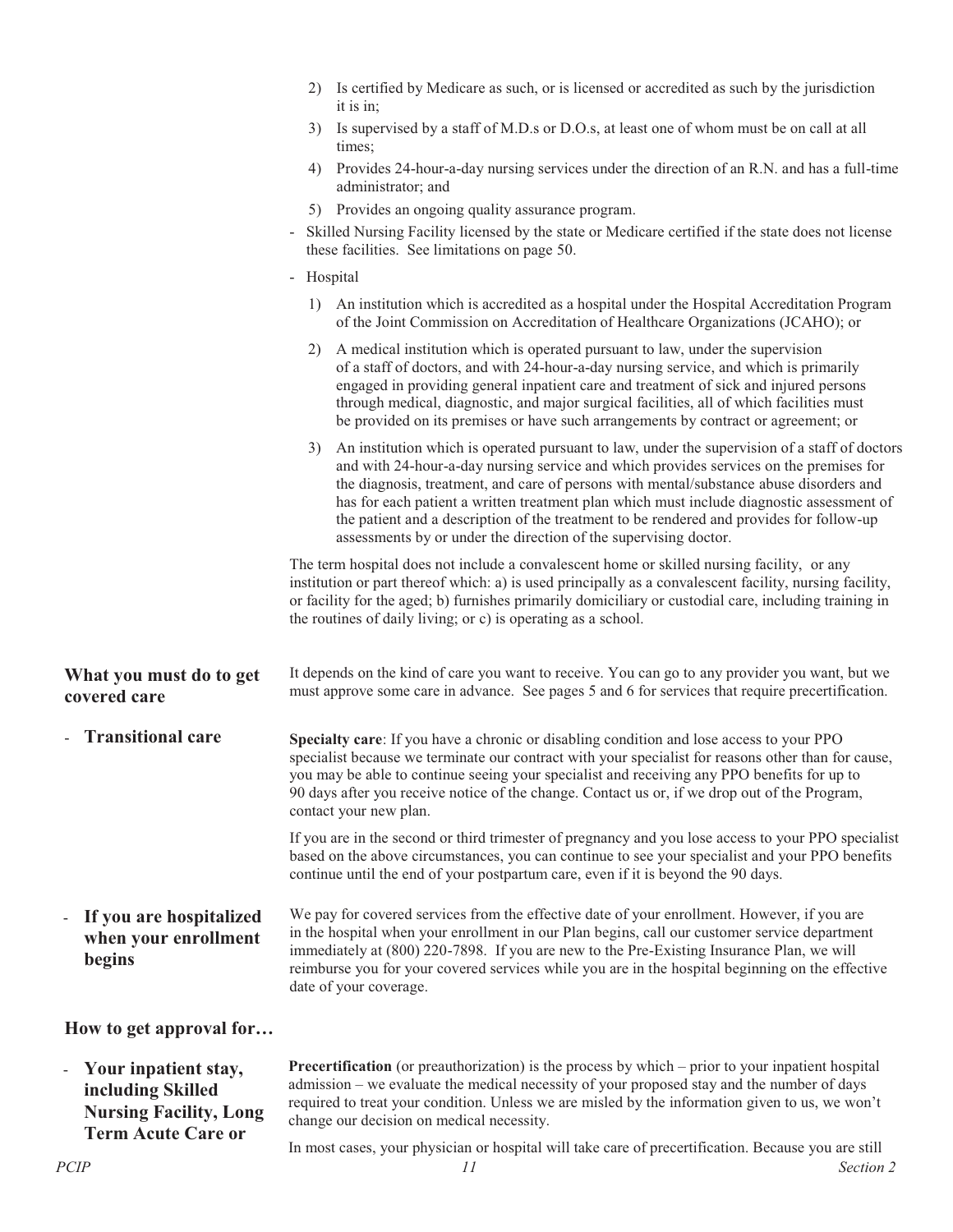|                                                           | Is certified by Medicare as such, or is licensed or accredited as such by the jurisdiction<br>2)<br>it is in;                                                                                                                                                                                                                                                                                                                                                                                                                                         |
|-----------------------------------------------------------|-------------------------------------------------------------------------------------------------------------------------------------------------------------------------------------------------------------------------------------------------------------------------------------------------------------------------------------------------------------------------------------------------------------------------------------------------------------------------------------------------------------------------------------------------------|
|                                                           | Is supervised by a staff of M.D.s or D.O.s, at least one of whom must be on call at all<br>3)<br>times;                                                                                                                                                                                                                                                                                                                                                                                                                                               |
|                                                           | Provides 24-hour-a-day nursing services under the direction of an R.N. and has a full-time<br>4)<br>administrator; and                                                                                                                                                                                                                                                                                                                                                                                                                                |
|                                                           | 5) Provides an ongoing quality assurance program.                                                                                                                                                                                                                                                                                                                                                                                                                                                                                                     |
|                                                           | Skilled Nursing Facility licensed by the state or Medicare certified if the state does not license<br>$\blacksquare$<br>these facilities. See limitations on page 50.                                                                                                                                                                                                                                                                                                                                                                                 |
|                                                           | - Hospital                                                                                                                                                                                                                                                                                                                                                                                                                                                                                                                                            |
|                                                           | An institution which is accredited as a hospital under the Hospital Accreditation Program<br>1)<br>of the Joint Commission on Accreditation of Healthcare Organizations (JCAHO); or                                                                                                                                                                                                                                                                                                                                                                   |
|                                                           | A medical institution which is operated pursuant to law, under the supervision<br>2)<br>of a staff of doctors, and with 24-hour-a-day nursing service, and which is primarily<br>engaged in providing general inpatient care and treatment of sick and injured persons<br>through medical, diagnostic, and major surgical facilities, all of which facilities must<br>be provided on its premises or have such arrangements by contract or agreement; or                                                                                              |
|                                                           | An institution which is operated pursuant to law, under the supervision of a staff of doctors<br>3)<br>and with 24-hour-a-day nursing service and which provides services on the premises for<br>the diagnosis, treatment, and care of persons with mental/substance abuse disorders and<br>has for each patient a written treatment plan which must include diagnostic assessment of<br>the patient and a description of the treatment to be rendered and provides for follow-up<br>assessments by or under the direction of the supervising doctor. |
|                                                           | The term hospital does not include a convalescent home or skilled nursing facility, or any<br>institution or part thereof which: a) is used principally as a convalescent facility, nursing facility,<br>or facility for the aged; b) furnishes primarily domiciliary or custodial care, including training in<br>the routines of daily living; or c) is operating as a school.                                                                                                                                                                       |
| What you must do to get<br>covered care                   | It depends on the kind of care you want to receive. You can go to any provider you want, but we<br>must approve some care in advance. See pages 5 and 6 for services that require precertification.                                                                                                                                                                                                                                                                                                                                                   |
| - Transitional care                                       | Specialty care: If you have a chronic or disabling condition and lose access to your PPO<br>specialist because we terminate our contract with your specialist for reasons other than for cause,<br>you may be able to continue seeing your specialist and receiving any PPO benefits for up to<br>90 days after you receive notice of the change. Contact us or, if we drop out of the Program,<br>contact your new plan.                                                                                                                             |
|                                                           | If you are in the second or third trimester of pregnancy and you lose access to your PPO specialist<br>based on the above circumstances, you can continue to see your specialist and your PPO benefits<br>continue until the end of your postpartum care, even if it is beyond the 90 days.                                                                                                                                                                                                                                                           |
| If you are hospitalized<br>when your enrollment<br>begins | We pay for covered services from the effective date of your enrollment. However, if you are<br>in the hospital when your enrollment in our Plan begins, call our customer service department<br>immediately at (800) 220-7898. If you are new to the Pre-Existing Insurance Plan, we will<br>reimburse you for your covered services while you are in the hospital beginning on the effective<br>date of your coverage.                                                                                                                               |
| How to get approval for                                   |                                                                                                                                                                                                                                                                                                                                                                                                                                                                                                                                                       |
| Your inpatient stay,                                      | <b>Precertification</b> (or preauthorization) is the process by which – prior to your inpatient hospital                                                                                                                                                                                                                                                                                                                                                                                                                                              |

**including Skilled Nursing Facility, Long Term Acute Care or** 

admission – we evaluate the medical necessity of your proposed stay and the number of days required to treat your condition. Unless we are misled by the information given to us, we won't change our decision on medical necessity.

In most cases, your physician or hospital will take care of precertification. Because you are still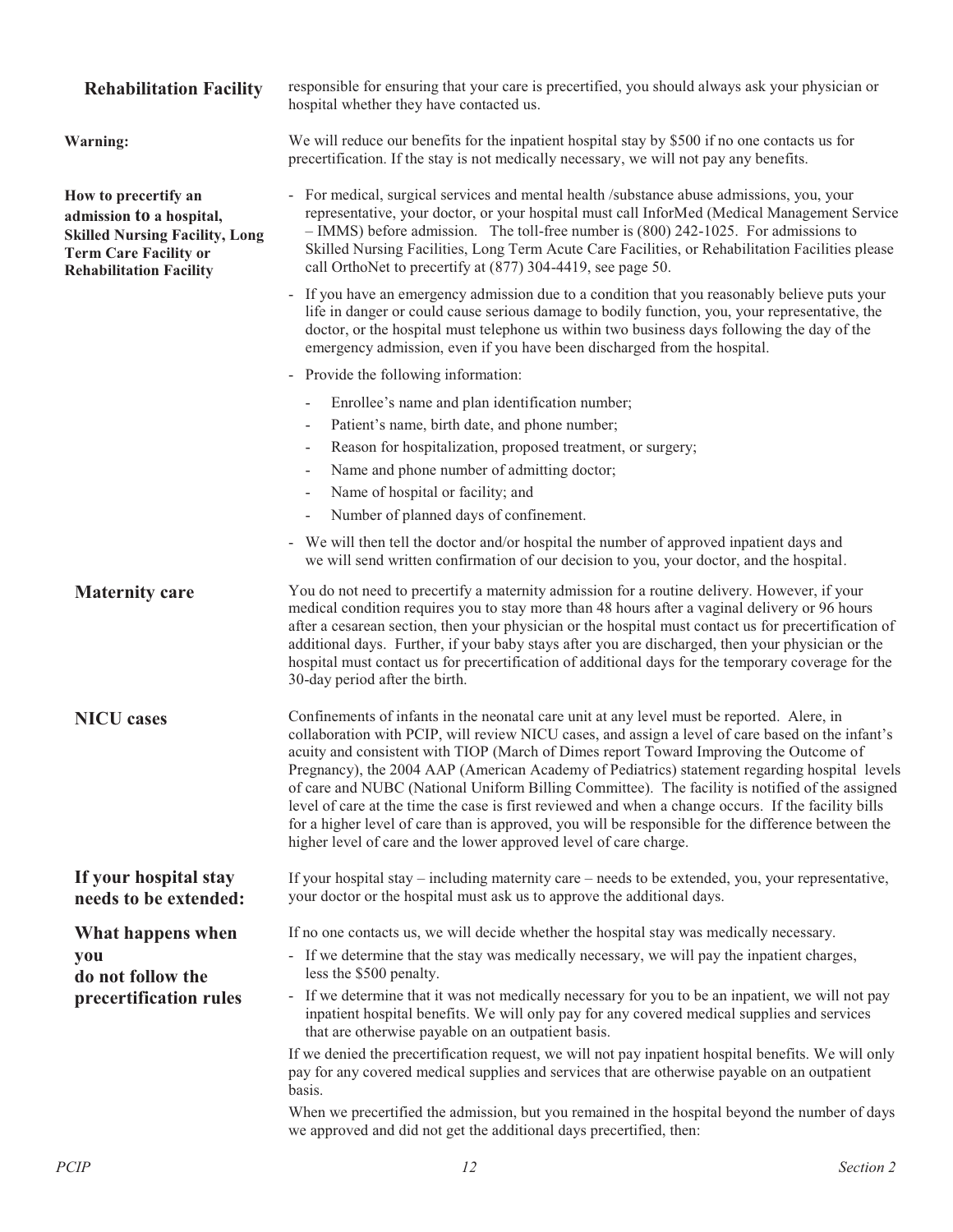#### **Rehabilitation Facility** responsible for ensuring that your care is precertified, you should always ask your physician or

hospital whether they have contacted us. **Warning:** We will reduce our benefits for the inpatient hospital stay by \$500 if no one contacts us for precertification. If the stay is not medically necessary, we will not pay any benefits. **How to precertify an admission to a hospital, Skilled Nursing Facility, Long Term Care Facility or Rehabilitation Facility** - For medical, surgical services and mental health /substance abuse admissions, you, your representative, your doctor, or your hospital must call InforMed (Medical Management Service – IMMS) before admission. The toll-free number is (800) 242-1025. For admissions to Skilled Nursing Facilities, Long Term Acute Care Facilities, or Rehabilitation Facilities please call OrthoNet to precertify at (877) 304-4419, see page 50. - If you have an emergency admission due to a condition that you reasonably believe puts your life in danger or could cause serious damage to bodily function, you, your representative, the doctor, or the hospital must telephone us within two business days following the day of the

- emergency admission, even if you have been discharged from the hospital. - Provide the following information:
	- Enrollee's name and plan identification number;
	- Patient's name, birth date, and phone number;
	- Reason for hospitalization, proposed treatment, or surgery;
	- Name and phone number of admitting doctor;
	- Name of hospital or facility; and
	- Number of planned days of confinement.
- We will then tell the doctor and/or hospital the number of approved inpatient days and we will send written confirmation of our decision to you, your doctor, and the hospital.

**Maternity care** You do not need to precertify a maternity admission for a routine delivery. However, if your medical condition requires you to stay more than 48 hours after a vaginal delivery or 96 hours after a cesarean section, then your physician or the hospital must contact us for precertification of additional days. Further, if your baby stays after you are discharged, then your physician or the hospital must contact us for precertification of additional days for the temporary coverage for the 30-day period after the birth.

**NICU cases** Confinements of infants in the neonatal care unit at any level must be reported. Alere, in collaboration with PCIP, will review NICU cases, and assign a level of care based on the infant's acuity and consistent with TIOP (March of Dimes report Toward Improving the Outcome of Pregnancy), the 2004 AAP (American Academy of Pediatrics) statement regarding hospital levels of care and NUBC (National Uniform Billing Committee). The facility is notified of the assigned level of care at the time the case is first reviewed and when a change occurs. If the facility bills for a higher level of care than is approved, you will be responsible for the difference between the higher level of care and the lower approved level of care charge.

**If your hospital stay needs to be extended:**  If your hospital stay – including maternity care – needs to be extended, you, your representative, your doctor or the hospital must ask us to approve the additional days.

#### If no one contacts us, we will decide whether the hospital stay was medically necessary.

- If we determine that the stay was medically necessary, we will pay the inpatient charges, less the \$500 penalty.
- If we determine that it was not medically necessary for you to be an inpatient, we will not pay inpatient hospital benefits. We will only pay for any covered medical supplies and services that are otherwise payable on an outpatient basis.

If we denied the precertification request, we will not pay inpatient hospital benefits. We will only pay for any covered medical supplies and services that are otherwise payable on an outpatient basis.

When we precertified the admission, but you remained in the hospital beyond the number of days we approved and did not get the additional days precertified, then:

**you** 

**What happens when** 

**do not follow the precertification rules**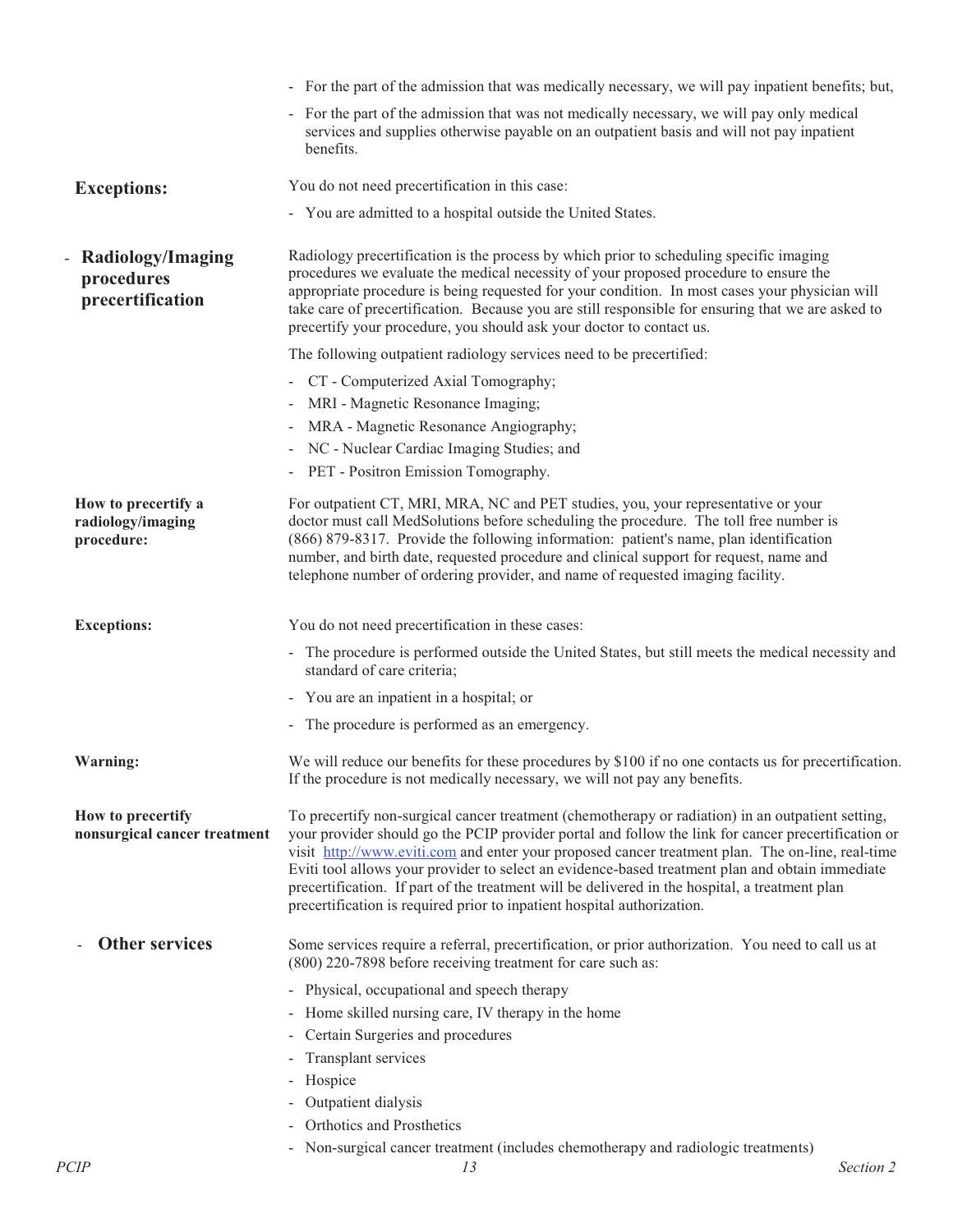|                                                        | - For the part of the admission that was medically necessary, we will pay inpatient benefits; but,                                                                                                                                                                                                                                                                                                                                                                                                                                                                                           |
|--------------------------------------------------------|----------------------------------------------------------------------------------------------------------------------------------------------------------------------------------------------------------------------------------------------------------------------------------------------------------------------------------------------------------------------------------------------------------------------------------------------------------------------------------------------------------------------------------------------------------------------------------------------|
|                                                        | - For the part of the admission that was not medically necessary, we will pay only medical<br>services and supplies otherwise payable on an outpatient basis and will not pay inpatient<br>benefits.                                                                                                                                                                                                                                                                                                                                                                                         |
| <b>Exceptions:</b>                                     | You do not need precertification in this case:                                                                                                                                                                                                                                                                                                                                                                                                                                                                                                                                               |
|                                                        | - You are admitted to a hospital outside the United States.                                                                                                                                                                                                                                                                                                                                                                                                                                                                                                                                  |
| Radiology/Imaging<br>procedures<br>precertification    | Radiology precertification is the process by which prior to scheduling specific imaging<br>procedures we evaluate the medical necessity of your proposed procedure to ensure the<br>appropriate procedure is being requested for your condition. In most cases your physician will<br>take care of precertification. Because you are still responsible for ensuring that we are asked to<br>precertify your procedure, you should ask your doctor to contact us.                                                                                                                             |
|                                                        | The following outpatient radiology services need to be precertified:                                                                                                                                                                                                                                                                                                                                                                                                                                                                                                                         |
|                                                        | - CT - Computerized Axial Tomography;                                                                                                                                                                                                                                                                                                                                                                                                                                                                                                                                                        |
|                                                        | MRI - Magnetic Resonance Imaging;                                                                                                                                                                                                                                                                                                                                                                                                                                                                                                                                                            |
|                                                        | MRA - Magnetic Resonance Angiography;                                                                                                                                                                                                                                                                                                                                                                                                                                                                                                                                                        |
|                                                        | NC - Nuclear Cardiac Imaging Studies; and<br>-                                                                                                                                                                                                                                                                                                                                                                                                                                                                                                                                               |
|                                                        | - PET - Positron Emission Tomography.                                                                                                                                                                                                                                                                                                                                                                                                                                                                                                                                                        |
| How to precertify a<br>radiology/imaging<br>procedure: | For outpatient CT, MRI, MRA, NC and PET studies, you, your representative or your<br>doctor must call MedSolutions before scheduling the procedure. The toll free number is<br>(866) 879-8317. Provide the following information: patient's name, plan identification<br>number, and birth date, requested procedure and clinical support for request, name and<br>telephone number of ordering provider, and name of requested imaging facility.                                                                                                                                            |
| <b>Exceptions:</b>                                     | You do not need precertification in these cases:                                                                                                                                                                                                                                                                                                                                                                                                                                                                                                                                             |
|                                                        | - The procedure is performed outside the United States, but still meets the medical necessity and<br>standard of care criteria;                                                                                                                                                                                                                                                                                                                                                                                                                                                              |
|                                                        | - You are an inpatient in a hospital; or                                                                                                                                                                                                                                                                                                                                                                                                                                                                                                                                                     |
|                                                        | - The procedure is performed as an emergency.                                                                                                                                                                                                                                                                                                                                                                                                                                                                                                                                                |
| Warning:                                               | We will reduce our benefits for these procedures by \$100 if no one contacts us for precertification.<br>If the procedure is not medically necessary, we will not pay any benefits.                                                                                                                                                                                                                                                                                                                                                                                                          |
| How to precertify<br>nonsurgical cancer treatment      | To precertify non-surgical cancer treatment (chemotherapy or radiation) in an outpatient setting,<br>your provider should go the PCIP provider portal and follow the link for cancer precertification or<br>visit http://www.eviti.com and enter your proposed cancer treatment plan. The on-line, real-time<br>Eviti tool allows your provider to select an evidence-based treatment plan and obtain immediate<br>precertification. If part of the treatment will be delivered in the hospital, a treatment plan<br>precertification is required prior to inpatient hospital authorization. |
| <b>Other services</b>                                  | Some services require a referral, precertification, or prior authorization. You need to call us at<br>(800) 220-7898 before receiving treatment for care such as:                                                                                                                                                                                                                                                                                                                                                                                                                            |
|                                                        | - Physical, occupational and speech therapy<br>- Home skilled nursing care, IV therapy in the home<br>- Certain Surgeries and procedures<br>- Transplant services<br>- Hospice                                                                                                                                                                                                                                                                                                                                                                                                               |
|                                                        | - Outpatient dialysis                                                                                                                                                                                                                                                                                                                                                                                                                                                                                                                                                                        |
|                                                        | - Orthotics and Prosthetics                                                                                                                                                                                                                                                                                                                                                                                                                                                                                                                                                                  |
|                                                        | - Non-surgical cancer treatment (includes chemotherapy and radiologic treatments)                                                                                                                                                                                                                                                                                                                                                                                                                                                                                                            |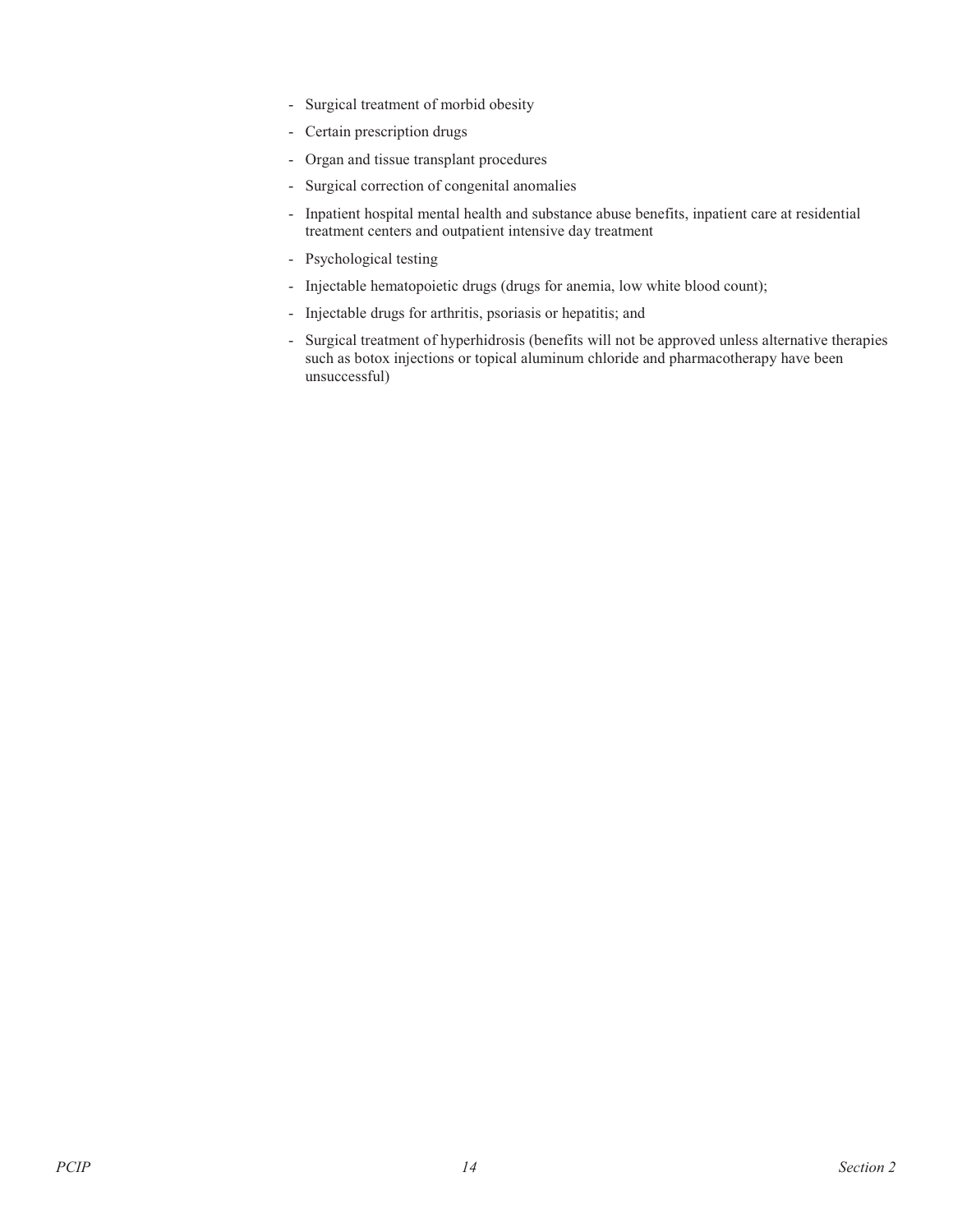- Surgical treatment of morbid obesity
- Certain prescription drugs
- Organ and tissue transplant procedures
- Surgical correction of congenital anomalies
- Inpatient hospital mental health and substance abuse benefits, inpatient care at residential treatment centers and outpatient intensive day treatment
- Psychological testing
- Injectable hematopoietic drugs (drugs for anemia, low white blood count);
- Injectable drugs for arthritis, psoriasis or hepatitis; and
- Surgical treatment of hyperhidrosis (benefits will not be approved unless alternative therapies such as botox injections or topical aluminum chloride and pharmacotherapy have been unsuccessful)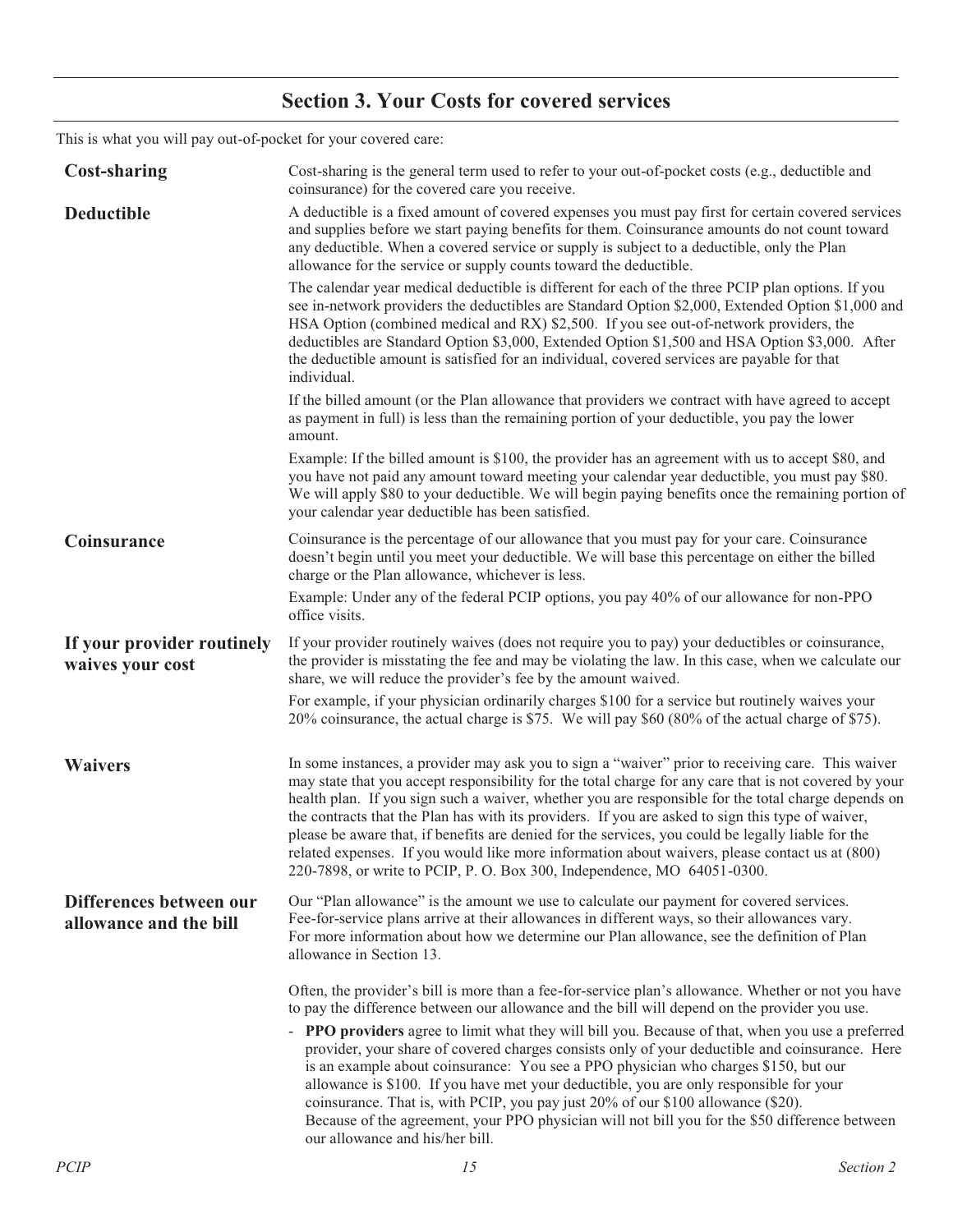## **Section 3. Your Costs for covered services**

This is what you will pay out-of-pocket for your covered care:

| <b>Cost-sharing</b>                               | Cost-sharing is the general term used to refer to your out-of-pocket costs (e.g., deductible and<br>coinsurance) for the covered care you receive.                                                                                                                                                                                                                                                                                                                                                                                                                                                                                                                                                         |
|---------------------------------------------------|------------------------------------------------------------------------------------------------------------------------------------------------------------------------------------------------------------------------------------------------------------------------------------------------------------------------------------------------------------------------------------------------------------------------------------------------------------------------------------------------------------------------------------------------------------------------------------------------------------------------------------------------------------------------------------------------------------|
| <b>Deductible</b>                                 | A deductible is a fixed amount of covered expenses you must pay first for certain covered services<br>and supplies before we start paying benefits for them. Coinsurance amounts do not count toward<br>any deductible. When a covered service or supply is subject to a deductible, only the Plan<br>allowance for the service or supply counts toward the deductible.                                                                                                                                                                                                                                                                                                                                    |
|                                                   | The calendar year medical deductible is different for each of the three PCIP plan options. If you<br>see in-network providers the deductibles are Standard Option \$2,000, Extended Option \$1,000 and<br>HSA Option (combined medical and RX) \$2,500. If you see out-of-network providers, the<br>deductibles are Standard Option \$3,000, Extended Option \$1,500 and HSA Option \$3,000. After<br>the deductible amount is satisfied for an individual, covered services are payable for that<br>individual.                                                                                                                                                                                           |
|                                                   | If the billed amount (or the Plan allowance that providers we contract with have agreed to accept<br>as payment in full) is less than the remaining portion of your deductible, you pay the lower<br>amount.                                                                                                                                                                                                                                                                                                                                                                                                                                                                                               |
|                                                   | Example: If the billed amount is \$100, the provider has an agreement with us to accept \$80, and<br>you have not paid any amount toward meeting your calendar year deductible, you must pay \$80.<br>We will apply \$80 to your deductible. We will begin paying benefits once the remaining portion of<br>your calendar year deductible has been satisfied.                                                                                                                                                                                                                                                                                                                                              |
| Coinsurance                                       | Coinsurance is the percentage of our allowance that you must pay for your care. Coinsurance<br>doesn't begin until you meet your deductible. We will base this percentage on either the billed<br>charge or the Plan allowance, whichever is less.                                                                                                                                                                                                                                                                                                                                                                                                                                                         |
|                                                   | Example: Under any of the federal PCIP options, you pay 40% of our allowance for non-PPO<br>office visits.                                                                                                                                                                                                                                                                                                                                                                                                                                                                                                                                                                                                 |
| If your provider routinely<br>waives your cost    | If your provider routinely waives (does not require you to pay) your deductibles or coinsurance,<br>the provider is misstating the fee and may be violating the law. In this case, when we calculate our<br>share, we will reduce the provider's fee by the amount waived.                                                                                                                                                                                                                                                                                                                                                                                                                                 |
|                                                   | For example, if your physician ordinarily charges \$100 for a service but routinely waives your<br>20% coinsurance, the actual charge is \$75. We will pay \$60 (80% of the actual charge of \$75).                                                                                                                                                                                                                                                                                                                                                                                                                                                                                                        |
| <b>Waivers</b>                                    | In some instances, a provider may ask you to sign a "waiver" prior to receiving care. This waiver<br>may state that you accept responsibility for the total charge for any care that is not covered by your<br>health plan. If you sign such a waiver, whether you are responsible for the total charge depends on<br>the contracts that the Plan has with its providers. If you are asked to sign this type of waiver,<br>please be aware that, if benefits are denied for the services, you could be legally liable for the<br>related expenses. If you would like more information about waivers, please contact us at (800)<br>220-7898, or write to PCIP, P. O. Box 300, Independence, MO 64051-0300. |
| Differences between our<br>allowance and the bill | Our "Plan allowance" is the amount we use to calculate our payment for covered services.<br>Fee-for-service plans arrive at their allowances in different ways, so their allowances vary.<br>For more information about how we determine our Plan allowance, see the definition of Plan<br>allowance in Section 13.                                                                                                                                                                                                                                                                                                                                                                                        |
|                                                   | Often, the provider's bill is more than a fee-for-service plan's allowance. Whether or not you have<br>to pay the difference between our allowance and the bill will depend on the provider you use.                                                                                                                                                                                                                                                                                                                                                                                                                                                                                                       |
|                                                   | - PPO providers agree to limit what they will bill you. Because of that, when you use a preferred<br>provider, your share of covered charges consists only of your deductible and coinsurance. Here<br>is an example about coinsurance: You see a PPO physician who charges \$150, but our<br>allowance is \$100. If you have met your deductible, you are only responsible for your<br>coinsurance. That is, with PCIP, you pay just 20% of our \$100 allowance (\$20).<br>Because of the agreement, your PPO physician will not bill you for the \$50 difference between<br>our allowance and his/her bill.                                                                                              |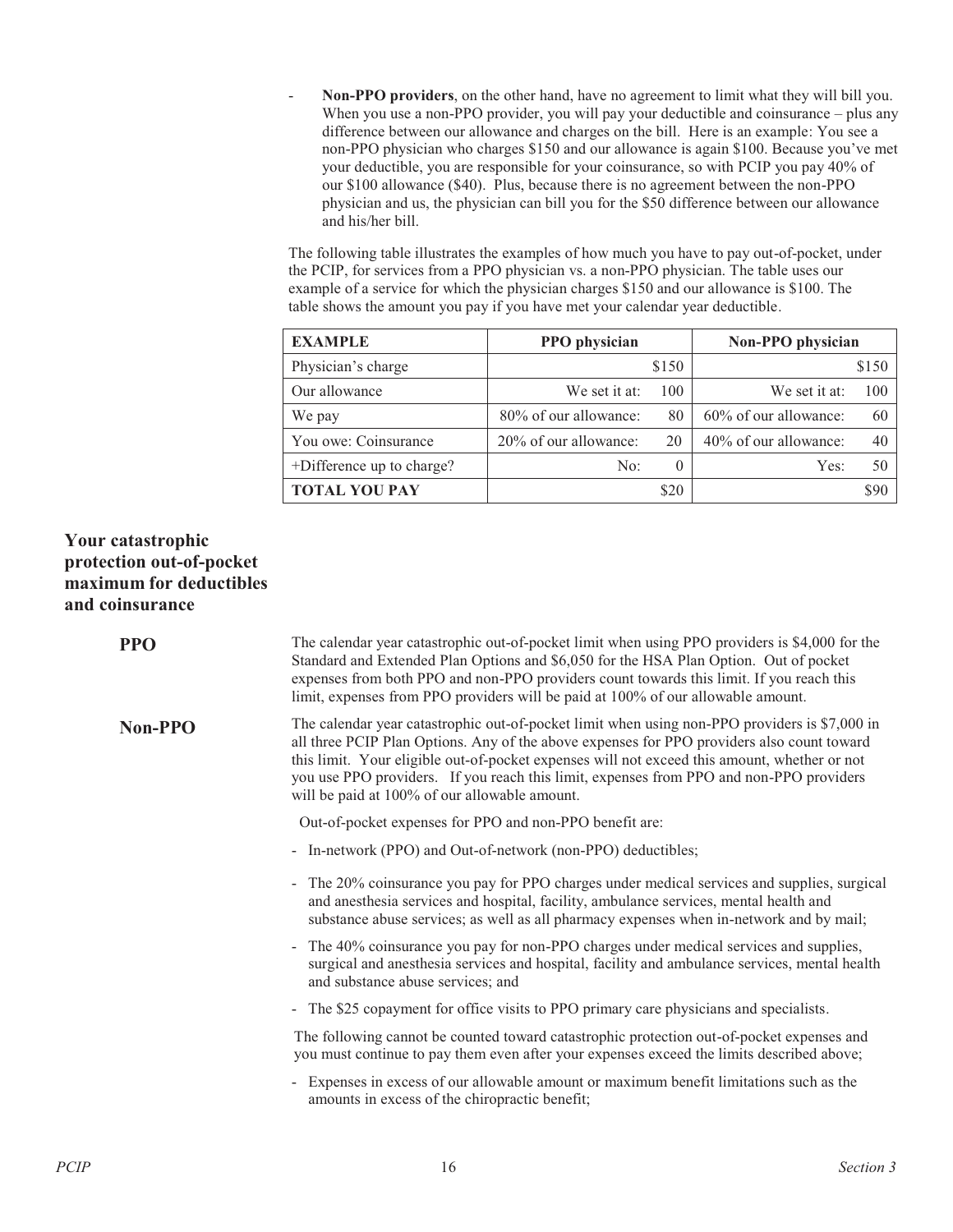- **Non-PPO providers**, on the other hand, have no agreement to limit what they will bill you. When you use a non-PPO provider, you will pay your deductible and coinsurance – plus any difference between our allowance and charges on the bill. Here is an example: You see a non-PPO physician who charges \$150 and our allowance is again \$100. Because you've met your deductible, you are responsible for your coinsurance, so with PCIP you pay 40% of our \$100 allowance (\$40). Plus, because there is no agreement between the non-PPO physician and us, the physician can bill you for the \$50 difference between our allowance and his/her bill.

The following table illustrates the examples of how much you have to pay out-of-pocket, under the PCIP, for services from a PPO physician vs. a non-PPO physician. The table uses our example of a service for which the physician charges \$150 and our allowance is \$100. The table shows the amount you pay if you have met your calendar year deductible.

| <b>EXAMPLE</b>            | PPO physician         |          | Non-PPO physician     |       |
|---------------------------|-----------------------|----------|-----------------------|-------|
| Physician's charge        |                       | \$150    |                       | \$150 |
| Our allowance             | We set it at:         | 100      | We set it at:         | 100   |
| We pay                    | 80% of our allowance: | 80       | 60% of our allowance: | 60    |
| You owe: Coinsurance      | 20% of our allowance: | 20       | 40% of our allowance: | 40    |
| +Difference up to charge? | No:                   | $\theta$ | Yes:                  | 50    |
| <b>TOTAL YOU PAY</b>      |                       | \$20     |                       | \$90  |

### **Your catastrophic protection out-of-pocket maximum for deductibles and coinsurance**

| <b>PPO</b>     | The calendar year catastrophic out-of-pocket limit when using PPO providers is \$4,000 for the<br>Standard and Extended Plan Options and \$6,050 for the HSA Plan Option. Out of pocket<br>expenses from both PPO and non-PPO providers count towards this limit. If you reach this<br>limit, expenses from PPO providers will be paid at 100% of our allowable amount.                                                                 |
|----------------|-----------------------------------------------------------------------------------------------------------------------------------------------------------------------------------------------------------------------------------------------------------------------------------------------------------------------------------------------------------------------------------------------------------------------------------------|
| <b>Non-PPO</b> | The calendar year catastrophic out-of-pocket limit when using non-PPO providers is \$7,000 in<br>all three PCIP Plan Options. Any of the above expenses for PPO providers also count toward<br>this limit. Your eligible out-of-pocket expenses will not exceed this amount, whether or not<br>you use PPO providers. If you reach this limit, expenses from PPO and non-PPO providers<br>will be paid at 100% of our allowable amount. |
|                | Out-of-pocket expenses for PPO and non-PPO benefit are:                                                                                                                                                                                                                                                                                                                                                                                 |
|                | - In-network (PPO) and Out-of-network (non-PPO) deductibles;                                                                                                                                                                                                                                                                                                                                                                            |
|                | The 20% coinsurance you pay for PPO charges under medical services and supplies, surgical<br>and anesthesia services and hospital, facility, ambulance services, mental health and<br>substance abuse services; as well as all pharmacy expenses when in-network and by mail;                                                                                                                                                           |
|                | The 40% coinsurance you pay for non-PPO charges under medical services and supplies,<br>$\blacksquare$<br>surgical and anesthesia services and hospital, facility and ambulance services, mental health<br>and substance abuse services; and                                                                                                                                                                                            |
|                | - The \$25 copayment for office visits to PPO primary care physicians and specialists.                                                                                                                                                                                                                                                                                                                                                  |
|                | The following cannot be counted toward catastrophic protection out-of-pocket expenses and<br>you must continue to pay them even after your expenses exceed the limits described above;                                                                                                                                                                                                                                                  |
|                | Expenses in excess of our allowable amount or maximum benefit limitations such as the<br>$\blacksquare$<br>amounts in excess of the chiropractic benefit;                                                                                                                                                                                                                                                                               |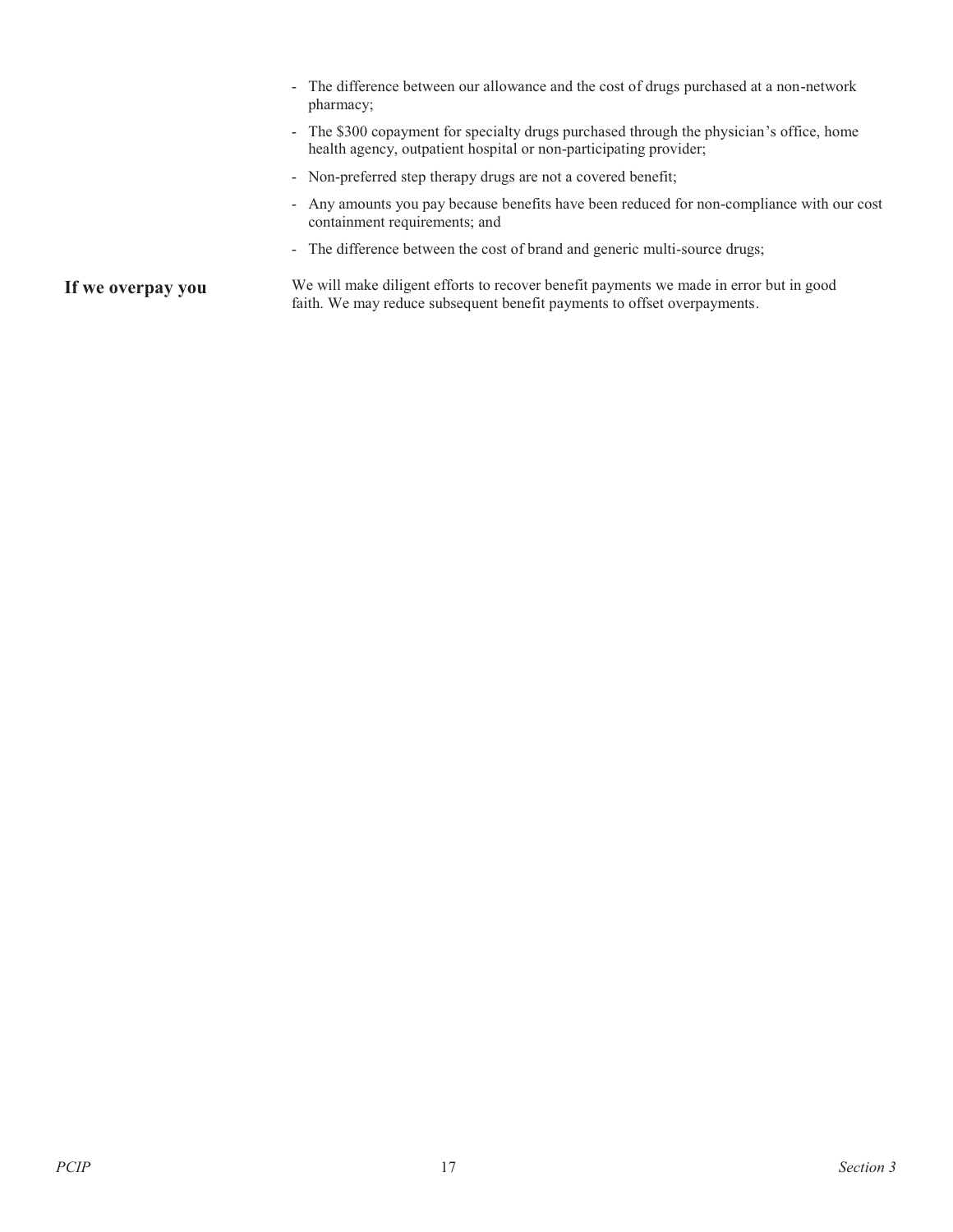- The difference between our allowance and the cost of drugs purchased at a non-network pharmacy; - The \$300 copayment for specialty drugs purchased through the physician's office, home health agency, outpatient hospital or non-participating provider; - Non-preferred step therapy drugs are not a covered benefit; - Any amounts you pay because benefits have been reduced for non-compliance with our cost containment requirements; and - The difference between the cost of brand and generic multi-source drugs;

If we overpay you We will make diligent efforts to recover benefit payments we made in error but in good faith. We may reduce subsequent benefit payments to offset overpayments.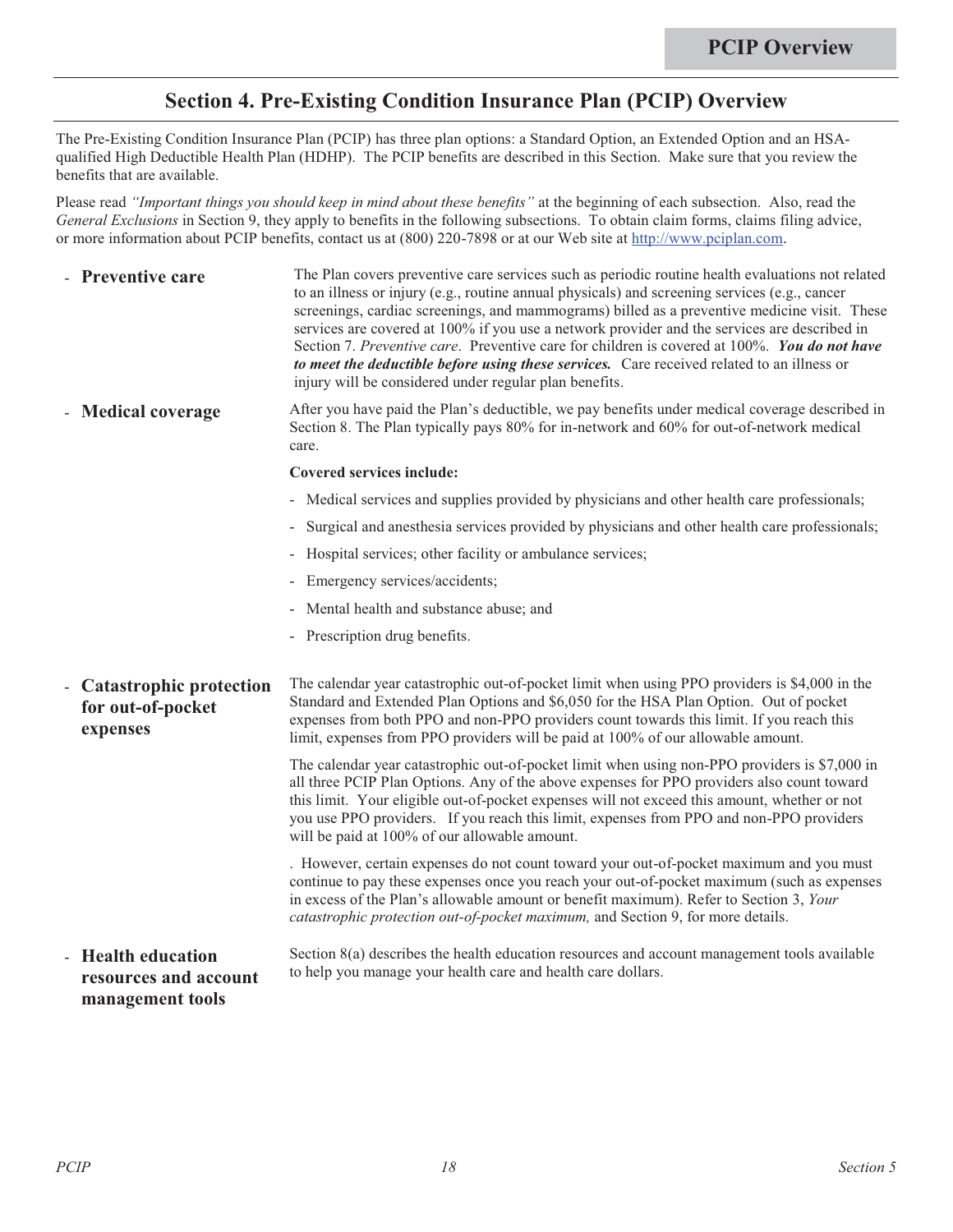## **Section 4. Pre-Existing Condition Insurance Plan (PCIP) Overview**

The Pre-Existing Condition Insurance Plan (PCIP) has three plan options: a Standard Option, an Extended Option and an HSAqualified High Deductible Health Plan (HDHP). The PCIP benefits are described in this Section. Make sure that you review the benefits that are available.

Please read *"Important things you should keep in mind about these benefits"* at the beginning of each subsection. Also, read the *General Exclusions* in Section 9, they apply to benefits in the following subsections. To obtain claim forms, claims filing advice, or more information about PCIP benefits, contact us at (800) 220-7898 or at our Web site at http://www.pciplan.com.

|              | - Preventive care                                               | The Plan covers preventive care services such as periodic routine health evaluations not related<br>to an illness or injury (e.g., routine annual physicals) and screening services (e.g., cancer<br>screenings, cardiac screenings, and mammograms) billed as a preventive medicine visit. These<br>services are covered at 100% if you use a network provider and the services are described in<br>Section 7. Preventive care. Preventive care for children is covered at 100%. You do not have<br>to meet the deductible before using these services. Care received related to an illness or<br>injury will be considered under regular plan benefits. |
|--------------|-----------------------------------------------------------------|-----------------------------------------------------------------------------------------------------------------------------------------------------------------------------------------------------------------------------------------------------------------------------------------------------------------------------------------------------------------------------------------------------------------------------------------------------------------------------------------------------------------------------------------------------------------------------------------------------------------------------------------------------------|
|              | - Medical coverage                                              | After you have paid the Plan's deductible, we pay benefits under medical coverage described in<br>Section 8. The Plan typically pays 80% for in-network and 60% for out-of-network medical<br>care.                                                                                                                                                                                                                                                                                                                                                                                                                                                       |
|              |                                                                 | <b>Covered services include:</b>                                                                                                                                                                                                                                                                                                                                                                                                                                                                                                                                                                                                                          |
|              |                                                                 | - Medical services and supplies provided by physicians and other health care professionals;                                                                                                                                                                                                                                                                                                                                                                                                                                                                                                                                                               |
|              |                                                                 | - Surgical and anesthesia services provided by physicians and other health care professionals;                                                                                                                                                                                                                                                                                                                                                                                                                                                                                                                                                            |
|              |                                                                 | Hospital services; other facility or ambulance services;                                                                                                                                                                                                                                                                                                                                                                                                                                                                                                                                                                                                  |
|              |                                                                 | - Emergency services/accidents;                                                                                                                                                                                                                                                                                                                                                                                                                                                                                                                                                                                                                           |
|              |                                                                 | - Mental health and substance abuse; and                                                                                                                                                                                                                                                                                                                                                                                                                                                                                                                                                                                                                  |
|              |                                                                 | - Prescription drug benefits.                                                                                                                                                                                                                                                                                                                                                                                                                                                                                                                                                                                                                             |
| $\mathbf{L}$ | <b>Catastrophic protection</b><br>for out-of-pocket<br>expenses | The calendar year catastrophic out-of-pocket limit when using PPO providers is \$4,000 in the<br>Standard and Extended Plan Options and \$6,050 for the HSA Plan Option. Out of pocket<br>expenses from both PPO and non-PPO providers count towards this limit. If you reach this<br>limit, expenses from PPO providers will be paid at 100% of our allowable amount.                                                                                                                                                                                                                                                                                    |
|              |                                                                 | The calendar year catastrophic out-of-pocket limit when using non-PPO providers is \$7,000 in<br>all three PCIP Plan Options. Any of the above expenses for PPO providers also count toward<br>this limit. Your eligible out-of-pocket expenses will not exceed this amount, whether or not<br>you use PPO providers. If you reach this limit, expenses from PPO and non-PPO providers<br>will be paid at 100% of our allowable amount.                                                                                                                                                                                                                   |
|              |                                                                 | . However, certain expenses do not count toward your out-of-pocket maximum and you must<br>continue to pay these expenses once you reach your out-of-pocket maximum (such as expenses<br>in excess of the Plan's allowable amount or benefit maximum). Refer to Section 3, Your<br>catastrophic protection out-of-pocket maximum, and Section 9, for more details.                                                                                                                                                                                                                                                                                        |
|              | - Health education<br>resources and account<br>management tools | Section 8(a) describes the health education resources and account management tools available<br>to help you manage your health care and health care dollars.                                                                                                                                                                                                                                                                                                                                                                                                                                                                                              |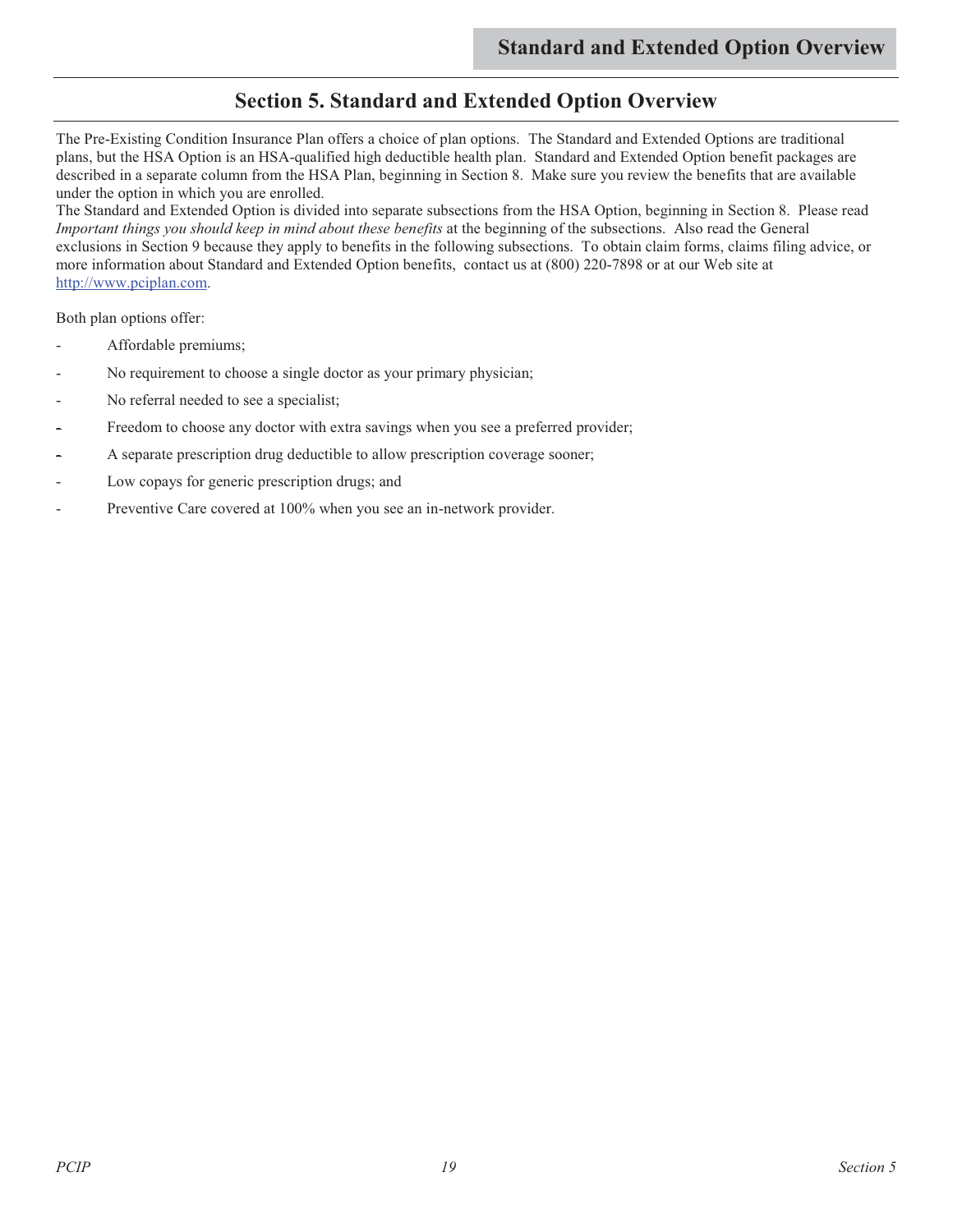## **Section 5. Standard and Extended Option Overview**

The Pre-Existing Condition Insurance Plan offers a choice of plan options. The Standard and Extended Options are traditional plans, but the HSA Option is an HSA-qualified high deductible health plan. Standard and Extended Option benefit packages are described in a separate column from the HSA Plan, beginning in Section 8. Make sure you review the benefits that are available under the option in which you are enrolled.

The Standard and Extended Option is divided into separate subsections from the HSA Option, beginning in Section 8. Please read *Important things you should keep in mind about these benefits* at the beginning of the subsections. Also read the General exclusions in Section 9 because they apply to benefits in the following subsections. To obtain claim forms, claims filing advice, or more information about Standard and Extended Option benefits, contact us at (800) 220-7898 or at our Web site at http://www.pciplan.com.

Both plan options offer:

- Affordable premiums;
- No requirement to choose a single doctor as your primary physician;
- No referral needed to see a specialist;
- Freedom to choose any doctor with extra savings when you see a preferred provider;
- A separate prescription drug deductible to allow prescription coverage sooner;
- Low copays for generic prescription drugs; and
- Preventive Care covered at 100% when you see an in-network provider.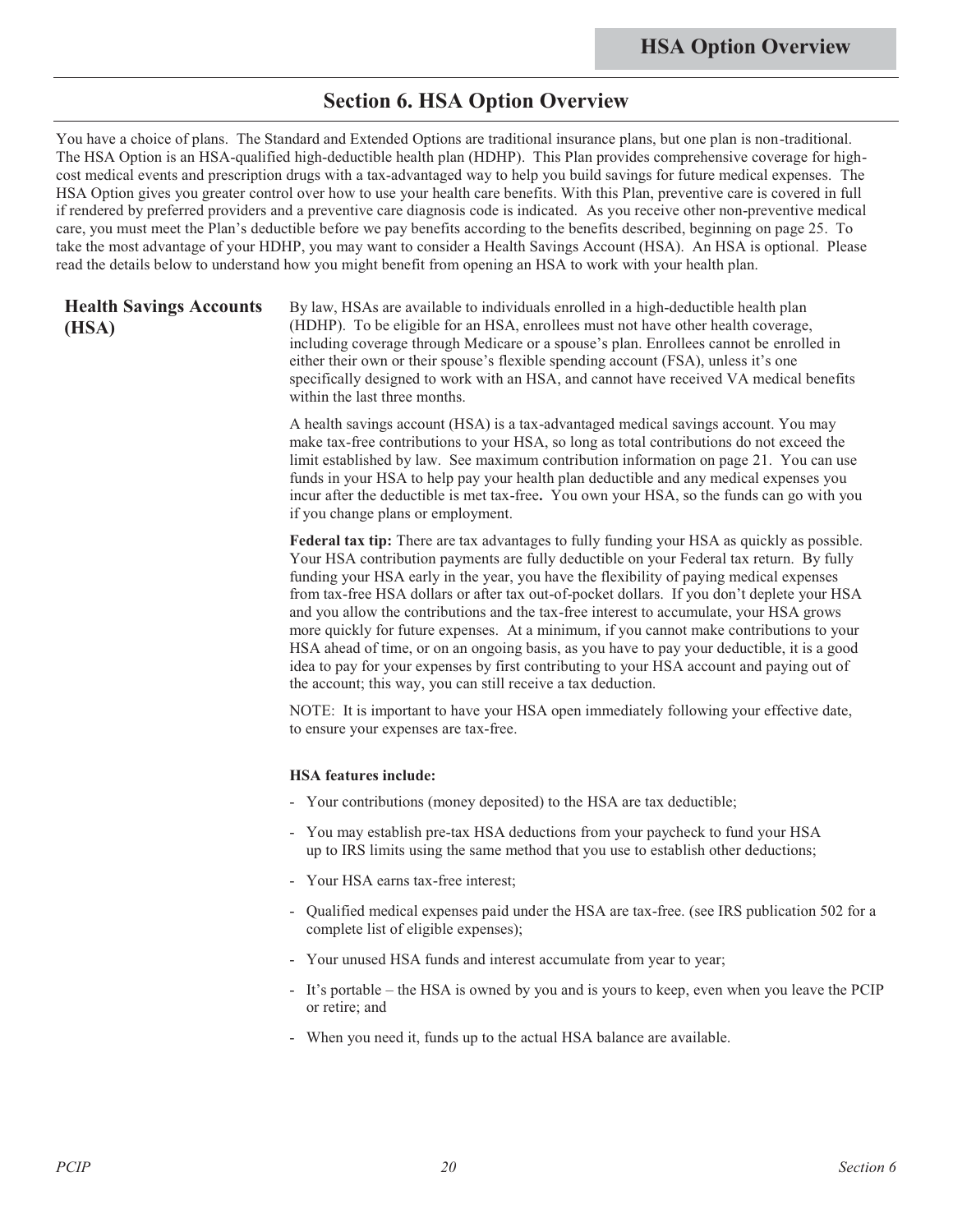### **Section 6. HSA Option Overview**

You have a choice of plans. The Standard and Extended Options are traditional insurance plans, but one plan is non-traditional. The HSA Option is an HSA-qualified high-deductible health plan (HDHP). This Plan provides comprehensive coverage for highcost medical events and prescription drugs with a tax-advantaged way to help you build savings for future medical expenses. The HSA Option gives you greater control over how to use your health care benefits. With this Plan, preventive care is covered in full if rendered by preferred providers and a preventive care diagnosis code is indicated. As you receive other non-preventive medical care, you must meet the Plan's deductible before we pay benefits according to the benefits described, beginning on page 25. To take the most advantage of your HDHP, you may want to consider a Health Savings Account (HSA). An HSA is optional. Please read the details below to understand how you might benefit from opening an HSA to work with your health plan.

#### **Health Savings Accounts (HSA)**

By law, HSAs are available to individuals enrolled in a high-deductible health plan (HDHP). To be eligible for an HSA, enrollees must not have other health coverage, including coverage through Medicare or a spouse's plan. Enrollees cannot be enrolled in either their own or their spouse's flexible spending account (FSA), unless it's one specifically designed to work with an HSA, and cannot have received VA medical benefits within the last three months.

A health savings account (HSA) is a tax-advantaged medical savings account. You may make tax-free contributions to your HSA, so long as total contributions do not exceed the limit established by law. See maximum contribution information on page 21. You can use funds in your HSA to help pay your health plan deductible and any medical expenses you incur after the deductible is met tax-free**.** You own your HSA, so the funds can go with you if you change plans or employment.

**Federal tax tip:** There are tax advantages to fully funding your HSA as quickly as possible. Your HSA contribution payments are fully deductible on your Federal tax return. By fully funding your HSA early in the year, you have the flexibility of paying medical expenses from tax-free HSA dollars or after tax out-of-pocket dollars. If you don't deplete your HSA and you allow the contributions and the tax-free interest to accumulate, your HSA grows more quickly for future expenses. At a minimum, if you cannot make contributions to your HSA ahead of time, or on an ongoing basis, as you have to pay your deductible, it is a good idea to pay for your expenses by first contributing to your HSA account and paying out of the account; this way, you can still receive a tax deduction.

NOTE: It is important to have your HSA open immediately following your effective date, to ensure your expenses are tax-free.

#### **HSA features include:**

- Your contributions (money deposited) to the HSA are tax deductible;
- You may establish pre-tax HSA deductions from your paycheck to fund your HSA up to IRS limits using the same method that you use to establish other deductions;
- Your HSA earns tax-free interest;
- Qualified medical expenses paid under the HSA are tax-free. (see IRS publication 502 for a complete list of eligible expenses);
- Your unused HSA funds and interest accumulate from year to year;
- It's portable the HSA is owned by you and is yours to keep, even when you leave the PCIP or retire; and
- When you need it, funds up to the actual HSA balance are available.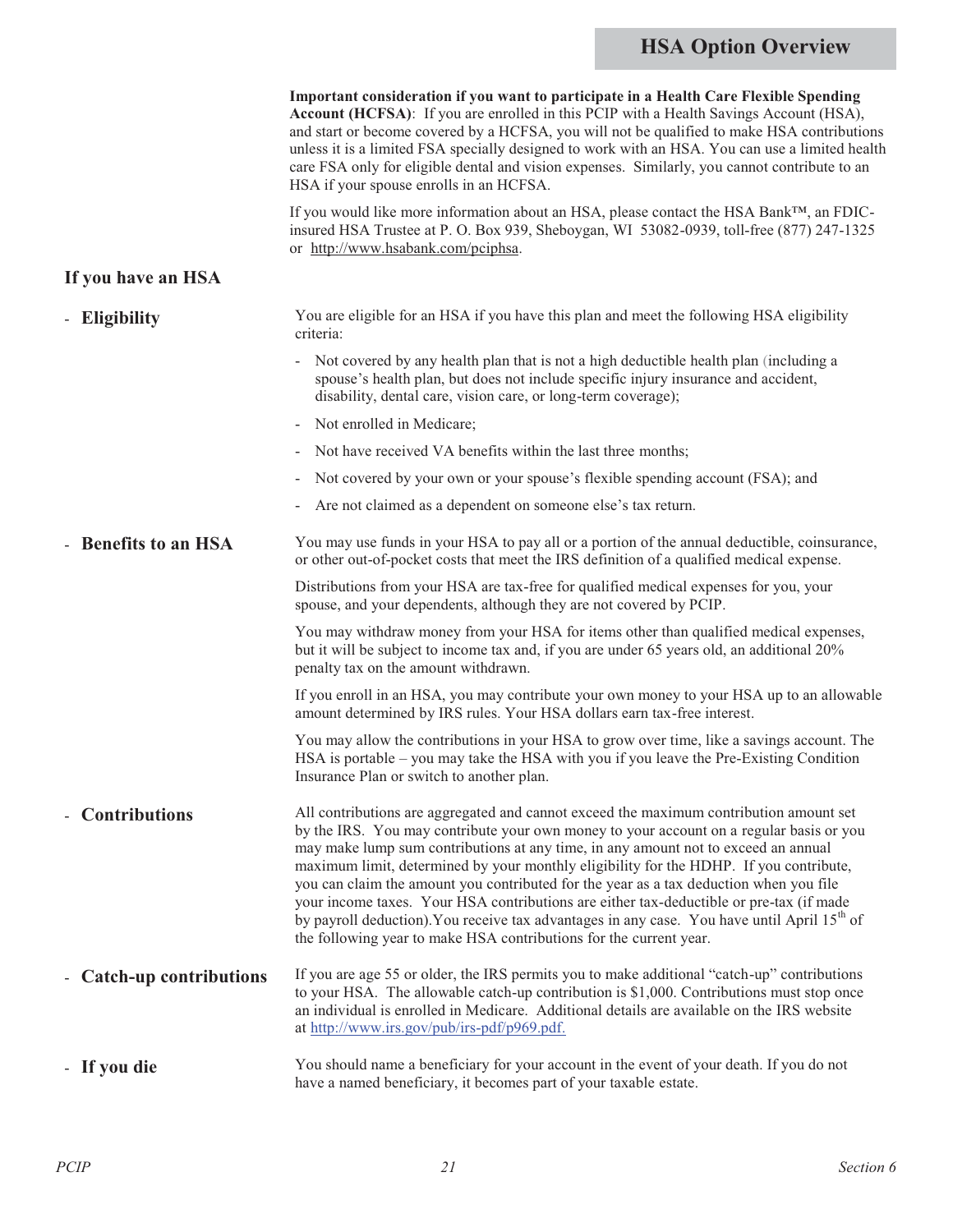## **HSA Option Overview**

|                          | Important consideration if you want to participate in a Health Care Flexible Spending<br>Account (HCFSA): If you are enrolled in this PCIP with a Health Savings Account (HSA),<br>and start or become covered by a HCFSA, you will not be qualified to make HSA contributions<br>unless it is a limited FSA specially designed to work with an HSA. You can use a limited health<br>care FSA only for eligible dental and vision expenses. Similarly, you cannot contribute to an<br>HSA if your spouse enrolls in an HCFSA.                                                                                                                                                                                                           |
|--------------------------|-----------------------------------------------------------------------------------------------------------------------------------------------------------------------------------------------------------------------------------------------------------------------------------------------------------------------------------------------------------------------------------------------------------------------------------------------------------------------------------------------------------------------------------------------------------------------------------------------------------------------------------------------------------------------------------------------------------------------------------------|
|                          | If you would like more information about an HSA, please contact the HSA Bank <sup>TM</sup> , an FDIC-<br>insured HSA Trustee at P. O. Box 939, Sheboygan, WI 53082-0939, toll-free (877) 247-1325<br>or http://www.hsabank.com/pciphsa.                                                                                                                                                                                                                                                                                                                                                                                                                                                                                                 |
| If you have an HSA       |                                                                                                                                                                                                                                                                                                                                                                                                                                                                                                                                                                                                                                                                                                                                         |
| - Eligibility            | You are eligible for an HSA if you have this plan and meet the following HSA eligibility<br>criteria:                                                                                                                                                                                                                                                                                                                                                                                                                                                                                                                                                                                                                                   |
|                          | - Not covered by any health plan that is not a high deductible health plan (including a<br>spouse's health plan, but does not include specific injury insurance and accident,<br>disability, dental care, vision care, or long-term coverage);                                                                                                                                                                                                                                                                                                                                                                                                                                                                                          |
|                          | Not enrolled in Medicare;                                                                                                                                                                                                                                                                                                                                                                                                                                                                                                                                                                                                                                                                                                               |
|                          | Not have received VA benefits within the last three months;                                                                                                                                                                                                                                                                                                                                                                                                                                                                                                                                                                                                                                                                             |
|                          | Not covered by your own or your spouse's flexible spending account (FSA); and                                                                                                                                                                                                                                                                                                                                                                                                                                                                                                                                                                                                                                                           |
|                          | Are not claimed as a dependent on someone else's tax return.                                                                                                                                                                                                                                                                                                                                                                                                                                                                                                                                                                                                                                                                            |
| - Benefits to an HSA     | You may use funds in your HSA to pay all or a portion of the annual deductible, coinsurance,<br>or other out-of-pocket costs that meet the IRS definition of a qualified medical expense.                                                                                                                                                                                                                                                                                                                                                                                                                                                                                                                                               |
|                          | Distributions from your HSA are tax-free for qualified medical expenses for you, your<br>spouse, and your dependents, although they are not covered by PCIP.                                                                                                                                                                                                                                                                                                                                                                                                                                                                                                                                                                            |
|                          | You may withdraw money from your HSA for items other than qualified medical expenses,<br>but it will be subject to income tax and, if you are under 65 years old, an additional 20%<br>penalty tax on the amount withdrawn.                                                                                                                                                                                                                                                                                                                                                                                                                                                                                                             |
|                          | If you enroll in an HSA, you may contribute your own money to your HSA up to an allowable<br>amount determined by IRS rules. Your HSA dollars earn tax-free interest.                                                                                                                                                                                                                                                                                                                                                                                                                                                                                                                                                                   |
|                          | You may allow the contributions in your HSA to grow over time, like a savings account. The<br>HSA is portable – you may take the HSA with you if you leave the Pre-Existing Condition<br>Insurance Plan or switch to another plan.                                                                                                                                                                                                                                                                                                                                                                                                                                                                                                      |
| - Contributions          | All contributions are aggregated and cannot exceed the maximum contribution amount set<br>by the IRS. You may contribute your own money to your account on a regular basis or you<br>may make lump sum contributions at any time, in any amount not to exceed an annual<br>maximum limit, determined by your monthly eligibility for the HDHP. If you contribute,<br>you can claim the amount you contributed for the year as a tax deduction when you file<br>your income taxes. Your HSA contributions are either tax-deductible or pre-tax (if made<br>by payroll deduction). You receive tax advantages in any case. You have until April 15 <sup>th</sup> of<br>the following year to make HSA contributions for the current year. |
| - Catch-up contributions | If you are age 55 or older, the IRS permits you to make additional "catch-up" contributions<br>to your HSA. The allowable catch-up contribution is \$1,000. Contributions must stop once<br>an individual is enrolled in Medicare. Additional details are available on the IRS website<br>at http://www.irs.gov/pub/irs-pdf/p969.pdf.                                                                                                                                                                                                                                                                                                                                                                                                   |
| - If you die             | You should name a beneficiary for your account in the event of your death. If you do not<br>have a named beneficiary, it becomes part of your taxable estate.                                                                                                                                                                                                                                                                                                                                                                                                                                                                                                                                                                           |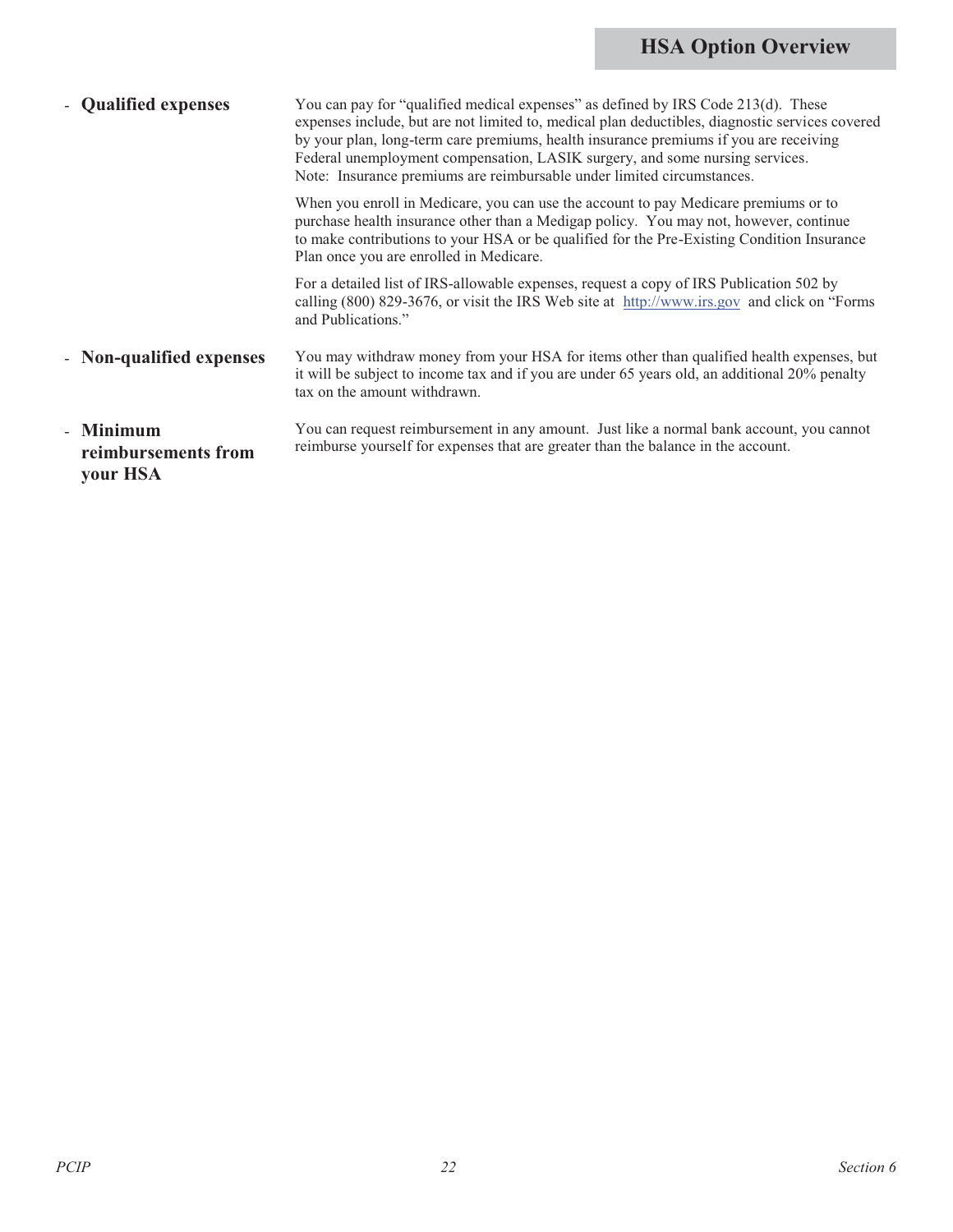## **HSA Option Overview**

| - Qualified expenses                         | You can pay for "qualified medical expenses" as defined by IRS Code 213(d). These<br>expenses include, but are not limited to, medical plan deductibles, diagnostic services covered<br>by your plan, long-term care premiums, health insurance premiums if you are receiving<br>Federal unemployment compensation, LASIK surgery, and some nursing services.<br>Note: Insurance premiums are reimbursable under limited circumstances. |
|----------------------------------------------|-----------------------------------------------------------------------------------------------------------------------------------------------------------------------------------------------------------------------------------------------------------------------------------------------------------------------------------------------------------------------------------------------------------------------------------------|
|                                              | When you enroll in Medicare, you can use the account to pay Medicare premiums or to<br>purchase health insurance other than a Medigap policy. You may not, however, continue<br>to make contributions to your HSA or be qualified for the Pre-Existing Condition Insurance<br>Plan once you are enrolled in Medicare.                                                                                                                   |
|                                              | For a detailed list of IRS-allowable expenses, request a copy of IRS Publication 502 by<br>calling (800) 829-3676, or visit the IRS Web site at http://www.irs.gov and click on "Forms"<br>and Publications."                                                                                                                                                                                                                           |
| - Non-qualified expenses                     | You may withdraw money from your HSA for items other than qualified health expenses, but<br>it will be subject to income tax and if you are under 65 years old, an additional 20% penalty<br>tax on the amount withdrawn.                                                                                                                                                                                                               |
| - Minimum<br>reimbursements from<br>your HSA | You can request reimbursement in any amount. Just like a normal bank account, you cannot<br>reimburse yourself for expenses that are greater than the balance in the account.                                                                                                                                                                                                                                                           |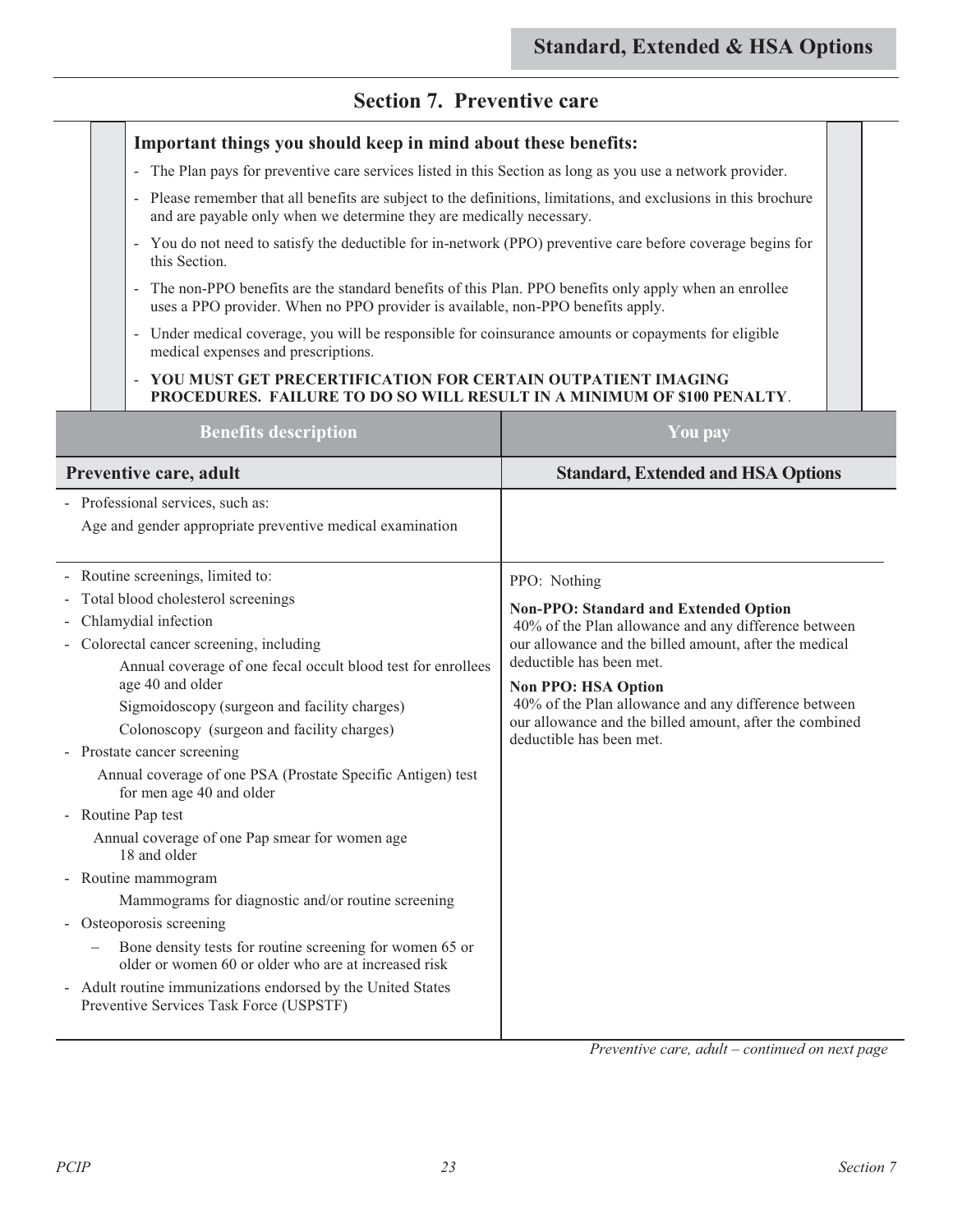### **Section 7. Preventive care**

#### **Important things you should keep in mind about these benefits:**  - The Plan pays for preventive care services listed in this Section as long as you use a network provider. - Please remember that all benefits are subject to the definitions, limitations, and exclusions in this brochure and are payable only when we determine they are medically necessary. - You do not need to satisfy the deductible for in-network (PPO) preventive care before coverage begins for this Section. - The non-PPO benefits are the standard benefits of this Plan. PPO benefits only apply when an enrollee uses a PPO provider. When no PPO provider is available, non-PPO benefits apply. - Under medical coverage, you will be responsible for coinsurance amounts or copayments for eligible medical expenses and prescriptions. - **YOU MUST GET PRECERTIFICATION FOR CERTAIN OUTPATIENT IMAGING PROCEDURES. FAILURE TO DO SO WILL RESULT IN A MINIMUM OF \$100 PENALTY**. **Benefits description You pay Preventive care, adult** *Standard, Extended and HSA Options* **<b>***Standard, Extended and HSA Options* - Professional services, such as: Age and gender appropriate preventive medical examination - Routine screenings, limited to: - Total blood cholesterol screenings - Chlamydial infection - Colorectal cancer screening, including Annual coverage of one fecal occult blood test for enrollees age 40 and older Sigmoidoscopy (surgeon and facility charges) Colonoscopy (surgeon and facility charges) - Prostate cancer screening Annual coverage of one PSA (Prostate Specific Antigen) test for men age 40 and older - Routine Pap test Annual coverage of one Pap smear for women age 18 and older - Routine mammogram Mammograms for diagnostic and/or routine screening - Osteoporosis screening - Bone density tests for routine screening for women 65 or older or women 60 or older who are at increased risk - Adult routine immunizations endorsed by the United States Preventive Services Task Force (USPSTF) PPO: Nothing **Non-PPO: Standard and Extended Option**  40% of the Plan allowance and any difference between our allowance and the billed amount, after the medical deductible has been met. **Non PPO: HSA Option** 40% of the Plan allowance and any difference between our allowance and the billed amount, after the combined deductible has been met.

*Preventive care, adult – continued on next page*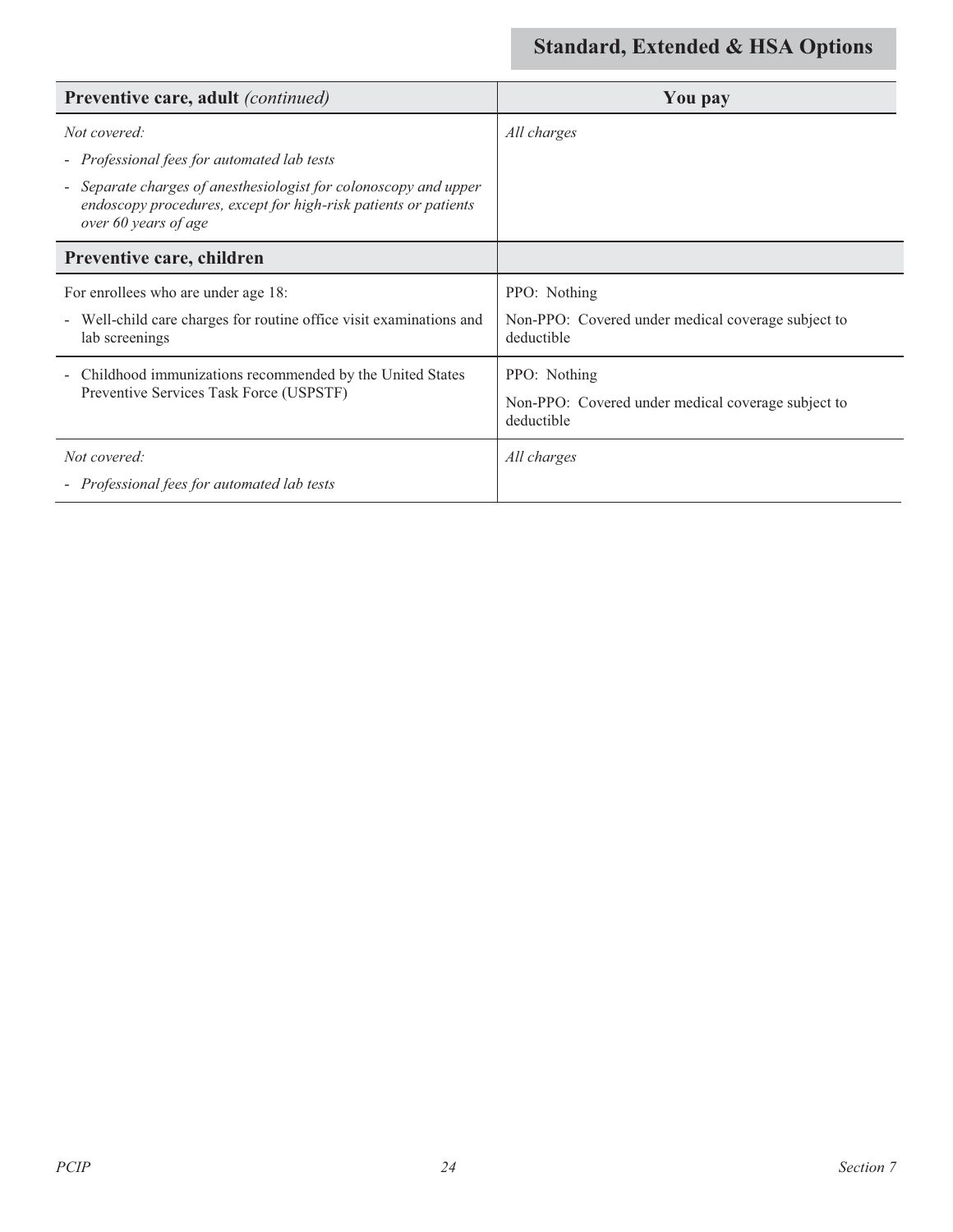| <b>Preventive care, adult</b> (continued)                                                                                                                 | You pay                                                          |
|-----------------------------------------------------------------------------------------------------------------------------------------------------------|------------------------------------------------------------------|
| Not covered:                                                                                                                                              | All charges                                                      |
| - Professional fees for automated lab tests                                                                                                               |                                                                  |
| Separate charges of anesthesiologist for colonoscopy and upper<br>endoscopy procedures, except for high-risk patients or patients<br>over 60 years of age |                                                                  |
| Preventive care, children                                                                                                                                 |                                                                  |
| For enrollees who are under age 18:                                                                                                                       | PPO: Nothing                                                     |
| Well-child care charges for routine office visit examinations and<br>lab screenings                                                                       | Non-PPO: Covered under medical coverage subject to<br>deductible |
| Childhood immunizations recommended by the United States<br>$\overline{\phantom{a}}$                                                                      | PPO: Nothing                                                     |
| Preventive Services Task Force (USPSTF)                                                                                                                   | Non-PPO: Covered under medical coverage subject to<br>deductible |
| Not covered:                                                                                                                                              | All charges                                                      |
| - Professional fees for automated lab tests                                                                                                               |                                                                  |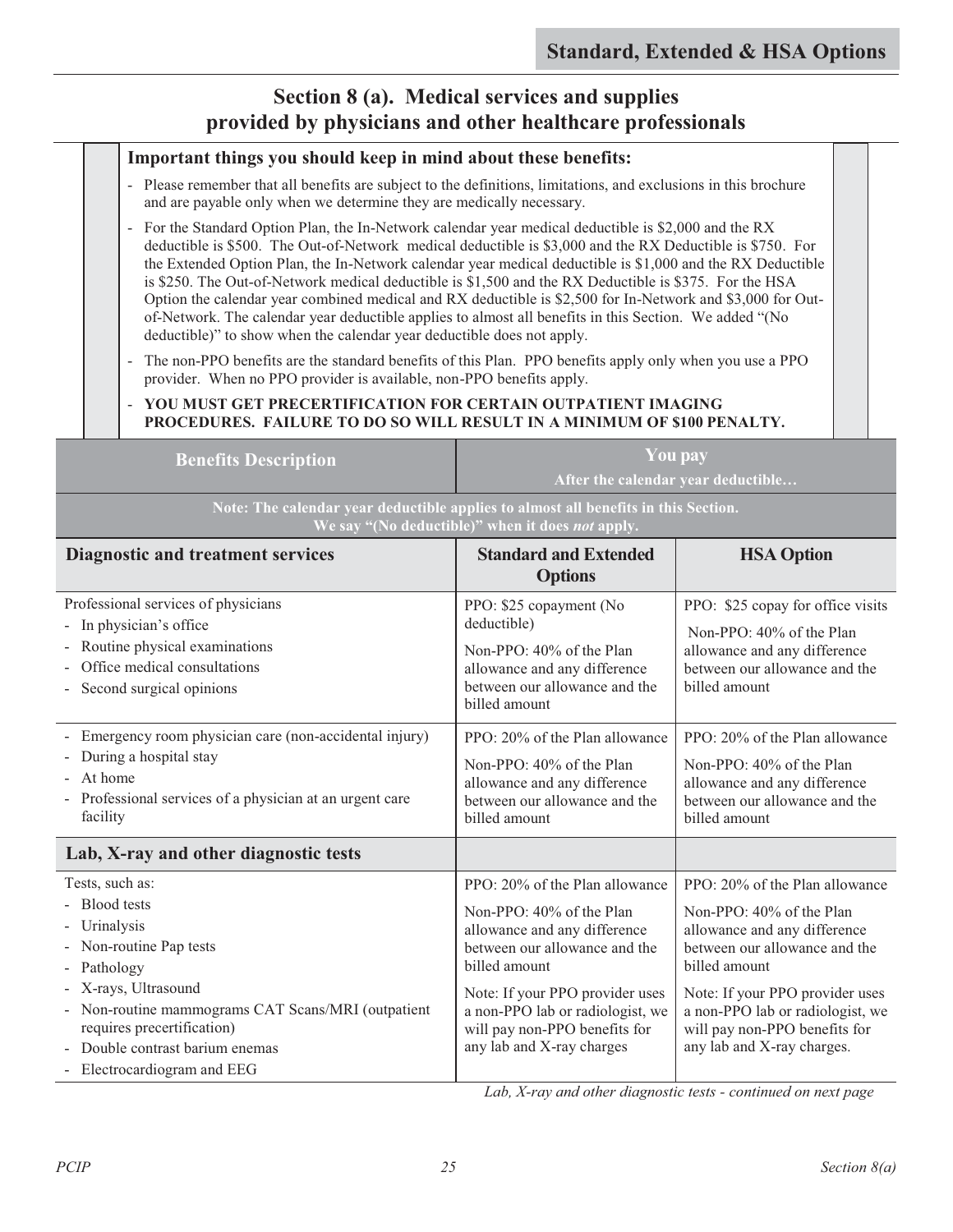### **Section 8 (a). Medical services and supplies provided by physicians and other healthcare professionals**

#### **Important things you should keep in mind about these benefits:**

- Please remember that all benefits are subject to the definitions, limitations, and exclusions in this brochure and are payable only when we determine they are medically necessary.
- For the Standard Option Plan, the In-Network calendar year medical deductible is \$2,000 and the RX deductible is \$500. The Out-of-Network medical deductible is \$3,000 and the RX Deductible is \$750. For the Extended Option Plan, the In-Network calendar year medical deductible is \$1,000 and the RX Deductible is \$250. The Out-of-Network medical deductible is \$1,500 and the RX Deductible is \$375. For the HSA Option the calendar year combined medical and RX deductible is \$2,500 for In-Network and \$3,000 for Outof-Network. The calendar year deductible applies to almost all benefits in this Section. We added "(No deductible)" to show when the calendar year deductible does not apply.
- The non-PPO benefits are the standard benefits of this Plan. PPO benefits apply only when you use a PPO provider. When no PPO provider is available, non-PPO benefits apply.

#### - **YOU MUST GET PRECERTIFICATION FOR CERTAIN OUTPATIENT IMAGING PROCEDURES. FAILURE TO DO SO WILL RESULT IN A MINIMUM OF \$100 PENALTY.**

| <b>Benefits Description</b>                                                                                                                                         | You pay<br>After the calendar year deductible |  |
|---------------------------------------------------------------------------------------------------------------------------------------------------------------------|-----------------------------------------------|--|
| $\frac{1}{2}$ Note: The calendar year deductible applies to almost all ben <u>efits in this Section.</u><br>We say "(No deductible)" when it does <i>not</i> apply. |                                               |  |
| Ctondoud and Extended<br>$\mathbf{H} \mathbf{C}$ A $\mathbf{O}_{\mathbf{m}}$ figure<br>Diagnostic and tweetmant courses                                             |                                               |  |

| <b>Diagnostic and treatment services</b>                                                                                                                                                                                                                               | <b>Standard and Extended</b><br><b>Options</b>                                                                                                                                                                                                                                    | <b>HSA Option</b>                                                                                                                                                                                                                                                                  |
|------------------------------------------------------------------------------------------------------------------------------------------------------------------------------------------------------------------------------------------------------------------------|-----------------------------------------------------------------------------------------------------------------------------------------------------------------------------------------------------------------------------------------------------------------------------------|------------------------------------------------------------------------------------------------------------------------------------------------------------------------------------------------------------------------------------------------------------------------------------|
| Professional services of physicians<br>- In physician's office<br>- Routine physical examinations<br>Office medical consultations<br>- Second surgical opinions                                                                                                        | PPO: \$25 copayment (No<br>deductible)<br>Non-PPO: 40% of the Plan<br>allowance and any difference<br>between our allowance and the<br>billed amount                                                                                                                              | PPO: \$25 copay for office visits<br>Non-PPO: 40% of the Plan<br>allowance and any difference<br>between our allowance and the<br>billed amount                                                                                                                                    |
| Emergency room physician care (non-accidental injury)<br>$\overline{\phantom{a}}$<br>During a hospital stay<br>- At home<br>- Professional services of a physician at an urgent care<br>facility                                                                       | PPO: 20% of the Plan allowance<br>Non-PPO: 40% of the Plan<br>allowance and any difference<br>between our allowance and the<br>billed amount                                                                                                                                      | PPO: 20% of the Plan allowance<br>Non-PPO: 40% of the Plan<br>allowance and any difference<br>between our allowance and the<br>billed amount                                                                                                                                       |
| Lab, X-ray and other diagnostic tests                                                                                                                                                                                                                                  |                                                                                                                                                                                                                                                                                   |                                                                                                                                                                                                                                                                                    |
| Tests, such as:<br>- Blood tests<br>- Urinalysis<br>- Non-routine Pap tests<br>- Pathology<br>- X-rays, Ultrasound<br>- Non-routine mammograms CAT Scans/MRI (outpatient<br>requires precertification)<br>Double contrast barium enemas<br>- Electrocardiogram and EEG | PPO: 20% of the Plan allowance<br>Non-PPO: 40% of the Plan<br>allowance and any difference<br>between our allowance and the<br>billed amount<br>Note: If your PPO provider uses<br>a non-PPO lab or radiologist, we<br>will pay non-PPO benefits for<br>any lab and X-ray charges | PPO: 20% of the Plan allowance<br>Non-PPO: 40% of the Plan<br>allowance and any difference<br>between our allowance and the<br>billed amount<br>Note: If your PPO provider uses<br>a non-PPO lab or radiologist, we<br>will pay non-PPO benefits for<br>any lab and X-ray charges. |

*Lab, X-ray and other diagnostic tests - continued on next page*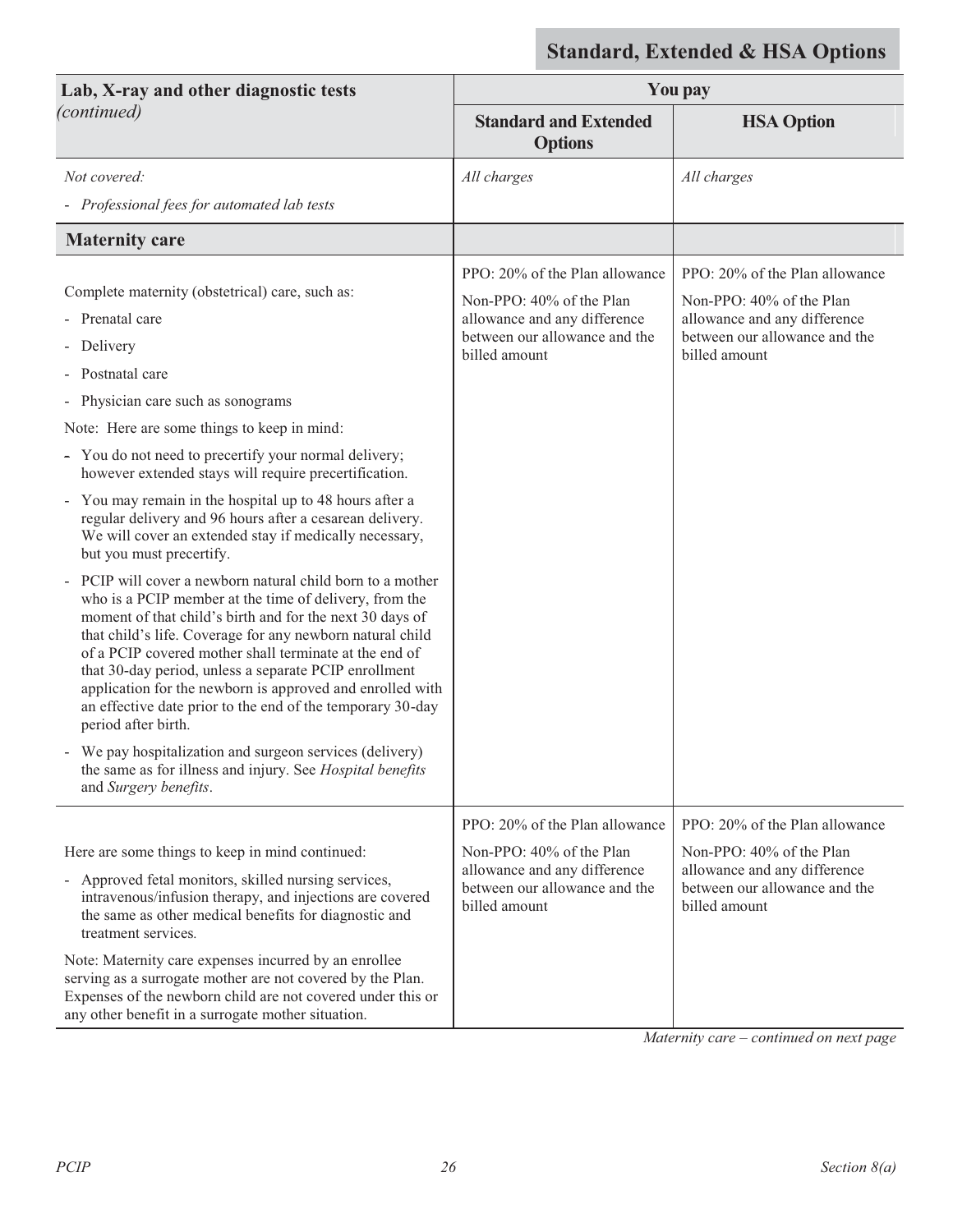| Lab, X-ray and other diagnostic tests                                                                                                                                                                                                                                                                                                                                                                                                                                                                                                                                                                                                                                                                                                                                                                                                                                                                                                                                                                                                                                                                                                                                                        | You pay                                                                                                                                      |                                                                                                                                              |
|----------------------------------------------------------------------------------------------------------------------------------------------------------------------------------------------------------------------------------------------------------------------------------------------------------------------------------------------------------------------------------------------------------------------------------------------------------------------------------------------------------------------------------------------------------------------------------------------------------------------------------------------------------------------------------------------------------------------------------------------------------------------------------------------------------------------------------------------------------------------------------------------------------------------------------------------------------------------------------------------------------------------------------------------------------------------------------------------------------------------------------------------------------------------------------------------|----------------------------------------------------------------------------------------------------------------------------------------------|----------------------------------------------------------------------------------------------------------------------------------------------|
| (continued)                                                                                                                                                                                                                                                                                                                                                                                                                                                                                                                                                                                                                                                                                                                                                                                                                                                                                                                                                                                                                                                                                                                                                                                  | <b>Standard and Extended</b><br><b>Options</b>                                                                                               | <b>HSA Option</b>                                                                                                                            |
| Not covered:                                                                                                                                                                                                                                                                                                                                                                                                                                                                                                                                                                                                                                                                                                                                                                                                                                                                                                                                                                                                                                                                                                                                                                                 | All charges                                                                                                                                  | All charges                                                                                                                                  |
| - Professional fees for automated lab tests                                                                                                                                                                                                                                                                                                                                                                                                                                                                                                                                                                                                                                                                                                                                                                                                                                                                                                                                                                                                                                                                                                                                                  |                                                                                                                                              |                                                                                                                                              |
| <b>Maternity care</b>                                                                                                                                                                                                                                                                                                                                                                                                                                                                                                                                                                                                                                                                                                                                                                                                                                                                                                                                                                                                                                                                                                                                                                        |                                                                                                                                              |                                                                                                                                              |
| Complete maternity (obstetrical) care, such as:<br>- Prenatal care<br>- Delivery<br>Postnatal care<br>- Physician care such as sonograms<br>Note: Here are some things to keep in mind:<br>- You do not need to precertify your normal delivery;<br>however extended stays will require precertification.<br>- You may remain in the hospital up to 48 hours after a<br>regular delivery and 96 hours after a cesarean delivery.<br>We will cover an extended stay if medically necessary,<br>but you must precertify.<br>PCIP will cover a newborn natural child born to a mother<br>who is a PCIP member at the time of delivery, from the<br>moment of that child's birth and for the next 30 days of<br>that child's life. Coverage for any newborn natural child<br>of a PCIP covered mother shall terminate at the end of<br>that 30-day period, unless a separate PCIP enrollment<br>application for the newborn is approved and enrolled with<br>an effective date prior to the end of the temporary 30-day<br>period after birth.<br>- We pay hospitalization and surgeon services (delivery)<br>the same as for illness and injury. See Hospital benefits<br>and Surgery benefits. | PPO: 20% of the Plan allowance<br>Non-PPO: 40% of the Plan<br>allowance and any difference<br>between our allowance and the<br>billed amount | PPO: 20% of the Plan allowance<br>Non-PPO: 40% of the Plan<br>allowance and any difference<br>between our allowance and the<br>billed amount |
|                                                                                                                                                                                                                                                                                                                                                                                                                                                                                                                                                                                                                                                                                                                                                                                                                                                                                                                                                                                                                                                                                                                                                                                              | PPO: 20% of the Plan allowance                                                                                                               | PPO: 20% of the Plan allowance                                                                                                               |
| Here are some things to keep in mind continued:<br>- Approved fetal monitors, skilled nursing services,<br>intravenous/infusion therapy, and injections are covered<br>the same as other medical benefits for diagnostic and<br>treatment services.                                                                                                                                                                                                                                                                                                                                                                                                                                                                                                                                                                                                                                                                                                                                                                                                                                                                                                                                          | Non-PPO: 40% of the Plan<br>allowance and any difference<br>between our allowance and the<br>billed amount                                   | Non-PPO: 40% of the Plan<br>allowance and any difference<br>between our allowance and the<br>billed amount                                   |
| Note: Maternity care expenses incurred by an enrollee<br>serving as a surrogate mother are not covered by the Plan.<br>Expenses of the newborn child are not covered under this or<br>any other benefit in a surrogate mother situation.                                                                                                                                                                                                                                                                                                                                                                                                                                                                                                                                                                                                                                                                                                                                                                                                                                                                                                                                                     |                                                                                                                                              |                                                                                                                                              |

*Maternity care – continued on next page*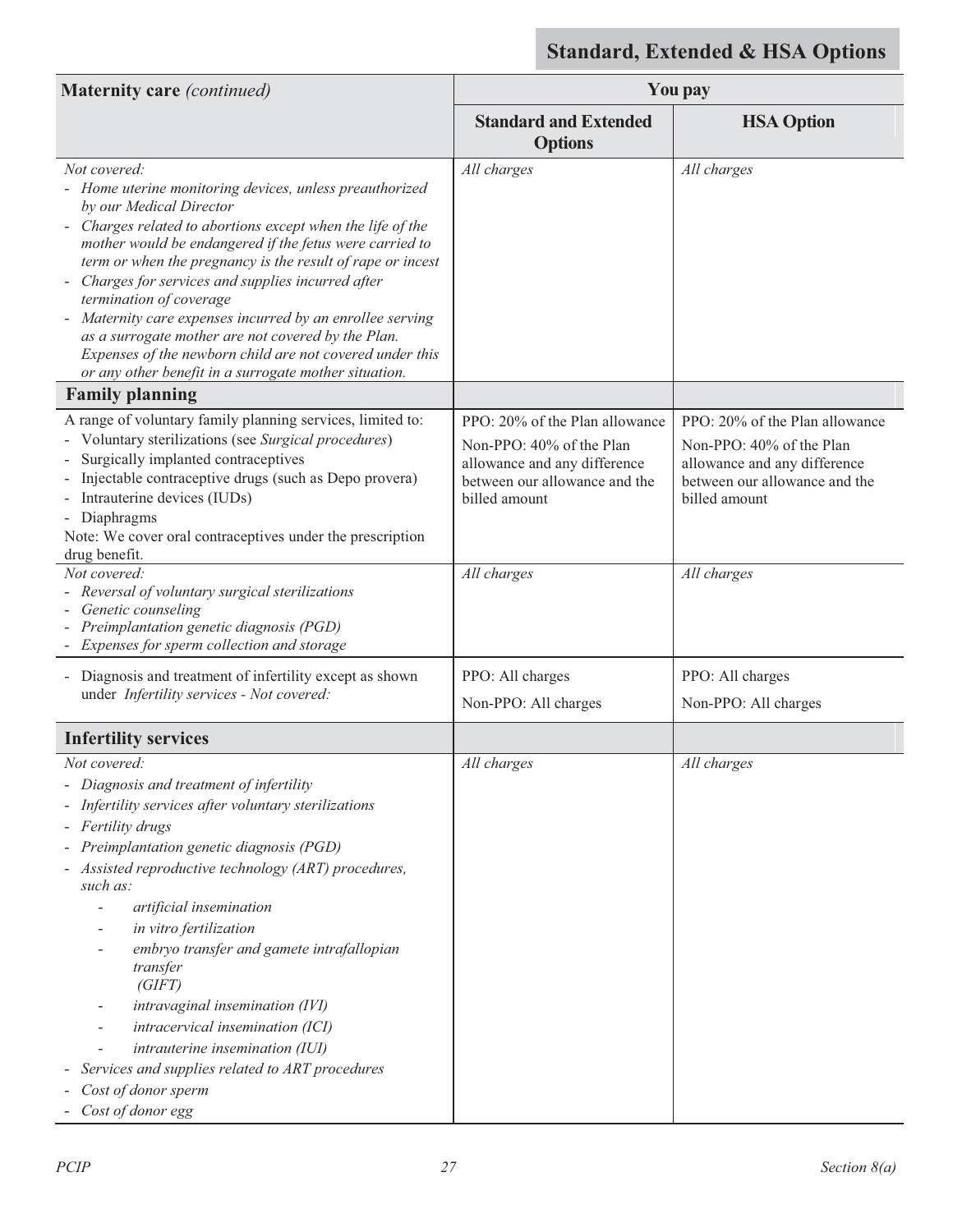| <b>Maternity care</b> (continued)                                                                                                                                                                                                                                                                                                                                                                                                                                                                                                                                                                            | You pay                                                                                                                                      |                                                                                                                                              |
|--------------------------------------------------------------------------------------------------------------------------------------------------------------------------------------------------------------------------------------------------------------------------------------------------------------------------------------------------------------------------------------------------------------------------------------------------------------------------------------------------------------------------------------------------------------------------------------------------------------|----------------------------------------------------------------------------------------------------------------------------------------------|----------------------------------------------------------------------------------------------------------------------------------------------|
|                                                                                                                                                                                                                                                                                                                                                                                                                                                                                                                                                                                                              | <b>Standard and Extended</b><br><b>Options</b>                                                                                               | <b>HSA Option</b>                                                                                                                            |
| Not covered:<br>- Home uterine monitoring devices, unless preauthorized<br>by our Medical Director<br>Charges related to abortions except when the life of the<br>mother would be endangered if the fetus were carried to<br>term or when the pregnancy is the result of rape or incest<br>Charges for services and supplies incurred after<br>termination of coverage<br>Maternity care expenses incurred by an enrollee serving<br>as a surrogate mother are not covered by the Plan.<br>Expenses of the newborn child are not covered under this<br>or any other benefit in a surrogate mother situation. | All charges                                                                                                                                  | All charges                                                                                                                                  |
| <b>Family planning</b>                                                                                                                                                                                                                                                                                                                                                                                                                                                                                                                                                                                       |                                                                                                                                              |                                                                                                                                              |
| A range of voluntary family planning services, limited to:<br>Voluntary sterilizations (see Surgical procedures)<br>Surgically implanted contraceptives<br>Injectable contraceptive drugs (such as Depo provera)<br>Intrauterine devices (IUDs)<br>- Diaphragms<br>Note: We cover oral contraceptives under the prescription<br>drug benefit.                                                                                                                                                                                                                                                                | PPO: 20% of the Plan allowance<br>Non-PPO: 40% of the Plan<br>allowance and any difference<br>between our allowance and the<br>billed amount | PPO: 20% of the Plan allowance<br>Non-PPO: 40% of the Plan<br>allowance and any difference<br>between our allowance and the<br>billed amount |
| Not covered:<br>- Reversal of voluntary surgical sterilizations<br>Genetic counseling<br>Preimplantation genetic diagnosis (PGD)<br>Expenses for sperm collection and storage                                                                                                                                                                                                                                                                                                                                                                                                                                | All charges                                                                                                                                  | All charges                                                                                                                                  |
| - Diagnosis and treatment of infertility except as shown<br>under Infertility services - Not covered:                                                                                                                                                                                                                                                                                                                                                                                                                                                                                                        | PPO: All charges<br>Non-PPO: All charges                                                                                                     | PPO: All charges<br>Non-PPO: All charges                                                                                                     |
| <b>Infertility services</b>                                                                                                                                                                                                                                                                                                                                                                                                                                                                                                                                                                                  |                                                                                                                                              |                                                                                                                                              |
| Not covered:<br>- Diagnosis and treatment of infertility<br>Infertility services after voluntary sterilizations<br>- Fertility drugs<br>Preimplantation genetic diagnosis (PGD)<br>Assisted reproductive technology (ART) procedures,<br>such as:<br>artificial insemination<br>in vitro fertilization<br>embryo transfer and gamete intrafallopian<br>transfer<br>(GIFT)<br>intravaginal insemination (IVI)<br>intracervical insemination (ICI)<br>intrauterine insemination (IUI)<br>Services and supplies related to ART procedures<br>Cost of donor sperm<br>Cost of donor egg                           | All charges                                                                                                                                  | All charges                                                                                                                                  |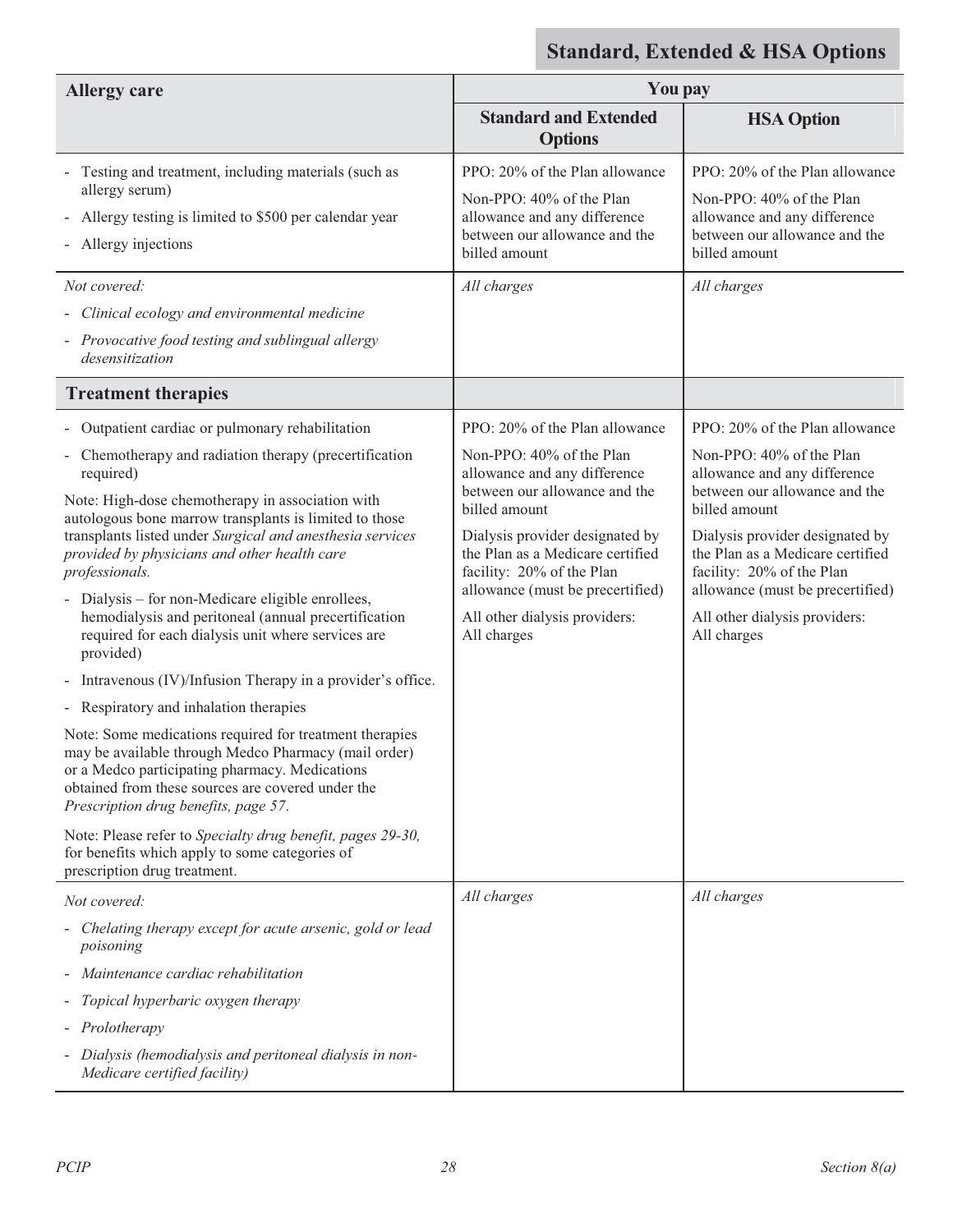| <b>Allergy care</b>                                                                                                                                                                                                                                                                                                                                                                                                                                                                                                                                                                                                                                                                                                                                                                                                                                                                                                                                                                                                                                                                                                                                                                                                                                          | You pay                                                                                                                                                                                                                                                                                                                                                                                                                                                                                             |                                                                                                                                                                                                                                                                                                                                                                                                                                                                                                     |
|--------------------------------------------------------------------------------------------------------------------------------------------------------------------------------------------------------------------------------------------------------------------------------------------------------------------------------------------------------------------------------------------------------------------------------------------------------------------------------------------------------------------------------------------------------------------------------------------------------------------------------------------------------------------------------------------------------------------------------------------------------------------------------------------------------------------------------------------------------------------------------------------------------------------------------------------------------------------------------------------------------------------------------------------------------------------------------------------------------------------------------------------------------------------------------------------------------------------------------------------------------------|-----------------------------------------------------------------------------------------------------------------------------------------------------------------------------------------------------------------------------------------------------------------------------------------------------------------------------------------------------------------------------------------------------------------------------------------------------------------------------------------------------|-----------------------------------------------------------------------------------------------------------------------------------------------------------------------------------------------------------------------------------------------------------------------------------------------------------------------------------------------------------------------------------------------------------------------------------------------------------------------------------------------------|
|                                                                                                                                                                                                                                                                                                                                                                                                                                                                                                                                                                                                                                                                                                                                                                                                                                                                                                                                                                                                                                                                                                                                                                                                                                                              | <b>Standard and Extended</b><br><b>Options</b>                                                                                                                                                                                                                                                                                                                                                                                                                                                      | <b>HSA Option</b>                                                                                                                                                                                                                                                                                                                                                                                                                                                                                   |
| Testing and treatment, including materials (such as<br>allergy serum)<br>Allergy testing is limited to \$500 per calendar year<br>- Allergy injections<br>Not covered:<br>- Clinical ecology and environmental medicine<br>- Provocative food testing and sublingual allergy<br>desensitization<br><b>Treatment therapies</b><br>- Outpatient cardiac or pulmonary rehabilitation<br>Chemotherapy and radiation therapy (precertification<br>required)<br>Note: High-dose chemotherapy in association with<br>autologous bone marrow transplants is limited to those<br>transplants listed under Surgical and anesthesia services<br>provided by physicians and other health care<br>professionals.<br>Dialysis – for non-Medicare eligible enrollees,<br>hemodialysis and peritoneal (annual precertification<br>required for each dialysis unit where services are<br>provided)<br>- Intravenous (IV)/Infusion Therapy in a provider's office.<br>- Respiratory and inhalation therapies<br>Note: Some medications required for treatment therapies<br>may be available through Medco Pharmacy (mail order)<br>or a Medco participating pharmacy. Medications<br>obtained from these sources are covered under the<br>Prescription drug benefits, page 57. | PPO: 20% of the Plan allowance<br>Non-PPO: 40% of the Plan<br>allowance and any difference<br>between our allowance and the<br>billed amount<br>All charges<br>PPO: 20% of the Plan allowance<br>Non-PPO: 40% of the Plan<br>allowance and any difference<br>between our allowance and the<br>billed amount<br>Dialysis provider designated by<br>the Plan as a Medicare certified<br>facility: 20% of the Plan<br>allowance (must be precertified)<br>All other dialysis providers:<br>All charges | PPO: 20% of the Plan allowance<br>Non-PPO: 40% of the Plan<br>allowance and any difference<br>between our allowance and the<br>billed amount<br>All charges<br>PPO: 20% of the Plan allowance<br>Non-PPO: 40% of the Plan<br>allowance and any difference<br>between our allowance and the<br>billed amount<br>Dialysis provider designated by<br>the Plan as a Medicare certified<br>facility: 20% of the Plan<br>allowance (must be precertified)<br>All other dialysis providers:<br>All charges |
| Note: Please refer to Specialty drug benefit, pages 29-30,<br>for benefits which apply to some categories of<br>prescription drug treatment.                                                                                                                                                                                                                                                                                                                                                                                                                                                                                                                                                                                                                                                                                                                                                                                                                                                                                                                                                                                                                                                                                                                 |                                                                                                                                                                                                                                                                                                                                                                                                                                                                                                     |                                                                                                                                                                                                                                                                                                                                                                                                                                                                                                     |
| Not covered:                                                                                                                                                                                                                                                                                                                                                                                                                                                                                                                                                                                                                                                                                                                                                                                                                                                                                                                                                                                                                                                                                                                                                                                                                                                 | All charges                                                                                                                                                                                                                                                                                                                                                                                                                                                                                         | All charges                                                                                                                                                                                                                                                                                                                                                                                                                                                                                         |
| Chelating therapy except for acute arsenic, gold or lead<br>poisoning                                                                                                                                                                                                                                                                                                                                                                                                                                                                                                                                                                                                                                                                                                                                                                                                                                                                                                                                                                                                                                                                                                                                                                                        |                                                                                                                                                                                                                                                                                                                                                                                                                                                                                                     |                                                                                                                                                                                                                                                                                                                                                                                                                                                                                                     |
| Maintenance cardiac rehabilitation                                                                                                                                                                                                                                                                                                                                                                                                                                                                                                                                                                                                                                                                                                                                                                                                                                                                                                                                                                                                                                                                                                                                                                                                                           |                                                                                                                                                                                                                                                                                                                                                                                                                                                                                                     |                                                                                                                                                                                                                                                                                                                                                                                                                                                                                                     |
| Topical hyperbaric oxygen therapy                                                                                                                                                                                                                                                                                                                                                                                                                                                                                                                                                                                                                                                                                                                                                                                                                                                                                                                                                                                                                                                                                                                                                                                                                            |                                                                                                                                                                                                                                                                                                                                                                                                                                                                                                     |                                                                                                                                                                                                                                                                                                                                                                                                                                                                                                     |
| - Prolotherapy                                                                                                                                                                                                                                                                                                                                                                                                                                                                                                                                                                                                                                                                                                                                                                                                                                                                                                                                                                                                                                                                                                                                                                                                                                               |                                                                                                                                                                                                                                                                                                                                                                                                                                                                                                     |                                                                                                                                                                                                                                                                                                                                                                                                                                                                                                     |
| - Dialysis (hemodialysis and peritoneal dialysis in non-<br>Medicare certified facility)                                                                                                                                                                                                                                                                                                                                                                                                                                                                                                                                                                                                                                                                                                                                                                                                                                                                                                                                                                                                                                                                                                                                                                     |                                                                                                                                                                                                                                                                                                                                                                                                                                                                                                     |                                                                                                                                                                                                                                                                                                                                                                                                                                                                                                     |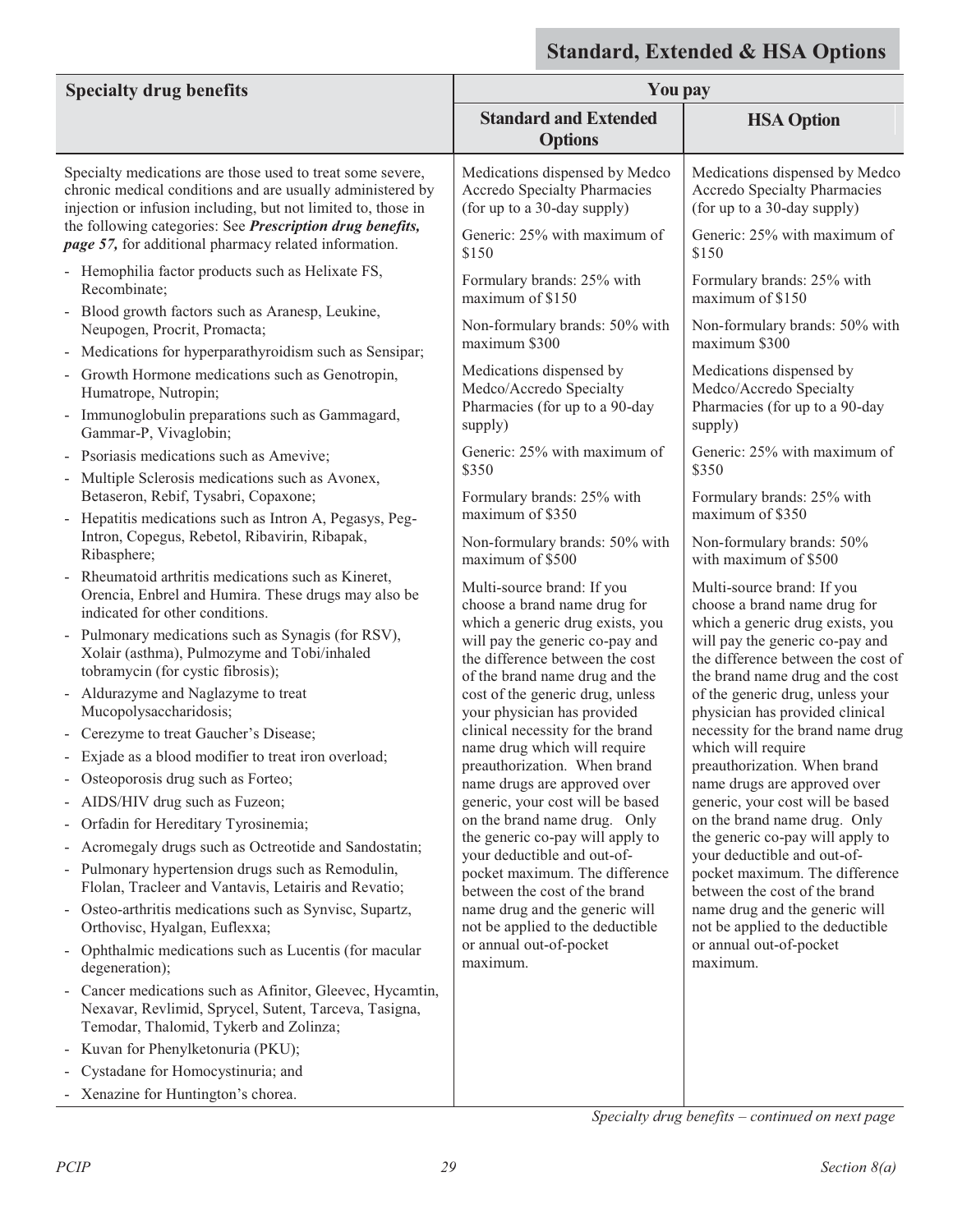|                                                                                                                                                                                           |                                                                                                                                          | tanuai u, L'Attriutu & Hort Options                                                                                                           |
|-------------------------------------------------------------------------------------------------------------------------------------------------------------------------------------------|------------------------------------------------------------------------------------------------------------------------------------------|-----------------------------------------------------------------------------------------------------------------------------------------------|
| <b>Specialty drug benefits</b>                                                                                                                                                            | You pay                                                                                                                                  |                                                                                                                                               |
|                                                                                                                                                                                           | <b>Standard and Extended</b><br><b>Options</b>                                                                                           | <b>HSA Option</b>                                                                                                                             |
| Specialty medications are those used to treat some severe,<br>chronic medical conditions and are usually administered by<br>injection or infusion including, but not limited to, those in | Medications dispensed by Medco<br>Accredo Specialty Pharmacies<br>(for up to a 30-day supply)                                            | Medications dispensed by Medco<br><b>Accredo Specialty Pharmacies</b><br>(for up to a 30-day supply)                                          |
| the following categories: See Prescription drug benefits,<br><i>page 57</i> , for additional pharmacy related information.                                                                | Generic: 25% with maximum of<br>\$150                                                                                                    | Generic: 25% with maximum of<br>\$150                                                                                                         |
| - Hemophilia factor products such as Helixate FS,<br>Recombinate;                                                                                                                         | Formulary brands: 25% with<br>maximum of \$150                                                                                           | Formulary brands: 25% with<br>maximum of \$150                                                                                                |
| - Blood growth factors such as Aranesp, Leukine,<br>Neupogen, Procrit, Promacta;                                                                                                          | Non-formulary brands: 50% with<br>maximum \$300                                                                                          | Non-formulary brands: 50% with<br>maximum \$300                                                                                               |
| - Medications for hyperparathyroidism such as Sensipar;                                                                                                                                   | Medications dispensed by                                                                                                                 | Medications dispensed by                                                                                                                      |
| - Growth Hormone medications such as Genotropin,<br>Humatrope, Nutropin;                                                                                                                  | Medco/Accredo Specialty<br>Pharmacies (for up to a 90-day                                                                                | Medco/Accredo Specialty<br>Pharmacies (for up to a 90-day                                                                                     |
| - Immunoglobulin preparations such as Gammagard,<br>Gammar-P, Vivaglobin;                                                                                                                 | supply)                                                                                                                                  | supply)                                                                                                                                       |
| Psoriasis medications such as Amevive;<br>- Multiple Sclerosis medications such as Avonex,                                                                                                | Generic: 25% with maximum of<br>\$350                                                                                                    | Generic: 25% with maximum of<br>\$350                                                                                                         |
| Betaseron, Rebif, Tysabri, Copaxone;<br>- Hepatitis medications such as Intron A, Pegasys, Peg-                                                                                           | Formulary brands: 25% with<br>maximum of \$350                                                                                           | Formulary brands: 25% with<br>maximum of \$350                                                                                                |
| Intron, Copegus, Rebetol, Ribavirin, Ribapak,<br>Ribasphere;                                                                                                                              | Non-formulary brands: 50% with<br>maximum of \$500                                                                                       | Non-formulary brands: 50%<br>with maximum of \$500                                                                                            |
| Rheumatoid arthritis medications such as Kineret,<br>Orencia, Enbrel and Humira. These drugs may also be<br>indicated for other conditions.                                               | Multi-source brand: If you<br>choose a brand name drug for                                                                               | Multi-source brand: If you<br>choose a brand name drug for                                                                                    |
| Pulmonary medications such as Synagis (for RSV),<br>Xolair (asthma), Pulmozyme and Tobi/inhaled<br>tobramycin (for cystic fibrosis);                                                      | which a generic drug exists, you<br>will pay the generic co-pay and<br>the difference between the cost<br>of the brand name drug and the | which a generic drug exists, you<br>will pay the generic co-pay and<br>the difference between the cost of<br>the brand name drug and the cost |
| - Aldurazyme and Naglazyme to treat<br>Mucopolysaccharidosis;                                                                                                                             | cost of the generic drug, unless<br>your physician has provided                                                                          | of the generic drug, unless your<br>physician has provided clinical                                                                           |
| - Cerezyme to treat Gaucher's Disease;                                                                                                                                                    | clinical necessity for the brand                                                                                                         | necessity for the brand name drug                                                                                                             |
| Exjade as a blood modifier to treat iron overload;                                                                                                                                        | name drug which will require<br>preauthorization. When brand                                                                             | which will require<br>preauthorization. When brand                                                                                            |
| - Osteoporosis drug such as Forteo;                                                                                                                                                       | name drugs are approved over                                                                                                             | name drugs are approved over                                                                                                                  |
| - AIDS/HIV drug such as Fuzeon;                                                                                                                                                           | generic, your cost will be based                                                                                                         | generic, your cost will be based                                                                                                              |
| Orfadin for Hereditary Tyrosinemia;                                                                                                                                                       | on the brand name drug. Only<br>the generic co-pay will apply to                                                                         | on the brand name drug. Only<br>the generic co-pay will apply to                                                                              |
| Acromegaly drugs such as Octreotide and Sandostatin;                                                                                                                                      | your deductible and out-of-                                                                                                              | your deductible and out-of-                                                                                                                   |
| - Pulmonary hypertension drugs such as Remodulin,<br>Flolan, Tracleer and Vantavis, Letairis and Revatio;                                                                                 | pocket maximum. The difference<br>between the cost of the brand                                                                          | pocket maximum. The difference<br>between the cost of the brand                                                                               |
| - Osteo-arthritis medications such as Synvisc, Supartz,<br>Orthovisc, Hyalgan, Euflexxa;                                                                                                  | name drug and the generic will<br>not be applied to the deductible                                                                       | name drug and the generic will<br>not be applied to the deductible                                                                            |
| Ophthalmic medications such as Lucentis (for macular<br>degeneration);                                                                                                                    | or annual out-of-pocket<br>maximum.                                                                                                      | or annual out-of-pocket<br>maximum.                                                                                                           |
| Cancer medications such as Afinitor, Gleevec, Hycamtin,<br>$\blacksquare$<br>Nexavar, Revlimid, Sprycel, Sutent, Tarceva, Tasigna,<br>Temodar, Thalomid, Tykerb and Zolinza;              |                                                                                                                                          |                                                                                                                                               |
| - Kuvan for Phenylketonuria (PKU);                                                                                                                                                        |                                                                                                                                          |                                                                                                                                               |
| Cystadane for Homocystinuria; and                                                                                                                                                         |                                                                                                                                          |                                                                                                                                               |
| - Xenazine for Huntington's chorea.                                                                                                                                                       |                                                                                                                                          |                                                                                                                                               |

*Specialty drug benefits – continued on next page*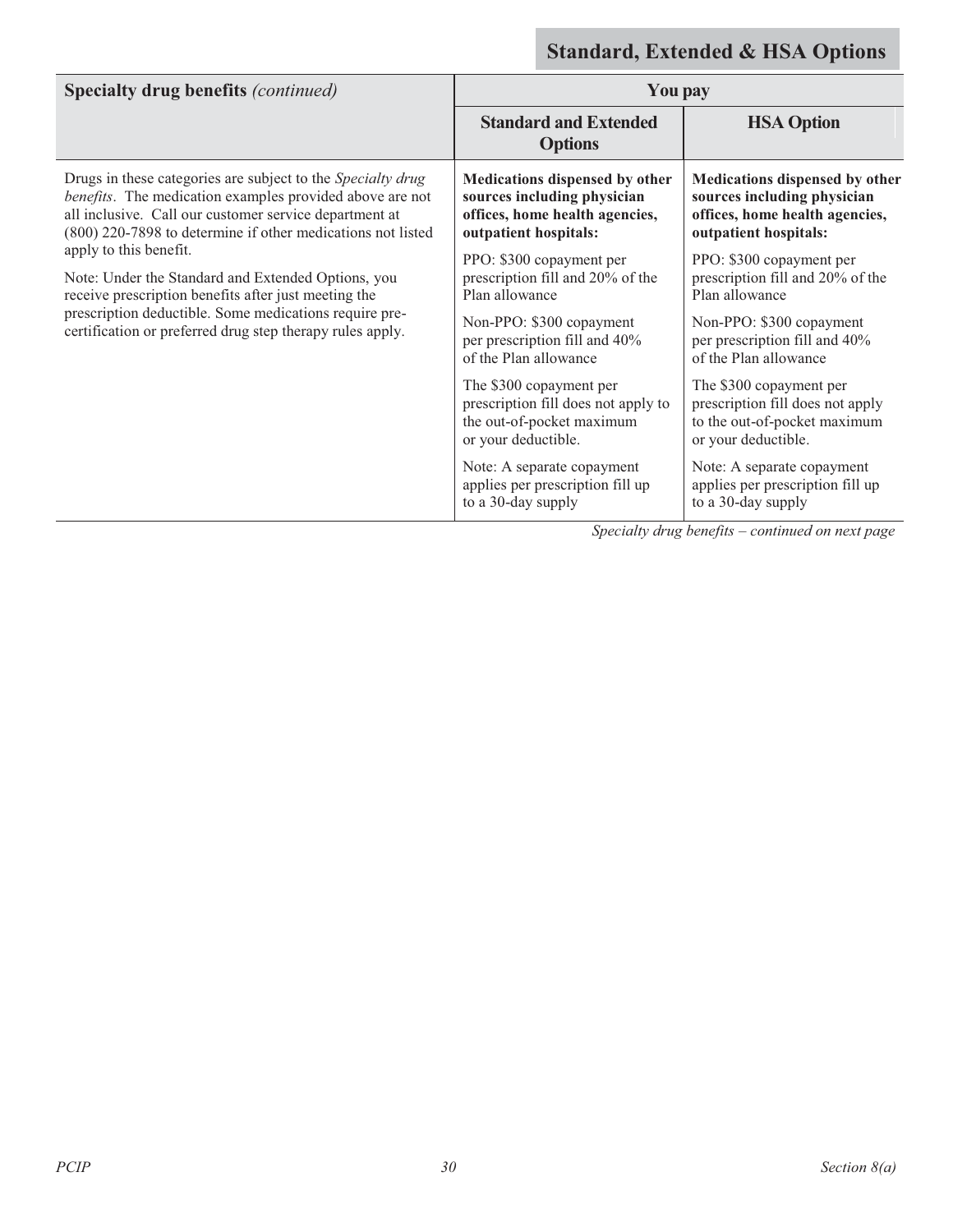| <b>Specialty drug benefits (continued)</b>                                                                                                                                                                                                                                                                                                                                                                                                                                                                      | You pay                                                                                                                  |                                                                                                                          |
|-----------------------------------------------------------------------------------------------------------------------------------------------------------------------------------------------------------------------------------------------------------------------------------------------------------------------------------------------------------------------------------------------------------------------------------------------------------------------------------------------------------------|--------------------------------------------------------------------------------------------------------------------------|--------------------------------------------------------------------------------------------------------------------------|
|                                                                                                                                                                                                                                                                                                                                                                                                                                                                                                                 | <b>Standard and Extended</b><br><b>Options</b>                                                                           | <b>HSA Option</b>                                                                                                        |
| Drugs in these categories are subject to the Specialty drug<br>benefits. The medication examples provided above are not<br>all inclusive. Call our customer service department at<br>(800) 220-7898 to determine if other medications not listed<br>apply to this benefit.<br>Note: Under the Standard and Extended Options, you<br>receive prescription benefits after just meeting the<br>prescription deductible. Some medications require pre-<br>certification or preferred drug step therapy rules apply. | Medications dispensed by other<br>sources including physician<br>offices, home health agencies,<br>outpatient hospitals: | Medications dispensed by other<br>sources including physician<br>offices, home health agencies,<br>outpatient hospitals: |
|                                                                                                                                                                                                                                                                                                                                                                                                                                                                                                                 | PPO: \$300 copayment per<br>prescription fill and 20% of the<br>Plan allowance                                           | PPO: \$300 copayment per<br>prescription fill and 20% of the<br>Plan allowance                                           |
|                                                                                                                                                                                                                                                                                                                                                                                                                                                                                                                 | Non-PPO: \$300 copayment<br>per prescription fill and 40%<br>of the Plan allowance                                       | Non-PPO: \$300 copayment<br>per prescription fill and 40%<br>of the Plan allowance                                       |
|                                                                                                                                                                                                                                                                                                                                                                                                                                                                                                                 | The \$300 copayment per<br>prescription fill does not apply to<br>the out-of-pocket maximum<br>or your deductible.       | The \$300 copayment per<br>prescription fill does not apply<br>to the out-of-pocket maximum<br>or your deductible.       |
|                                                                                                                                                                                                                                                                                                                                                                                                                                                                                                                 | Note: A separate copayment<br>applies per prescription fill up<br>to a 30-day supply                                     | Note: A separate copayment<br>applies per prescription fill up<br>to a 30-day supply                                     |

*Specialty drug benefits – continued on next page*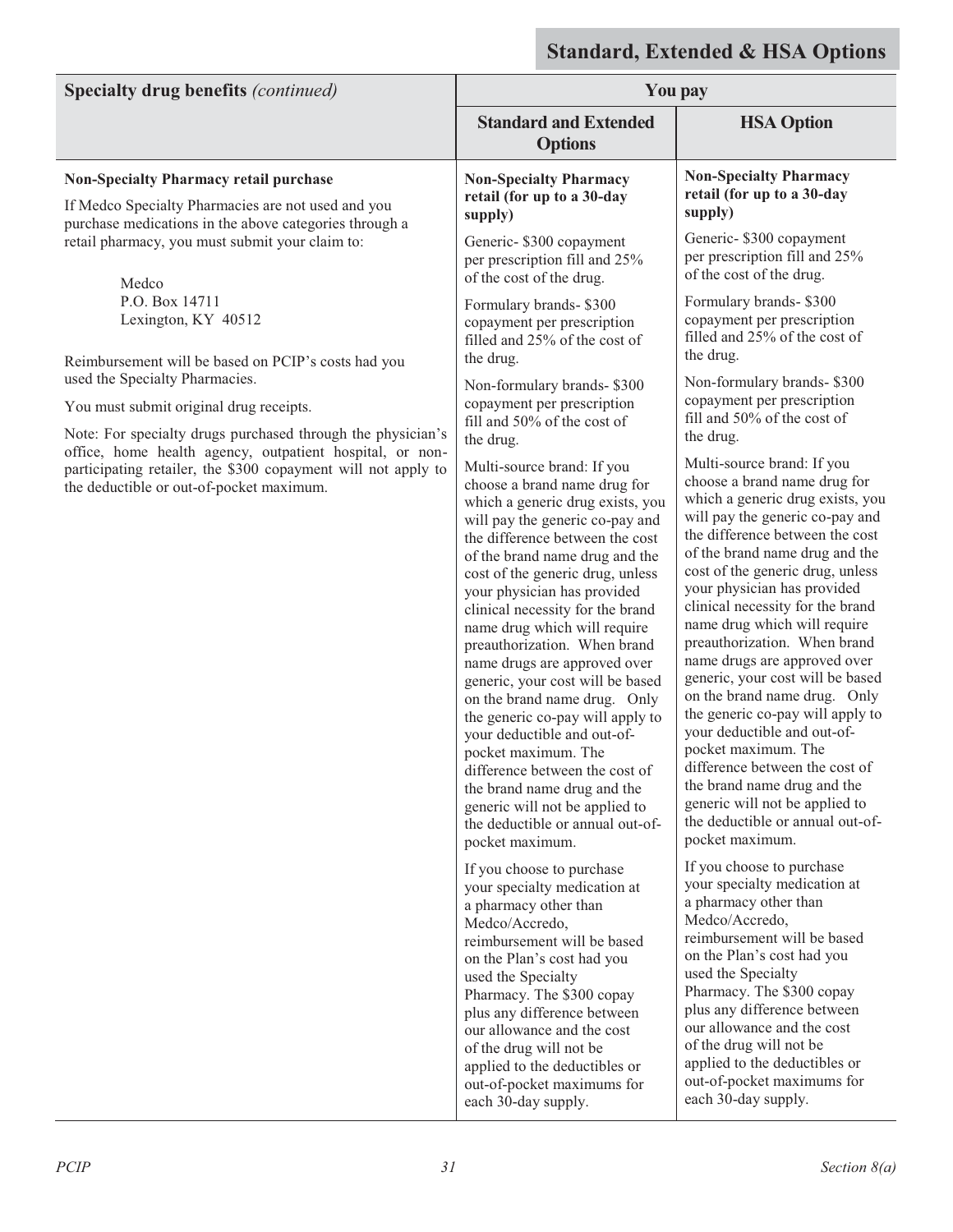| <b>Specialty drug benefits (continued)</b>                                                                                                                            | <b>You pay</b>                                                                                                                                                                                                                                                                                                                                                                                                                                                                                                                                                                                                                                                                                                                        |                                                                                                                                                                                                                                                                                                                                                                                                                                                                                                                                                                                                                                                                                                                                       |
|-----------------------------------------------------------------------------------------------------------------------------------------------------------------------|---------------------------------------------------------------------------------------------------------------------------------------------------------------------------------------------------------------------------------------------------------------------------------------------------------------------------------------------------------------------------------------------------------------------------------------------------------------------------------------------------------------------------------------------------------------------------------------------------------------------------------------------------------------------------------------------------------------------------------------|---------------------------------------------------------------------------------------------------------------------------------------------------------------------------------------------------------------------------------------------------------------------------------------------------------------------------------------------------------------------------------------------------------------------------------------------------------------------------------------------------------------------------------------------------------------------------------------------------------------------------------------------------------------------------------------------------------------------------------------|
|                                                                                                                                                                       | <b>Standard and Extended</b><br><b>Options</b>                                                                                                                                                                                                                                                                                                                                                                                                                                                                                                                                                                                                                                                                                        | <b>HSA Option</b>                                                                                                                                                                                                                                                                                                                                                                                                                                                                                                                                                                                                                                                                                                                     |
| <b>Non-Specialty Pharmacy retail purchase</b><br>If Medco Specialty Pharmacies are not used and you                                                                   | <b>Non-Specialty Pharmacy</b><br>retail (for up to a 30-day                                                                                                                                                                                                                                                                                                                                                                                                                                                                                                                                                                                                                                                                           | <b>Non-Specialty Pharmacy</b><br>retail (for up to a 30-day                                                                                                                                                                                                                                                                                                                                                                                                                                                                                                                                                                                                                                                                           |
| purchase medications in the above categories through a<br>retail pharmacy, you must submit your claim to:<br>Medco                                                    | supply)<br>Generic- \$300 copayment<br>per prescription fill and 25%<br>of the cost of the drug.                                                                                                                                                                                                                                                                                                                                                                                                                                                                                                                                                                                                                                      | supply)<br>Generic- \$300 copayment<br>per prescription fill and 25%<br>of the cost of the drug.                                                                                                                                                                                                                                                                                                                                                                                                                                                                                                                                                                                                                                      |
| P.O. Box 14711<br>Lexington, KY 40512                                                                                                                                 | Formulary brands-\$300<br>copayment per prescription<br>filled and 25% of the cost of<br>the drug.                                                                                                                                                                                                                                                                                                                                                                                                                                                                                                                                                                                                                                    | Formulary brands-\$300<br>copayment per prescription<br>filled and 25% of the cost of<br>the drug.                                                                                                                                                                                                                                                                                                                                                                                                                                                                                                                                                                                                                                    |
| Reimbursement will be based on PCIP's costs had you<br>used the Specialty Pharmacies.                                                                                 | Non-formulary brands-\$300                                                                                                                                                                                                                                                                                                                                                                                                                                                                                                                                                                                                                                                                                                            | Non-formulary brands-\$300                                                                                                                                                                                                                                                                                                                                                                                                                                                                                                                                                                                                                                                                                                            |
| You must submit original drug receipts.<br>Note: For specialty drugs purchased through the physician's                                                                | copayment per prescription<br>fill and 50% of the cost of<br>the drug.                                                                                                                                                                                                                                                                                                                                                                                                                                                                                                                                                                                                                                                                | copayment per prescription<br>fill and 50% of the cost of<br>the drug.                                                                                                                                                                                                                                                                                                                                                                                                                                                                                                                                                                                                                                                                |
| office, home health agency, outpatient hospital, or non-<br>participating retailer, the \$300 copayment will not apply to<br>the deductible or out-of-pocket maximum. | Multi-source brand: If you<br>choose a brand name drug for<br>which a generic drug exists, you<br>will pay the generic co-pay and<br>the difference between the cost<br>of the brand name drug and the<br>cost of the generic drug, unless<br>your physician has provided<br>clinical necessity for the brand<br>name drug which will require<br>preauthorization. When brand<br>name drugs are approved over<br>generic, your cost will be based<br>on the brand name drug. Only<br>the generic co-pay will apply to<br>your deductible and out-of-<br>pocket maximum. The<br>difference between the cost of<br>the brand name drug and the<br>generic will not be applied to<br>the deductible or annual out-of-<br>pocket maximum. | Multi-source brand: If you<br>choose a brand name drug for<br>which a generic drug exists, you<br>will pay the generic co-pay and<br>the difference between the cost<br>of the brand name drug and the<br>cost of the generic drug, unless<br>your physician has provided<br>clinical necessity for the brand<br>name drug which will require<br>preauthorization. When brand<br>name drugs are approved over<br>generic, your cost will be based<br>on the brand name drug. Only<br>the generic co-pay will apply to<br>your deductible and out-of-<br>pocket maximum. The<br>difference between the cost of<br>the brand name drug and the<br>generic will not be applied to<br>the deductible or annual out-of-<br>pocket maximum. |
|                                                                                                                                                                       | If you choose to purchase<br>your specialty medication at<br>a pharmacy other than<br>Medco/Accredo,<br>reimbursement will be based<br>on the Plan's cost had you<br>used the Specialty<br>Pharmacy. The \$300 copay<br>plus any difference between<br>our allowance and the cost<br>of the drug will not be<br>applied to the deductibles or<br>out-of-pocket maximums for<br>each 30-day supply.                                                                                                                                                                                                                                                                                                                                    | If you choose to purchase<br>your specialty medication at<br>a pharmacy other than<br>Medco/Accredo,<br>reimbursement will be based<br>on the Plan's cost had you<br>used the Specialty<br>Pharmacy. The \$300 copay<br>plus any difference between<br>our allowance and the cost<br>of the drug will not be<br>applied to the deductibles or<br>out-of-pocket maximums for<br>each 30-day supply.                                                                                                                                                                                                                                                                                                                                    |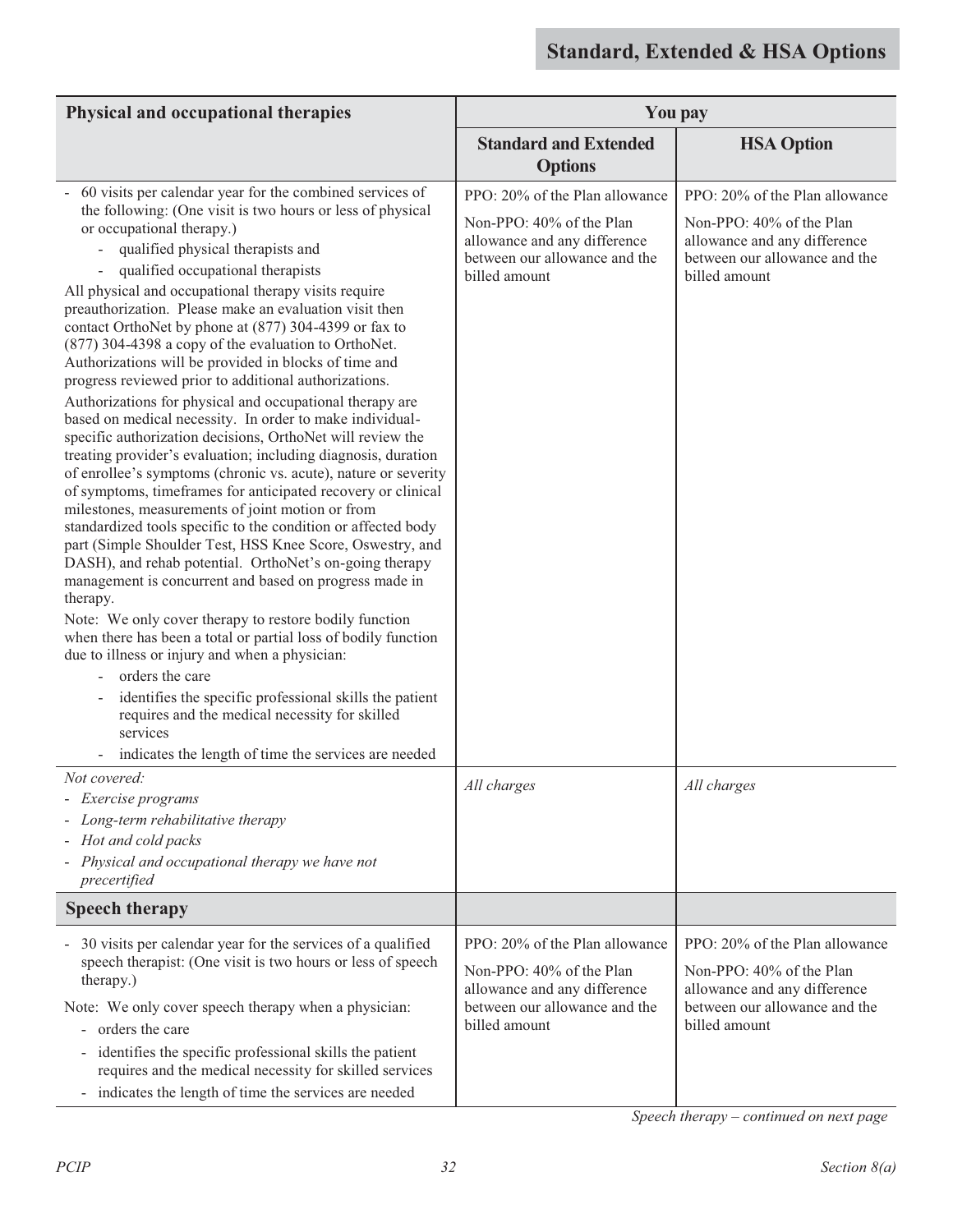| Physical and occupational therapies                                                                                                                                                                                                                                                                                                                                                                                                                                                                                                                                                                                                                                                                                                                                                                                                                                                                                                                                                                                                                                                                                                                                                                                                                                                                                                                                                                                                                                                                                                                                                                                                                                              |                                                                                                                                              | <b>You pay</b>                                                                                                                               |  |
|----------------------------------------------------------------------------------------------------------------------------------------------------------------------------------------------------------------------------------------------------------------------------------------------------------------------------------------------------------------------------------------------------------------------------------------------------------------------------------------------------------------------------------------------------------------------------------------------------------------------------------------------------------------------------------------------------------------------------------------------------------------------------------------------------------------------------------------------------------------------------------------------------------------------------------------------------------------------------------------------------------------------------------------------------------------------------------------------------------------------------------------------------------------------------------------------------------------------------------------------------------------------------------------------------------------------------------------------------------------------------------------------------------------------------------------------------------------------------------------------------------------------------------------------------------------------------------------------------------------------------------------------------------------------------------|----------------------------------------------------------------------------------------------------------------------------------------------|----------------------------------------------------------------------------------------------------------------------------------------------|--|
|                                                                                                                                                                                                                                                                                                                                                                                                                                                                                                                                                                                                                                                                                                                                                                                                                                                                                                                                                                                                                                                                                                                                                                                                                                                                                                                                                                                                                                                                                                                                                                                                                                                                                  | <b>Standard and Extended</b><br><b>Options</b>                                                                                               | <b>HSA Option</b>                                                                                                                            |  |
| 60 visits per calendar year for the combined services of<br>the following: (One visit is two hours or less of physical<br>or occupational therapy.)<br>qualified physical therapists and<br>qualified occupational therapists<br>All physical and occupational therapy visits require<br>preauthorization. Please make an evaluation visit then<br>contact OrthoNet by phone at (877) 304-4399 or fax to<br>(877) 304-4398 a copy of the evaluation to OrthoNet.<br>Authorizations will be provided in blocks of time and<br>progress reviewed prior to additional authorizations.<br>Authorizations for physical and occupational therapy are<br>based on medical necessity. In order to make individual-<br>specific authorization decisions, OrthoNet will review the<br>treating provider's evaluation; including diagnosis, duration<br>of enrollee's symptoms (chronic vs. acute), nature or severity<br>of symptoms, timeframes for anticipated recovery or clinical<br>milestones, measurements of joint motion or from<br>standardized tools specific to the condition or affected body<br>part (Simple Shoulder Test, HSS Knee Score, Oswestry, and<br>DASH), and rehab potential. OrthoNet's on-going therapy<br>management is concurrent and based on progress made in<br>therapy.<br>Note: We only cover therapy to restore bodily function<br>when there has been a total or partial loss of bodily function<br>due to illness or injury and when a physician:<br>orders the care<br>identifies the specific professional skills the patient<br>requires and the medical necessity for skilled<br>services<br>indicates the length of time the services are needed | PPO: 20% of the Plan allowance<br>Non-PPO: 40% of the Plan<br>allowance and any difference<br>between our allowance and the<br>billed amount | PPO: 20% of the Plan allowance<br>Non-PPO: 40% of the Plan<br>allowance and any difference<br>between our allowance and the<br>billed amount |  |
| Not covered:<br>Exercise programs<br>Long-term rehabilitative therapy<br>Hot and cold packs<br>Physical and occupational therapy we have not<br>precertified                                                                                                                                                                                                                                                                                                                                                                                                                                                                                                                                                                                                                                                                                                                                                                                                                                                                                                                                                                                                                                                                                                                                                                                                                                                                                                                                                                                                                                                                                                                     | All charges                                                                                                                                  | All charges                                                                                                                                  |  |
| <b>Speech therapy</b>                                                                                                                                                                                                                                                                                                                                                                                                                                                                                                                                                                                                                                                                                                                                                                                                                                                                                                                                                                                                                                                                                                                                                                                                                                                                                                                                                                                                                                                                                                                                                                                                                                                            |                                                                                                                                              |                                                                                                                                              |  |
| - 30 visits per calendar year for the services of a qualified<br>speech therapist: (One visit is two hours or less of speech<br>therapy.)<br>Note: We only cover speech therapy when a physician:<br>- orders the care<br>identifies the specific professional skills the patient<br>requires and the medical necessity for skilled services<br>indicates the length of time the services are needed<br>$\blacksquare$                                                                                                                                                                                                                                                                                                                                                                                                                                                                                                                                                                                                                                                                                                                                                                                                                                                                                                                                                                                                                                                                                                                                                                                                                                                           | PPO: 20% of the Plan allowance<br>Non-PPO: 40% of the Plan<br>allowance and any difference<br>between our allowance and the<br>billed amount | PPO: 20% of the Plan allowance<br>Non-PPO: 40% of the Plan<br>allowance and any difference<br>between our allowance and the<br>billed amount |  |

*Speech therapy – continued on next page*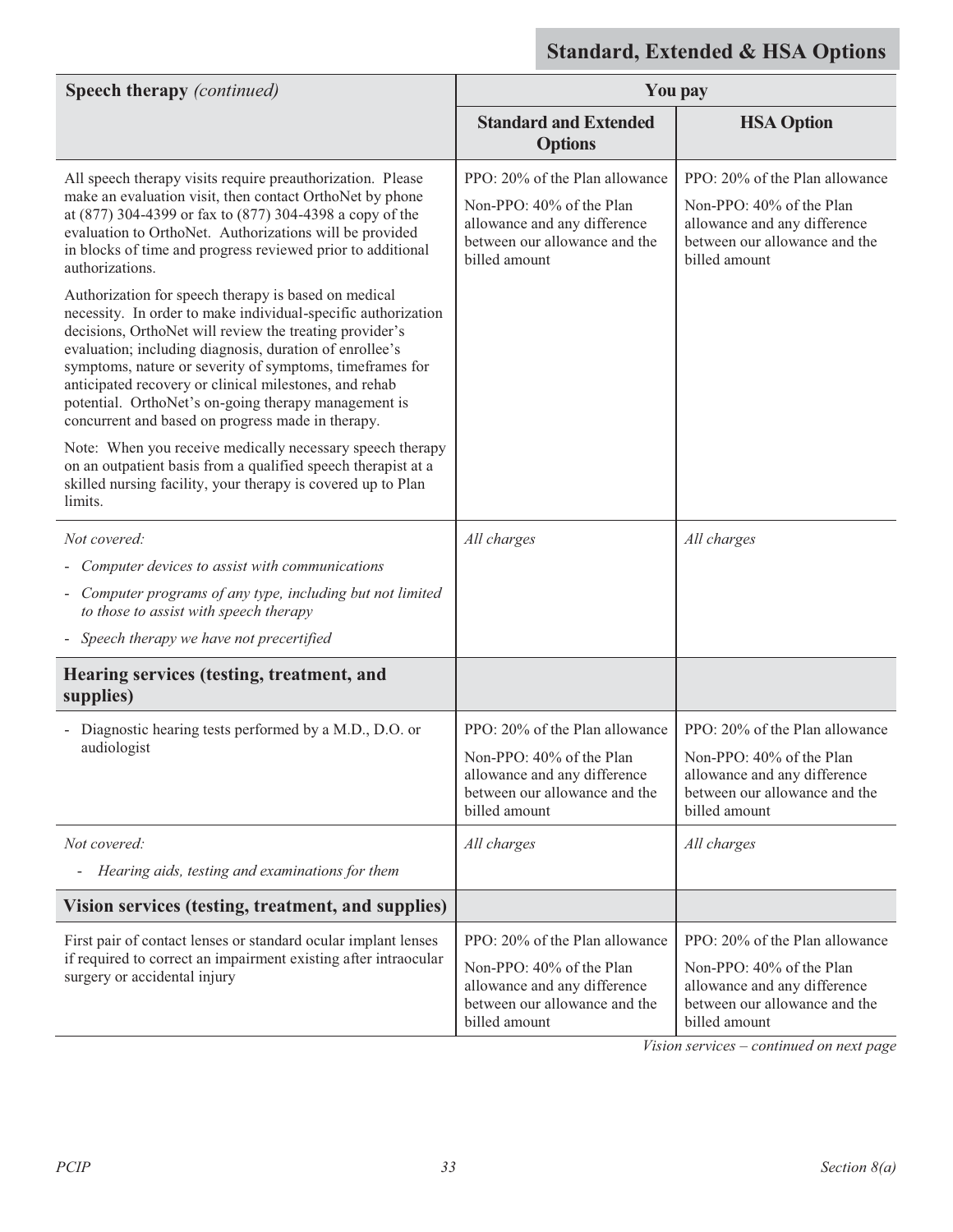| <b>Speech therapy</b> (continued)                                                                                                                                                                                                                                                                                                                                                                                                                                                                                                                                                                                                                                                                                                                                                                                 | <b>You pay</b>                                                                                                                               |                                                                                                                                              |
|-------------------------------------------------------------------------------------------------------------------------------------------------------------------------------------------------------------------------------------------------------------------------------------------------------------------------------------------------------------------------------------------------------------------------------------------------------------------------------------------------------------------------------------------------------------------------------------------------------------------------------------------------------------------------------------------------------------------------------------------------------------------------------------------------------------------|----------------------------------------------------------------------------------------------------------------------------------------------|----------------------------------------------------------------------------------------------------------------------------------------------|
|                                                                                                                                                                                                                                                                                                                                                                                                                                                                                                                                                                                                                                                                                                                                                                                                                   | <b>Standard and Extended</b><br><b>Options</b>                                                                                               | <b>HSA Option</b>                                                                                                                            |
| All speech therapy visits require preauthorization. Please<br>make an evaluation visit, then contact OrthoNet by phone<br>at (877) 304-4399 or fax to (877) 304-4398 a copy of the<br>evaluation to OrthoNet. Authorizations will be provided<br>in blocks of time and progress reviewed prior to additional<br>authorizations.<br>Authorization for speech therapy is based on medical<br>necessity. In order to make individual-specific authorization<br>decisions, OrthoNet will review the treating provider's<br>evaluation; including diagnosis, duration of enrollee's<br>symptoms, nature or severity of symptoms, timeframes for<br>anticipated recovery or clinical milestones, and rehab<br>potential. OrthoNet's on-going therapy management is<br>concurrent and based on progress made in therapy. | PPO: 20% of the Plan allowance<br>Non-PPO: 40% of the Plan<br>allowance and any difference<br>between our allowance and the<br>billed amount | PPO: 20% of the Plan allowance<br>Non-PPO: 40% of the Plan<br>allowance and any difference<br>between our allowance and the<br>billed amount |
| Note: When you receive medically necessary speech therapy<br>on an outpatient basis from a qualified speech therapist at a<br>skilled nursing facility, your therapy is covered up to Plan<br>limits.                                                                                                                                                                                                                                                                                                                                                                                                                                                                                                                                                                                                             |                                                                                                                                              |                                                                                                                                              |
| Not covered:                                                                                                                                                                                                                                                                                                                                                                                                                                                                                                                                                                                                                                                                                                                                                                                                      | All charges                                                                                                                                  | All charges                                                                                                                                  |
| Computer devices to assist with communications                                                                                                                                                                                                                                                                                                                                                                                                                                                                                                                                                                                                                                                                                                                                                                    |                                                                                                                                              |                                                                                                                                              |
| - Computer programs of any type, including but not limited<br>to those to assist with speech therapy                                                                                                                                                                                                                                                                                                                                                                                                                                                                                                                                                                                                                                                                                                              |                                                                                                                                              |                                                                                                                                              |
| Speech therapy we have not precertified                                                                                                                                                                                                                                                                                                                                                                                                                                                                                                                                                                                                                                                                                                                                                                           |                                                                                                                                              |                                                                                                                                              |
| Hearing services (testing, treatment, and<br>supplies)                                                                                                                                                                                                                                                                                                                                                                                                                                                                                                                                                                                                                                                                                                                                                            |                                                                                                                                              |                                                                                                                                              |
| Diagnostic hearing tests performed by a M.D., D.O. or<br>audiologist                                                                                                                                                                                                                                                                                                                                                                                                                                                                                                                                                                                                                                                                                                                                              | PPO: 20% of the Plan allowance<br>Non-PPO: 40% of the Plan<br>allowance and any difference<br>between our allowance and the<br>billed amount | PPO: 20% of the Plan allowance<br>Non-PPO: 40% of the Plan<br>allowance and any difference<br>between our allowance and the<br>billed amount |
| Not covered:<br>Hearing aids, testing and examinations for them<br>$\qquad \qquad \blacksquare$                                                                                                                                                                                                                                                                                                                                                                                                                                                                                                                                                                                                                                                                                                                   | All charges                                                                                                                                  | All charges                                                                                                                                  |
| Vision services (testing, treatment, and supplies)                                                                                                                                                                                                                                                                                                                                                                                                                                                                                                                                                                                                                                                                                                                                                                |                                                                                                                                              |                                                                                                                                              |
|                                                                                                                                                                                                                                                                                                                                                                                                                                                                                                                                                                                                                                                                                                                                                                                                                   |                                                                                                                                              |                                                                                                                                              |
| First pair of contact lenses or standard ocular implant lenses<br>if required to correct an impairment existing after intraocular<br>surgery or accidental injury                                                                                                                                                                                                                                                                                                                                                                                                                                                                                                                                                                                                                                                 | PPO: 20% of the Plan allowance<br>Non-PPO: 40% of the Plan<br>allowance and any difference<br>between our allowance and the<br>billed amount | PPO: 20% of the Plan allowance<br>Non-PPO: 40% of the Plan<br>allowance and any difference<br>between our allowance and the<br>billed amount |

*Vision services – continued on next page*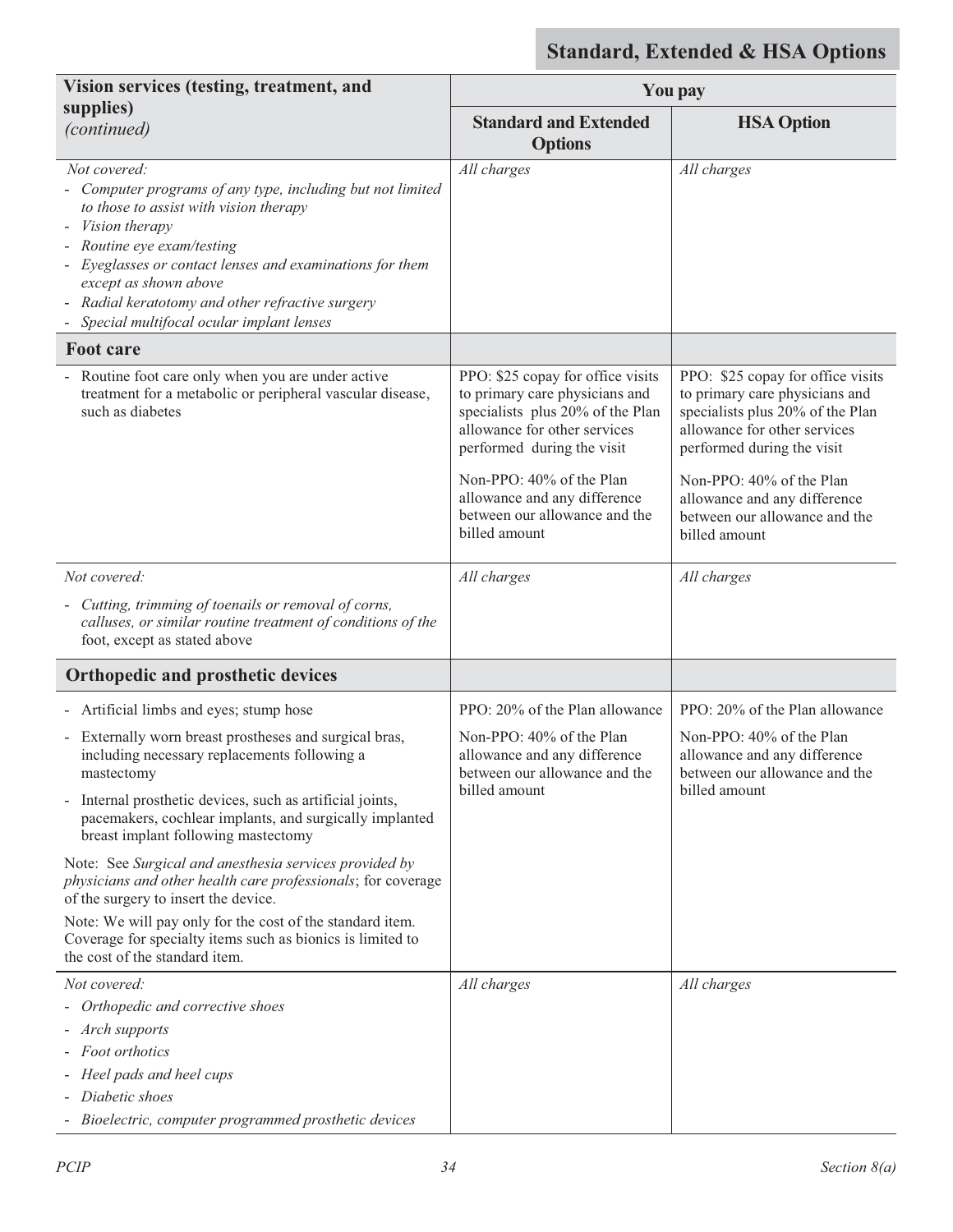| <b>You pay</b>                                                                                                                                                        |                                                                                                                                                                       |
|-----------------------------------------------------------------------------------------------------------------------------------------------------------------------|-----------------------------------------------------------------------------------------------------------------------------------------------------------------------|
| <b>Standard and Extended</b><br><b>Options</b>                                                                                                                        | <b>HSA Option</b>                                                                                                                                                     |
| All charges                                                                                                                                                           | All charges                                                                                                                                                           |
|                                                                                                                                                                       |                                                                                                                                                                       |
| PPO: \$25 copay for office visits<br>to primary care physicians and<br>specialists plus 20% of the Plan<br>allowance for other services<br>performed during the visit | PPO: \$25 copay for office visits<br>to primary care physicians and<br>specialists plus 20% of the Plan<br>allowance for other services<br>performed during the visit |
| Non-PPO: 40% of the Plan<br>allowance and any difference<br>between our allowance and the<br>billed amount                                                            | Non-PPO: 40% of the Plan<br>allowance and any difference<br>between our allowance and the<br>billed amount                                                            |
| All charges                                                                                                                                                           | All charges                                                                                                                                                           |
|                                                                                                                                                                       |                                                                                                                                                                       |
|                                                                                                                                                                       |                                                                                                                                                                       |
| PPO: 20% of the Plan allowance                                                                                                                                        | PPO: 20% of the Plan allowance                                                                                                                                        |
| Non-PPO: 40% of the Plan<br>allowance and any difference<br>between our allowance and the<br>billed amount                                                            | Non-PPO: 40% of the Plan<br>allowance and any difference<br>between our allowance and the<br>billed amount                                                            |
|                                                                                                                                                                       |                                                                                                                                                                       |
|                                                                                                                                                                       |                                                                                                                                                                       |
| All charges                                                                                                                                                           | All charges                                                                                                                                                           |
|                                                                                                                                                                       |                                                                                                                                                                       |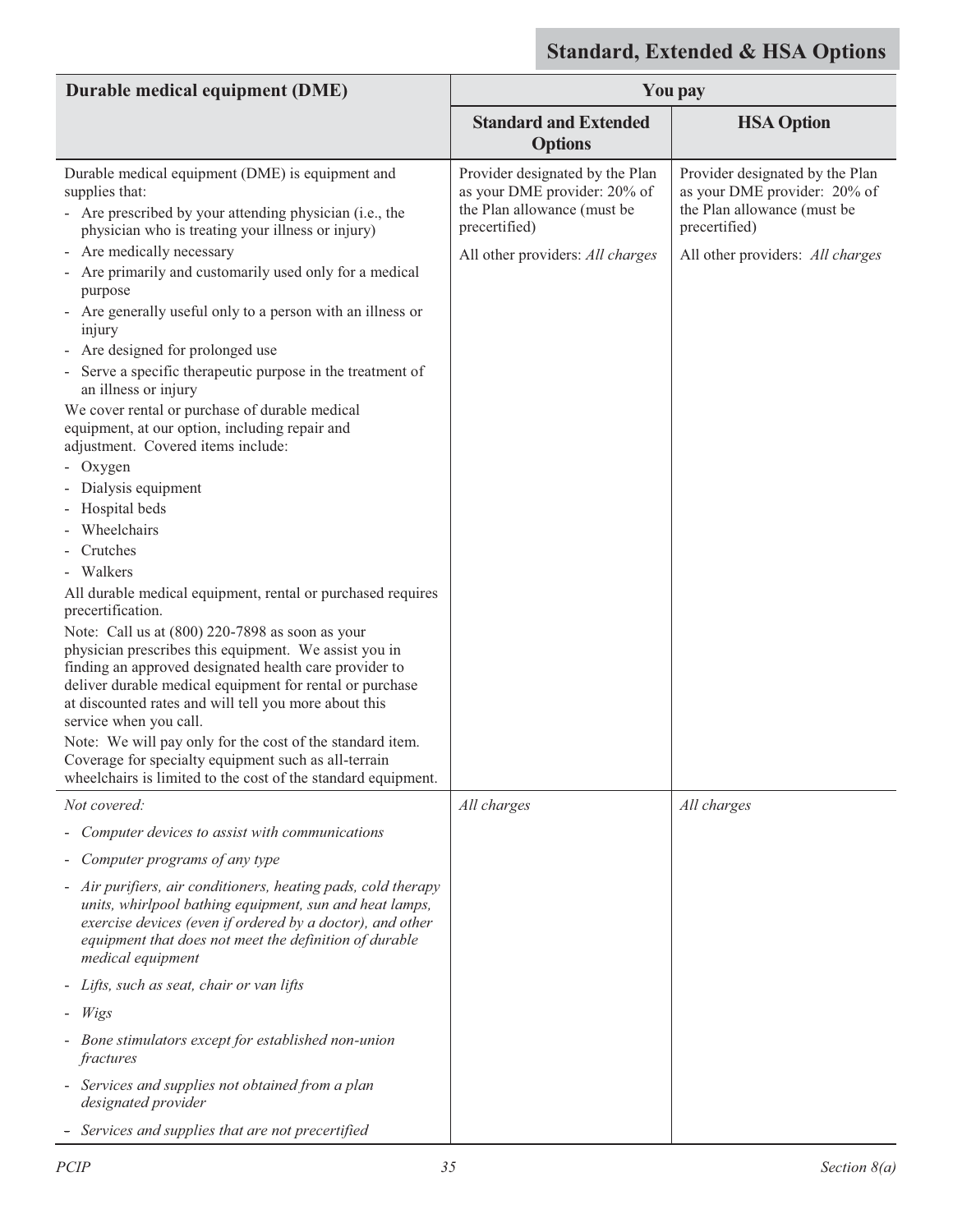| Durable medical equipment (DME)                                                                                                                                                                                                                                                                | <b>You pay</b>                                                                                                  |                                                                                                                 |
|------------------------------------------------------------------------------------------------------------------------------------------------------------------------------------------------------------------------------------------------------------------------------------------------|-----------------------------------------------------------------------------------------------------------------|-----------------------------------------------------------------------------------------------------------------|
|                                                                                                                                                                                                                                                                                                | <b>Standard and Extended</b><br><b>Options</b>                                                                  | <b>HSA Option</b>                                                                                               |
| Durable medical equipment (DME) is equipment and<br>supplies that:<br>- Are prescribed by your attending physician (i.e., the<br>physician who is treating your illness or injury)                                                                                                             | Provider designated by the Plan<br>as your DME provider: 20% of<br>the Plan allowance (must be<br>precertified) | Provider designated by the Plan<br>as your DME provider: 20% of<br>the Plan allowance (must be<br>precertified) |
| Are medically necessary<br>Are primarily and customarily used only for a medical<br>purpose                                                                                                                                                                                                    | All other providers: All charges                                                                                | All other providers: All charges                                                                                |
| Are generally useful only to a person with an illness or<br>$\overline{\phantom{0}}$<br>injury<br>- Are designed for prolonged use                                                                                                                                                             |                                                                                                                 |                                                                                                                 |
| Serve a specific therapeutic purpose in the treatment of<br>an illness or injury                                                                                                                                                                                                               |                                                                                                                 |                                                                                                                 |
| We cover rental or purchase of durable medical<br>equipment, at our option, including repair and<br>adjustment. Covered items include:                                                                                                                                                         |                                                                                                                 |                                                                                                                 |
| Oxygen                                                                                                                                                                                                                                                                                         |                                                                                                                 |                                                                                                                 |
| Dialysis equipment                                                                                                                                                                                                                                                                             |                                                                                                                 |                                                                                                                 |
| Hospital beds                                                                                                                                                                                                                                                                                  |                                                                                                                 |                                                                                                                 |
| Wheelchairs                                                                                                                                                                                                                                                                                    |                                                                                                                 |                                                                                                                 |
| Crutches                                                                                                                                                                                                                                                                                       |                                                                                                                 |                                                                                                                 |
| Walkers                                                                                                                                                                                                                                                                                        |                                                                                                                 |                                                                                                                 |
| All durable medical equipment, rental or purchased requires                                                                                                                                                                                                                                    |                                                                                                                 |                                                                                                                 |
| precertification.                                                                                                                                                                                                                                                                              |                                                                                                                 |                                                                                                                 |
| Note: Call us at (800) 220-7898 as soon as your<br>physician prescribes this equipment. We assist you in<br>finding an approved designated health care provider to                                                                                                                             |                                                                                                                 |                                                                                                                 |
| deliver durable medical equipment for rental or purchase<br>at discounted rates and will tell you more about this<br>service when you call.                                                                                                                                                    |                                                                                                                 |                                                                                                                 |
| Note: We will pay only for the cost of the standard item.                                                                                                                                                                                                                                      |                                                                                                                 |                                                                                                                 |
| Coverage for specialty equipment such as all-terrain<br>wheelchairs is limited to the cost of the standard equipment.                                                                                                                                                                          |                                                                                                                 |                                                                                                                 |
| Not covered:                                                                                                                                                                                                                                                                                   | All charges                                                                                                     | All charges                                                                                                     |
| Computer devices to assist with communications                                                                                                                                                                                                                                                 |                                                                                                                 |                                                                                                                 |
| Computer programs of any type                                                                                                                                                                                                                                                                  |                                                                                                                 |                                                                                                                 |
| Air purifiers, air conditioners, heating pads, cold therapy<br>$\overline{\phantom{0}}$<br>units, whirlpool bathing equipment, sun and heat lamps,<br>exercise devices (even if ordered by a doctor), and other<br>equipment that does not meet the definition of durable<br>medical equipment |                                                                                                                 |                                                                                                                 |
| - Lifts, such as seat, chair or van lifts                                                                                                                                                                                                                                                      |                                                                                                                 |                                                                                                                 |
| $-Wigs$                                                                                                                                                                                                                                                                                        |                                                                                                                 |                                                                                                                 |
| Bone stimulators except for established non-union<br>fractures                                                                                                                                                                                                                                 |                                                                                                                 |                                                                                                                 |
| - Services and supplies not obtained from a plan<br>designated provider                                                                                                                                                                                                                        |                                                                                                                 |                                                                                                                 |
| Services and supplies that are not precertified<br>$\qquad \qquad \blacksquare$                                                                                                                                                                                                                |                                                                                                                 |                                                                                                                 |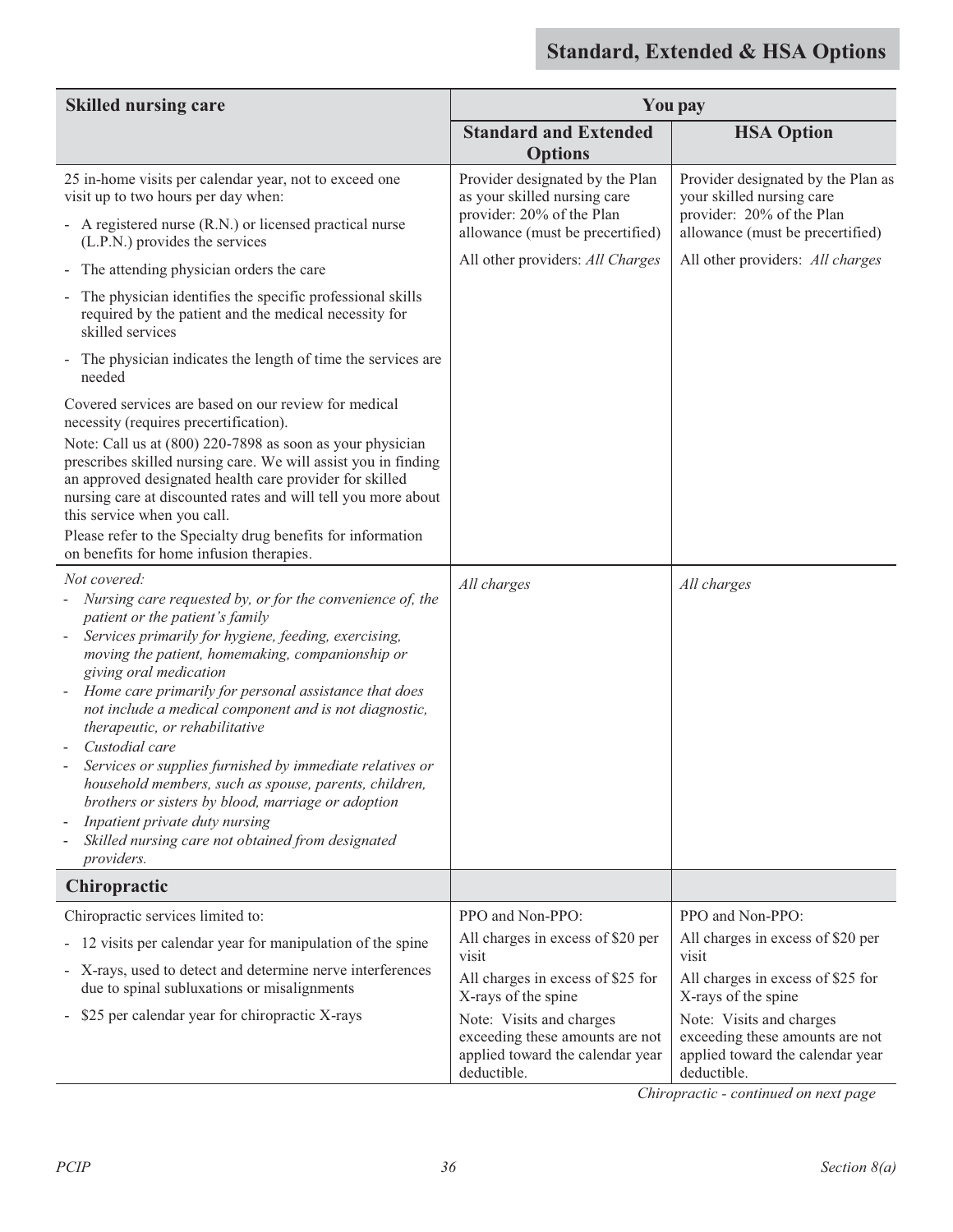| <b>Skilled nursing care</b>                                                                                                                                                                                                                                                                                                                                                                                                                                                                                                                                                                                                                                                                                                                                                                                                                                                                                                                                   | <b>You pay</b>                                                                                                                                                                                                                               |                                                                                                                                                                                                                                              |
|---------------------------------------------------------------------------------------------------------------------------------------------------------------------------------------------------------------------------------------------------------------------------------------------------------------------------------------------------------------------------------------------------------------------------------------------------------------------------------------------------------------------------------------------------------------------------------------------------------------------------------------------------------------------------------------------------------------------------------------------------------------------------------------------------------------------------------------------------------------------------------------------------------------------------------------------------------------|----------------------------------------------------------------------------------------------------------------------------------------------------------------------------------------------------------------------------------------------|----------------------------------------------------------------------------------------------------------------------------------------------------------------------------------------------------------------------------------------------|
|                                                                                                                                                                                                                                                                                                                                                                                                                                                                                                                                                                                                                                                                                                                                                                                                                                                                                                                                                               | <b>Standard and Extended</b><br><b>Options</b>                                                                                                                                                                                               | <b>HSA Option</b>                                                                                                                                                                                                                            |
| 25 in-home visits per calendar year, not to exceed one<br>visit up to two hours per day when:<br>- A registered nurse (R.N.) or licensed practical nurse<br>(L.P.N.) provides the services<br>The attending physician orders the care<br>۰.<br>The physician identifies the specific professional skills<br>$\blacksquare$<br>required by the patient and the medical necessity for<br>skilled services<br>The physician indicates the length of time the services are<br>$\blacksquare$<br>needed<br>Covered services are based on our review for medical<br>necessity (requires precertification).<br>Note: Call us at (800) 220-7898 as soon as your physician<br>prescribes skilled nursing care. We will assist you in finding<br>an approved designated health care provider for skilled<br>nursing care at discounted rates and will tell you more about<br>this service when you call.<br>Please refer to the Specialty drug benefits for information | Provider designated by the Plan<br>as your skilled nursing care<br>provider: 20% of the Plan<br>allowance (must be precertified)<br>All other providers: All Charges                                                                         | Provider designated by the Plan as<br>your skilled nursing care<br>provider: 20% of the Plan<br>allowance (must be precertified)<br>All other providers: All charges                                                                         |
| on benefits for home infusion therapies.<br>Not covered:<br>Nursing care requested by, or for the convenience of, the<br>patient or the patient's family<br>Services primarily for hygiene, feeding, exercising,<br>moving the patient, homemaking, companionship or<br>giving oral medication<br>Home care primarily for personal assistance that does<br>not include a medical component and is not diagnostic,<br>therapeutic, or rehabilitative<br>Custodial care<br>Services or supplies furnished by immediate relatives or<br>household members, such as spouse, parents, children,<br>brothers or sisters by blood, marriage or adoption<br>Inpatient private duty nursing<br>Skilled nursing care not obtained from designated<br><i>providers.</i>                                                                                                                                                                                                  | All charges                                                                                                                                                                                                                                  | All charges                                                                                                                                                                                                                                  |
| Chiropractic                                                                                                                                                                                                                                                                                                                                                                                                                                                                                                                                                                                                                                                                                                                                                                                                                                                                                                                                                  |                                                                                                                                                                                                                                              |                                                                                                                                                                                                                                              |
| Chiropractic services limited to:<br>12 visits per calendar year for manipulation of the spine<br>- X-rays, used to detect and determine nerve interferences<br>due to spinal subluxations or misalignments<br>\$25 per calendar year for chiropractic X-rays<br>$\blacksquare$                                                                                                                                                                                                                                                                                                                                                                                                                                                                                                                                                                                                                                                                               | PPO and Non-PPO:<br>All charges in excess of \$20 per<br>visit<br>All charges in excess of \$25 for<br>X-rays of the spine<br>Note: Visits and charges<br>exceeding these amounts are not<br>applied toward the calendar year<br>deductible. | PPO and Non-PPO:<br>All charges in excess of \$20 per<br>visit<br>All charges in excess of \$25 for<br>X-rays of the spine<br>Note: Visits and charges<br>exceeding these amounts are not<br>applied toward the calendar year<br>deductible. |

 *Chiropractic - continued on next page*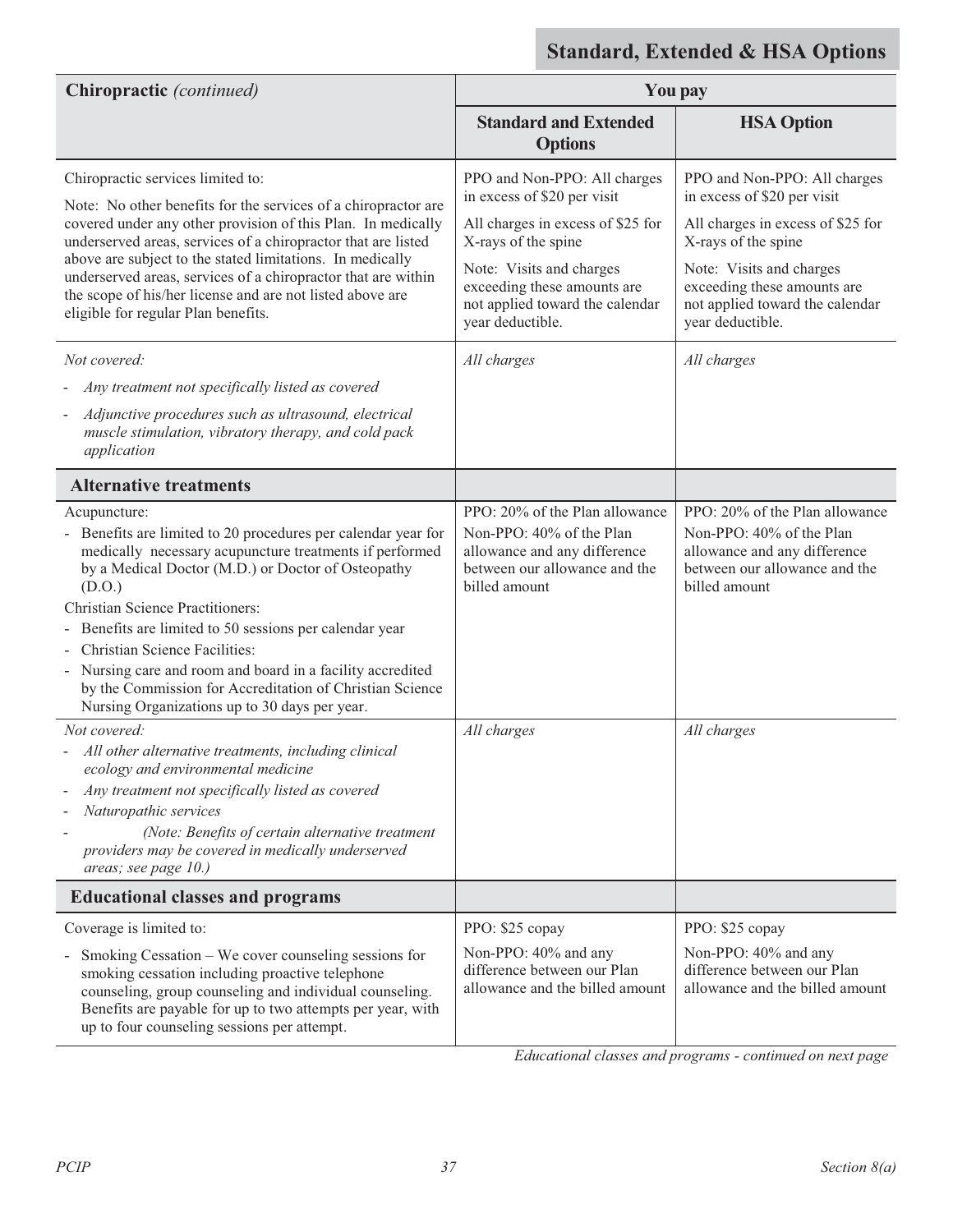| Chiropractic (continued)                                                                                                                                                                                                                                                                                                                                                                                                                                                                                                                                                                                                                                                  | <b>You pay</b>                                                                                                                                                                                                                                           |                                                                                                                                                                                                                                                          |
|---------------------------------------------------------------------------------------------------------------------------------------------------------------------------------------------------------------------------------------------------------------------------------------------------------------------------------------------------------------------------------------------------------------------------------------------------------------------------------------------------------------------------------------------------------------------------------------------------------------------------------------------------------------------------|----------------------------------------------------------------------------------------------------------------------------------------------------------------------------------------------------------------------------------------------------------|----------------------------------------------------------------------------------------------------------------------------------------------------------------------------------------------------------------------------------------------------------|
|                                                                                                                                                                                                                                                                                                                                                                                                                                                                                                                                                                                                                                                                           | <b>Standard and Extended</b><br><b>Options</b>                                                                                                                                                                                                           | <b>HSA Option</b>                                                                                                                                                                                                                                        |
| Chiropractic services limited to:<br>Note: No other benefits for the services of a chiropractor are<br>covered under any other provision of this Plan. In medically<br>underserved areas, services of a chiropractor that are listed<br>above are subject to the stated limitations. In medically<br>underserved areas, services of a chiropractor that are within<br>the scope of his/her license and are not listed above are<br>eligible for regular Plan benefits.<br>Not covered:<br>Any treatment not specifically listed as covered<br>Adjunctive procedures such as ultrasound, electrical<br>muscle stimulation, vibratory therapy, and cold pack<br>application | PPO and Non-PPO: All charges<br>in excess of \$20 per visit<br>All charges in excess of \$25 for<br>X-rays of the spine<br>Note: Visits and charges<br>exceeding these amounts are<br>not applied toward the calendar<br>year deductible.<br>All charges | PPO and Non-PPO: All charges<br>in excess of \$20 per visit<br>All charges in excess of \$25 for<br>X-rays of the spine<br>Note: Visits and charges<br>exceeding these amounts are<br>not applied toward the calendar<br>year deductible.<br>All charges |
| <b>Alternative treatments</b>                                                                                                                                                                                                                                                                                                                                                                                                                                                                                                                                                                                                                                             |                                                                                                                                                                                                                                                          |                                                                                                                                                                                                                                                          |
| Acupuncture:<br>- Benefits are limited to 20 procedures per calendar year for<br>medically necessary acupuncture treatments if performed<br>by a Medical Doctor (M.D.) or Doctor of Osteopathy<br>(D.O.)<br><b>Christian Science Practitioners:</b><br>Benefits are limited to 50 sessions per calendar year<br>Christian Science Facilities:<br>- Nursing care and room and board in a facility accredited<br>by the Commission for Accreditation of Christian Science<br>Nursing Organizations up to 30 days per year.                                                                                                                                                  | PPO: 20% of the Plan allowance<br>Non-PPO: 40% of the Plan<br>allowance and any difference<br>between our allowance and the<br>billed amount                                                                                                             | PPO: 20% of the Plan allowance<br>Non-PPO: 40% of the Plan<br>allowance and any difference<br>between our allowance and the<br>billed amount                                                                                                             |
| Not covered:<br>All other alternative treatments, including clinical<br>ecology and environmental medicine<br>Any treatment not specifically listed as covered<br>Naturopathic services<br>(Note: Benefits of certain alternative treatment<br>providers may be covered in medically underserved<br>areas; see page 10.)<br><b>Educational classes and programs</b>                                                                                                                                                                                                                                                                                                       | All charges                                                                                                                                                                                                                                              | All charges                                                                                                                                                                                                                                              |
|                                                                                                                                                                                                                                                                                                                                                                                                                                                                                                                                                                                                                                                                           |                                                                                                                                                                                                                                                          |                                                                                                                                                                                                                                                          |
| Coverage is limited to:<br>Smoking Cessation - We cover counseling sessions for<br>$\overline{\phantom{a}}$<br>smoking cessation including proactive telephone<br>counseling, group counseling and individual counseling.<br>Benefits are payable for up to two attempts per year, with<br>up to four counseling sessions per attempt.                                                                                                                                                                                                                                                                                                                                    | PPO: \$25 copay<br>Non-PPO: 40% and any<br>difference between our Plan<br>allowance and the billed amount                                                                                                                                                | PPO: \$25 copay<br>Non-PPO: 40% and any<br>difference between our Plan<br>allowance and the billed amount                                                                                                                                                |

*Educational classes and programs - continued on next page*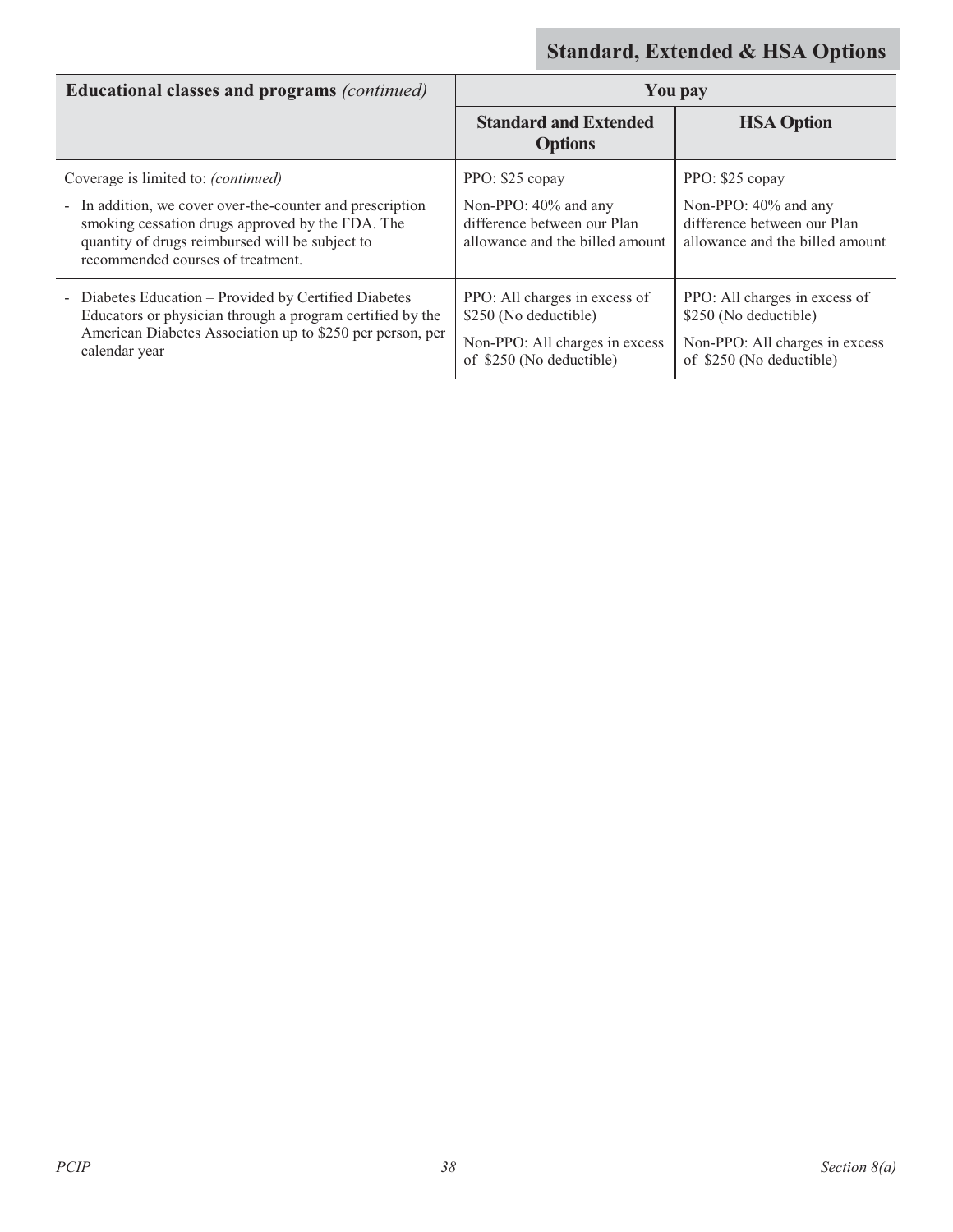| <b>Educational classes and programs (continued)</b>                                                                                                                                                   | You pay                                                                                                              |                                                                                                                      |
|-------------------------------------------------------------------------------------------------------------------------------------------------------------------------------------------------------|----------------------------------------------------------------------------------------------------------------------|----------------------------------------------------------------------------------------------------------------------|
|                                                                                                                                                                                                       | <b>Standard and Extended</b><br><b>Options</b>                                                                       | <b>HSA Option</b>                                                                                                    |
| Coverage is limited to: (continued)                                                                                                                                                                   | PPO: \$25 copay                                                                                                      | PPO: \$25 copay                                                                                                      |
| - In addition, we cover over-the-counter and prescription<br>smoking cessation drugs approved by the FDA. The<br>quantity of drugs reimbursed will be subject to<br>recommended courses of treatment. | Non-PPO: 40% and any<br>difference between our Plan<br>allowance and the billed amount                               | Non-PPO: 40% and any<br>difference between our Plan<br>allowance and the billed amount                               |
| - Diabetes Education - Provided by Certified Diabetes<br>Educators or physician through a program certified by the<br>American Diabetes Association up to \$250 per person, per<br>calendar year      | PPO: All charges in excess of<br>\$250 (No deductible)<br>Non-PPO: All charges in excess<br>of \$250 (No deductible) | PPO: All charges in excess of<br>\$250 (No deductible)<br>Non-PPO: All charges in excess<br>of \$250 (No deductible) |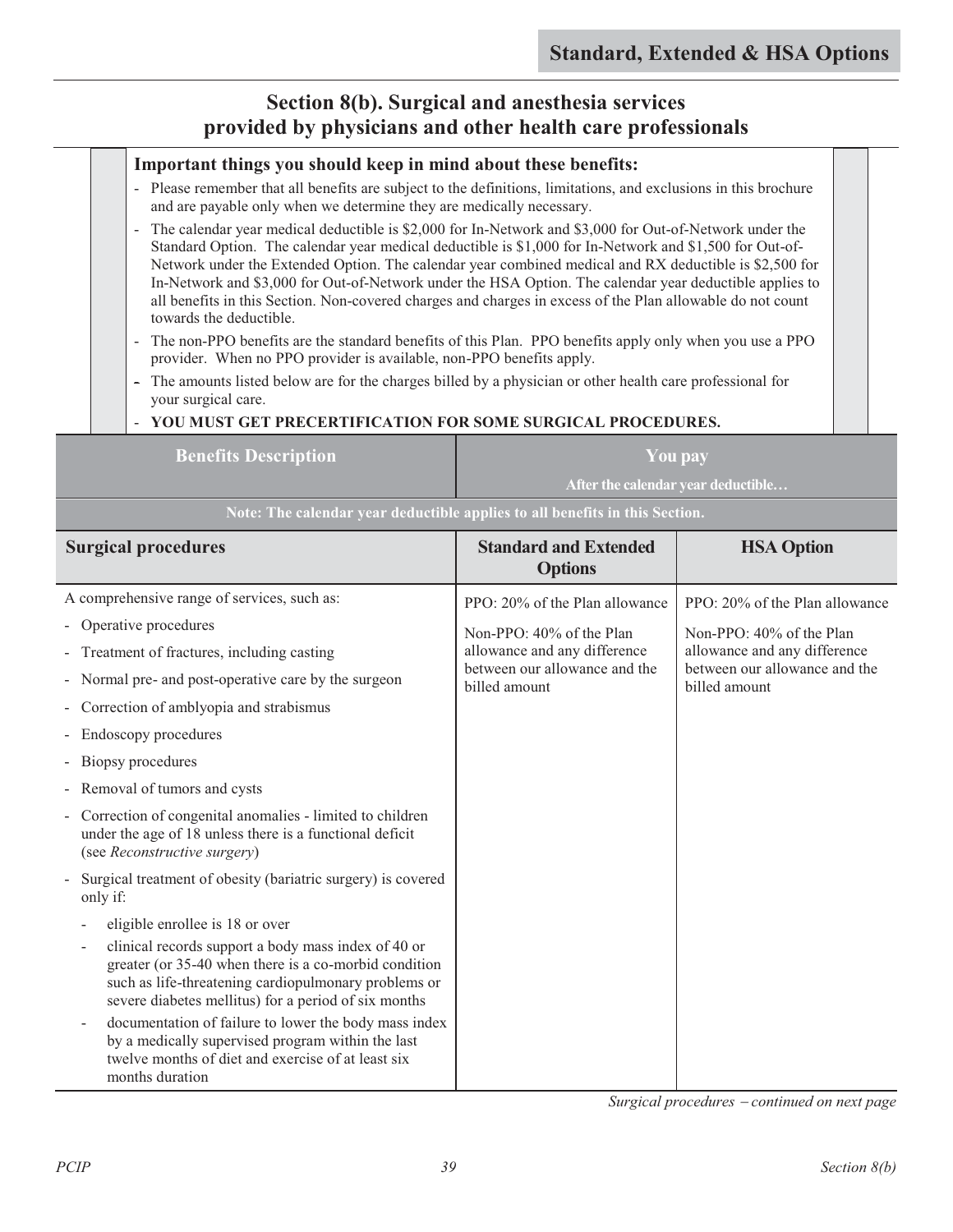### **Section 8(b). Surgical and anesthesia services provided by physicians and other health care professionals**

### **Important things you should keep in mind about these benefits:**

- Please remember that all benefits are subject to the definitions, limitations, and exclusions in this brochure and are payable only when we determine they are medically necessary.
- The calendar year medical deductible is \$2,000 for In-Network and \$3,000 for Out-of-Network under the Standard Option. The calendar year medical deductible is \$1,000 for In-Network and \$1,500 for Out-of-Network under the Extended Option. The calendar year combined medical and RX deductible is \$2,500 for In-Network and \$3,000 for Out-of-Network under the HSA Option. The calendar year deductible applies to all benefits in this Section. Non-covered charges and charges in excess of the Plan allowable do not count towards the deductible.
- The non-PPO benefits are the standard benefits of this Plan. PPO benefits apply only when you use a PPO provider. When no PPO provider is available, non-PPO benefits apply.
- The amounts listed below are for the charges billed by a physician or other health care professional for your surgical care.

| YOU MUST GET PRECERTIFICATION FOR SOME SURGICAL PROCEDURES.                                                                                                                                                                  |                                                |                                                                                |
|------------------------------------------------------------------------------------------------------------------------------------------------------------------------------------------------------------------------------|------------------------------------------------|--------------------------------------------------------------------------------|
| <b>Benefits Description</b>                                                                                                                                                                                                  |                                                | <b>You pay</b>                                                                 |
|                                                                                                                                                                                                                              |                                                | After the calendar year deductible                                             |
| Note: The calendar year deductible applies to all benefits in this Section.                                                                                                                                                  |                                                |                                                                                |
| <b>Surgical procedures</b>                                                                                                                                                                                                   | <b>Standard and Extended</b><br><b>Options</b> | <b>HSA Option</b>                                                              |
| A comprehensive range of services, such as:                                                                                                                                                                                  | PPO: 20% of the Plan allowance                 | PPO: 20% of the Plan allowance                                                 |
| Operative procedures                                                                                                                                                                                                         | Non-PPO: 40% of the Plan                       | Non-PPO: 40% of the Plan                                                       |
| Treatment of fractures, including casting                                                                                                                                                                                    | allowance and any difference                   | allowance and any difference<br>between our allowance and the<br>billed amount |
| Normal pre- and post-operative care by the surgeon                                                                                                                                                                           | between our allowance and the<br>billed amount |                                                                                |
| Correction of amblyopia and strabismus                                                                                                                                                                                       |                                                |                                                                                |
| Endoscopy procedures                                                                                                                                                                                                         |                                                |                                                                                |
| Biopsy procedures                                                                                                                                                                                                            |                                                |                                                                                |
| Removal of tumors and cysts                                                                                                                                                                                                  |                                                |                                                                                |
| Correction of congenital anomalies - limited to children<br>under the age of 18 unless there is a functional deficit<br>(see Reconstructive surgery)                                                                         |                                                |                                                                                |
| Surgical treatment of obesity (bariatric surgery) is covered<br>only if:                                                                                                                                                     |                                                |                                                                                |
| eligible enrollee is 18 or over                                                                                                                                                                                              |                                                |                                                                                |
| clinical records support a body mass index of 40 or<br>greater (or 35-40 when there is a co-morbid condition<br>such as life-threatening cardiopulmonary problems or<br>severe diabetes mellitus) for a period of six months |                                                |                                                                                |
| documentation of failure to lower the body mass index<br>by a medically supervised program within the last<br>twelve months of diet and exercise of at least six<br>months duration                                          |                                                |                                                                                |

*Surgical procedures* - *continued on next page*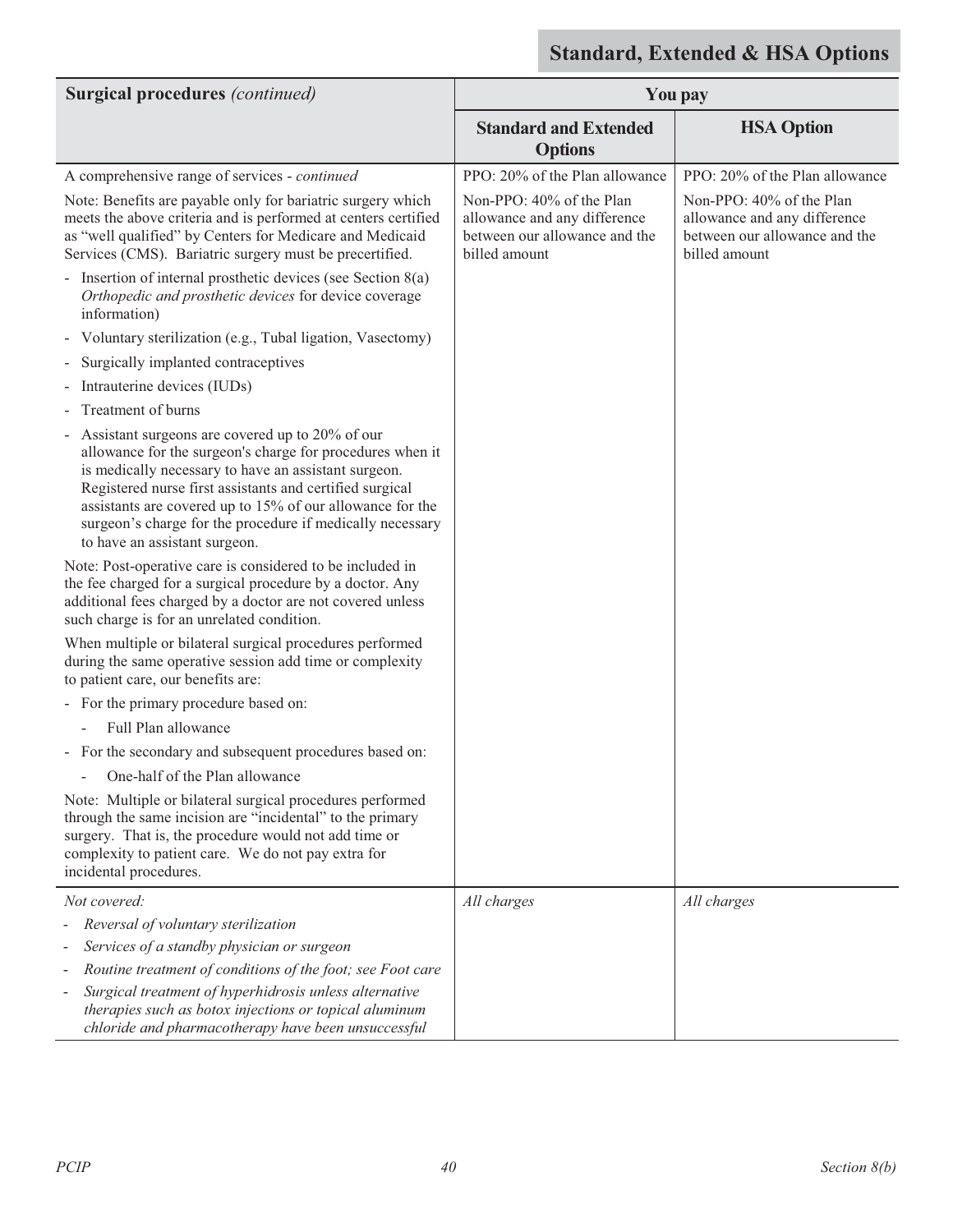| <b>Surgical procedures</b> (continued)                                                                                                                                                                                                                                                                                                                                                      | <b>You pay</b>                                                                                             |                                                                                                            |
|---------------------------------------------------------------------------------------------------------------------------------------------------------------------------------------------------------------------------------------------------------------------------------------------------------------------------------------------------------------------------------------------|------------------------------------------------------------------------------------------------------------|------------------------------------------------------------------------------------------------------------|
|                                                                                                                                                                                                                                                                                                                                                                                             | <b>Standard and Extended</b><br><b>Options</b>                                                             | <b>HSA Option</b>                                                                                          |
| A comprehensive range of services - continued                                                                                                                                                                                                                                                                                                                                               | PPO: 20% of the Plan allowance                                                                             | PPO: 20% of the Plan allowance                                                                             |
| Note: Benefits are payable only for bariatric surgery which<br>meets the above criteria and is performed at centers certified<br>as "well qualified" by Centers for Medicare and Medicaid<br>Services (CMS). Bariatric surgery must be precertified.                                                                                                                                        | Non-PPO: 40% of the Plan<br>allowance and any difference<br>between our allowance and the<br>billed amount | Non-PPO: 40% of the Plan<br>allowance and any difference<br>between our allowance and the<br>billed amount |
| Insertion of internal prosthetic devices (see Section $8(a)$ )<br>Orthopedic and prosthetic devices for device coverage<br>information)                                                                                                                                                                                                                                                     |                                                                                                            |                                                                                                            |
| Voluntary sterilization (e.g., Tubal ligation, Vasectomy)                                                                                                                                                                                                                                                                                                                                   |                                                                                                            |                                                                                                            |
| Surgically implanted contraceptives                                                                                                                                                                                                                                                                                                                                                         |                                                                                                            |                                                                                                            |
| Intrauterine devices (IUDs)                                                                                                                                                                                                                                                                                                                                                                 |                                                                                                            |                                                                                                            |
| Treatment of burns                                                                                                                                                                                                                                                                                                                                                                          |                                                                                                            |                                                                                                            |
| Assistant surgeons are covered up to 20% of our<br>allowance for the surgeon's charge for procedures when it<br>is medically necessary to have an assistant surgeon.<br>Registered nurse first assistants and certified surgical<br>assistants are covered up to 15% of our allowance for the<br>surgeon's charge for the procedure if medically necessary<br>to have an assistant surgeon. |                                                                                                            |                                                                                                            |
| Note: Post-operative care is considered to be included in<br>the fee charged for a surgical procedure by a doctor. Any<br>additional fees charged by a doctor are not covered unless<br>such charge is for an unrelated condition.                                                                                                                                                          |                                                                                                            |                                                                                                            |
| When multiple or bilateral surgical procedures performed<br>during the same operative session add time or complexity<br>to patient care, our benefits are:                                                                                                                                                                                                                                  |                                                                                                            |                                                                                                            |
| - For the primary procedure based on:                                                                                                                                                                                                                                                                                                                                                       |                                                                                                            |                                                                                                            |
| Full Plan allowance                                                                                                                                                                                                                                                                                                                                                                         |                                                                                                            |                                                                                                            |
| - For the secondary and subsequent procedures based on:                                                                                                                                                                                                                                                                                                                                     |                                                                                                            |                                                                                                            |
| One-half of the Plan allowance                                                                                                                                                                                                                                                                                                                                                              |                                                                                                            |                                                                                                            |
| Note: Multiple or bilateral surgical procedures performed<br>through the same incision are "incidental" to the primary<br>surgery. That is, the procedure would not add time or<br>complexity to patient care. We do not pay extra for<br>incidental procedures.                                                                                                                            |                                                                                                            |                                                                                                            |
| Not covered:                                                                                                                                                                                                                                                                                                                                                                                | All charges                                                                                                | All charges                                                                                                |
| Reversal of voluntary sterilization                                                                                                                                                                                                                                                                                                                                                         |                                                                                                            |                                                                                                            |
| Services of a standby physician or surgeon                                                                                                                                                                                                                                                                                                                                                  |                                                                                                            |                                                                                                            |
| Routine treatment of conditions of the foot; see Foot care                                                                                                                                                                                                                                                                                                                                  |                                                                                                            |                                                                                                            |
| Surgical treatment of hyperhidrosis unless alternative<br>$\overline{\phantom{a}}$<br>therapies such as botox injections or topical aluminum<br>chloride and pharmacotherapy have been unsuccessful                                                                                                                                                                                         |                                                                                                            |                                                                                                            |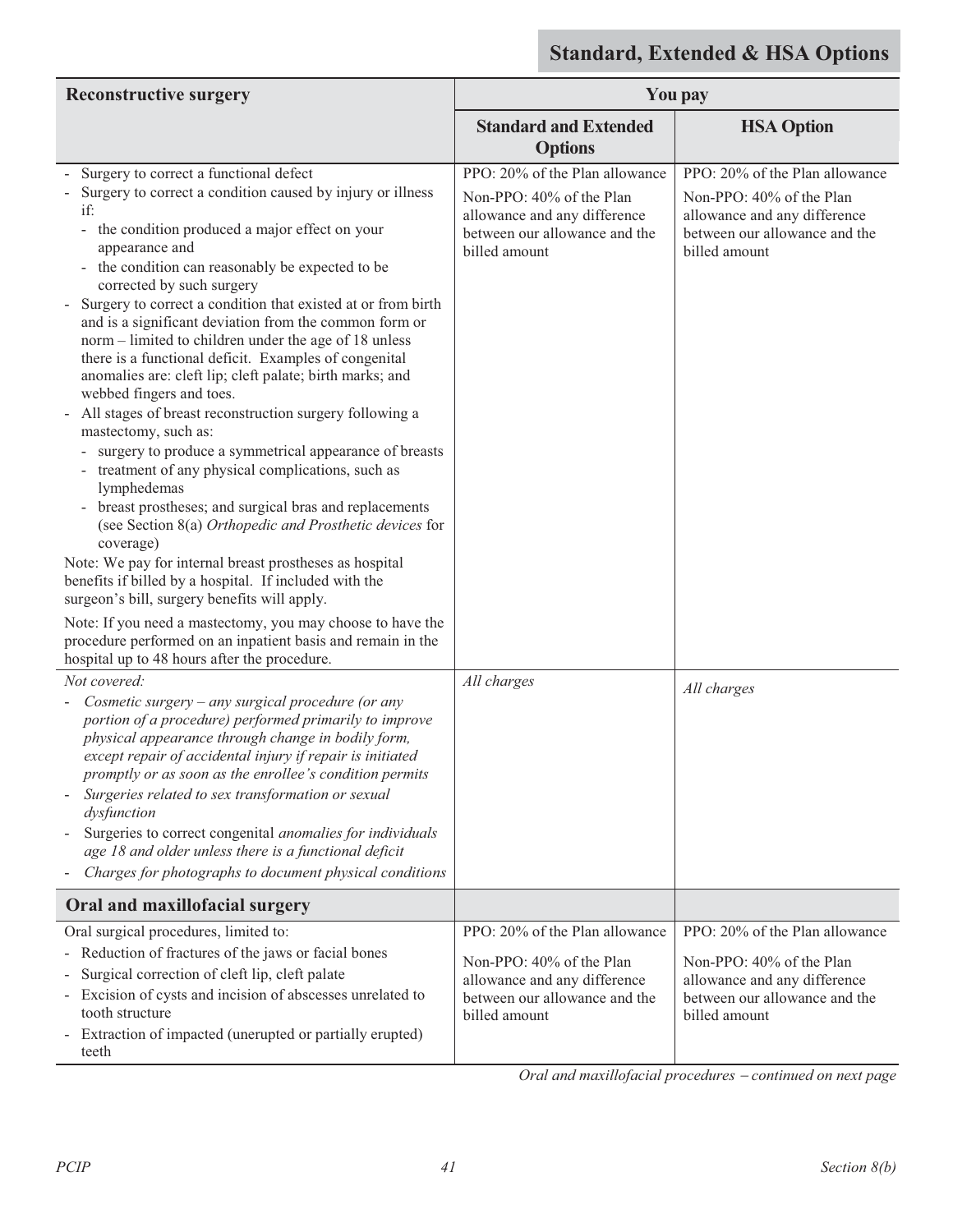| <b>Reconstructive surgery</b>                                                                                                                                                                                                                                                                                                                                                                                                                                                                                                                                                                                                                                                                                                                                                                                                                                                                                                                                                                                                                                  | You pay                                                                                                                                      |                                                                                                                                              |
|----------------------------------------------------------------------------------------------------------------------------------------------------------------------------------------------------------------------------------------------------------------------------------------------------------------------------------------------------------------------------------------------------------------------------------------------------------------------------------------------------------------------------------------------------------------------------------------------------------------------------------------------------------------------------------------------------------------------------------------------------------------------------------------------------------------------------------------------------------------------------------------------------------------------------------------------------------------------------------------------------------------------------------------------------------------|----------------------------------------------------------------------------------------------------------------------------------------------|----------------------------------------------------------------------------------------------------------------------------------------------|
|                                                                                                                                                                                                                                                                                                                                                                                                                                                                                                                                                                                                                                                                                                                                                                                                                                                                                                                                                                                                                                                                | <b>Standard and Extended</b><br><b>Options</b>                                                                                               | <b>HSA Option</b>                                                                                                                            |
| Surgery to correct a functional defect                                                                                                                                                                                                                                                                                                                                                                                                                                                                                                                                                                                                                                                                                                                                                                                                                                                                                                                                                                                                                         | PPO: 20% of the Plan allowance                                                                                                               | PPO: 20% of the Plan allowance                                                                                                               |
| Surgery to correct a condition caused by injury or illness<br>if:<br>the condition produced a major effect on your<br>-<br>appearance and<br>the condition can reasonably be expected to be<br>$\overline{\phantom{a}}$<br>corrected by such surgery<br>Surgery to correct a condition that existed at or from birth<br>and is a significant deviation from the common form or<br>norm – limited to children under the age of 18 unless<br>there is a functional deficit. Examples of congenital<br>anomalies are: cleft lip; cleft palate; birth marks; and<br>webbed fingers and toes.<br>All stages of breast reconstruction surgery following a<br>mastectomy, such as:<br>surgery to produce a symmetrical appearance of breasts<br>treatment of any physical complications, such as<br>lymphedemas<br>breast prostheses; and surgical bras and replacements<br>(see Section 8(a) Orthopedic and Prosthetic devices for<br>coverage)<br>Note: We pay for internal breast prostheses as hospital<br>benefits if billed by a hospital. If included with the | Non-PPO: 40% of the Plan<br>allowance and any difference<br>between our allowance and the<br>billed amount                                   | Non-PPO: 40% of the Plan<br>allowance and any difference<br>between our allowance and the<br>billed amount                                   |
| surgeon's bill, surgery benefits will apply.<br>Note: If you need a mastectomy, you may choose to have the<br>procedure performed on an inpatient basis and remain in the<br>hospital up to 48 hours after the procedure.                                                                                                                                                                                                                                                                                                                                                                                                                                                                                                                                                                                                                                                                                                                                                                                                                                      |                                                                                                                                              |                                                                                                                                              |
| Not covered:                                                                                                                                                                                                                                                                                                                                                                                                                                                                                                                                                                                                                                                                                                                                                                                                                                                                                                                                                                                                                                                   | All charges                                                                                                                                  |                                                                                                                                              |
| Cosmetic surgery - any surgical procedure (or any<br>portion of a procedure) performed primarily to improve<br>physical appearance through change in bodily form,<br>except repair of accidental injury if repair is initiated<br>promptly or as soon as the enrollee's condition permits<br>Surgeries related to sex transformation or sexual<br>dysfunction<br>Surgeries to correct congenital anomalies for individuals<br>age 18 and older unless there is a functional deficit<br>Charges for photographs to document physical conditions                                                                                                                                                                                                                                                                                                                                                                                                                                                                                                                 |                                                                                                                                              | All charges                                                                                                                                  |
| Oral and maxillofacial surgery                                                                                                                                                                                                                                                                                                                                                                                                                                                                                                                                                                                                                                                                                                                                                                                                                                                                                                                                                                                                                                 |                                                                                                                                              |                                                                                                                                              |
| Oral surgical procedures, limited to:<br>- Reduction of fractures of the jaws or facial bones<br>Surgical correction of cleft lip, cleft palate<br>Excision of cysts and incision of abscesses unrelated to<br>tooth structure<br>- Extraction of impacted (unerupted or partially erupted)<br>teeth                                                                                                                                                                                                                                                                                                                                                                                                                                                                                                                                                                                                                                                                                                                                                           | PPO: 20% of the Plan allowance<br>Non-PPO: 40% of the Plan<br>allowance and any difference<br>between our allowance and the<br>billed amount | PPO: 20% of the Plan allowance<br>Non-PPO: 40% of the Plan<br>allowance and any difference<br>between our allowance and the<br>billed amount |

Oral and maxillofacial procedures - continued on next page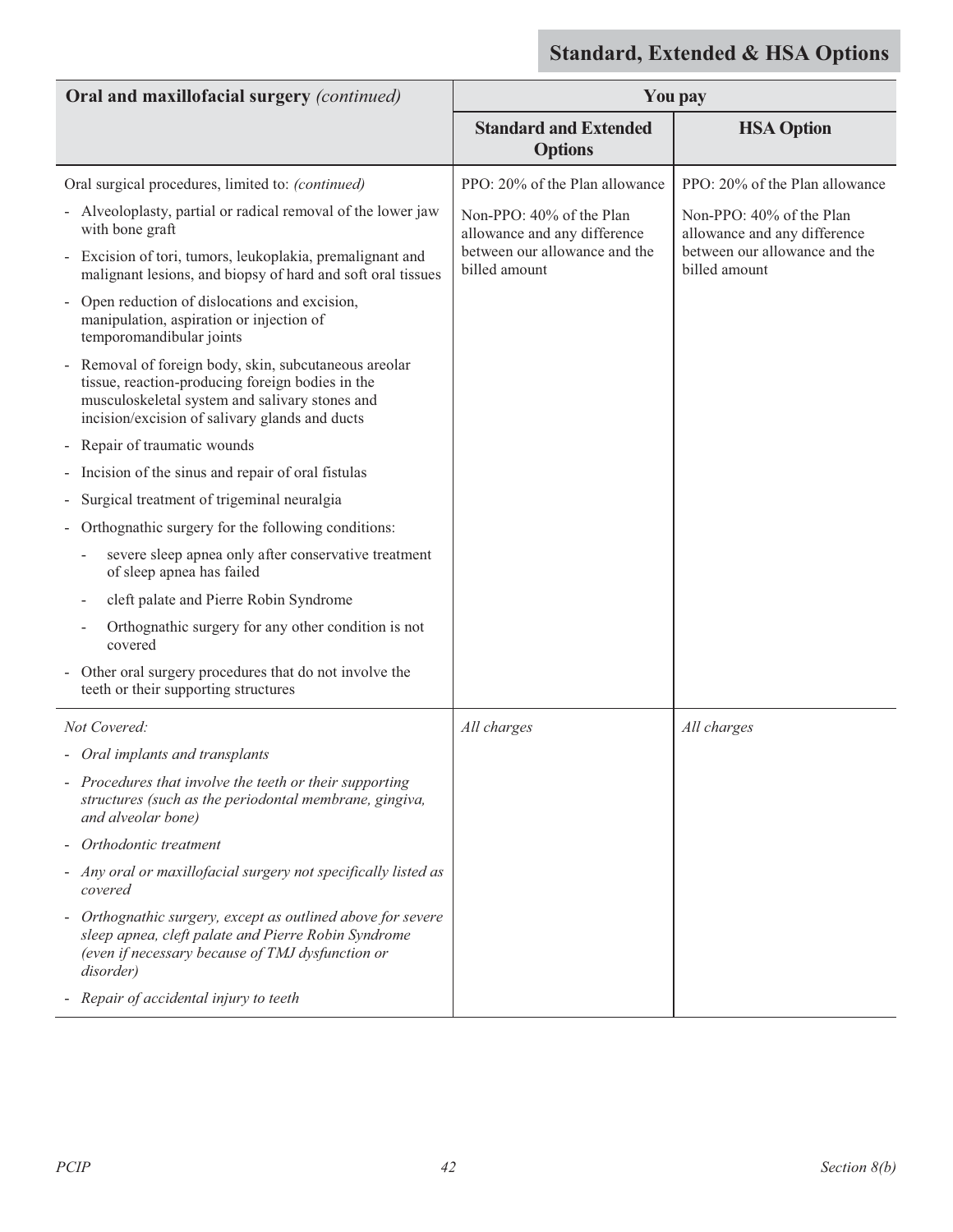| Oral and maxillofacial surgery (continued)                                                                                                                                                                    | <b>You pay</b>                                           |                                                          |
|---------------------------------------------------------------------------------------------------------------------------------------------------------------------------------------------------------------|----------------------------------------------------------|----------------------------------------------------------|
|                                                                                                                                                                                                               | <b>Standard and Extended</b><br><b>Options</b>           | <b>HSA Option</b>                                        |
| Oral surgical procedures, limited to: (continued)                                                                                                                                                             | PPO: 20% of the Plan allowance                           | PPO: 20% of the Plan allowance                           |
| - Alveoloplasty, partial or radical removal of the lower jaw<br>with bone graft                                                                                                                               | Non-PPO: 40% of the Plan<br>allowance and any difference | Non-PPO: 40% of the Plan<br>allowance and any difference |
| - Excision of tori, tumors, leukoplakia, premalignant and<br>malignant lesions, and biopsy of hard and soft oral tissues                                                                                      | between our allowance and the<br>billed amount           | between our allowance and the<br>billed amount           |
| Open reduction of dislocations and excision,<br>manipulation, aspiration or injection of<br>temporomandibular joints                                                                                          |                                                          |                                                          |
| - Removal of foreign body, skin, subcutaneous areolar<br>tissue, reaction-producing foreign bodies in the<br>musculoskeletal system and salivary stones and<br>incision/excision of salivary glands and ducts |                                                          |                                                          |
| Repair of traumatic wounds                                                                                                                                                                                    |                                                          |                                                          |
| Incision of the sinus and repair of oral fistulas                                                                                                                                                             |                                                          |                                                          |
| Surgical treatment of trigeminal neuralgia                                                                                                                                                                    |                                                          |                                                          |
| Orthognathic surgery for the following conditions:                                                                                                                                                            |                                                          |                                                          |
| severe sleep apnea only after conservative treatment<br>of sleep apnea has failed                                                                                                                             |                                                          |                                                          |
| cleft palate and Pierre Robin Syndrome                                                                                                                                                                        |                                                          |                                                          |
| Orthognathic surgery for any other condition is not<br>covered                                                                                                                                                |                                                          |                                                          |
| - Other oral surgery procedures that do not involve the<br>teeth or their supporting structures                                                                                                               |                                                          |                                                          |
| Not Covered:                                                                                                                                                                                                  | All charges                                              | All charges                                              |
| - Oral implants and transplants                                                                                                                                                                               |                                                          |                                                          |
| - Procedures that involve the teeth or their supporting<br>structures (such as the periodontal membrane, gingiva,<br>and alveolar bone)                                                                       |                                                          |                                                          |
| - Orthodontic treatment                                                                                                                                                                                       |                                                          |                                                          |
| - Any oral or maxillofacial surgery not specifically listed as<br>covered                                                                                                                                     |                                                          |                                                          |
| - Orthognathic surgery, except as outlined above for severe<br>sleep apnea, cleft palate and Pierre Robin Syndrome<br>(even if necessary because of TMJ dysfunction or<br>disorder)                           |                                                          |                                                          |
| - Repair of accidental injury to teeth                                                                                                                                                                        |                                                          |                                                          |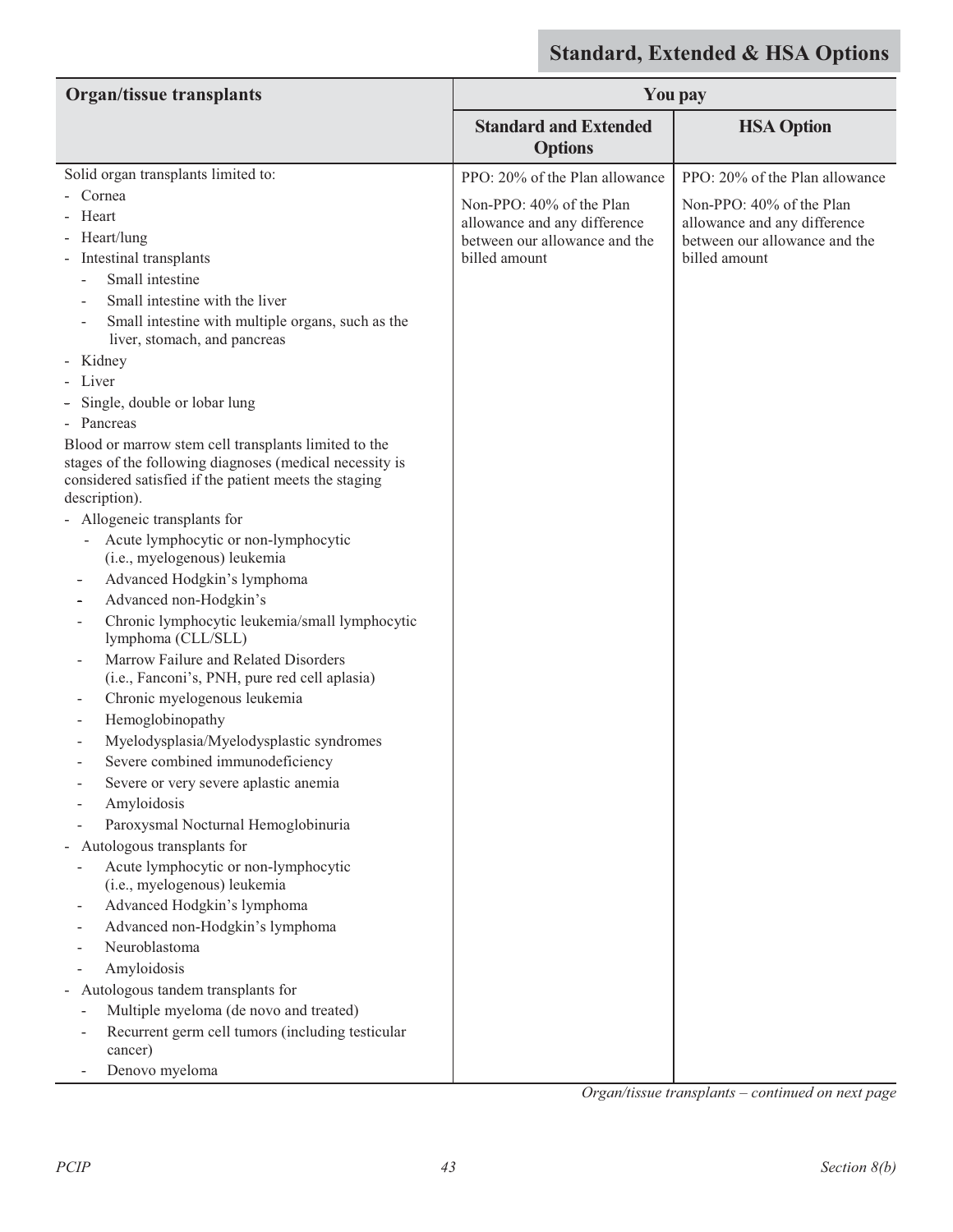| <b>Organ/tissue transplants</b>                                                                                                                                          |                                                | <b>You pay</b>                 |
|--------------------------------------------------------------------------------------------------------------------------------------------------------------------------|------------------------------------------------|--------------------------------|
|                                                                                                                                                                          | <b>Standard and Extended</b><br><b>Options</b> | <b>HSA Option</b>              |
| Solid organ transplants limited to:                                                                                                                                      | PPO: 20% of the Plan allowance                 | PPO: 20% of the Plan allowance |
| - Cornea                                                                                                                                                                 | Non-PPO: 40% of the Plan                       | Non-PPO: 40% of the Plan       |
| Heart                                                                                                                                                                    | allowance and any difference                   | allowance and any difference   |
| Heart/lung                                                                                                                                                               | between our allowance and the                  | between our allowance and the  |
| - Intestinal transplants                                                                                                                                                 | billed amount                                  | billed amount                  |
| Small intestine                                                                                                                                                          |                                                |                                |
| Small intestine with the liver                                                                                                                                           |                                                |                                |
| Small intestine with multiple organs, such as the<br>liver, stomach, and pancreas                                                                                        |                                                |                                |
| - Kidney                                                                                                                                                                 |                                                |                                |
| Liver                                                                                                                                                                    |                                                |                                |
| Single, double or lobar lung                                                                                                                                             |                                                |                                |
| Pancreas                                                                                                                                                                 |                                                |                                |
| Blood or marrow stem cell transplants limited to the<br>stages of the following diagnoses (medical necessity is<br>considered satisfied if the patient meets the staging |                                                |                                |
| description).                                                                                                                                                            |                                                |                                |
| - Allogeneic transplants for                                                                                                                                             |                                                |                                |
| Acute lymphocytic or non-lymphocytic<br>(i.e., myelogenous) leukemia                                                                                                     |                                                |                                |
| Advanced Hodgkin's lymphoma                                                                                                                                              |                                                |                                |
| Advanced non-Hodgkin's                                                                                                                                                   |                                                |                                |
| Chronic lymphocytic leukemia/small lymphocytic<br>lymphoma (CLL/SLL)                                                                                                     |                                                |                                |
| Marrow Failure and Related Disorders<br>(i.e., Fanconi's, PNH, pure red cell aplasia)                                                                                    |                                                |                                |
| Chronic myelogenous leukemia                                                                                                                                             |                                                |                                |
| Hemoglobinopathy<br>$\overline{\phantom{0}}$                                                                                                                             |                                                |                                |
| Myelodysplasia/Myelodysplastic syndromes                                                                                                                                 |                                                |                                |
| Severe combined immunodeficiency                                                                                                                                         |                                                |                                |
| Severe or very severe aplastic anemia                                                                                                                                    |                                                |                                |
| Amyloidosis                                                                                                                                                              |                                                |                                |
| Paroxysmal Nocturnal Hemoglobinuria                                                                                                                                      |                                                |                                |
| - Autologous transplants for                                                                                                                                             |                                                |                                |
| Acute lymphocytic or non-lymphocytic<br>(i.e., myelogenous) leukemia                                                                                                     |                                                |                                |
| Advanced Hodgkin's lymphoma                                                                                                                                              |                                                |                                |
| Advanced non-Hodgkin's lymphoma                                                                                                                                          |                                                |                                |
| Neuroblastoma                                                                                                                                                            |                                                |                                |
| Amyloidosis                                                                                                                                                              |                                                |                                |
| - Autologous tandem transplants for                                                                                                                                      |                                                |                                |
| Multiple myeloma (de novo and treated)                                                                                                                                   |                                                |                                |
| Recurrent germ cell tumors (including testicular<br>cancer)                                                                                                              |                                                |                                |
| Denovo myeloma                                                                                                                                                           |                                                |                                |

*Organ/tissue transplants – continued on next page*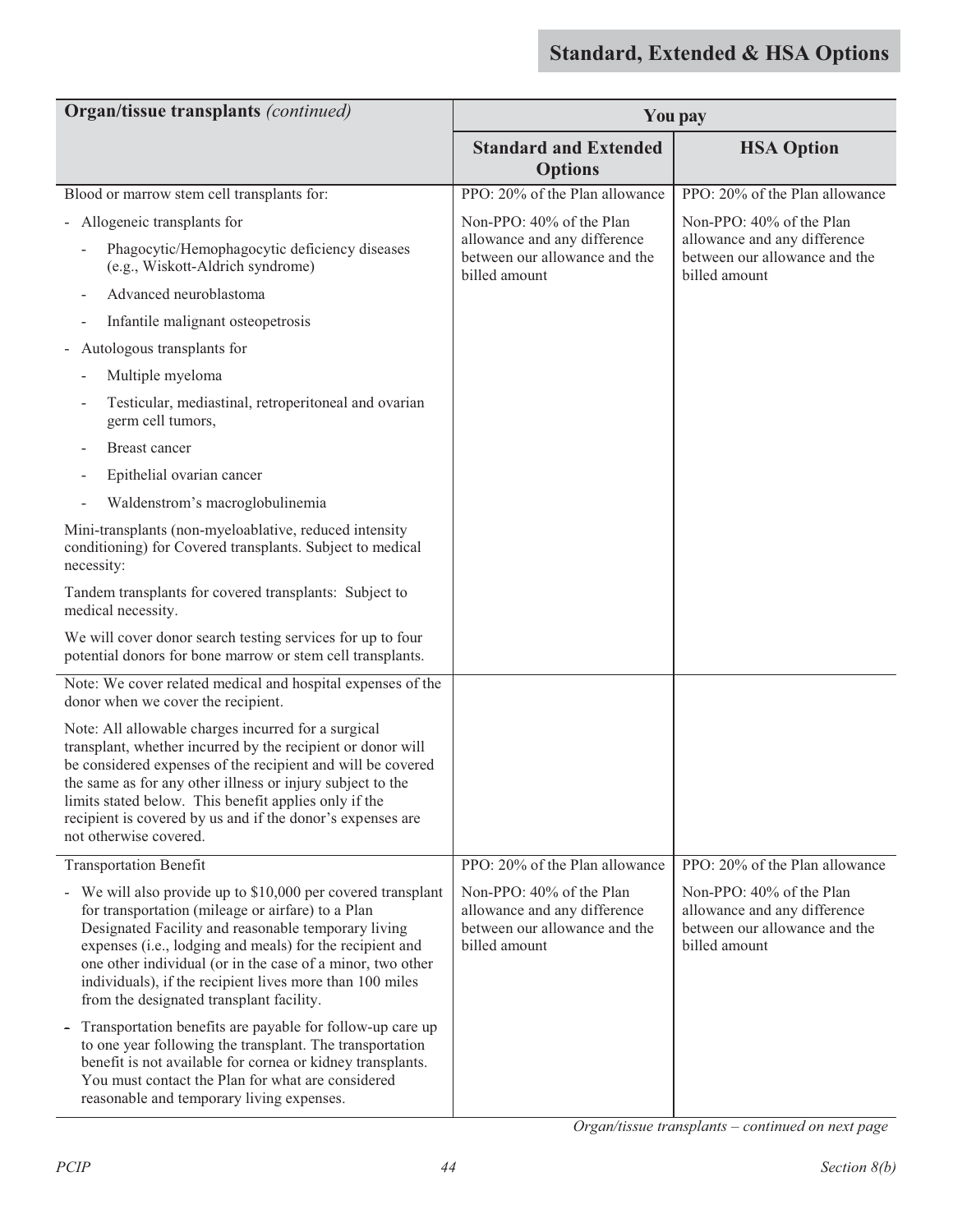| Organ/tissue transplants (continued)                                                                                                                                                                                                                                                                                                                                                                       |                                                                                                            | <b>You pay</b>                                                                                             |
|------------------------------------------------------------------------------------------------------------------------------------------------------------------------------------------------------------------------------------------------------------------------------------------------------------------------------------------------------------------------------------------------------------|------------------------------------------------------------------------------------------------------------|------------------------------------------------------------------------------------------------------------|
|                                                                                                                                                                                                                                                                                                                                                                                                            | <b>Standard and Extended</b><br><b>Options</b>                                                             | <b>HSA Option</b>                                                                                          |
| Blood or marrow stem cell transplants for:                                                                                                                                                                                                                                                                                                                                                                 | PPO: 20% of the Plan allowance                                                                             | PPO: 20% of the Plan allowance                                                                             |
| - Allogeneic transplants for                                                                                                                                                                                                                                                                                                                                                                               | Non-PPO: 40% of the Plan                                                                                   | Non-PPO: 40% of the Plan                                                                                   |
| Phagocytic/Hemophagocytic deficiency diseases<br>(e.g., Wiskott-Aldrich syndrome)                                                                                                                                                                                                                                                                                                                          | allowance and any difference<br>between our allowance and the<br>billed amount                             | allowance and any difference<br>between our allowance and the<br>billed amount                             |
| Advanced neuroblastoma                                                                                                                                                                                                                                                                                                                                                                                     |                                                                                                            |                                                                                                            |
| Infantile malignant osteopetrosis<br>$\overline{a}$                                                                                                                                                                                                                                                                                                                                                        |                                                                                                            |                                                                                                            |
| - Autologous transplants for                                                                                                                                                                                                                                                                                                                                                                               |                                                                                                            |                                                                                                            |
| Multiple myeloma<br>÷,                                                                                                                                                                                                                                                                                                                                                                                     |                                                                                                            |                                                                                                            |
| Testicular, mediastinal, retroperitoneal and ovarian<br>germ cell tumors,                                                                                                                                                                                                                                                                                                                                  |                                                                                                            |                                                                                                            |
| <b>Breast cancer</b>                                                                                                                                                                                                                                                                                                                                                                                       |                                                                                                            |                                                                                                            |
| Epithelial ovarian cancer                                                                                                                                                                                                                                                                                                                                                                                  |                                                                                                            |                                                                                                            |
| Waldenstrom's macroglobulinemia                                                                                                                                                                                                                                                                                                                                                                            |                                                                                                            |                                                                                                            |
| Mini-transplants (non-myeloablative, reduced intensity<br>conditioning) for Covered transplants. Subject to medical<br>necessity:                                                                                                                                                                                                                                                                          |                                                                                                            |                                                                                                            |
| Tandem transplants for covered transplants: Subject to<br>medical necessity.                                                                                                                                                                                                                                                                                                                               |                                                                                                            |                                                                                                            |
| We will cover donor search testing services for up to four<br>potential donors for bone marrow or stem cell transplants.                                                                                                                                                                                                                                                                                   |                                                                                                            |                                                                                                            |
| Note: We cover related medical and hospital expenses of the<br>donor when we cover the recipient.                                                                                                                                                                                                                                                                                                          |                                                                                                            |                                                                                                            |
| Note: All allowable charges incurred for a surgical<br>transplant, whether incurred by the recipient or donor will<br>be considered expenses of the recipient and will be covered<br>the same as for any other illness or injury subject to the<br>limits stated below. This benefit applies only if the<br>recipient is covered by us and if the donor's expenses are<br>not otherwise covered.           |                                                                                                            |                                                                                                            |
| <b>Transportation Benefit</b>                                                                                                                                                                                                                                                                                                                                                                              | PPO: 20% of the Plan allowance                                                                             | PPO: 20% of the Plan allowance                                                                             |
| - We will also provide up to \$10,000 per covered transplant<br>for transportation (mileage or airfare) to a Plan<br>Designated Facility and reasonable temporary living<br>expenses (i.e., lodging and meals) for the recipient and<br>one other individual (or in the case of a minor, two other<br>individuals), if the recipient lives more than 100 miles<br>from the designated transplant facility. | Non-PPO: 40% of the Plan<br>allowance and any difference<br>between our allowance and the<br>billed amount | Non-PPO: 40% of the Plan<br>allowance and any difference<br>between our allowance and the<br>billed amount |
| Transportation benefits are payable for follow-up care up<br>to one year following the transplant. The transportation<br>benefit is not available for cornea or kidney transplants.<br>You must contact the Plan for what are considered<br>reasonable and temporary living expenses.                                                                                                                      |                                                                                                            |                                                                                                            |

*Organ/tissue transplants – continued on next page*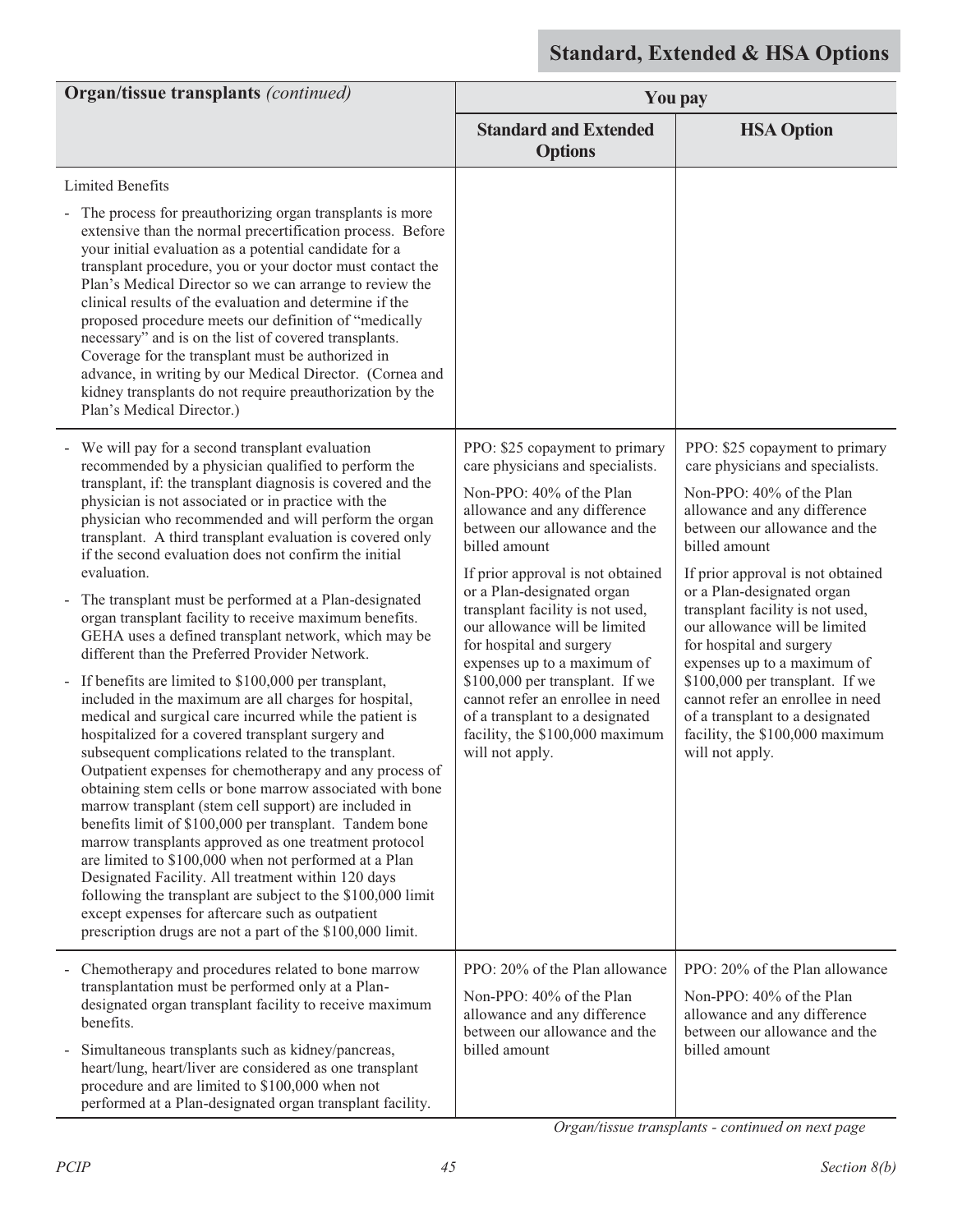| <b>Organ/tissue transplants (continued)</b>                                                                                                                                                                                                                                                                                                                                                                                                                                                                                                                                                                                                                                                                                                                                                                                                                                                                                                                                                                                                    | You pay                                                                                                                                                                                                                                                                                                                                                                                                                                                                                                                                             |                                                                                                                                                                                                                                                                                                                                                                                                                                                                                                                                                     |
|------------------------------------------------------------------------------------------------------------------------------------------------------------------------------------------------------------------------------------------------------------------------------------------------------------------------------------------------------------------------------------------------------------------------------------------------------------------------------------------------------------------------------------------------------------------------------------------------------------------------------------------------------------------------------------------------------------------------------------------------------------------------------------------------------------------------------------------------------------------------------------------------------------------------------------------------------------------------------------------------------------------------------------------------|-----------------------------------------------------------------------------------------------------------------------------------------------------------------------------------------------------------------------------------------------------------------------------------------------------------------------------------------------------------------------------------------------------------------------------------------------------------------------------------------------------------------------------------------------------|-----------------------------------------------------------------------------------------------------------------------------------------------------------------------------------------------------------------------------------------------------------------------------------------------------------------------------------------------------------------------------------------------------------------------------------------------------------------------------------------------------------------------------------------------------|
|                                                                                                                                                                                                                                                                                                                                                                                                                                                                                                                                                                                                                                                                                                                                                                                                                                                                                                                                                                                                                                                | <b>Standard and Extended</b><br><b>Options</b>                                                                                                                                                                                                                                                                                                                                                                                                                                                                                                      | <b>HSA Option</b>                                                                                                                                                                                                                                                                                                                                                                                                                                                                                                                                   |
| <b>Limited Benefits</b><br>The process for preauthorizing organ transplants is more<br>extensive than the normal precertification process. Before<br>your initial evaluation as a potential candidate for a<br>transplant procedure, you or your doctor must contact the                                                                                                                                                                                                                                                                                                                                                                                                                                                                                                                                                                                                                                                                                                                                                                       |                                                                                                                                                                                                                                                                                                                                                                                                                                                                                                                                                     |                                                                                                                                                                                                                                                                                                                                                                                                                                                                                                                                                     |
| Plan's Medical Director so we can arrange to review the<br>clinical results of the evaluation and determine if the<br>proposed procedure meets our definition of "medically<br>necessary" and is on the list of covered transplants.<br>Coverage for the transplant must be authorized in<br>advance, in writing by our Medical Director. (Cornea and<br>kidney transplants do not require preauthorization by the<br>Plan's Medical Director.)                                                                                                                                                                                                                                                                                                                                                                                                                                                                                                                                                                                                |                                                                                                                                                                                                                                                                                                                                                                                                                                                                                                                                                     |                                                                                                                                                                                                                                                                                                                                                                                                                                                                                                                                                     |
| - We will pay for a second transplant evaluation<br>recommended by a physician qualified to perform the<br>transplant, if: the transplant diagnosis is covered and the<br>physician is not associated or in practice with the<br>physician who recommended and will perform the organ<br>transplant. A third transplant evaluation is covered only<br>if the second evaluation does not confirm the initial<br>evaluation.<br>The transplant must be performed at a Plan-designated<br>$\blacksquare$<br>organ transplant facility to receive maximum benefits.<br>GEHA uses a defined transplant network, which may be<br>different than the Preferred Provider Network.<br>If benefits are limited to \$100,000 per transplant,<br>$\blacksquare$<br>included in the maximum are all charges for hospital,<br>medical and surgical care incurred while the patient is<br>hospitalized for a covered transplant surgery and<br>subsequent complications related to the transplant.<br>Outpatient expenses for chemotherapy and any process of | PPO: \$25 copayment to primary<br>care physicians and specialists.<br>Non-PPO: 40% of the Plan<br>allowance and any difference<br>between our allowance and the<br>billed amount<br>If prior approval is not obtained<br>or a Plan-designated organ<br>transplant facility is not used,<br>our allowance will be limited<br>for hospital and surgery<br>expenses up to a maximum of<br>\$100,000 per transplant. If we<br>cannot refer an enrollee in need<br>of a transplant to a designated<br>facility, the \$100,000 maximum<br>will not apply. | PPO: \$25 copayment to primary<br>care physicians and specialists.<br>Non-PPO: 40% of the Plan<br>allowance and any difference<br>between our allowance and the<br>billed amount<br>If prior approval is not obtained<br>or a Plan-designated organ<br>transplant facility is not used,<br>our allowance will be limited<br>for hospital and surgery<br>expenses up to a maximum of<br>\$100,000 per transplant. If we<br>cannot refer an enrollee in need<br>of a transplant to a designated<br>facility, the \$100,000 maximum<br>will not apply. |
| obtaining stem cells or bone marrow associated with bone<br>marrow transplant (stem cell support) are included in<br>benefits limit of \$100,000 per transplant. Tandem bone<br>marrow transplants approved as one treatment protocol<br>are limited to \$100,000 when not performed at a Plan<br>Designated Facility. All treatment within 120 days<br>following the transplant are subject to the \$100,000 limit<br>except expenses for aftercare such as outpatient<br>prescription drugs are not a part of the \$100,000 limit.                                                                                                                                                                                                                                                                                                                                                                                                                                                                                                           |                                                                                                                                                                                                                                                                                                                                                                                                                                                                                                                                                     |                                                                                                                                                                                                                                                                                                                                                                                                                                                                                                                                                     |
| Chemotherapy and procedures related to bone marrow<br>transplantation must be performed only at a Plan-<br>designated organ transplant facility to receive maximum                                                                                                                                                                                                                                                                                                                                                                                                                                                                                                                                                                                                                                                                                                                                                                                                                                                                             | PPO: 20% of the Plan allowance<br>Non-PPO: 40% of the Plan<br>allowance and any difference                                                                                                                                                                                                                                                                                                                                                                                                                                                          | PPO: 20% of the Plan allowance<br>Non-PPO: 40% of the Plan<br>allowance and any difference                                                                                                                                                                                                                                                                                                                                                                                                                                                          |
| benefits.<br>Simultaneous transplants such as kidney/pancreas,<br>$\qquad \qquad \blacksquare$<br>heart/lung, heart/liver are considered as one transplant<br>procedure and are limited to \$100,000 when not<br>performed at a Plan-designated organ transplant facility.                                                                                                                                                                                                                                                                                                                                                                                                                                                                                                                                                                                                                                                                                                                                                                     | between our allowance and the<br>billed amount                                                                                                                                                                                                                                                                                                                                                                                                                                                                                                      | between our allowance and the<br>billed amount                                                                                                                                                                                                                                                                                                                                                                                                                                                                                                      |

 *Organ/tissue transplants - continued on next page*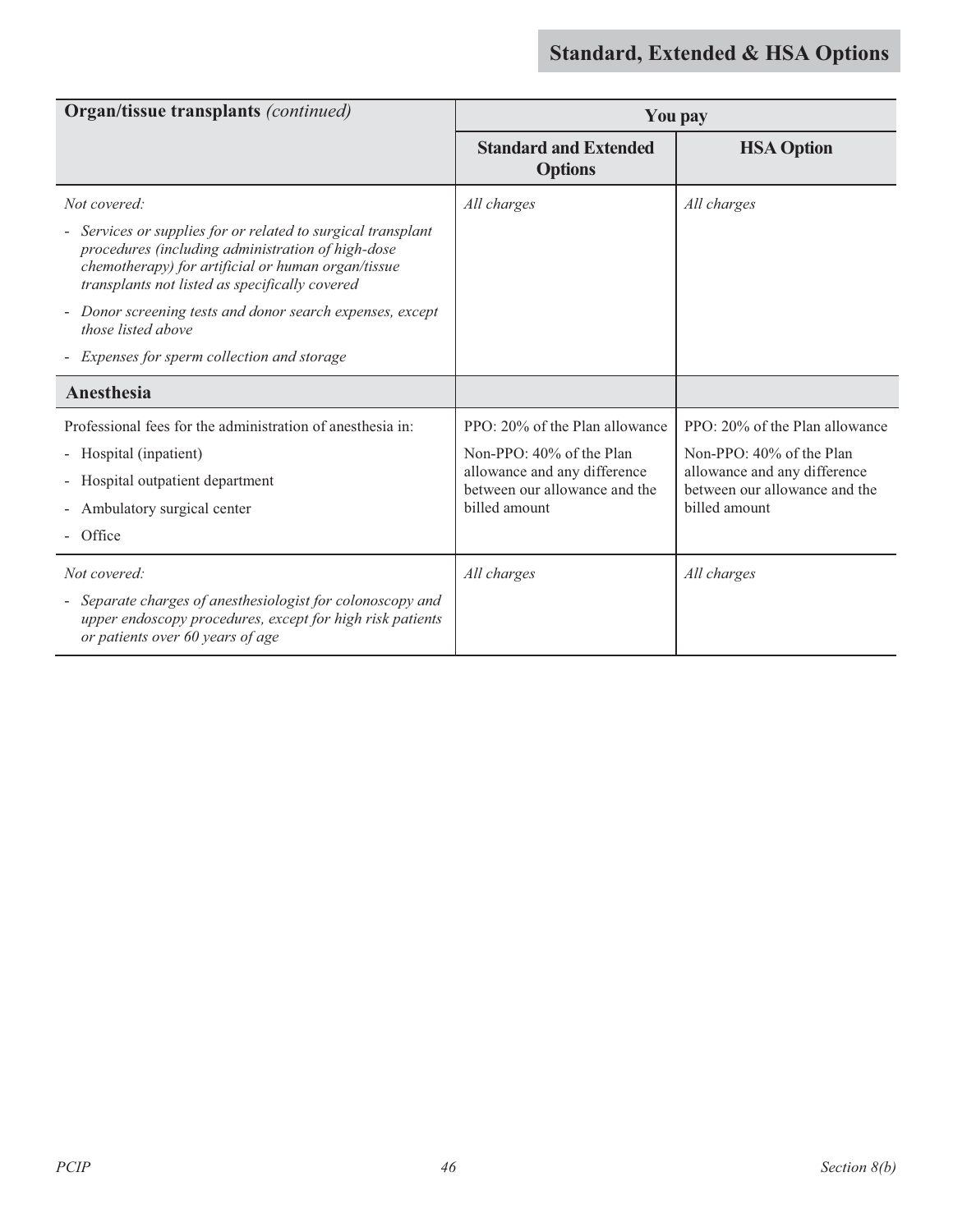| <b>Organ/tissue transplants (continued)</b>                                                                                                                                                                               | <b>You pay</b>                                                |                                                               |
|---------------------------------------------------------------------------------------------------------------------------------------------------------------------------------------------------------------------------|---------------------------------------------------------------|---------------------------------------------------------------|
|                                                                                                                                                                                                                           | <b>Standard and Extended</b><br><b>Options</b>                | <b>HSA Option</b>                                             |
| Not covered:                                                                                                                                                                                                              | All charges                                                   | All charges                                                   |
| - Services or supplies for or related to surgical transplant<br>procedures (including administration of high-dose<br>chemotherapy) for artificial or human organ/tissue<br>transplants not listed as specifically covered |                                                               |                                                               |
| Donor screening tests and donor search expenses, except<br>those listed above                                                                                                                                             |                                                               |                                                               |
| Expenses for sperm collection and storage                                                                                                                                                                                 |                                                               |                                                               |
| <b>Anesthesia</b>                                                                                                                                                                                                         |                                                               |                                                               |
| Professional fees for the administration of anesthesia in:                                                                                                                                                                | PPO: 20% of the Plan allowance                                | PPO: 20% of the Plan allowance                                |
| - Hospital (inpatient)                                                                                                                                                                                                    | Non-PPO: 40% of the Plan                                      | Non-PPO: 40% of the Plan                                      |
| - Hospital outpatient department                                                                                                                                                                                          | allowance and any difference<br>between our allowance and the | allowance and any difference<br>between our allowance and the |
| - Ambulatory surgical center                                                                                                                                                                                              | billed amount                                                 | billed amount                                                 |
| Office                                                                                                                                                                                                                    |                                                               |                                                               |
| Not covered:                                                                                                                                                                                                              | All charges                                                   | All charges                                                   |
| - Separate charges of anesthesiologist for colonoscopy and<br>upper endoscopy procedures, except for high risk patients<br>or patients over 60 years of age                                                               |                                                               |                                                               |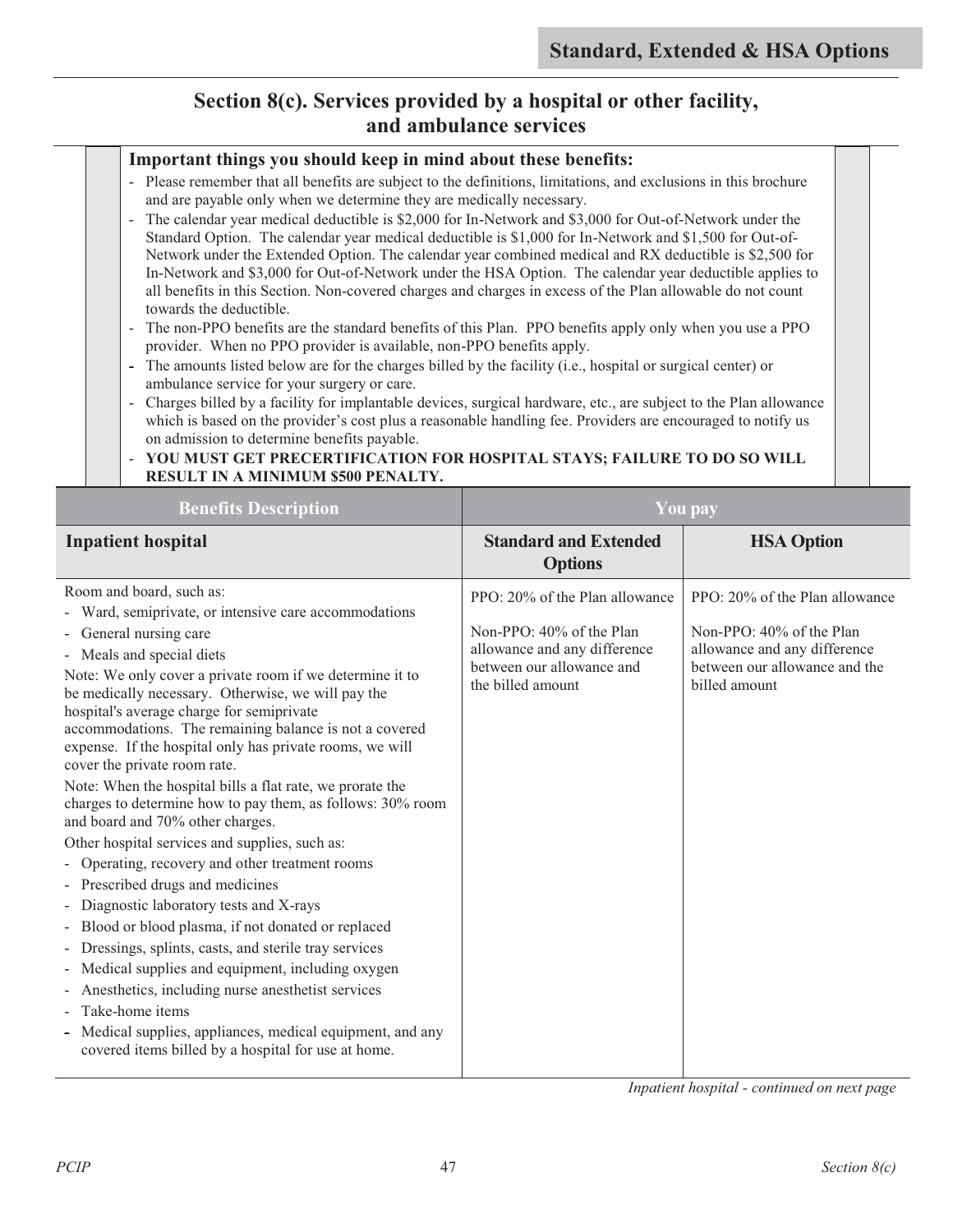### **Section 8(c). Services provided by a hospital or other facility, and ambulance services**

#### **Important things you should keep in mind about these benefits:**

- Please remember that all benefits are subject to the definitions, limitations, and exclusions in this brochure and are payable only when we determine they are medically necessary.
- The calendar year medical deductible is \$2,000 for In-Network and \$3,000 for Out-of-Network under the Standard Option. The calendar year medical deductible is \$1,000 for In-Network and \$1,500 for Out-of-Network under the Extended Option. The calendar year combined medical and RX deductible is \$2,500 for In-Network and \$3,000 for Out-of-Network under the HSA Option. The calendar year deductible applies to all benefits in this Section. Non-covered charges and charges in excess of the Plan allowable do not count towards the deductible.
- The non-PPO benefits are the standard benefits of this Plan. PPO benefits apply only when you use a PPO provider. When no PPO provider is available, non-PPO benefits apply.
- The amounts listed below are for the charges billed by the facility (i.e., hospital or surgical center) or ambulance service for your surgery or care.
- Charges billed by a facility for implantable devices, surgical hardware, etc., are subject to the Plan allowance which is based on the provider's cost plus a reasonable handling fee. Providers are encouraged to notify us on admission to determine benefits payable.

### - **YOU MUST GET PRECERTIFICATION FOR HOSPITAL STAYS; FAILURE TO DO SO WILL RESULT IN A MINIMUM \$500 PENALTY.**

| <b>Benefits Description</b>                                                                                                                                                                                                                                                                                                                                                                                                                                                                                                                                                                                                                                                                                                                                                                                                                                                                                                                                                                                                                                                                                                                                                     | <b>You pay</b>                                                                                                                               |                                                                                                                                              |
|---------------------------------------------------------------------------------------------------------------------------------------------------------------------------------------------------------------------------------------------------------------------------------------------------------------------------------------------------------------------------------------------------------------------------------------------------------------------------------------------------------------------------------------------------------------------------------------------------------------------------------------------------------------------------------------------------------------------------------------------------------------------------------------------------------------------------------------------------------------------------------------------------------------------------------------------------------------------------------------------------------------------------------------------------------------------------------------------------------------------------------------------------------------------------------|----------------------------------------------------------------------------------------------------------------------------------------------|----------------------------------------------------------------------------------------------------------------------------------------------|
| <b>Inpatient hospital</b>                                                                                                                                                                                                                                                                                                                                                                                                                                                                                                                                                                                                                                                                                                                                                                                                                                                                                                                                                                                                                                                                                                                                                       | <b>Standard and Extended</b><br><b>Options</b>                                                                                               | <b>HSA Option</b>                                                                                                                            |
| Room and board, such as:<br>- Ward, semiprivate, or intensive care accommodations<br>- General nursing care<br>- Meals and special diets<br>Note: We only cover a private room if we determine it to<br>be medically necessary. Otherwise, we will pay the<br>hospital's average charge for semiprivate<br>accommodations. The remaining balance is not a covered<br>expense. If the hospital only has private rooms, we will<br>cover the private room rate.<br>Note: When the hospital bills a flat rate, we prorate the<br>charges to determine how to pay them, as follows: 30% room<br>and board and 70% other charges.<br>Other hospital services and supplies, such as:<br>- Operating, recovery and other treatment rooms<br>- Prescribed drugs and medicines<br>Diagnostic laboratory tests and X-rays<br>- Blood or blood plasma, if not donated or replaced<br>Dressings, splints, casts, and sterile tray services<br>Medical supplies and equipment, including oxygen<br>Anesthetics, including nurse anesthetist services<br>- Take-home items<br>Medical supplies, appliances, medical equipment, and any<br>covered items billed by a hospital for use at home. | PPO: 20% of the Plan allowance<br>Non-PPO: 40% of the Plan<br>allowance and any difference<br>between our allowance and<br>the billed amount | PPO: 20% of the Plan allowance<br>Non-PPO: 40% of the Plan<br>allowance and any difference<br>between our allowance and the<br>billed amount |

*Inpatient hospital - continued on next page*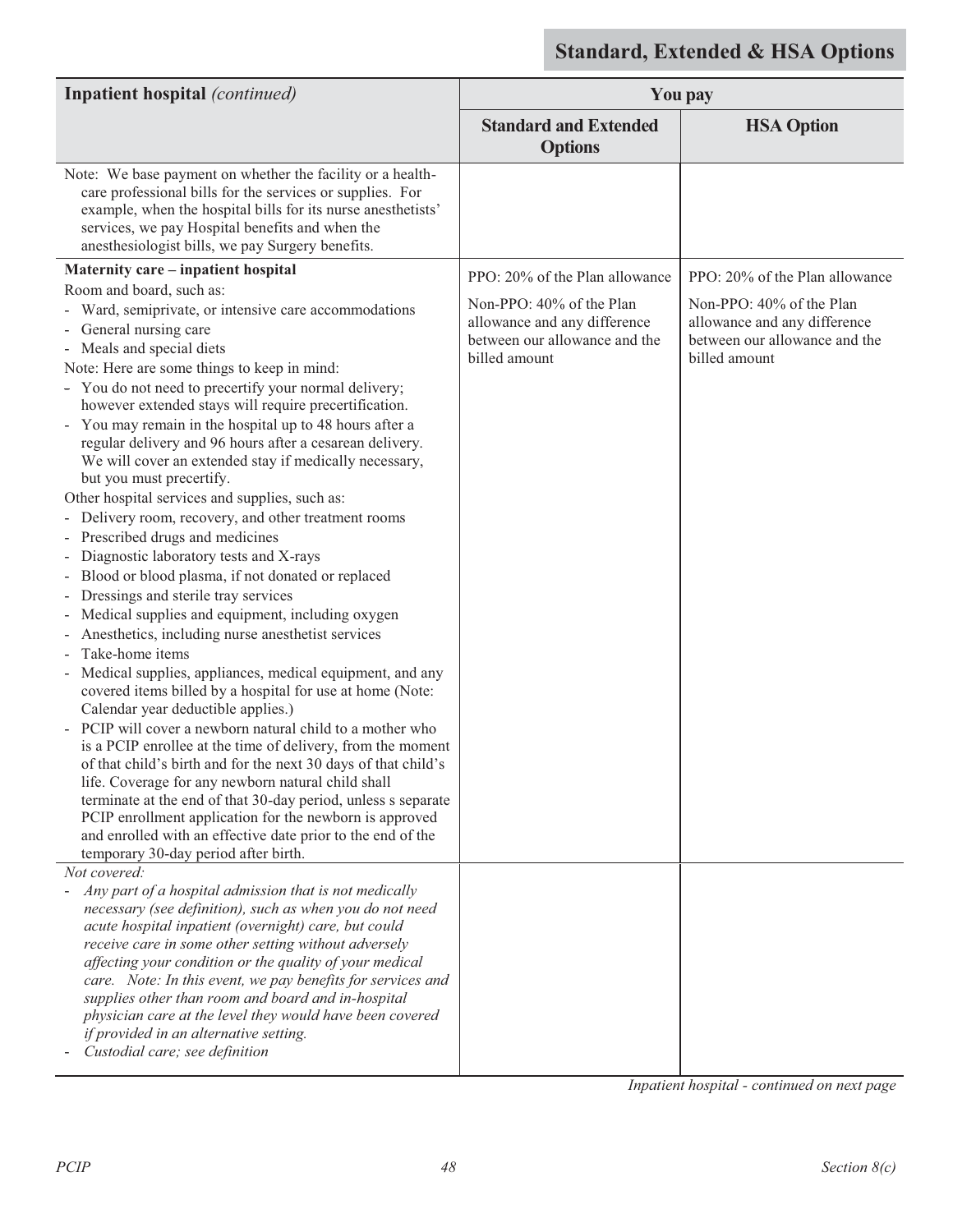| <b>Inpatient hospital</b> (continued)                                                                                                                                                                                                                                                                                                                                                                                                                                                                                                                                                                                                                                                                                                                                                                                                                                                                                                                                                                                                                                                                                                                                                                                                                                                                                                                                                                                                                                                                                                                                      |                                                                                                            | <b>You pay</b>                                                                                             |
|----------------------------------------------------------------------------------------------------------------------------------------------------------------------------------------------------------------------------------------------------------------------------------------------------------------------------------------------------------------------------------------------------------------------------------------------------------------------------------------------------------------------------------------------------------------------------------------------------------------------------------------------------------------------------------------------------------------------------------------------------------------------------------------------------------------------------------------------------------------------------------------------------------------------------------------------------------------------------------------------------------------------------------------------------------------------------------------------------------------------------------------------------------------------------------------------------------------------------------------------------------------------------------------------------------------------------------------------------------------------------------------------------------------------------------------------------------------------------------------------------------------------------------------------------------------------------|------------------------------------------------------------------------------------------------------------|------------------------------------------------------------------------------------------------------------|
|                                                                                                                                                                                                                                                                                                                                                                                                                                                                                                                                                                                                                                                                                                                                                                                                                                                                                                                                                                                                                                                                                                                                                                                                                                                                                                                                                                                                                                                                                                                                                                            | <b>Standard and Extended</b><br><b>Options</b>                                                             | <b>HSA Option</b>                                                                                          |
| Note: We base payment on whether the facility or a health-<br>care professional bills for the services or supplies. For<br>example, when the hospital bills for its nurse anesthetists'<br>services, we pay Hospital benefits and when the<br>anesthesiologist bills, we pay Surgery benefits.                                                                                                                                                                                                                                                                                                                                                                                                                                                                                                                                                                                                                                                                                                                                                                                                                                                                                                                                                                                                                                                                                                                                                                                                                                                                             |                                                                                                            |                                                                                                            |
| Maternity care - inpatient hospital                                                                                                                                                                                                                                                                                                                                                                                                                                                                                                                                                                                                                                                                                                                                                                                                                                                                                                                                                                                                                                                                                                                                                                                                                                                                                                                                                                                                                                                                                                                                        | PPO: 20% of the Plan allowance                                                                             | PPO: 20% of the Plan allowance                                                                             |
| Room and board, such as:<br>- Ward, semiprivate, or intensive care accommodations<br>- General nursing care<br>- Meals and special diets<br>Note: Here are some things to keep in mind:<br>- You do not need to precertify your normal delivery;<br>however extended stays will require precertification.<br>- You may remain in the hospital up to 48 hours after a<br>regular delivery and 96 hours after a cesarean delivery.<br>We will cover an extended stay if medically necessary,<br>but you must precertify.<br>Other hospital services and supplies, such as:<br>Delivery room, recovery, and other treatment rooms<br>Prescribed drugs and medicines<br>$\overline{\phantom{a}}$<br>Diagnostic laboratory tests and X-rays<br>Blood or blood plasma, if not donated or replaced<br>Dressings and sterile tray services<br>Medical supplies and equipment, including oxygen<br>Anesthetics, including nurse anesthetist services<br>Take-home items<br>Medical supplies, appliances, medical equipment, and any<br>covered items billed by a hospital for use at home (Note:<br>Calendar year deductible applies.)<br>PCIP will cover a newborn natural child to a mother who<br>is a PCIP enrollee at the time of delivery, from the moment<br>of that child's birth and for the next 30 days of that child's<br>life. Coverage for any newborn natural child shall<br>terminate at the end of that 30-day period, unless s separate<br>PCIP enrollment application for the newborn is approved<br>and enrolled with an effective date prior to the end of the | Non-PPO: 40% of the Plan<br>allowance and any difference<br>between our allowance and the<br>billed amount | Non-PPO: 40% of the Plan<br>allowance and any difference<br>between our allowance and the<br>billed amount |
| temporary 30-day period after birth.<br>Not covered:<br>Any part of a hospital admission that is not medically<br>necessary (see definition), such as when you do not need                                                                                                                                                                                                                                                                                                                                                                                                                                                                                                                                                                                                                                                                                                                                                                                                                                                                                                                                                                                                                                                                                                                                                                                                                                                                                                                                                                                                 |                                                                                                            |                                                                                                            |
| acute hospital inpatient (overnight) care, but could<br>receive care in some other setting without adversely<br>affecting your condition or the quality of your medical<br>care. Note: In this event, we pay benefits for services and<br>supplies other than room and board and in-hospital<br>physician care at the level they would have been covered<br>if provided in an alternative setting.<br>Custodial care; see definition                                                                                                                                                                                                                                                                                                                                                                                                                                                                                                                                                                                                                                                                                                                                                                                                                                                                                                                                                                                                                                                                                                                                       |                                                                                                            |                                                                                                            |

*Inpatient hospital - continued on next page*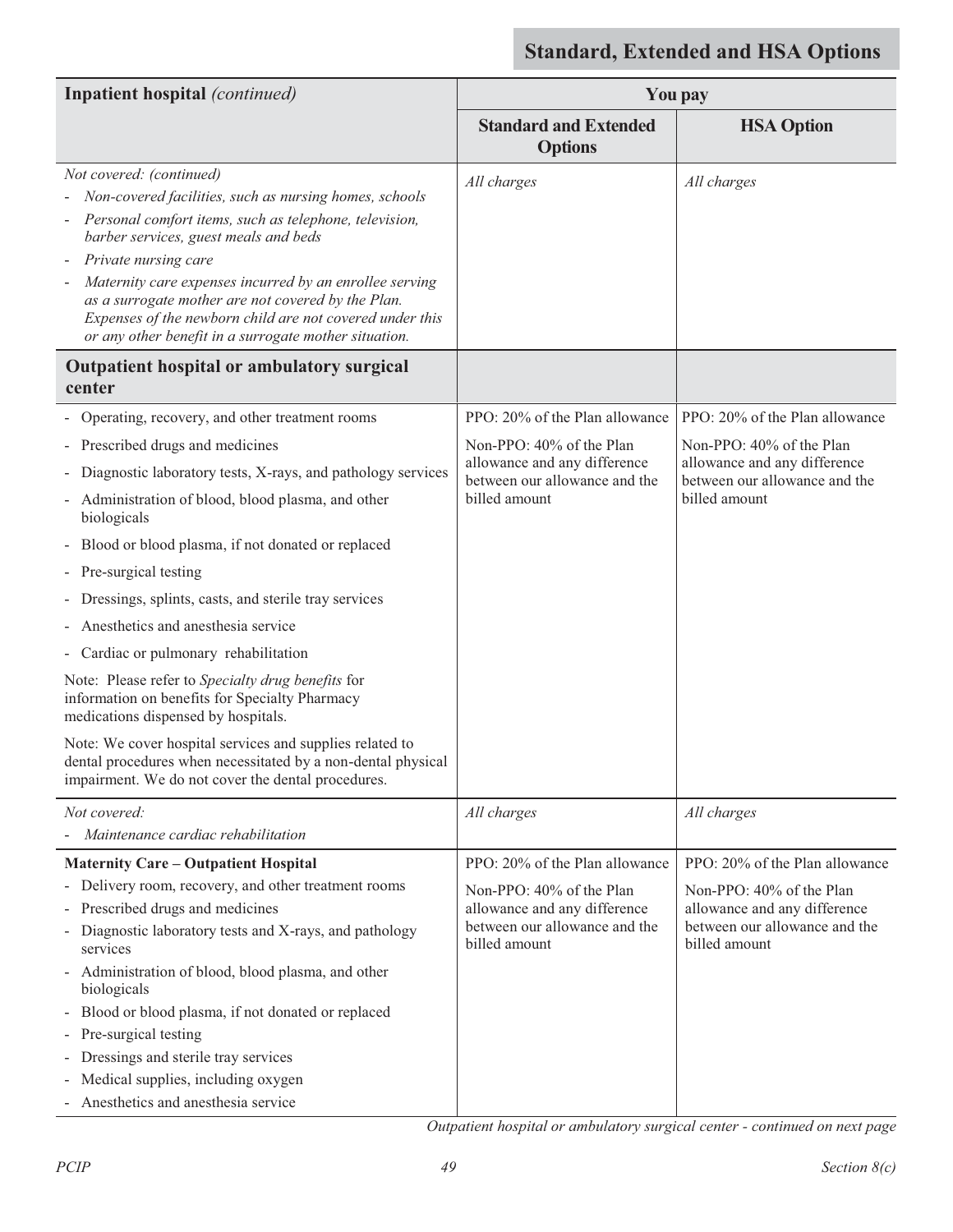| Inpatient hospital (continued)                                                                                                                                                                                                                                                                                                                                                                                                                                                                                                                                                                                                                                                                                                                                           |                                                                                                                                              | <b>You pay</b>                                                                                                                               |
|--------------------------------------------------------------------------------------------------------------------------------------------------------------------------------------------------------------------------------------------------------------------------------------------------------------------------------------------------------------------------------------------------------------------------------------------------------------------------------------------------------------------------------------------------------------------------------------------------------------------------------------------------------------------------------------------------------------------------------------------------------------------------|----------------------------------------------------------------------------------------------------------------------------------------------|----------------------------------------------------------------------------------------------------------------------------------------------|
|                                                                                                                                                                                                                                                                                                                                                                                                                                                                                                                                                                                                                                                                                                                                                                          | <b>Standard and Extended</b><br><b>Options</b>                                                                                               | <b>HSA Option</b>                                                                                                                            |
| Not covered: (continued)<br>Non-covered facilities, such as nursing homes, schools<br>Personal comfort items, such as telephone, television,<br>barber services, guest meals and beds<br>Private nursing care<br>Maternity care expenses incurred by an enrollee serving<br>as a surrogate mother are not covered by the Plan.<br>Expenses of the newborn child are not covered under this<br>or any other benefit in a surrogate mother situation.                                                                                                                                                                                                                                                                                                                      | All charges                                                                                                                                  | All charges                                                                                                                                  |
| Outpatient hospital or ambulatory surgical<br>center                                                                                                                                                                                                                                                                                                                                                                                                                                                                                                                                                                                                                                                                                                                     |                                                                                                                                              |                                                                                                                                              |
| Operating, recovery, and other treatment rooms<br>- Prescribed drugs and medicines<br>Diagnostic laboratory tests, X-rays, and pathology services<br>Administration of blood, blood plasma, and other<br>biologicals<br>Blood or blood plasma, if not donated or replaced<br>- Pre-surgical testing<br>Dressings, splints, casts, and sterile tray services<br>Anesthetics and anesthesia service<br>Cardiac or pulmonary rehabilitation<br>Note: Please refer to Specialty drug benefits for<br>information on benefits for Specialty Pharmacy<br>medications dispensed by hospitals.<br>Note: We cover hospital services and supplies related to<br>dental procedures when necessitated by a non-dental physical<br>impairment. We do not cover the dental procedures. | PPO: 20% of the Plan allowance<br>Non-PPO: 40% of the Plan<br>allowance and any difference<br>between our allowance and the<br>billed amount | PPO: 20% of the Plan allowance<br>Non-PPO: 40% of the Plan<br>allowance and any difference<br>between our allowance and the<br>billed amount |
| Not covered:<br>Maintenance cardiac rehabilitation                                                                                                                                                                                                                                                                                                                                                                                                                                                                                                                                                                                                                                                                                                                       | All charges                                                                                                                                  | All charges                                                                                                                                  |
| <b>Maternity Care - Outpatient Hospital</b><br>- Delivery room, recovery, and other treatment rooms<br>Prescribed drugs and medicines<br>$\overline{\phantom{a}}$<br>Diagnostic laboratory tests and X-rays, and pathology<br>services<br>Administration of blood, blood plasma, and other<br>$\qquad \qquad -$<br>biologicals<br>Blood or blood plasma, if not donated or replaced<br>$\overline{\phantom{a}}$<br>Pre-surgical testing<br>Dressings and sterile tray services<br>Medical supplies, including oxygen<br>Anesthetics and anesthesia service                                                                                                                                                                                                               | PPO: 20% of the Plan allowance<br>Non-PPO: 40% of the Plan<br>allowance and any difference<br>between our allowance and the<br>billed amount | PPO: 20% of the Plan allowance<br>Non-PPO: 40% of the Plan<br>allowance and any difference<br>between our allowance and the<br>billed amount |

*Outpatient hospital or ambulatory surgical center - continued on next page*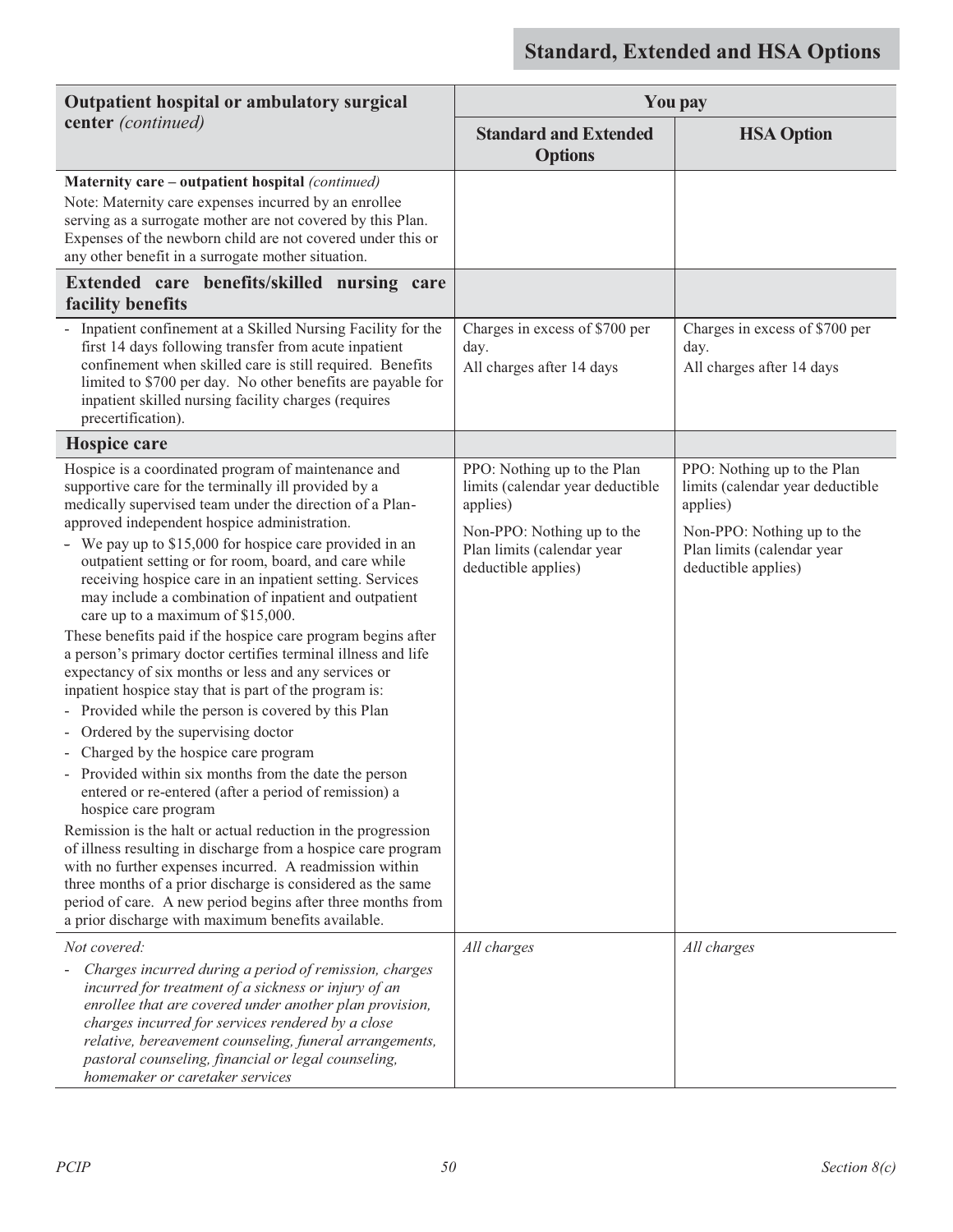| Outpatient hospital or ambulatory surgical                                                                                                                                                                                                                                                                                                                                                                                                                                                                                                                                                                                                                                                                                                                                                                                                                                                                                                                                                                                                                                                                                                                                                                                                                                                                                                                                                                        | <b>You pay</b>                                                                                                                                                 |                                                                                                                                                                |
|-------------------------------------------------------------------------------------------------------------------------------------------------------------------------------------------------------------------------------------------------------------------------------------------------------------------------------------------------------------------------------------------------------------------------------------------------------------------------------------------------------------------------------------------------------------------------------------------------------------------------------------------------------------------------------------------------------------------------------------------------------------------------------------------------------------------------------------------------------------------------------------------------------------------------------------------------------------------------------------------------------------------------------------------------------------------------------------------------------------------------------------------------------------------------------------------------------------------------------------------------------------------------------------------------------------------------------------------------------------------------------------------------------------------|----------------------------------------------------------------------------------------------------------------------------------------------------------------|----------------------------------------------------------------------------------------------------------------------------------------------------------------|
| center (continued)                                                                                                                                                                                                                                                                                                                                                                                                                                                                                                                                                                                                                                                                                                                                                                                                                                                                                                                                                                                                                                                                                                                                                                                                                                                                                                                                                                                                | <b>Standard and Extended</b><br><b>Options</b>                                                                                                                 | <b>HSA Option</b>                                                                                                                                              |
| Maternity care - outpatient hospital (continued)<br>Note: Maternity care expenses incurred by an enrollee<br>serving as a surrogate mother are not covered by this Plan.<br>Expenses of the newborn child are not covered under this or<br>any other benefit in a surrogate mother situation.                                                                                                                                                                                                                                                                                                                                                                                                                                                                                                                                                                                                                                                                                                                                                                                                                                                                                                                                                                                                                                                                                                                     |                                                                                                                                                                |                                                                                                                                                                |
| Extended care benefits/skilled nursing care<br>facility benefits                                                                                                                                                                                                                                                                                                                                                                                                                                                                                                                                                                                                                                                                                                                                                                                                                                                                                                                                                                                                                                                                                                                                                                                                                                                                                                                                                  |                                                                                                                                                                |                                                                                                                                                                |
| Inpatient confinement at a Skilled Nursing Facility for the<br>first 14 days following transfer from acute inpatient<br>confinement when skilled care is still required. Benefits<br>limited to \$700 per day. No other benefits are payable for<br>inpatient skilled nursing facility charges (requires<br>precertification).                                                                                                                                                                                                                                                                                                                                                                                                                                                                                                                                                                                                                                                                                                                                                                                                                                                                                                                                                                                                                                                                                    | Charges in excess of \$700 per<br>day.<br>All charges after 14 days                                                                                            | Charges in excess of \$700 per<br>day.<br>All charges after 14 days                                                                                            |
| Hospice care                                                                                                                                                                                                                                                                                                                                                                                                                                                                                                                                                                                                                                                                                                                                                                                                                                                                                                                                                                                                                                                                                                                                                                                                                                                                                                                                                                                                      |                                                                                                                                                                |                                                                                                                                                                |
| Hospice is a coordinated program of maintenance and<br>supportive care for the terminally ill provided by a<br>medically supervised team under the direction of a Plan-<br>approved independent hospice administration.<br>- We pay up to \$15,000 for hospice care provided in an<br>outpatient setting or for room, board, and care while<br>receiving hospice care in an inpatient setting. Services<br>may include a combination of inpatient and outpatient<br>care up to a maximum of \$15,000.<br>These benefits paid if the hospice care program begins after<br>a person's primary doctor certifies terminal illness and life<br>expectancy of six months or less and any services or<br>inpatient hospice stay that is part of the program is:<br>Provided while the person is covered by this Plan<br>Ordered by the supervising doctor<br>Charged by the hospice care program<br>Provided within six months from the date the person<br>entered or re-entered (after a period of remission) a<br>hospice care program<br>Remission is the halt or actual reduction in the progression<br>of illness resulting in discharge from a hospice care program<br>with no further expenses incurred. A readmission within<br>three months of a prior discharge is considered as the same<br>period of care. A new period begins after three months from<br>a prior discharge with maximum benefits available. | PPO: Nothing up to the Plan<br>limits (calendar year deductible<br>applies)<br>Non-PPO: Nothing up to the<br>Plan limits (calendar year<br>deductible applies) | PPO: Nothing up to the Plan<br>limits (calendar year deductible<br>applies)<br>Non-PPO: Nothing up to the<br>Plan limits (calendar year<br>deductible applies) |
| Not covered:<br>Charges incurred during a period of remission, charges<br>incurred for treatment of a sickness or injury of an<br>enrollee that are covered under another plan provision,<br>charges incurred for services rendered by a close<br>relative, bereavement counseling, funeral arrangements,<br>pastoral counseling, financial or legal counseling,<br>homemaker or caretaker services                                                                                                                                                                                                                                                                                                                                                                                                                                                                                                                                                                                                                                                                                                                                                                                                                                                                                                                                                                                                               | All charges                                                                                                                                                    | All charges                                                                                                                                                    |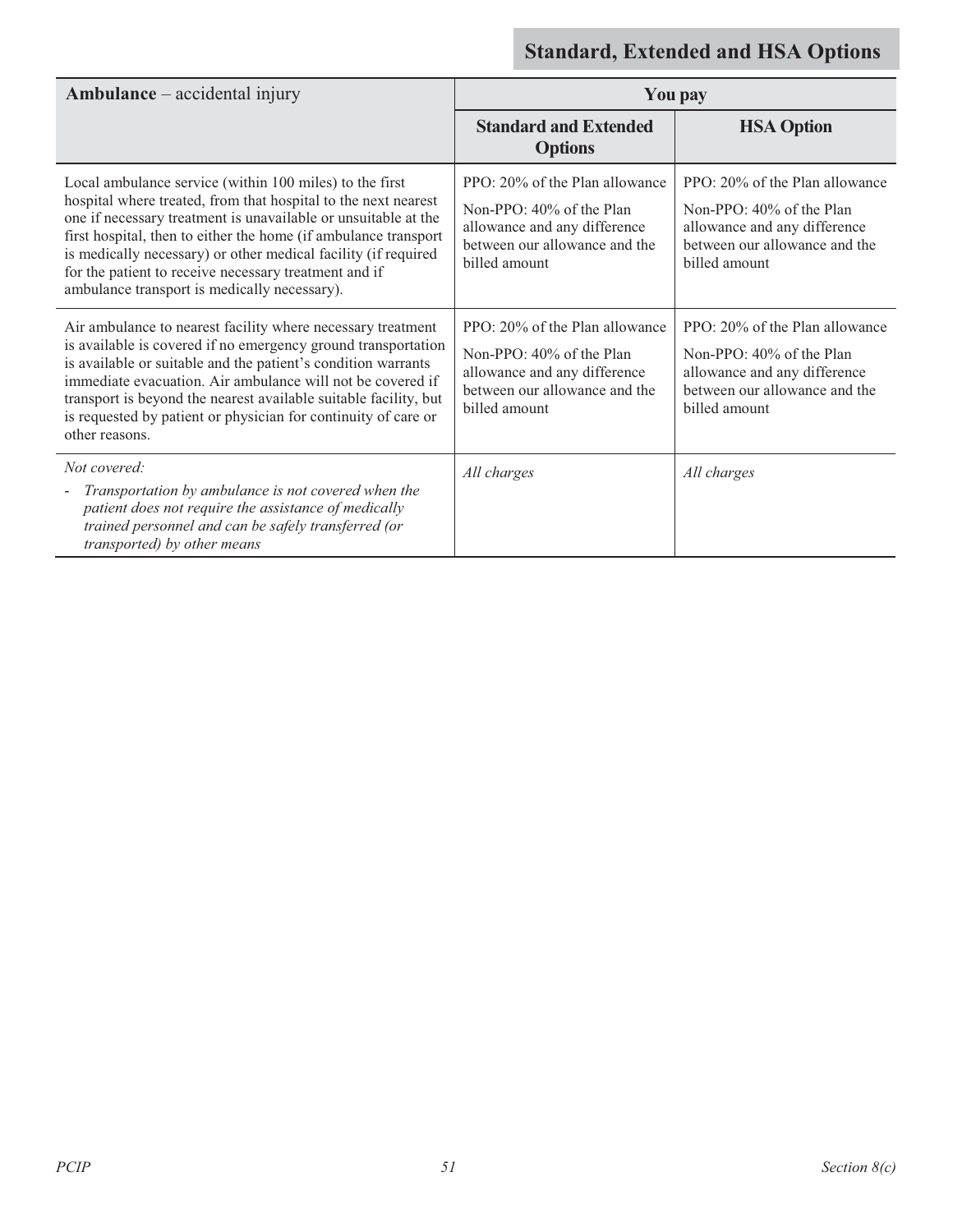| $Ambulance - accidental injury$                                                                                                                                                                                                                                                                                                                                                                                                           |                                                                                                                                              | <b>You pay</b>                                                                                                                               |
|-------------------------------------------------------------------------------------------------------------------------------------------------------------------------------------------------------------------------------------------------------------------------------------------------------------------------------------------------------------------------------------------------------------------------------------------|----------------------------------------------------------------------------------------------------------------------------------------------|----------------------------------------------------------------------------------------------------------------------------------------------|
|                                                                                                                                                                                                                                                                                                                                                                                                                                           | <b>Standard and Extended</b><br><b>Options</b>                                                                                               | <b>HSA Option</b>                                                                                                                            |
| Local ambulance service (within 100 miles) to the first<br>hospital where treated, from that hospital to the next nearest<br>one if necessary treatment is unavailable or unsuitable at the<br>first hospital, then to either the home (if ambulance transport<br>is medically necessary) or other medical facility (if required<br>for the patient to receive necessary treatment and if<br>ambulance transport is medically necessary). | PPO: 20% of the Plan allowance<br>Non-PPO: 40% of the Plan<br>allowance and any difference<br>between our allowance and the<br>billed amount | PPO: 20% of the Plan allowance<br>Non-PPO: 40% of the Plan<br>allowance and any difference<br>between our allowance and the<br>billed amount |
| Air ambulance to nearest facility where necessary treatment<br>is available is covered if no emergency ground transportation<br>is available or suitable and the patient's condition warrants<br>immediate evacuation. Air ambulance will not be covered if<br>transport is beyond the nearest available suitable facility, but<br>is requested by patient or physician for continuity of care or<br>other reasons.                       | PPO: 20% of the Plan allowance<br>Non-PPO: 40% of the Plan<br>allowance and any difference<br>between our allowance and the<br>billed amount | PPO: 20% of the Plan allowance<br>Non-PPO: 40% of the Plan<br>allowance and any difference<br>between our allowance and the<br>billed amount |
| Not covered:<br>Transportation by ambulance is not covered when the<br>patient does not require the assistance of medically<br>trained personnel and can be safely transferred (or<br>transported) by other means                                                                                                                                                                                                                         | All charges                                                                                                                                  | All charges                                                                                                                                  |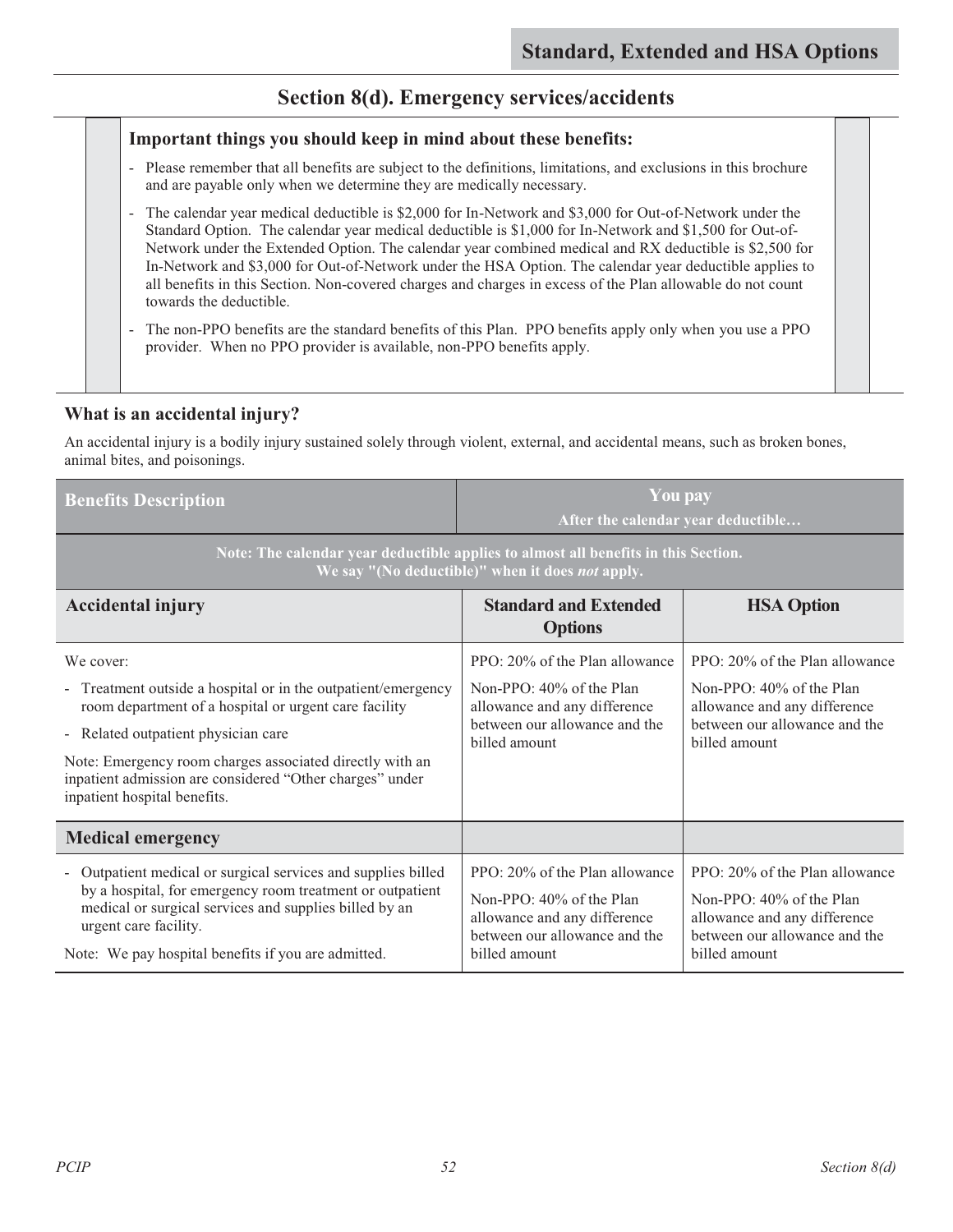### **Section 8(d). Emergency services/accidents**

#### **Important things you should keep in mind about these benefits:**

- Please remember that all benefits are subject to the definitions, limitations, and exclusions in this brochure and are payable only when we determine they are medically necessary.
- The calendar year medical deductible is \$2,000 for In-Network and \$3,000 for Out-of-Network under the Standard Option. The calendar year medical deductible is \$1,000 for In-Network and \$1,500 for Out-of-Network under the Extended Option. The calendar year combined medical and RX deductible is \$2,500 for In-Network and \$3,000 for Out-of-Network under the HSA Option. The calendar year deductible applies to all benefits in this Section. Non-covered charges and charges in excess of the Plan allowable do not count towards the deductible.
- The non-PPO benefits are the standard benefits of this Plan. PPO benefits apply only when you use a PPO provider. When no PPO provider is available, non-PPO benefits apply.

### **What is an accidental injury?**

An accidental injury is a bodily injury sustained solely through violent, external, and accidental means, such as broken bones, animal bites, and poisonings.

| <b>Benefits Description</b>                                                                                                                          | <b>You pay</b><br>After the calendar year deductible                                      |                                                                                           |
|------------------------------------------------------------------------------------------------------------------------------------------------------|-------------------------------------------------------------------------------------------|-------------------------------------------------------------------------------------------|
| Note: The calendar year deductible applies to almost all benefits in this Section.<br>We say "(No deductible)" when it does not apply.               |                                                                                           |                                                                                           |
| <b>Accidental injury</b>                                                                                                                             | <b>Standard and Extended</b><br><b>Options</b>                                            | <b>HSA Option</b>                                                                         |
| We cover:                                                                                                                                            | PPO: 20% of the Plan allowance                                                            | PPO: 20% of the Plan allowance                                                            |
| - Treatment outside a hospital or in the outpatient/emergency<br>room department of a hospital or urgent care facility                               | Non-PPO: $40\%$ of the Plan<br>allowance and any difference                               | Non-PPO: 40% of the Plan<br>allowance and any difference                                  |
| - Related outpatient physician care                                                                                                                  | between our allowance and the<br>billed amount                                            | between our allowance and the<br>billed amount                                            |
| Note: Emergency room charges associated directly with an<br>inpatient admission are considered "Other charges" under<br>inpatient hospital benefits. |                                                                                           |                                                                                           |
| <b>Medical emergency</b>                                                                                                                             |                                                                                           |                                                                                           |
| - Outpatient medical or surgical services and supplies billed                                                                                        | PPO: 20% of the Plan allowance                                                            | PPO: 20% of the Plan allowance                                                            |
| by a hospital, for emergency room treatment or outpatient<br>medical or surgical services and supplies billed by an<br>urgent care facility.         | Non-PPO: 40% of the Plan<br>allowance and any difference<br>between our allowance and the | Non-PPO: 40% of the Plan<br>allowance and any difference<br>between our allowance and the |
| Note: We pay hospital benefits if you are admitted.                                                                                                  | billed amount                                                                             | billed amount                                                                             |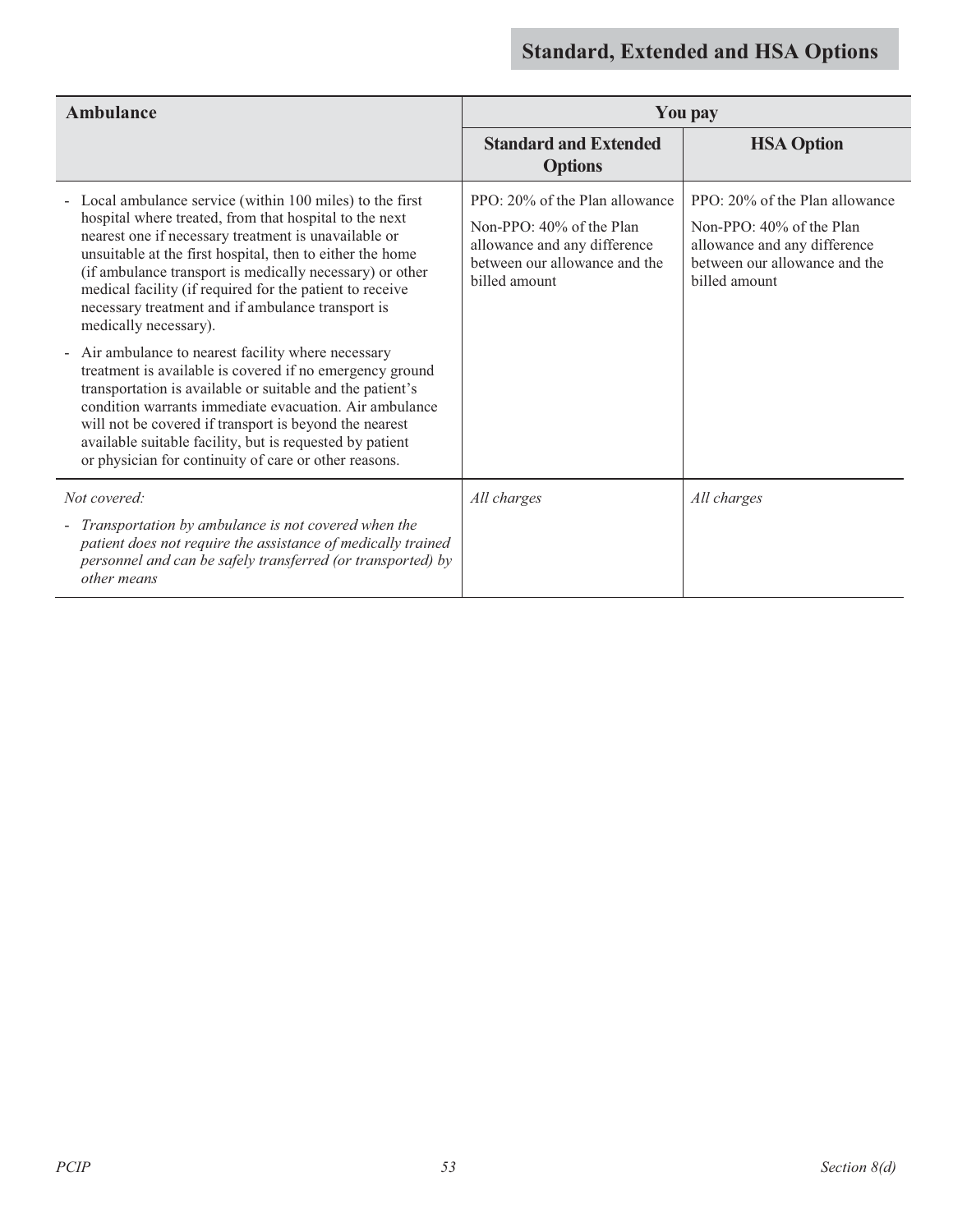| Ambulance                                                                                                                                                                                                                                                                                                                                                                                                                                                                                                                                                                                                                            |                                                                                                                                                 | <b>You pay</b>                                                                                                                                  |
|--------------------------------------------------------------------------------------------------------------------------------------------------------------------------------------------------------------------------------------------------------------------------------------------------------------------------------------------------------------------------------------------------------------------------------------------------------------------------------------------------------------------------------------------------------------------------------------------------------------------------------------|-------------------------------------------------------------------------------------------------------------------------------------------------|-------------------------------------------------------------------------------------------------------------------------------------------------|
|                                                                                                                                                                                                                                                                                                                                                                                                                                                                                                                                                                                                                                      | <b>Standard and Extended</b><br><b>Options</b>                                                                                                  | <b>HSA Option</b>                                                                                                                               |
| Local ambulance service (within 100 miles) to the first<br>hospital where treated, from that hospital to the next<br>nearest one if necessary treatment is unavailable or<br>unsuitable at the first hospital, then to either the home<br>(if ambulance transport is medically necessary) or other<br>medical facility (if required for the patient to receive<br>necessary treatment and if ambulance transport is<br>medically necessary).<br>Air ambulance to nearest facility where necessary<br>$\sim$<br>treatment is available is covered if no emergency ground<br>transportation is available or suitable and the patient's | PPO: 20% of the Plan allowance<br>Non-PPO: $40\%$ of the Plan<br>allowance and any difference<br>between our allowance and the<br>billed amount | PPO: 20% of the Plan allowance<br>Non-PPO: $40\%$ of the Plan<br>allowance and any difference<br>between our allowance and the<br>billed amount |
| condition warrants immediate evacuation. Air ambulance<br>will not be covered if transport is beyond the nearest<br>available suitable facility, but is requested by patient<br>or physician for continuity of care or other reasons.                                                                                                                                                                                                                                                                                                                                                                                                |                                                                                                                                                 |                                                                                                                                                 |
| Not covered:<br>Transportation by ambulance is not covered when the<br>patient does not require the assistance of medically trained                                                                                                                                                                                                                                                                                                                                                                                                                                                                                                  | All charges                                                                                                                                     | All charges                                                                                                                                     |
| personnel and can be safely transferred (or transported) by<br>other means                                                                                                                                                                                                                                                                                                                                                                                                                                                                                                                                                           |                                                                                                                                                 |                                                                                                                                                 |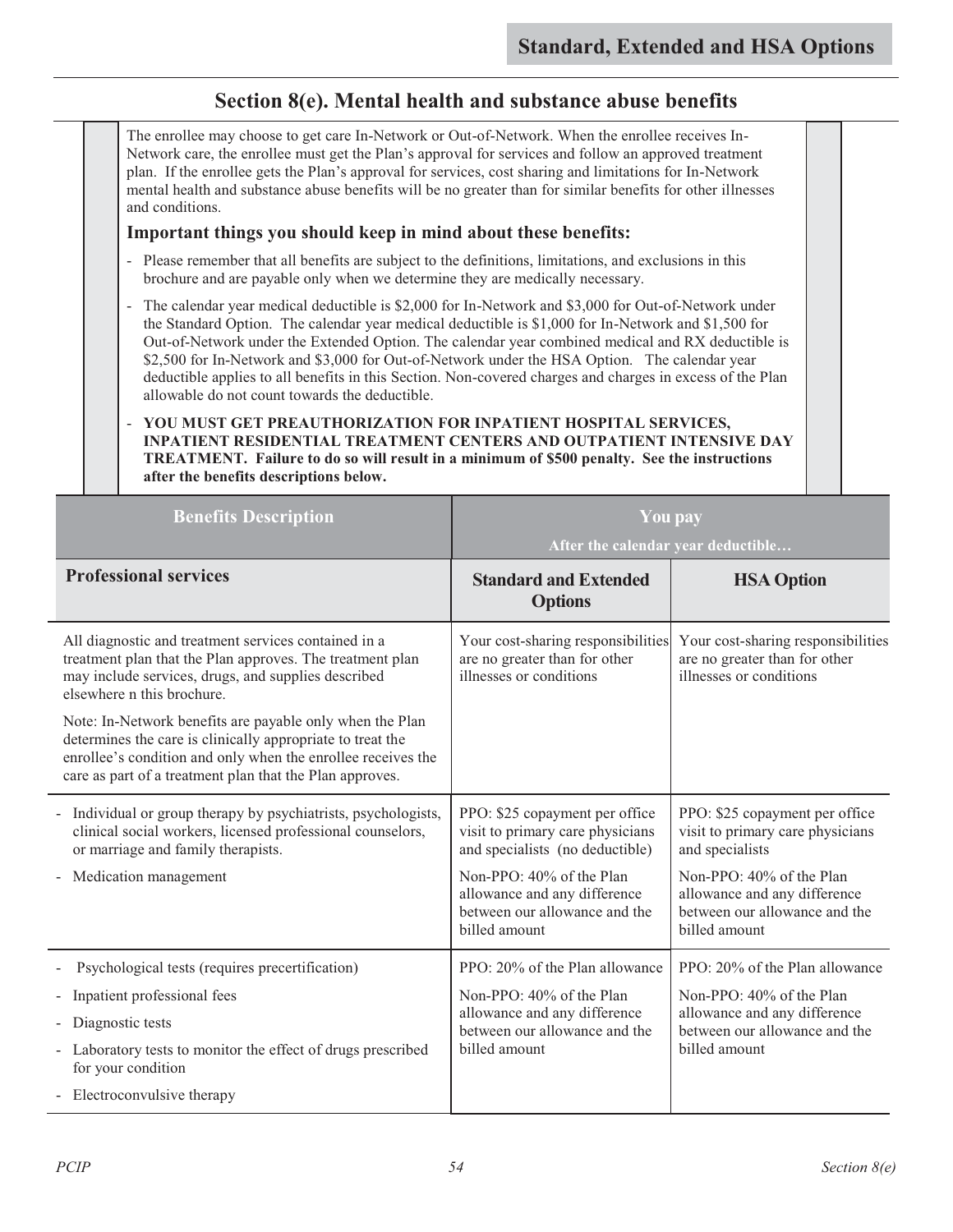### **Section 8(e). Mental health and substance abuse benefits**

| The enrollee may choose to get care In-Network or Out-of-Network. When the enrollee receives In-<br>Network care, the enrollee must get the Plan's approval for services and follow an approved treatment<br>plan. If the enrollee gets the Plan's approval for services, cost sharing and limitations for In-Network<br>mental health and substance abuse benefits will be no greater than for similar benefits for other illnesses<br>and conditions.                                                                                                                           |                                                                                                |                                                                                                |  |
|-----------------------------------------------------------------------------------------------------------------------------------------------------------------------------------------------------------------------------------------------------------------------------------------------------------------------------------------------------------------------------------------------------------------------------------------------------------------------------------------------------------------------------------------------------------------------------------|------------------------------------------------------------------------------------------------|------------------------------------------------------------------------------------------------|--|
| Important things you should keep in mind about these benefits:                                                                                                                                                                                                                                                                                                                                                                                                                                                                                                                    |                                                                                                |                                                                                                |  |
| - Please remember that all benefits are subject to the definitions, limitations, and exclusions in this<br>brochure and are payable only when we determine they are medically necessary.                                                                                                                                                                                                                                                                                                                                                                                          |                                                                                                |                                                                                                |  |
| - The calendar year medical deductible is \$2,000 for In-Network and \$3,000 for Out-of-Network under<br>the Standard Option. The calendar year medical deductible is \$1,000 for In-Network and \$1,500 for<br>Out-of-Network under the Extended Option. The calendar year combined medical and RX deductible is<br>\$2,500 for In-Network and \$3,000 for Out-of-Network under the HSA Option. The calendar year<br>deductible applies to all benefits in this Section. Non-covered charges and charges in excess of the Plan<br>allowable do not count towards the deductible. |                                                                                                |                                                                                                |  |
| YOU MUST GET PREAUTHORIZATION FOR INPATIENT HOSPITAL SERVICES,<br><b>INPATIENT RESIDENTIAL TREATMENT CENTERS AND OUTPATIENT INTENSIVE DAY</b><br>TREATMENT. Failure to do so will result in a minimum of \$500 penalty. See the instructions<br>after the benefits descriptions below.                                                                                                                                                                                                                                                                                            |                                                                                                |                                                                                                |  |
| <b>Benefits Description</b>                                                                                                                                                                                                                                                                                                                                                                                                                                                                                                                                                       | <b>You pay</b>                                                                                 |                                                                                                |  |
|                                                                                                                                                                                                                                                                                                                                                                                                                                                                                                                                                                                   | After the calendar year deductible                                                             |                                                                                                |  |
| <b>Professional services</b>                                                                                                                                                                                                                                                                                                                                                                                                                                                                                                                                                      | <b>Standard and Extended</b><br><b>Options</b>                                                 | <b>HSA Option</b>                                                                              |  |
| All diagnostic and treatment services contained in a<br>treatment plan that the Plan approves. The treatment plan<br>may include services, drugs, and supplies described<br>elsewhere n this brochure.                                                                                                                                                                                                                                                                                                                                                                            | Your cost-sharing responsibilities<br>are no greater than for other<br>illnesses or conditions | Your cost-sharing responsibilities<br>are no greater than for other<br>illnesses or conditions |  |
| Note: In-Network benefits are payable only when the Plan<br>determines the care is clinically appropriate to treat the<br>enrollee's condition and only when the enrollee receives the                                                                                                                                                                                                                                                                                                                                                                                            |                                                                                                |                                                                                                |  |

care as part of a treatment plan that the Plan approves. - Individual or group therapy by psychiatrists, psychologists, clinical social workers, licensed professional counselors, or marriage and family therapists. - Medication management PPO: \$25 copayment per office visit to primary care physicians and specialists (no deductible) Non-PPO: 40% of the Plan allowance and any difference between our allowance and the billed amount PPO: \$25 copayment per office visit to primary care physicians and specialists Non-PPO: 40% of the Plan allowance and any difference between our allowance and the billed amount Psychological tests (requires precertification) - Inpatient professional fees - Diagnostic tests - Laboratory tests to monitor the effect of drugs prescribed for your condition PPO: 20% of the Plan allowance Non-PPO: 40% of the Plan allowance and any difference between our allowance and the billed amount PPO: 20% of the Plan allowance Non-PPO: 40% of the Plan allowance and any difference between our allowance and the billed amount

- Electroconvulsive therapy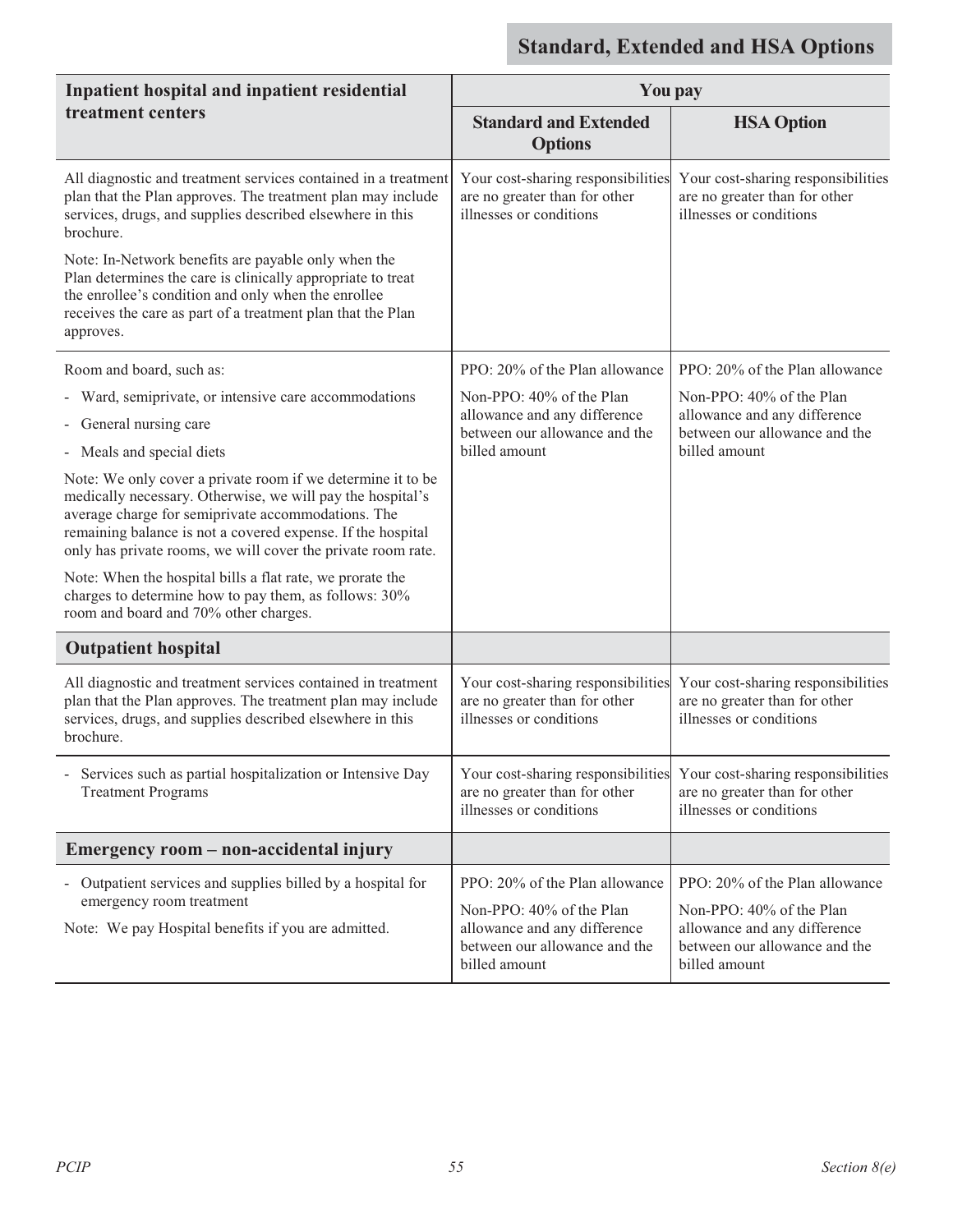| Inpatient hospital and inpatient residential                                                                                                                                                                                                                                                                   | <b>You pay</b>                                                                                             |                                                                                                            |
|----------------------------------------------------------------------------------------------------------------------------------------------------------------------------------------------------------------------------------------------------------------------------------------------------------------|------------------------------------------------------------------------------------------------------------|------------------------------------------------------------------------------------------------------------|
| treatment centers                                                                                                                                                                                                                                                                                              | <b>Standard and Extended</b><br><b>Options</b>                                                             | <b>HSA Option</b>                                                                                          |
| All diagnostic and treatment services contained in a treatment<br>plan that the Plan approves. The treatment plan may include<br>services, drugs, and supplies described elsewhere in this<br>brochure.                                                                                                        | Your cost-sharing responsibilities<br>are no greater than for other<br>illnesses or conditions             | Your cost-sharing responsibilities<br>are no greater than for other<br>illnesses or conditions             |
| Note: In-Network benefits are payable only when the<br>Plan determines the care is clinically appropriate to treat<br>the enrollee's condition and only when the enrollee<br>receives the care as part of a treatment plan that the Plan<br>approves.                                                          |                                                                                                            |                                                                                                            |
| Room and board, such as:                                                                                                                                                                                                                                                                                       | PPO: 20% of the Plan allowance                                                                             | PPO: 20% of the Plan allowance                                                                             |
| - Ward, semiprivate, or intensive care accommodations<br>- General nursing care                                                                                                                                                                                                                                | Non-PPO: 40% of the Plan<br>allowance and any difference                                                   | Non-PPO: 40% of the Plan<br>allowance and any difference                                                   |
| - Meals and special diets                                                                                                                                                                                                                                                                                      | between our allowance and the<br>billed amount                                                             | between our allowance and the<br>billed amount                                                             |
| Note: We only cover a private room if we determine it to be<br>medically necessary. Otherwise, we will pay the hospital's<br>average charge for semiprivate accommodations. The<br>remaining balance is not a covered expense. If the hospital<br>only has private rooms, we will cover the private room rate. |                                                                                                            |                                                                                                            |
| Note: When the hospital bills a flat rate, we prorate the<br>charges to determine how to pay them, as follows: 30%<br>room and board and 70% other charges.                                                                                                                                                    |                                                                                                            |                                                                                                            |
| <b>Outpatient hospital</b>                                                                                                                                                                                                                                                                                     |                                                                                                            |                                                                                                            |
| All diagnostic and treatment services contained in treatment<br>plan that the Plan approves. The treatment plan may include<br>services, drugs, and supplies described elsewhere in this<br>brochure.                                                                                                          | Your cost-sharing responsibilities<br>are no greater than for other<br>illnesses or conditions             | Your cost-sharing responsibilities<br>are no greater than for other<br>illnesses or conditions             |
| Services such as partial hospitalization or Intensive Day<br><b>Treatment Programs</b>                                                                                                                                                                                                                         | Your cost-sharing responsibilities<br>are no greater than for other<br>illnesses or conditions             | Your cost-sharing responsibilities<br>are no greater than for other<br>illnesses or conditions             |
| Emergency room - non-accidental injury                                                                                                                                                                                                                                                                         |                                                                                                            |                                                                                                            |
| - Outpatient services and supplies billed by a hospital for                                                                                                                                                                                                                                                    | PPO: 20% of the Plan allowance                                                                             | PPO: 20% of the Plan allowance                                                                             |
| emergency room treatment<br>Note: We pay Hospital benefits if you are admitted.                                                                                                                                                                                                                                | Non-PPO: 40% of the Plan<br>allowance and any difference<br>between our allowance and the<br>billed amount | Non-PPO: 40% of the Plan<br>allowance and any difference<br>between our allowance and the<br>billed amount |

 $\overline{a}$ 

 $\overline{a}$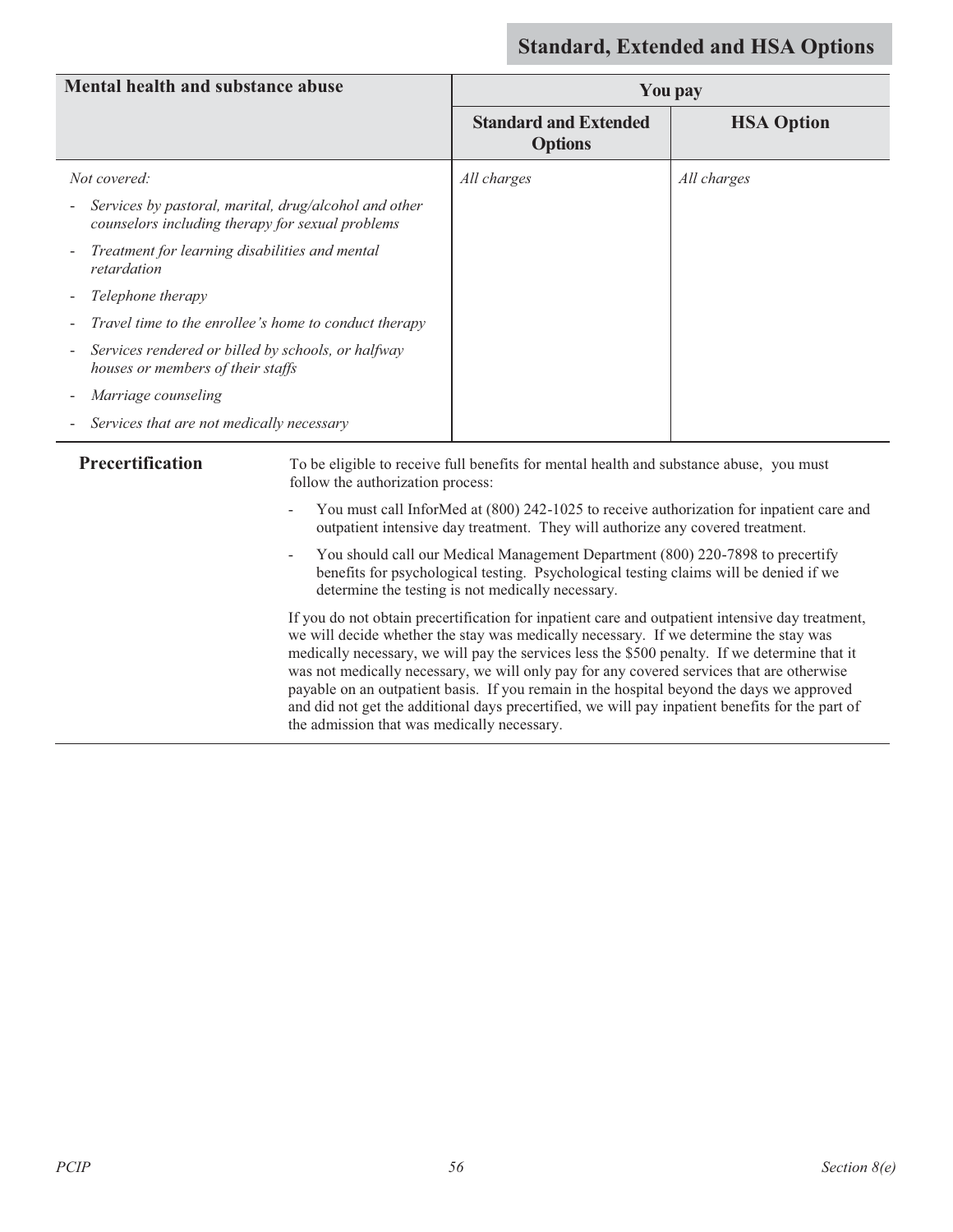| <b>Mental health and substance abuse</b>                                                                       | You pay                                        |                   |
|----------------------------------------------------------------------------------------------------------------|------------------------------------------------|-------------------|
|                                                                                                                | <b>Standard and Extended</b><br><b>Options</b> | <b>HSA Option</b> |
| Not covered:                                                                                                   | All charges                                    | All charges       |
| Services by pastoral, marital, drug/alcohol and other<br>-<br>counselors including therapy for sexual problems |                                                |                   |
| Treatment for learning disabilities and mental<br>$\overline{\phantom{a}}$<br>retardation                      |                                                |                   |
| Telephone therapy                                                                                              |                                                |                   |
| Travel time to the enrollee's home to conduct therapy                                                          |                                                |                   |
| Services rendered or billed by schools, or halfway<br>۰.<br>houses or members of their staffs                  |                                                |                   |
| Marriage counseling                                                                                            |                                                |                   |
| Services that are not medically necessary<br>Ξ.                                                                |                                                |                   |

**Precertification** To be eligible to receive full benefits for mental health and substance abuse, you must follow the authorization process:

- You must call InforMed at (800) 242-1025 to receive authorization for inpatient care and outpatient intensive day treatment. They will authorize any covered treatment.
- You should call our Medical Management Department (800) 220-7898 to precertify benefits for psychological testing. Psychological testing claims will be denied if we determine the testing is not medically necessary.

If you do not obtain precertification for inpatient care and outpatient intensive day treatment, we will decide whether the stay was medically necessary. If we determine the stay was medically necessary, we will pay the services less the \$500 penalty. If we determine that it was not medically necessary, we will only pay for any covered services that are otherwise payable on an outpatient basis. If you remain in the hospital beyond the days we approved and did not get the additional days precertified, we will pay inpatient benefits for the part of the admission that was medically necessary.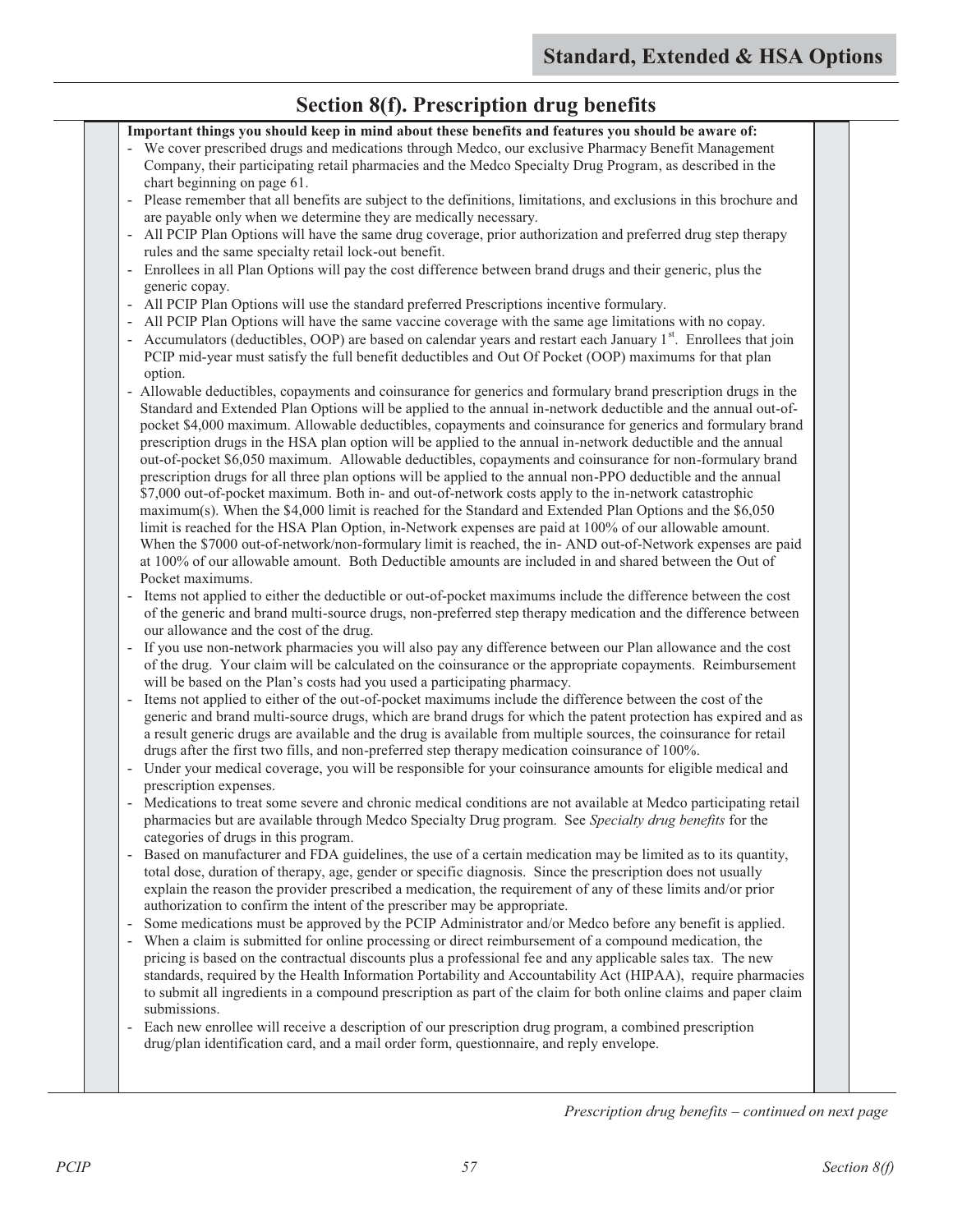#### **Section 8(f). Prescription drug benefits Important things you should keep in mind about these benefits and features you should be aware of:**  We cover prescribed drugs and medications through Medco, our exclusive Pharmacy Benefit Management Company, their participating retail pharmacies and the Medco Specialty Drug Program, as described in the chart beginning on page 61. - Please remember that all benefits are subject to the definitions, limitations, and exclusions in this brochure and are payable only when we determine they are medically necessary. - All PCIP Plan Options will have the same drug coverage, prior authorization and preferred drug step therapy rules and the same specialty retail lock-out benefit. - Enrollees in all Plan Options will pay the cost difference between brand drugs and their generic, plus the generic copay. - All PCIP Plan Options will use the standard preferred Prescriptions incentive formulary. - All PCIP Plan Options will have the same vaccine coverage with the same age limitations with no copay. - Accumulators (deductibles, OOP) are based on calendar years and restart each January 1<sup>st</sup>. Enrollees that join PCIP mid-year must satisfy the full benefit deductibles and Out Of Pocket (OOP) maximums for that plan option. - Allowable deductibles, copayments and coinsurance for generics and formulary brand prescription drugs in the Standard and Extended Plan Options will be applied to the annual in-network deductible and the annual out-ofpocket \$4,000 maximum. Allowable deductibles, copayments and coinsurance for generics and formulary brand prescription drugs in the HSA plan option will be applied to the annual in-network deductible and the annual out-of-pocket \$6,050 maximum. Allowable deductibles, copayments and coinsurance for non-formulary brand prescription drugs for all three plan options will be applied to the annual non-PPO deductible and the annual \$7,000 out-of-pocket maximum. Both in- and out-of-network costs apply to the in-network catastrophic maximum(s). When the \$4,000 limit is reached for the Standard and Extended Plan Options and the \$6,050 limit is reached for the HSA Plan Option, in-Network expenses are paid at 100% of our allowable amount. When the \$7000 out-of-network/non-formulary limit is reached, the in-AND out-of-Network expenses are paid at 100% of our allowable amount. Both Deductible amounts are included in and shared between the Out of Pocket maximums. - Items not applied to either the deductible or out-of-pocket maximums include the difference between the cost of the generic and brand multi-source drugs, non-preferred step therapy medication and the difference between our allowance and the cost of the drug. If you use non-network pharmacies you will also pay any difference between our Plan allowance and the cost of the drug. Your claim will be calculated on the coinsurance or the appropriate copayments. Reimbursement will be based on the Plan's costs had you used a participating pharmacy. - Items not applied to either of the out-of-pocket maximums include the difference between the cost of the generic and brand multi-source drugs, which are brand drugs for which the patent protection has expired and as a result generic drugs are available and the drug is available from multiple sources, the coinsurance for retail drugs after the first two fills, and non-preferred step therapy medication coinsurance of 100%. Under your medical coverage, you will be responsible for your coinsurance amounts for eligible medical and prescription expenses. - Medications to treat some severe and chronic medical conditions are not available at Medco participating retail pharmacies but are available through Medco Specialty Drug program. See *Specialty drug benefits* for the categories of drugs in this program. - Based on manufacturer and FDA guidelines, the use of a certain medication may be limited as to its quantity, total dose, duration of therapy, age, gender or specific diagnosis. Since the prescription does not usually explain the reason the provider prescribed a medication, the requirement of any of these limits and/or prior authorization to confirm the intent of the prescriber may be appropriate. Some medications must be approved by the PCIP Administrator and/or Medco before any benefit is applied. When a claim is submitted for online processing or direct reimbursement of a compound medication, the pricing is based on the contractual discounts plus a professional fee and any applicable sales tax. The new standards, required by the Health Information Portability and Accountability Act (HIPAA), require pharmacies to submit all ingredients in a compound prescription as part of the claim for both online claims and paper claim submissions. - Each new enrollee will receive a description of our prescription drug program, a combined prescription drug/plan identification card, and a mail order form, questionnaire, and reply envelope.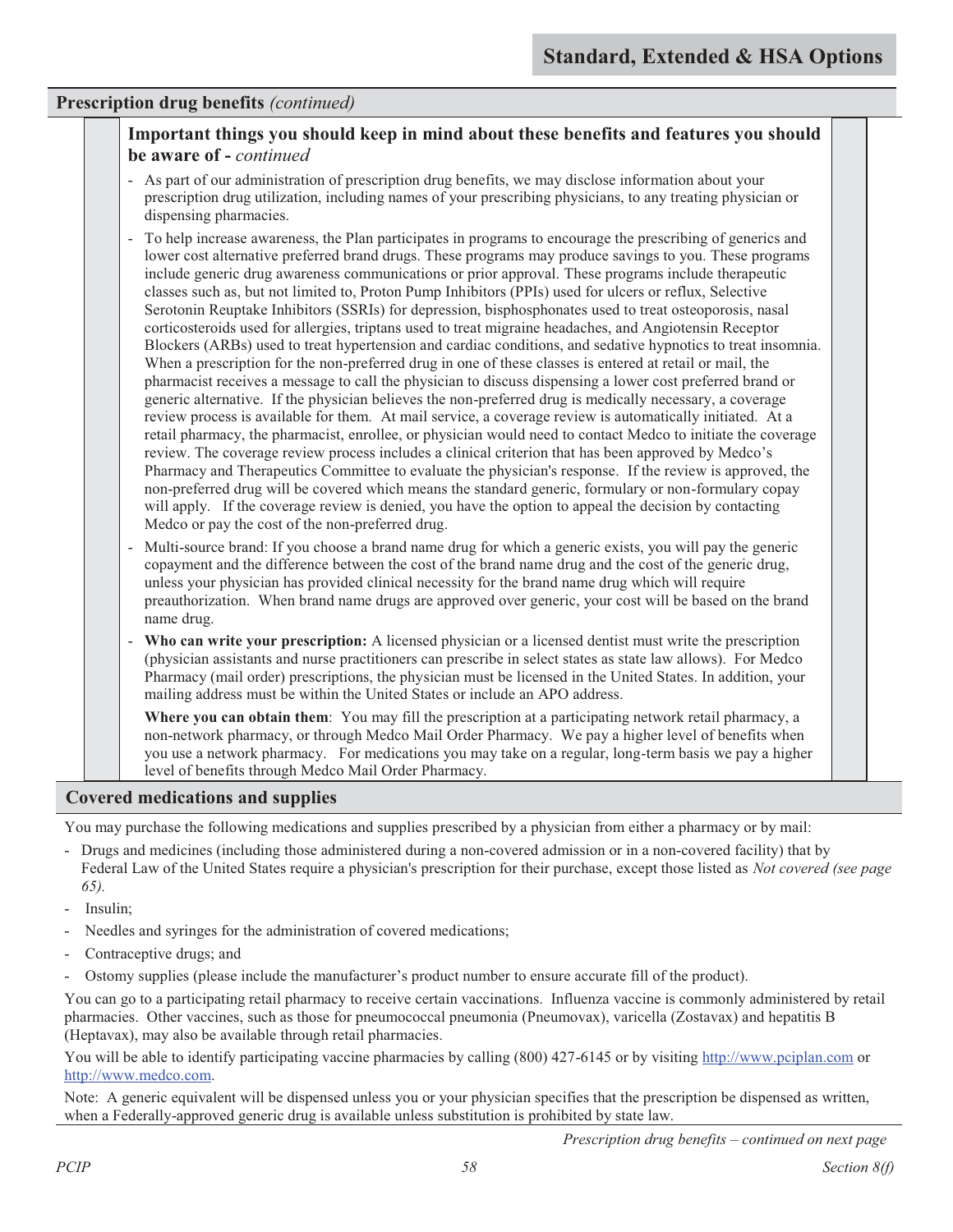### **Important things you should keep in mind about these benefits and features you should be aware of -** *continued*

- As part of our administration of prescription drug benefits, we may disclose information about your prescription drug utilization, including names of your prescribing physicians, to any treating physician or dispensing pharmacies.
- To help increase awareness, the Plan participates in programs to encourage the prescribing of generics and lower cost alternative preferred brand drugs. These programs may produce savings to you. These programs include generic drug awareness communications or prior approval. These programs include therapeutic classes such as, but not limited to, Proton Pump Inhibitors (PPIs) used for ulcers or reflux, Selective Serotonin Reuptake Inhibitors (SSRIs) for depression, bisphosphonates used to treat osteoporosis, nasal corticosteroids used for allergies, triptans used to treat migraine headaches, and Angiotensin Receptor Blockers (ARBs) used to treat hypertension and cardiac conditions, and sedative hypnotics to treat insomnia. When a prescription for the non-preferred drug in one of these classes is entered at retail or mail, the pharmacist receives a message to call the physician to discuss dispensing a lower cost preferred brand or generic alternative. If the physician believes the non-preferred drug is medically necessary, a coverage review process is available for them. At mail service, a coverage review is automatically initiated. At a retail pharmacy, the pharmacist, enrollee, or physician would need to contact Medco to initiate the coverage review. The coverage review process includes a clinical criterion that has been approved by Medco's Pharmacy and Therapeutics Committee to evaluate the physician's response. If the review is approved, the non-preferred drug will be covered which means the standard generic, formulary or non-formulary copay will apply. If the coverage review is denied, you have the option to appeal the decision by contacting Medco or pay the cost of the non-preferred drug.
- Multi-source brand: If you choose a brand name drug for which a generic exists, you will pay the generic copayment and the difference between the cost of the brand name drug and the cost of the generic drug, unless your physician has provided clinical necessity for the brand name drug which will require preauthorization. When brand name drugs are approved over generic, your cost will be based on the brand name drug.
- **Who can write your prescription:** A licensed physician or a licensed dentist must write the prescription (physician assistants and nurse practitioners can prescribe in select states as state law allows). For Medco Pharmacy (mail order) prescriptions, the physician must be licensed in the United States. In addition, your mailing address must be within the United States or include an APO address.

**Where you can obtain them**: You may fill the prescription at a participating network retail pharmacy, a non-network pharmacy, or through Medco Mail Order Pharmacy. We pay a higher level of benefits when you use a network pharmacy. For medications you may take on a regular, long-term basis we pay a higher level of benefits through Medco Mail Order Pharmacy.

#### **Covered medications and supplies**

You may purchase the following medications and supplies prescribed by a physician from either a pharmacy or by mail:

- Drugs and medicines (including those administered during a non-covered admission or in a non-covered facility) that by Federal Law of the United States require a physician's prescription for their purchase, except those listed as *Not covered (see page 65).*
- Insulin:
- Needles and syringes for the administration of covered medications;
- Contraceptive drugs; and
- Ostomy supplies (please include the manufacturer's product number to ensure accurate fill of the product).

You can go to a participating retail pharmacy to receive certain vaccinations. Influenza vaccine is commonly administered by retail pharmacies. Other vaccines, such as those for pneumococcal pneumonia (Pneumovax), varicella (Zostavax) and hepatitis B (Heptavax), may also be available through retail pharmacies.

You will be able to identify participating vaccine pharmacies by calling (800) 427-6145 or by visiting http://www.pciplan.com or http://www.medco.com.

Note: A generic equivalent will be dispensed unless you or your physician specifies that the prescription be dispensed as written, when a Federally-approved generic drug is available unless substitution is prohibited by state law.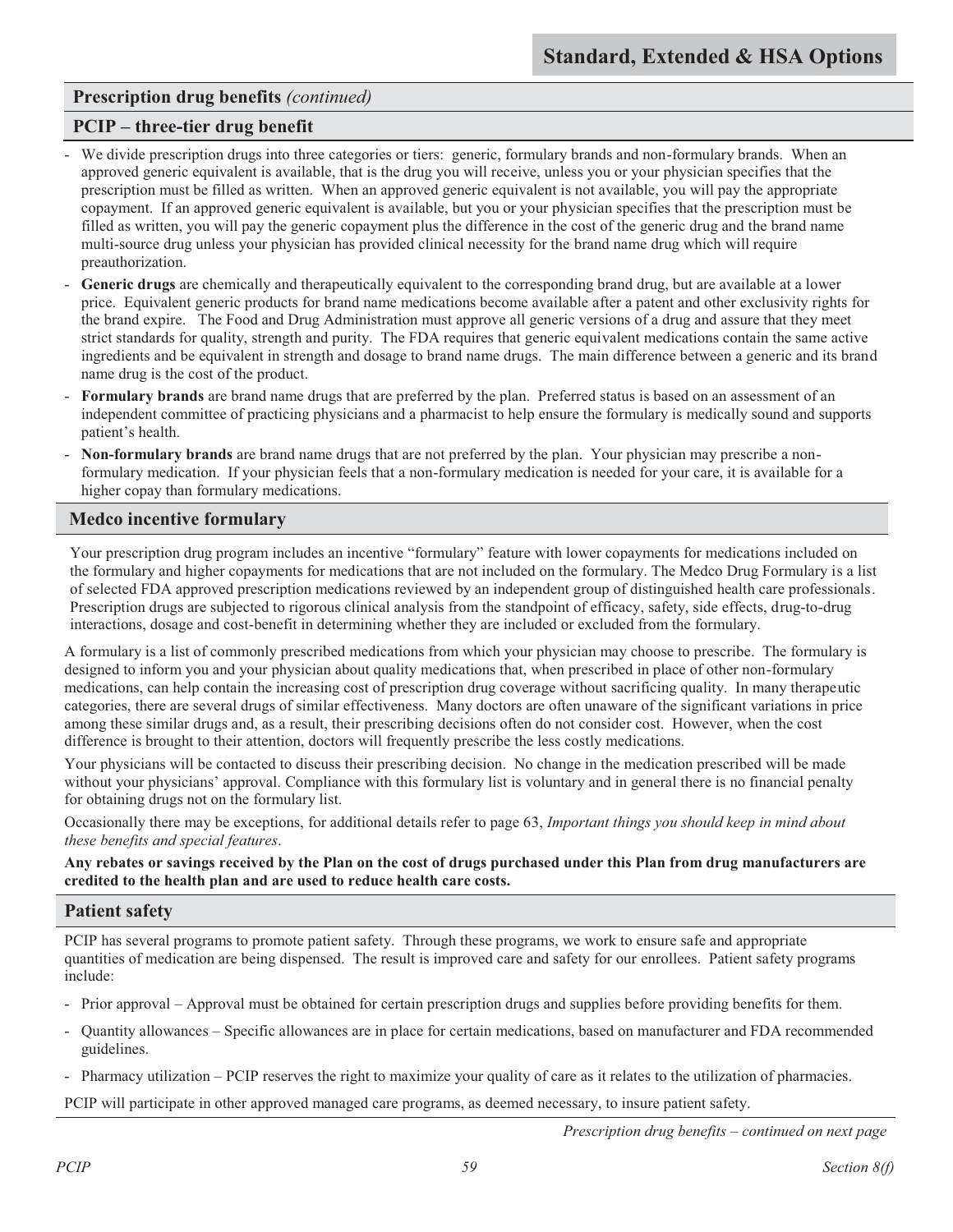### **PCIP – three-tier drug benefit**

- We divide prescription drugs into three categories or tiers: generic, formulary brands and non-formulary brands. When an approved generic equivalent is available, that is the drug you will receive, unless you or your physician specifies that the prescription must be filled as written. When an approved generic equivalent is not available, you will pay the appropriate copayment. If an approved generic equivalent is available, but you or your physician specifies that the prescription must be filled as written, you will pay the generic copayment plus the difference in the cost of the generic drug and the brand name multi-source drug unless your physician has provided clinical necessity for the brand name drug which will require preauthorization.
- Generic drugs are chemically and therapeutically equivalent to the corresponding brand drug, but are available at a lower price. Equivalent generic products for brand name medications become available after a patent and other exclusivity rights for the brand expire. The Food and Drug Administration must approve all generic versions of a drug and assure that they meet strict standards for quality, strength and purity. The FDA requires that generic equivalent medications contain the same active ingredients and be equivalent in strength and dosage to brand name drugs. The main difference between a generic and its brand name drug is the cost of the product.
- **Formulary brands** are brand name drugs that are preferred by the plan. Preferred status is based on an assessment of an independent committee of practicing physicians and a pharmacist to help ensure the formulary is medically sound and supports patient's health.
- **Non-formulary brands** are brand name drugs that are not preferred by the plan. Your physician may prescribe a nonformulary medication. If your physician feels that a non-formulary medication is needed for your care, it is available for a higher copay than formulary medications.

### **Medco incentive formulary**

Your prescription drug program includes an incentive "formulary" feature with lower copayments for medications included on the formulary and higher copayments for medications that are not included on the formulary. The Medco Drug Formulary is a list of selected FDA approved prescription medications reviewed by an independent group of distinguished health care professionals. Prescription drugs are subjected to rigorous clinical analysis from the standpoint of efficacy, safety, side effects, drug-to-drug interactions, dosage and cost-benefit in determining whether they are included or excluded from the formulary.

A formulary is a list of commonly prescribed medications from which your physician may choose to prescribe. The formulary is designed to inform you and your physician about quality medications that, when prescribed in place of other non-formulary medications, can help contain the increasing cost of prescription drug coverage without sacrificing quality. In many therapeutic categories, there are several drugs of similar effectiveness. Many doctors are often unaware of the significant variations in price among these similar drugs and, as a result, their prescribing decisions often do not consider cost. However, when the cost difference is brought to their attention, doctors will frequently prescribe the less costly medications.

Your physicians will be contacted to discuss their prescribing decision. No change in the medication prescribed will be made without your physicians' approval. Compliance with this formulary list is voluntary and in general there is no financial penalty for obtaining drugs not on the formulary list.

Occasionally there may be exceptions, for additional details refer to page 63, *Important things you should keep in mind about these benefits and special features*.

**Any rebates or savings received by the Plan on the cost of drugs purchased under this Plan from drug manufacturers are credited to the health plan and are used to reduce health care costs.**

### **Patient safety**

PCIP has several programs to promote patient safety. Through these programs, we work to ensure safe and appropriate quantities of medication are being dispensed. The result is improved care and safety for our enrollees. Patient safety programs include:

- Prior approval Approval must be obtained for certain prescription drugs and supplies before providing benefits for them.
- Quantity allowances Specific allowances are in place for certain medications, based on manufacturer and FDA recommended guidelines.
- Pharmacy utilization PCIP reserves the right to maximize your quality of care as it relates to the utilization of pharmacies.

PCIP will participate in other approved managed care programs, as deemed necessary, to insure patient safety.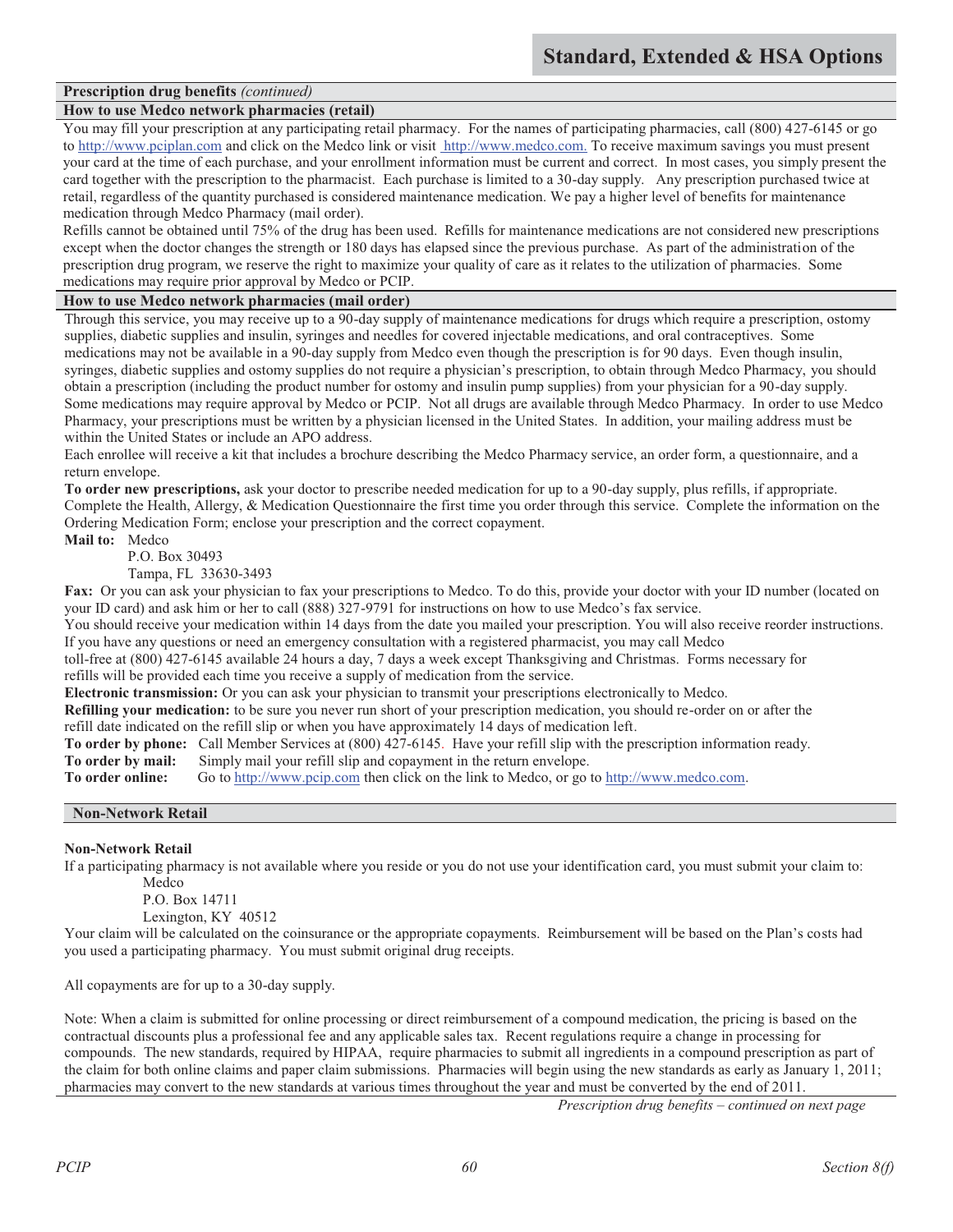#### **How to use Medco network pharmacies (retail)**

You may fill your prescription at any participating retail pharmacy. For the names of participating pharmacies, call  $(800)$  427-6145 or go to http://www.pciplan.com and click on the Medco link or visit http://www.medco.com. To receive maximum savings you must present your card at the time of each purchase, and your enrollment information must be current and correct. In most cases, you simply present the card together with the prescription to the pharmacist. Each purchase is limited to a 30-day supply. Any prescription purchased twice at retail, regardless of the quantity purchased is considered maintenance medication. We pay a higher level of benefits for maintenance medication through Medco Pharmacy (mail order).

Refills cannot be obtained until 75% of the drug has been used. Refills for maintenance medications are not considered new prescriptions except when the doctor changes the strength or 180 days has elapsed since the previous purchase. As part of the administration of the prescription drug program, we reserve the right to maximize your quality of care as it relates to the utilization of pharmacies. Some medications may require prior approval by Medco or PCIP.

#### **How to use Medco network pharmacies (mail order)**

Through this service, you may receive up to a 90-day supply of maintenance medications for drugs which require a prescription, ostomy supplies, diabetic supplies and insulin, syringes and needles for covered injectable medications, and oral contraceptives. Some medications may not be available in a 90-day supply from Medco even though the prescription is for 90 days. Even though insulin, syringes, diabetic supplies and ostomy supplies do not require a physician's prescription, to obtain through Medco Pharmacy, you should obtain a prescription (including the product number for ostomy and insulin pump supplies) from your physician for a 90-day supply. Some medications may require approval by Medco or PCIP. Not all drugs are available through Medco Pharmacy. In order to use Medco Pharmacy, your prescriptions must be written by a physician licensed in the United States. In addition, your mailing address must be within the United States or include an APO address.

Each enrollee will receive a kit that includes a brochure describing the Medco Pharmacy service, an order form, a questionnaire, and a return envelope.

**To order new prescriptions,** ask your doctor to prescribe needed medication for up to a 90-day supply, plus refills, if appropriate. Complete the Health, Allergy, & Medication Questionnaire the first time you order through this service. Complete the information on the Ordering Medication Form; enclose your prescription and the correct copayment.

**Mail to:** Medco

P.O. Box 30493

Tampa, FL 33630-3493

**Fax:** Or you can ask your physician to fax your prescriptions to Medco. To do this, provide your doctor with your ID number (located on your ID card) and ask him or her to call (888) 327-9791 for instructions on how to use Medco's fax service.

You should receive your medication within 14 days from the date you mailed your prescription. You will also receive reorder instructions. If you have any questions or need an emergency consultation with a registered pharmacist, you may call Medco

toll-free at (800) 427-6145 available 24 hours a day, 7 days a week except Thanksgiving and Christmas. Forms necessary for refills will be provided each time you receive a supply of medication from the service.

**Electronic transmission:** Or you can ask your physician to transmit your prescriptions electronically to Medco.

**Refilling your medication:** to be sure you never run short of your prescription medication, you should re-order on or after the refill date indicated on the refill slip or when you have approximately 14 days of medication left.

**To order by phone:** Call Member Services at (800) 427-6145. Have your refill slip with the prescription information ready.

**To order by mail:** Simply mail your refill slip and copayment in the return envelope.<br> **To order online:** Go to http://www.pcip.com then click on the link to Medco, or go

Go to http://www.pcip.com then click on the link to Medco, or go to http://www.medco.com.

#### **Non-Network Retail**

#### **Non-Network Retail**

If a participating pharmacy is not available where you reside or you do not use your identification card, you must submit your claim to:

Medco

P.O. Box 14711

Lexington, KY 40512

Your claim will be calculated on the coinsurance or the appropriate copayments. Reimbursement will be based on the Plan's costs had you used a participating pharmacy. You must submit original drug receipts.

All copayments are for up to a 30-day supply.

Note: When a claim is submitted for online processing or direct reimbursement of a compound medication, the pricing is based on the contractual discounts plus a professional fee and any applicable sales tax. Recent regulations require a change in processing for compounds. The new standards, required by HIPAA, require pharmacies to submit all ingredients in a compound prescription as part of the claim for both online claims and paper claim submissions. Pharmacies will begin using the new standards as early as January 1, 2011; pharmacies may convert to the new standards at various times throughout the year and must be converted by the end of 2011.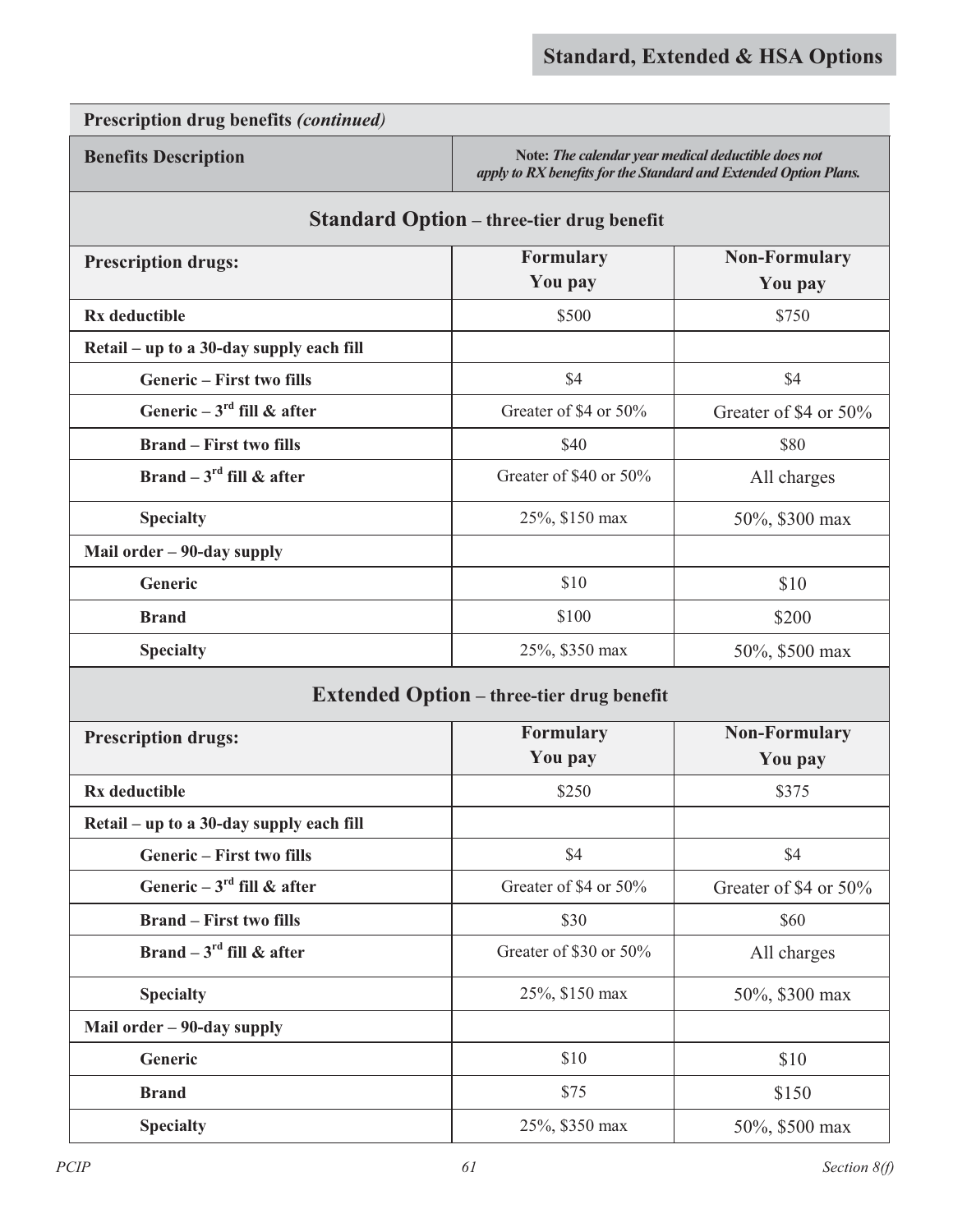**Benefits Description Note:** *Ihe calendar year medical deductible does not* **Note:** *The calendar year medical deductible does not apply to RX benefits for the Standard and Extended Option Plans.*

### **Standard Option – three-tier drug benefit**

| <b>Prescription drugs:</b>               | <b>Formulary</b>          | <b>Non-Formulary</b>  |
|------------------------------------------|---------------------------|-----------------------|
|                                          | You pay                   | You pay               |
| Rx deductible                            | \$500                     | \$750                 |
| Retail – up to a 30-day supply each fill |                           |                       |
| <b>Generic</b> – First two fills         | \$4                       | \$4                   |
| Generic – $3^{\text{rd}}$ fill & after   | Greater of \$4 or 50%     | Greater of \$4 or 50% |
| <b>Brand – First two fills</b>           | \$40                      | \$80                  |
| Brand – $3^{\text{rd}}$ fill & after     | Greater of \$40 or $50\%$ | All charges           |
| <b>Specialty</b>                         | 25%, \$150 max            | 50%, \$300 max        |
| Mail order $-90$ -day supply             |                           |                       |
| <b>Generic</b>                           | \$10                      | \$10                  |
| <b>Brand</b>                             | \$100                     | \$200                 |
| <b>Specialty</b>                         | 25%, \$350 max            | 50%, \$500 max        |

### **Extended Option – three-tier drug benefit**

| <b>Prescription drugs:</b>               | <b>Formulary</b>       | <b>Non-Formulary</b>  |
|------------------------------------------|------------------------|-----------------------|
|                                          | You pay                | You pay               |
| Rx deductible                            | \$250                  | \$375                 |
| Retail – up to a 30-day supply each fill |                        |                       |
| <b>Generic</b> – First two fills         | \$4                    | \$4                   |
| Generic – $3^{\text{rd}}$ fill & after   | Greater of \$4 or 50%  | Greater of \$4 or 50% |
| <b>Brand</b> – First two fills           | \$30                   | \$60                  |
| Brand – $3^{\text{rd}}$ fill & after     | Greater of \$30 or 50% | All charges           |
| <b>Specialty</b>                         | 25%, \$150 max         | 50%, \$300 max        |
| Mail order – 90-day supply               |                        |                       |
| <b>Generic</b>                           | \$10                   | \$10                  |
| <b>Brand</b>                             | \$75                   | \$150                 |
| <b>Specialty</b>                         | 25%, \$350 max         | 50%, \$500 max        |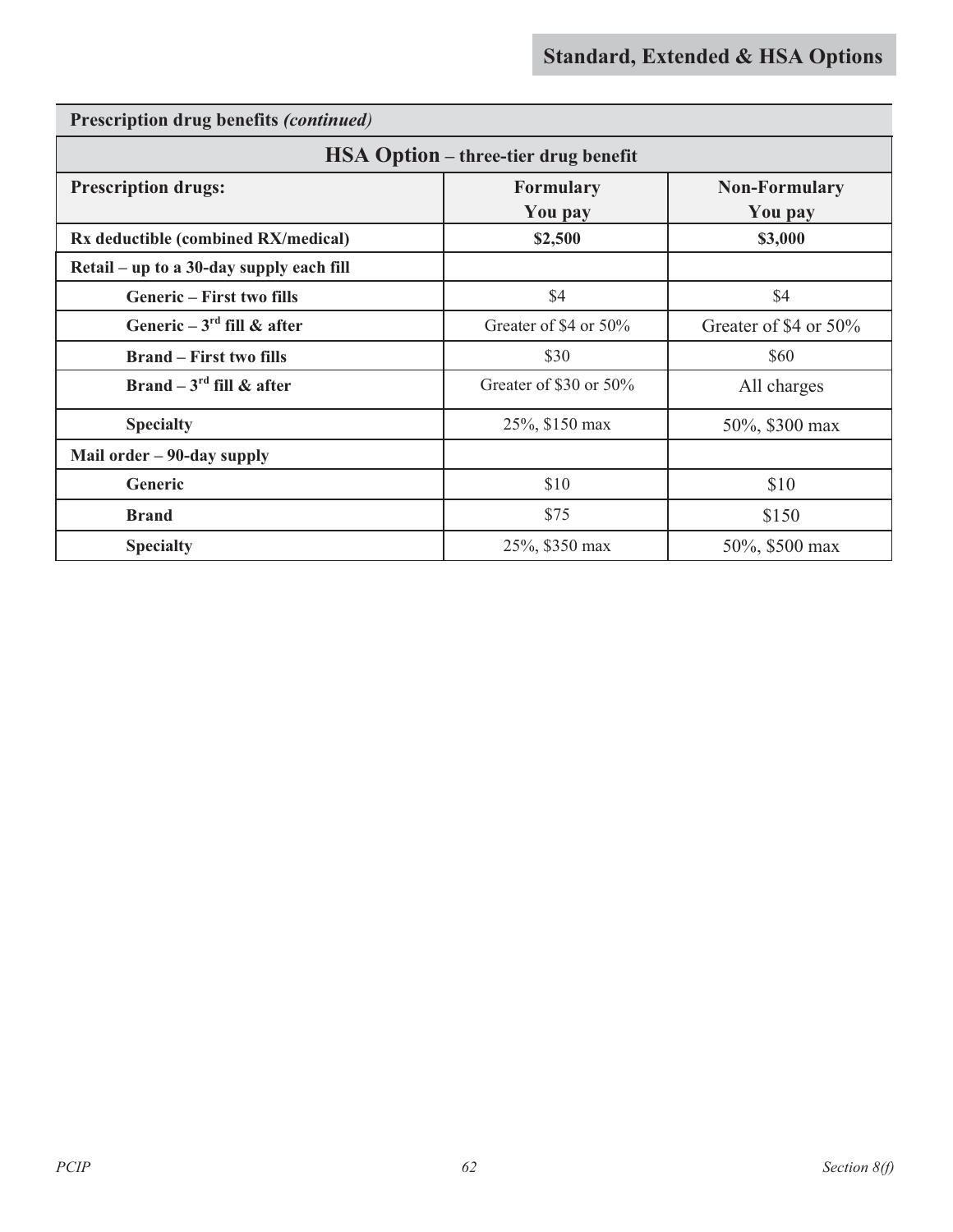| Prescription drug benefits (continued)      |                        |                                 |  |
|---------------------------------------------|------------------------|---------------------------------|--|
| <b>HSA Option</b> – three-tier drug benefit |                        |                                 |  |
| <b>Prescription drugs:</b>                  | Formulary<br>You pay   | <b>Non-Formulary</b><br>You pay |  |
| Rx deductible (combined RX/medical)         | \$2,500                | \$3,000                         |  |
| Retail – up to a 30-day supply each fill    |                        |                                 |  |
| <b>Generic - First two fills</b>            | \$4                    | \$4                             |  |
| Generic $-3^{\text{rd}}$ fill & after       | Greater of \$4 or 50%  | Greater of \$4 or 50%           |  |
| <b>Brand – First two fills</b>              | \$30                   | \$60                            |  |
| Brand – $3^{\text{rd}}$ fill & after        | Greater of \$30 or 50% | All charges                     |  |
| <b>Specialty</b>                            | 25%, \$150 max         | 50%, \$300 max                  |  |
| Mail order - 90-day supply                  |                        |                                 |  |
| Generic                                     | \$10                   | \$10                            |  |
| <b>Brand</b>                                | \$75                   | \$150                           |  |
| <b>Specialty</b>                            | 25%, \$350 max         | 50%, \$500 max                  |  |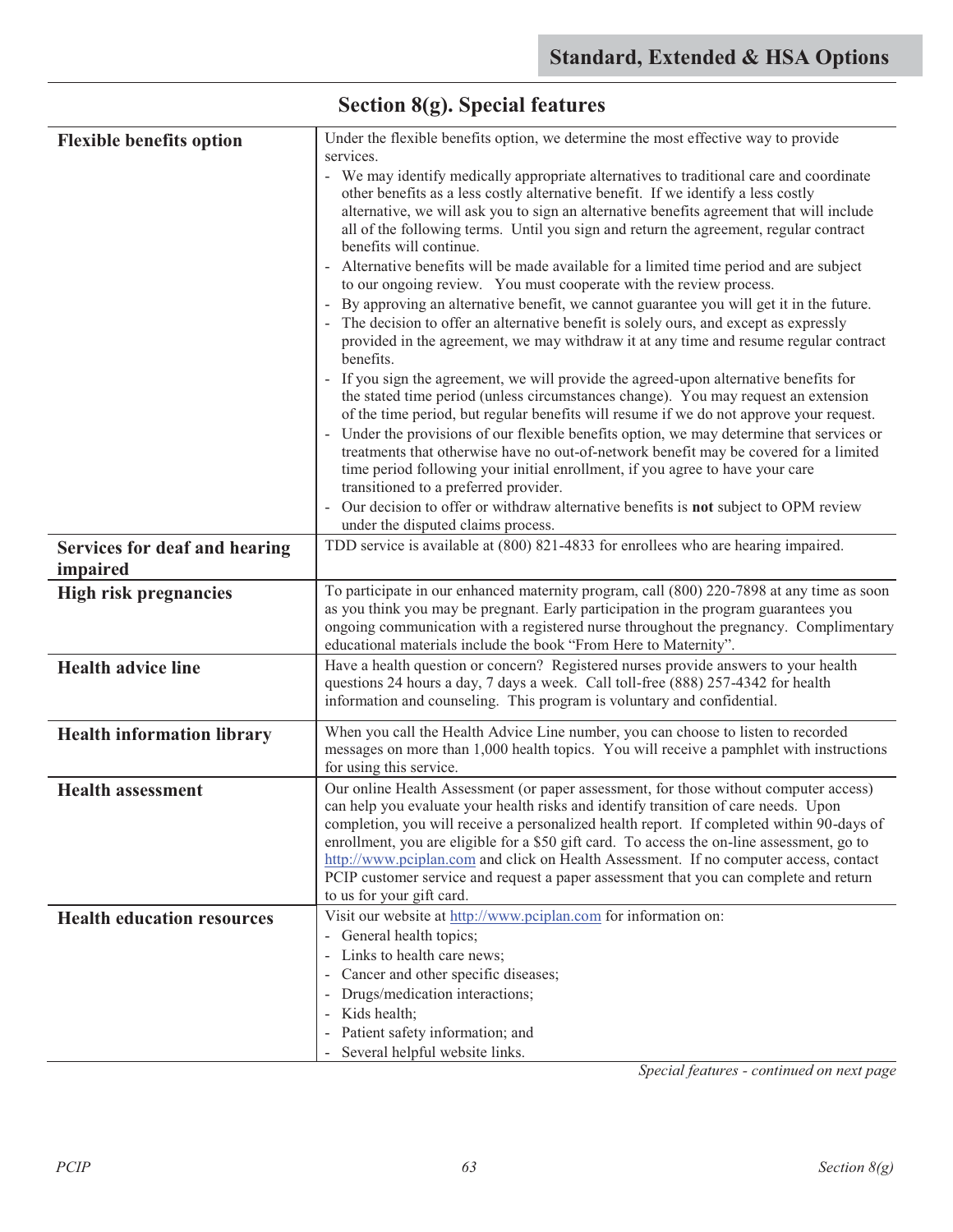| <b>Flexible benefits option</b>   | Under the flexible benefits option, we determine the most effective way to provide<br>services.                                                                                                                                                                                                                                                                                                                                                                                                                                                                                                                                                                                                                                                                                                                                                                                                                                                                                                                                                                                                                                                                                                                                                                                                                                                                                                                                                        |
|-----------------------------------|--------------------------------------------------------------------------------------------------------------------------------------------------------------------------------------------------------------------------------------------------------------------------------------------------------------------------------------------------------------------------------------------------------------------------------------------------------------------------------------------------------------------------------------------------------------------------------------------------------------------------------------------------------------------------------------------------------------------------------------------------------------------------------------------------------------------------------------------------------------------------------------------------------------------------------------------------------------------------------------------------------------------------------------------------------------------------------------------------------------------------------------------------------------------------------------------------------------------------------------------------------------------------------------------------------------------------------------------------------------------------------------------------------------------------------------------------------|
|                                   | - We may identify medically appropriate alternatives to traditional care and coordinate<br>other benefits as a less costly alternative benefit. If we identify a less costly<br>alternative, we will ask you to sign an alternative benefits agreement that will include<br>all of the following terms. Until you sign and return the agreement, regular contract<br>benefits will continue.<br>Alternative benefits will be made available for a limited time period and are subject<br>to our ongoing review. You must cooperate with the review process.<br>By approving an alternative benefit, we cannot guarantee you will get it in the future.<br>The decision to offer an alternative benefit is solely ours, and except as expressly<br>provided in the agreement, we may withdraw it at any time and resume regular contract<br>benefits.<br>If you sign the agreement, we will provide the agreed-upon alternative benefits for<br>the stated time period (unless circumstances change). You may request an extension<br>of the time period, but regular benefits will resume if we do not approve your request.<br>Under the provisions of our flexible benefits option, we may determine that services or<br>$\omega$<br>treatments that otherwise have no out-of-network benefit may be covered for a limited<br>time period following your initial enrollment, if you agree to have your care<br>transitioned to a preferred provider. |
|                                   | - Our decision to offer or withdraw alternative benefits is not subject to OPM review<br>under the disputed claims process.                                                                                                                                                                                                                                                                                                                                                                                                                                                                                                                                                                                                                                                                                                                                                                                                                                                                                                                                                                                                                                                                                                                                                                                                                                                                                                                            |
| Services for deaf and hearing     | TDD service is available at (800) 821-4833 for enrollees who are hearing impaired.                                                                                                                                                                                                                                                                                                                                                                                                                                                                                                                                                                                                                                                                                                                                                                                                                                                                                                                                                                                                                                                                                                                                                                                                                                                                                                                                                                     |
| impaired                          |                                                                                                                                                                                                                                                                                                                                                                                                                                                                                                                                                                                                                                                                                                                                                                                                                                                                                                                                                                                                                                                                                                                                                                                                                                                                                                                                                                                                                                                        |
| <b>High risk pregnancies</b>      | To participate in our enhanced maternity program, call (800) 220-7898 at any time as soon<br>as you think you may be pregnant. Early participation in the program guarantees you<br>ongoing communication with a registered nurse throughout the pregnancy. Complimentary<br>educational materials include the book "From Here to Maternity".                                                                                                                                                                                                                                                                                                                                                                                                                                                                                                                                                                                                                                                                                                                                                                                                                                                                                                                                                                                                                                                                                                          |
| <b>Health advice line</b>         | Have a health question or concern? Registered nurses provide answers to your health<br>questions 24 hours a day, 7 days a week. Call toll-free (888) 257-4342 for health<br>information and counseling. This program is voluntary and confidential.                                                                                                                                                                                                                                                                                                                                                                                                                                                                                                                                                                                                                                                                                                                                                                                                                                                                                                                                                                                                                                                                                                                                                                                                    |
| <b>Health information library</b> | When you call the Health Advice Line number, you can choose to listen to recorded<br>messages on more than 1,000 health topics. You will receive a pamphlet with instructions<br>for using this service.                                                                                                                                                                                                                                                                                                                                                                                                                                                                                                                                                                                                                                                                                                                                                                                                                                                                                                                                                                                                                                                                                                                                                                                                                                               |
| <b>Health assessment</b>          | Our online Health Assessment (or paper assessment, for those without computer access)<br>can help you evaluate your health risks and identify transition of care needs. Upon<br>completion, you will receive a personalized health report. If completed within 90-days of<br>enrollment, you are eligible for a \$50 gift card. To access the on-line assessment, go to<br>http://www.pciplan.com and click on Health Assessment. If no computer access, contact<br>PCIP customer service and request a paper assessment that you can complete and return<br>to us for your gift card.                                                                                                                                                                                                                                                                                                                                                                                                                                                                                                                                                                                                                                                                                                                                                                                                                                                                 |
| <b>Health education resources</b> | Visit our website at http://www.pciplan.com for information on:<br>- General health topics;<br>Links to health care news;<br>$\blacksquare$<br>Cancer and other specific diseases;<br>Drugs/medication interactions;<br>Kids health;<br>$\overline{\phantom{a}}$<br>Patient safety information; and<br>Several helpful website links.                                                                                                                                                                                                                                                                                                                                                                                                                                                                                                                                                                                                                                                                                                                                                                                                                                                                                                                                                                                                                                                                                                                  |

## **Section 8(g). Special features**

*Special features - continued on next page*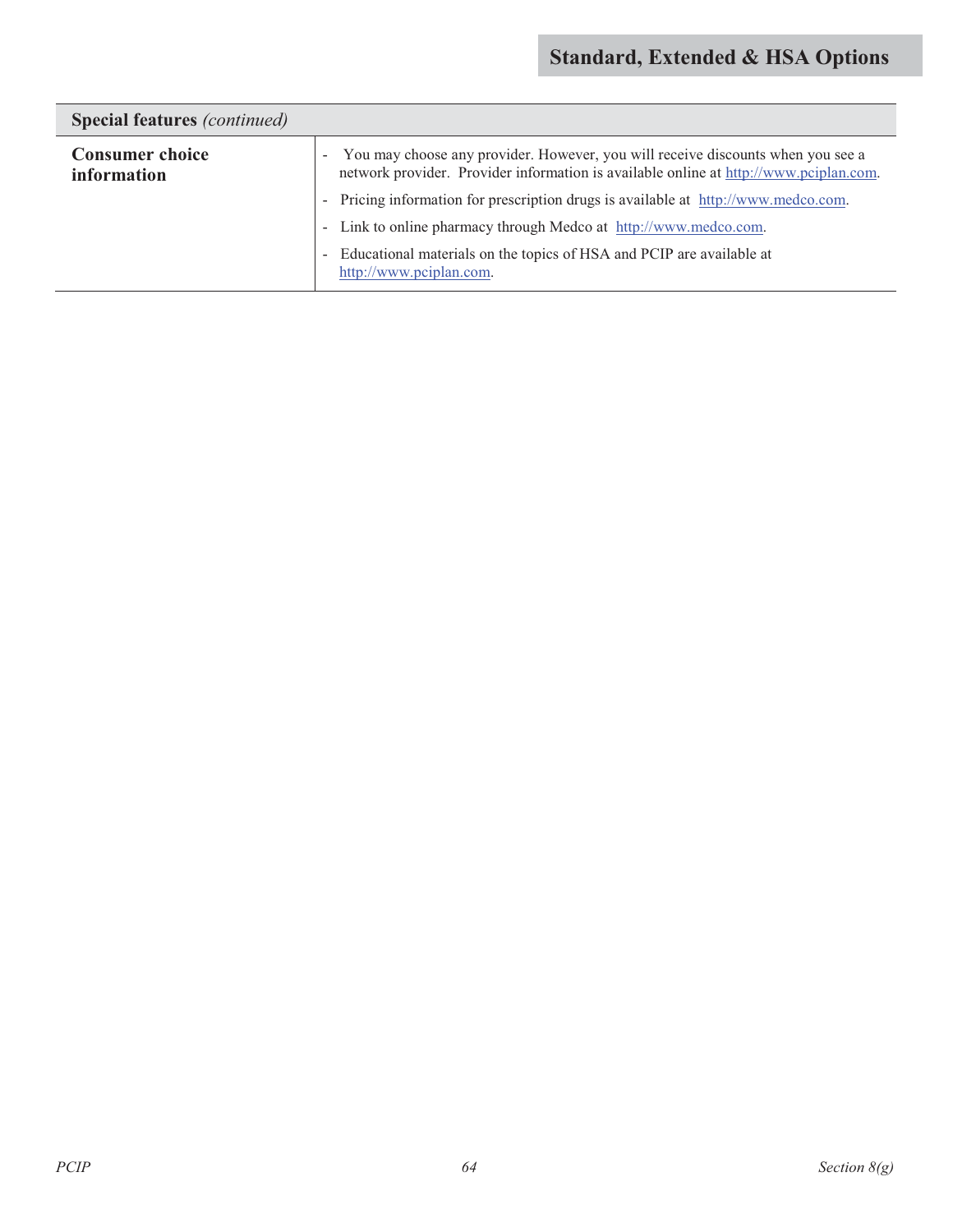| <b>Special features</b> ( <i>continued</i> ) |                                                                                                                                                                                        |  |
|----------------------------------------------|----------------------------------------------------------------------------------------------------------------------------------------------------------------------------------------|--|
| <b>Consumer choice</b><br>information        | You may choose any provider. However, you will receive discounts when you see a<br>$\sim$ $-$<br>network provider. Provider information is available online at http://www.pciplan.com. |  |
|                                              | - Pricing information for prescription drugs is available at http://www.medco.com.                                                                                                     |  |
|                                              | - Link to online pharmacy through Medco at http://www.medco.com.                                                                                                                       |  |
|                                              | - Educational materials on the topics of HSA and PCIP are available at<br>http://www.pciplan.com.                                                                                      |  |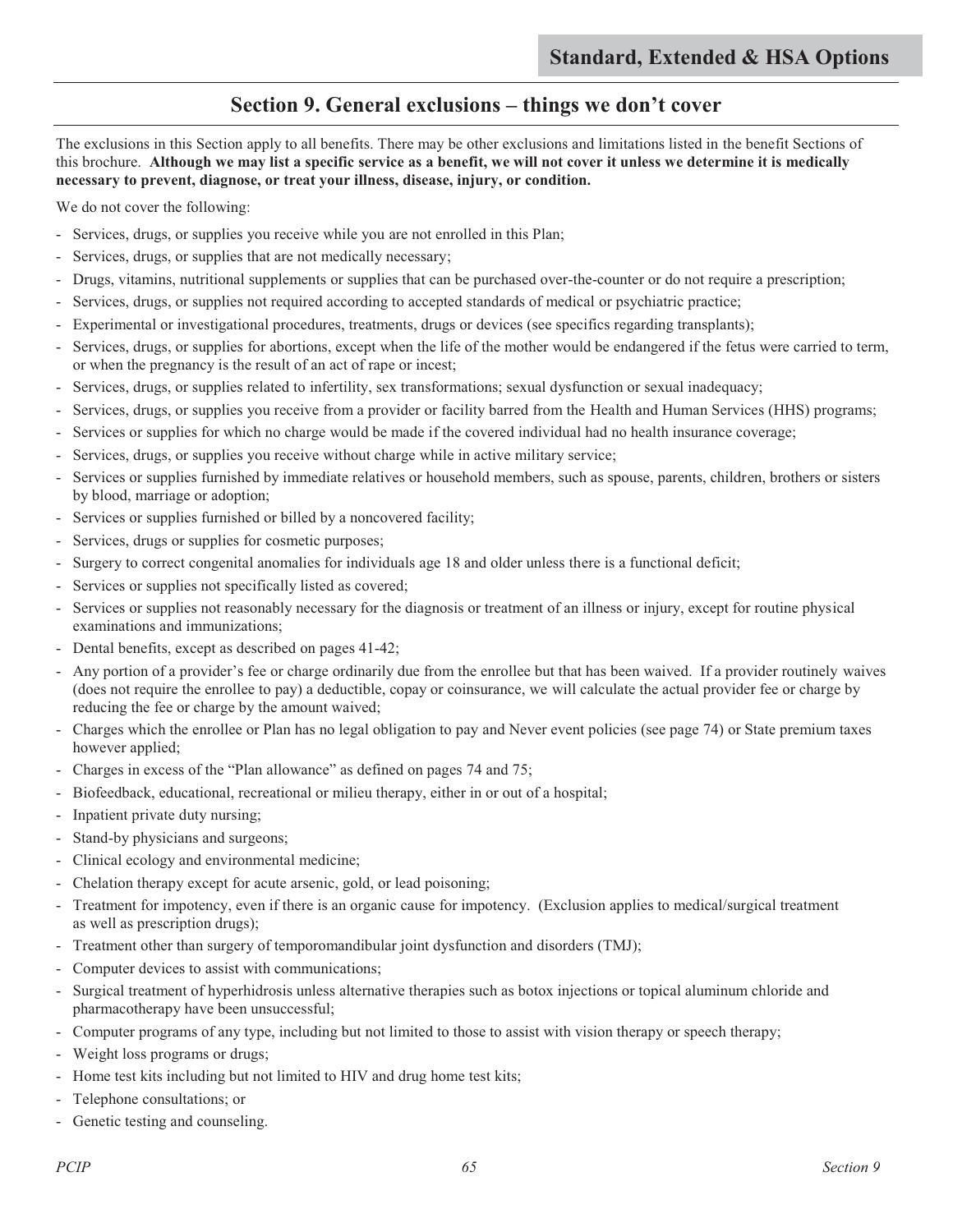### **Section 9. General exclusions – things we don't cover**

The exclusions in this Section apply to all benefits. There may be other exclusions and limitations listed in the benefit Sections of this brochure. **Although we may list a specific service as a benefit, we will not cover it unless we determine it is medically necessary to prevent, diagnose, or treat your illness, disease, injury, or condition.**

We do not cover the following:

- Services, drugs, or supplies you receive while you are not enrolled in this Plan;
- Services, drugs, or supplies that are not medically necessary;
- Drugs, vitamins, nutritional supplements or supplies that can be purchased over-the-counter or do not require a prescription;
- Services, drugs, or supplies not required according to accepted standards of medical or psychiatric practice;
- Experimental or investigational procedures, treatments, drugs or devices (see specifics regarding transplants);
- Services, drugs, or supplies for abortions, except when the life of the mother would be endangered if the fetus were carried to term, or when the pregnancy is the result of an act of rape or incest;
- Services, drugs, or supplies related to infertility, sex transformations; sexual dysfunction or sexual inadequacy;
- Services, drugs, or supplies you receive from a provider or facility barred from the Health and Human Services (HHS) programs;
- Services or supplies for which no charge would be made if the covered individual had no health insurance coverage;
- Services, drugs, or supplies you receive without charge while in active military service;
- Services or supplies furnished by immediate relatives or household members, such as spouse, parents, children, brothers or sisters by blood, marriage or adoption;
- Services or supplies furnished or billed by a noncovered facility;
- Services, drugs or supplies for cosmetic purposes;
- Surgery to correct congenital anomalies for individuals age 18 and older unless there is a functional deficit;
- Services or supplies not specifically listed as covered;
- Services or supplies not reasonably necessary for the diagnosis or treatment of an illness or injury, except for routine physical examinations and immunizations;
- Dental benefits, except as described on pages 41-42;
- Any portion of a provider's fee or charge ordinarily due from the enrollee but that has been waived. If a provider routinely waives (does not require the enrollee to pay) a deductible, copay or coinsurance, we will calculate the actual provider fee or charge by reducing the fee or charge by the amount waived;
- Charges which the enrollee or Plan has no legal obligation to pay and Never event policies (see page 74) or State premium taxes however applied;
- Charges in excess of the "Plan allowance" as defined on pages 74 and 75;
- Biofeedback, educational, recreational or milieu therapy, either in or out of a hospital;
- Inpatient private duty nursing;
- Stand-by physicians and surgeons;
- Clinical ecology and environmental medicine;
- Chelation therapy except for acute arsenic, gold, or lead poisoning;
- Treatment for impotency, even if there is an organic cause for impotency. (Exclusion applies to medical/surgical treatment as well as prescription drugs);
- Treatment other than surgery of temporomandibular joint dysfunction and disorders (TMJ);
- Computer devices to assist with communications;
- Surgical treatment of hyperhidrosis unless alternative therapies such as botox injections or topical aluminum chloride and pharmacotherapy have been unsuccessful;
- Computer programs of any type, including but not limited to those to assist with vision therapy or speech therapy;
- Weight loss programs or drugs;
- Home test kits including but not limited to HIV and drug home test kits;
- Telephone consultations; or
- Genetic testing and counseling.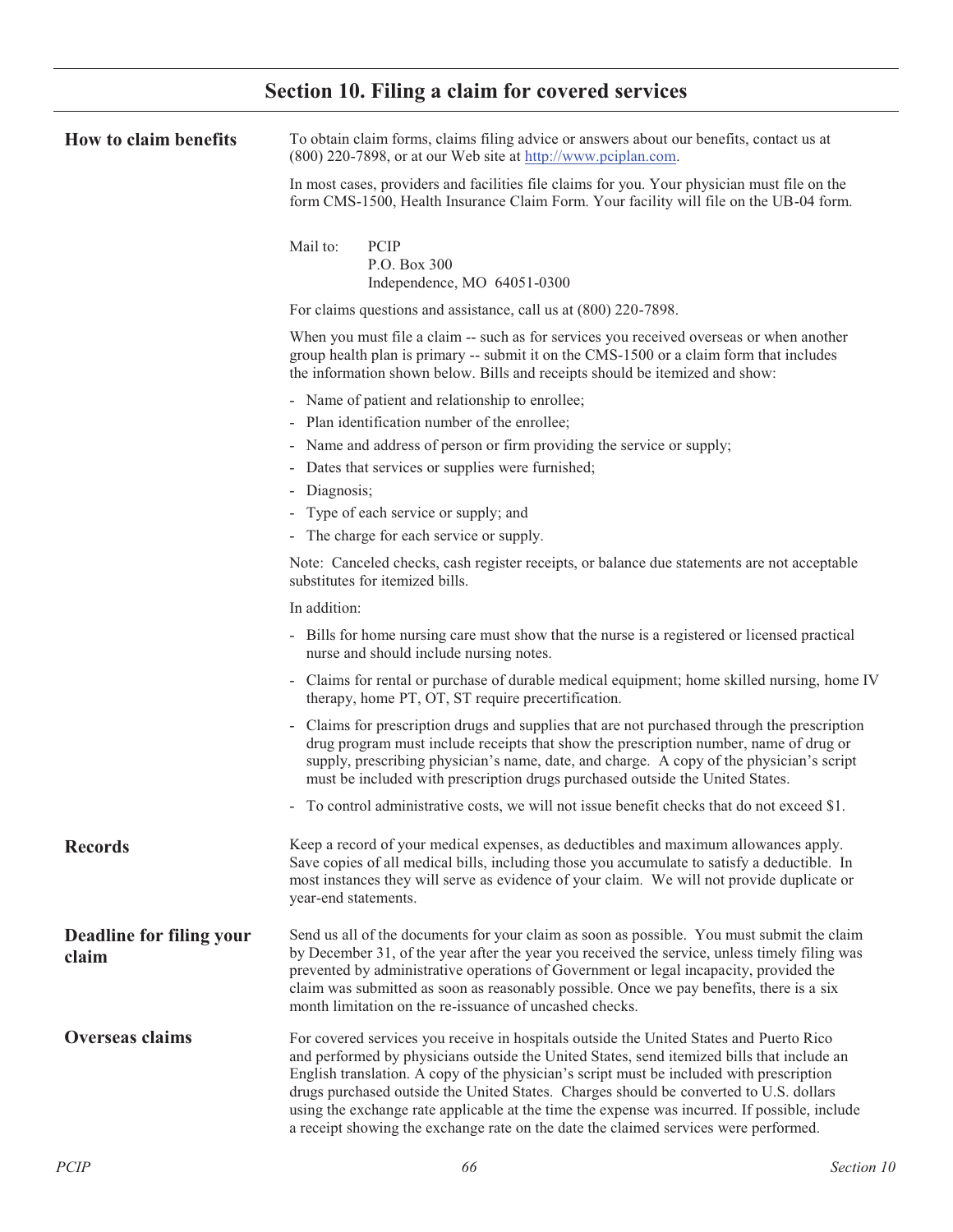## **Section 10. Filing a claim for covered services**

| How to claim benefits             | To obtain claim forms, claims filing advice or answers about our benefits, contact us at<br>(800) 220-7898, or at our Web site at http://www.pciplan.com.                                                                                                                                                                                                                                                                                                                                                                                                            |  |  |
|-----------------------------------|----------------------------------------------------------------------------------------------------------------------------------------------------------------------------------------------------------------------------------------------------------------------------------------------------------------------------------------------------------------------------------------------------------------------------------------------------------------------------------------------------------------------------------------------------------------------|--|--|
|                                   | In most cases, providers and facilities file claims for you. Your physician must file on the<br>form CMS-1500, Health Insurance Claim Form. Your facility will file on the UB-04 form.                                                                                                                                                                                                                                                                                                                                                                               |  |  |
|                                   | Mail to:<br>PCIP<br>P.O. Box 300<br>Independence, MO 64051-0300                                                                                                                                                                                                                                                                                                                                                                                                                                                                                                      |  |  |
|                                   | For claims questions and assistance, call us at (800) 220-7898.                                                                                                                                                                                                                                                                                                                                                                                                                                                                                                      |  |  |
|                                   | When you must file a claim -- such as for services you received overseas or when another<br>group health plan is primary -- submit it on the CMS-1500 or a claim form that includes<br>the information shown below. Bills and receipts should be itemized and show:                                                                                                                                                                                                                                                                                                  |  |  |
|                                   | - Name of patient and relationship to enrollee;                                                                                                                                                                                                                                                                                                                                                                                                                                                                                                                      |  |  |
|                                   | - Plan identification number of the enrollee;                                                                                                                                                                                                                                                                                                                                                                                                                                                                                                                        |  |  |
|                                   | - Name and address of person or firm providing the service or supply;                                                                                                                                                                                                                                                                                                                                                                                                                                                                                                |  |  |
|                                   | - Dates that services or supplies were furnished;                                                                                                                                                                                                                                                                                                                                                                                                                                                                                                                    |  |  |
|                                   | - Diagnosis;                                                                                                                                                                                                                                                                                                                                                                                                                                                                                                                                                         |  |  |
|                                   | - Type of each service or supply; and                                                                                                                                                                                                                                                                                                                                                                                                                                                                                                                                |  |  |
|                                   | The charge for each service or supply.                                                                                                                                                                                                                                                                                                                                                                                                                                                                                                                               |  |  |
|                                   | Note: Canceled checks, cash register receipts, or balance due statements are not acceptable<br>substitutes for itemized bills.                                                                                                                                                                                                                                                                                                                                                                                                                                       |  |  |
|                                   | In addition:                                                                                                                                                                                                                                                                                                                                                                                                                                                                                                                                                         |  |  |
|                                   | - Bills for home nursing care must show that the nurse is a registered or licensed practical<br>nurse and should include nursing notes.                                                                                                                                                                                                                                                                                                                                                                                                                              |  |  |
|                                   | - Claims for rental or purchase of durable medical equipment; home skilled nursing, home IV<br>therapy, home PT, OT, ST require precertification.                                                                                                                                                                                                                                                                                                                                                                                                                    |  |  |
|                                   | - Claims for prescription drugs and supplies that are not purchased through the prescription<br>drug program must include receipts that show the prescription number, name of drug or<br>supply, prescribing physician's name, date, and charge. A copy of the physician's script<br>must be included with prescription drugs purchased outside the United States.                                                                                                                                                                                                   |  |  |
|                                   | - To control administrative costs, we will not issue benefit checks that do not exceed \$1.                                                                                                                                                                                                                                                                                                                                                                                                                                                                          |  |  |
| <b>Records</b>                    | Keep a record of your medical expenses, as deductibles and maximum allowances apply.<br>Save copies of all medical bills, including those you accumulate to satisfy a deductible. In<br>most instances they will serve as evidence of your claim. We will not provide duplicate or<br>year-end statements.                                                                                                                                                                                                                                                           |  |  |
| Deadline for filing your<br>claim | Send us all of the documents for your claim as soon as possible. You must submit the claim<br>by December 31, of the year after the year you received the service, unless timely filing was<br>prevented by administrative operations of Government or legal incapacity, provided the<br>claim was submitted as soon as reasonably possible. Once we pay benefits, there is a six<br>month limitation on the re-issuance of uncashed checks.                                                                                                                         |  |  |
| <b>Overseas claims</b>            | For covered services you receive in hospitals outside the United States and Puerto Rico<br>and performed by physicians outside the United States, send itemized bills that include an<br>English translation. A copy of the physician's script must be included with prescription<br>drugs purchased outside the United States. Charges should be converted to U.S. dollars<br>using the exchange rate applicable at the time the expense was incurred. If possible, include<br>a receipt showing the exchange rate on the date the claimed services were performed. |  |  |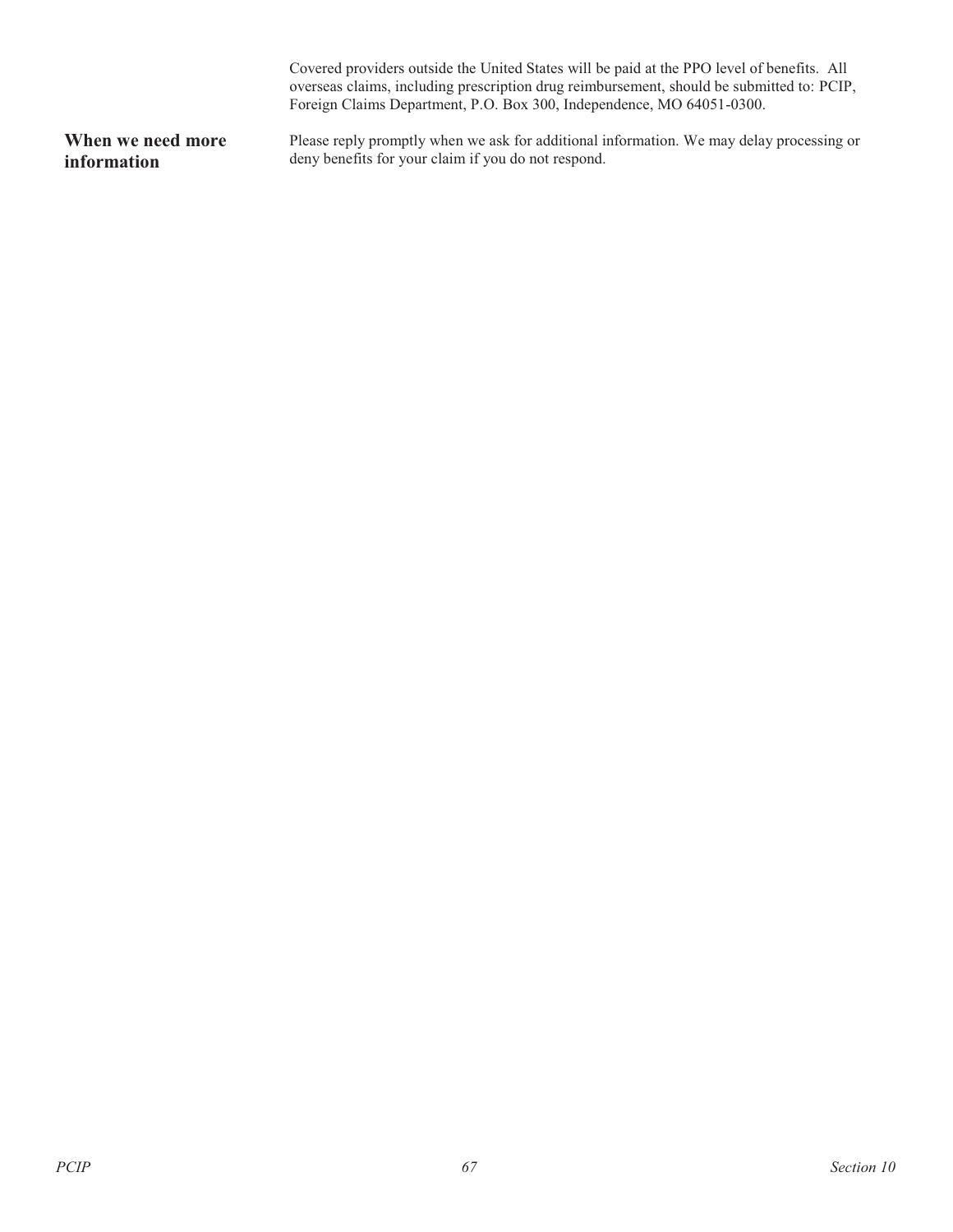|                   | Covered providers outside the United States will be paid at the PPO level of benefits. All<br>overseas claims, including prescription drug reimbursement, should be submitted to: PCIP,<br>Foreign Claims Department, P.O. Box 300, Independence, MO 64051-0300. |
|-------------------|------------------------------------------------------------------------------------------------------------------------------------------------------------------------------------------------------------------------------------------------------------------|
| When we need more | Please reply promptly when we ask for additional information. We may delay processing or                                                                                                                                                                         |
| information       | deny benefits for your claim if you do not respond.                                                                                                                                                                                                              |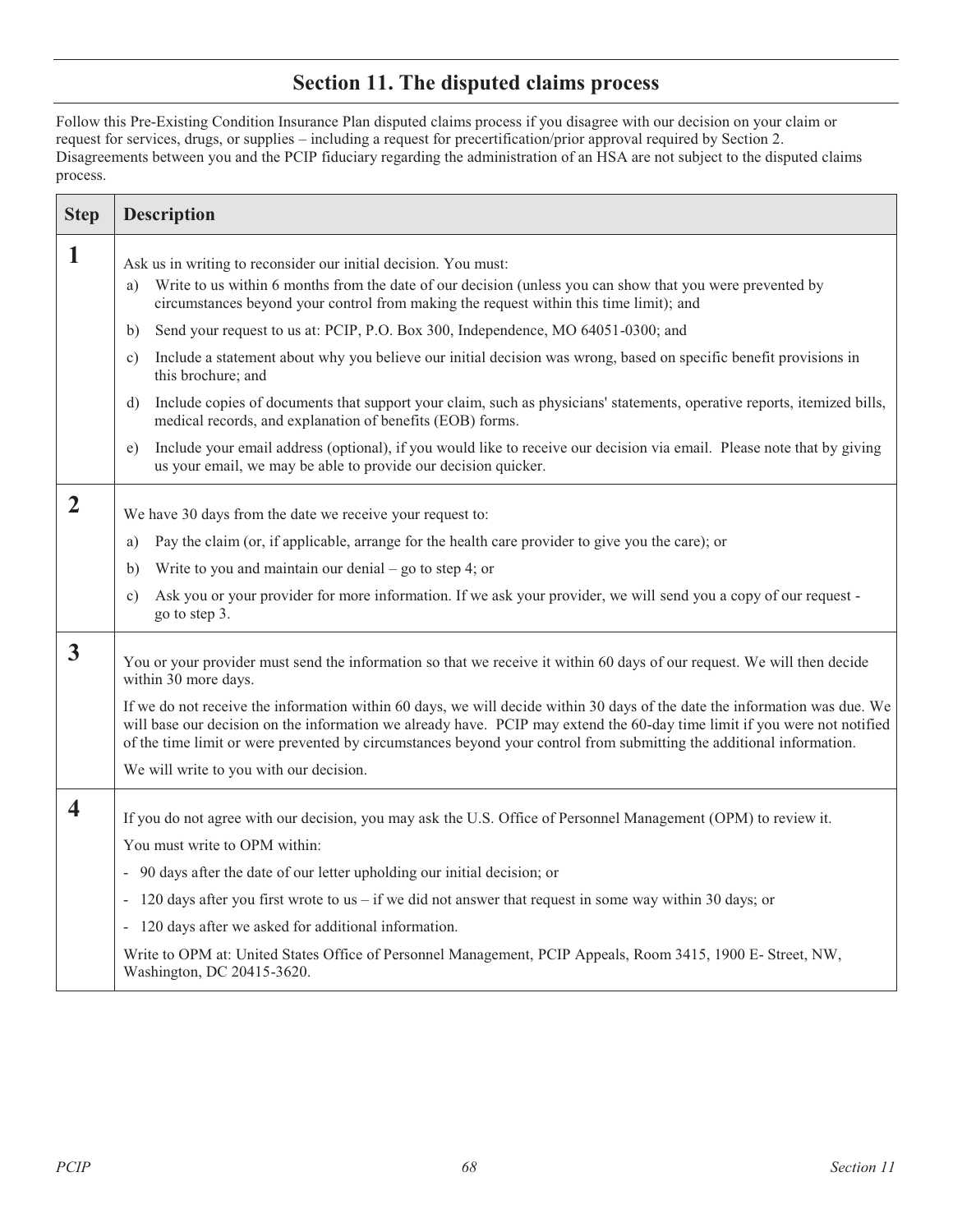### **Section 11. The disputed claims process**

Follow this Pre-Existing Condition Insurance Plan disputed claims process if you disagree with our decision on your claim or request for services, drugs, or supplies – including a request for precertification/prior approval required by Section 2. Disagreements between you and the PCIP fiduciary regarding the administration of an HSA are not subject to the disputed claims process.

| <b>Step</b>             | <b>Description</b>                                                                                                                                                                                                                                                                                                                                                              |  |
|-------------------------|---------------------------------------------------------------------------------------------------------------------------------------------------------------------------------------------------------------------------------------------------------------------------------------------------------------------------------------------------------------------------------|--|
| 1                       | Ask us in writing to reconsider our initial decision. You must:<br>Write to us within 6 months from the date of our decision (unless you can show that you were prevented by<br>a)<br>circumstances beyond your control from making the request within this time limit); and                                                                                                    |  |
|                         | Send your request to us at: PCIP, P.O. Box 300, Independence, MO 64051-0300; and<br>b)                                                                                                                                                                                                                                                                                          |  |
|                         | Include a statement about why you believe our initial decision was wrong, based on specific benefit provisions in<br>c)<br>this brochure; and                                                                                                                                                                                                                                   |  |
|                         | Include copies of documents that support your claim, such as physicians' statements, operative reports, itemized bills,<br>d)<br>medical records, and explanation of benefits (EOB) forms.                                                                                                                                                                                      |  |
|                         | Include your email address (optional), if you would like to receive our decision via email. Please note that by giving<br>e)<br>us your email, we may be able to provide our decision quicker.                                                                                                                                                                                  |  |
| $\overline{2}$          | We have 30 days from the date we receive your request to:                                                                                                                                                                                                                                                                                                                       |  |
|                         | Pay the claim (or, if applicable, arrange for the health care provider to give you the care); or<br>a)                                                                                                                                                                                                                                                                          |  |
|                         | Write to you and maintain our denial – go to step 4; or<br>b)                                                                                                                                                                                                                                                                                                                   |  |
|                         | Ask you or your provider for more information. If we ask your provider, we will send you a copy of our request -<br>c)<br>go to step 3.                                                                                                                                                                                                                                         |  |
| 3                       | You or your provider must send the information so that we receive it within 60 days of our request. We will then decide<br>within 30 more days.                                                                                                                                                                                                                                 |  |
|                         | If we do not receive the information within 60 days, we will decide within 30 days of the date the information was due. We<br>will base our decision on the information we already have. PCIP may extend the 60-day time limit if you were not notified<br>of the time limit or were prevented by circumstances beyond your control from submitting the additional information. |  |
|                         | We will write to you with our decision.                                                                                                                                                                                                                                                                                                                                         |  |
| $\overline{\mathbf{4}}$ | If you do not agree with our decision, you may ask the U.S. Office of Personnel Management (OPM) to review it.                                                                                                                                                                                                                                                                  |  |
|                         | You must write to OPM within:                                                                                                                                                                                                                                                                                                                                                   |  |
|                         | 90 days after the date of our letter upholding our initial decision; or<br>$\blacksquare$                                                                                                                                                                                                                                                                                       |  |
|                         | 120 days after you first wrote to us – if we did not answer that request in some way within 30 days; or                                                                                                                                                                                                                                                                         |  |
|                         | 120 days after we asked for additional information.                                                                                                                                                                                                                                                                                                                             |  |
|                         | Write to OPM at: United States Office of Personnel Management, PCIP Appeals, Room 3415, 1900 E- Street, NW,<br>Washington, DC 20415-3620.                                                                                                                                                                                                                                       |  |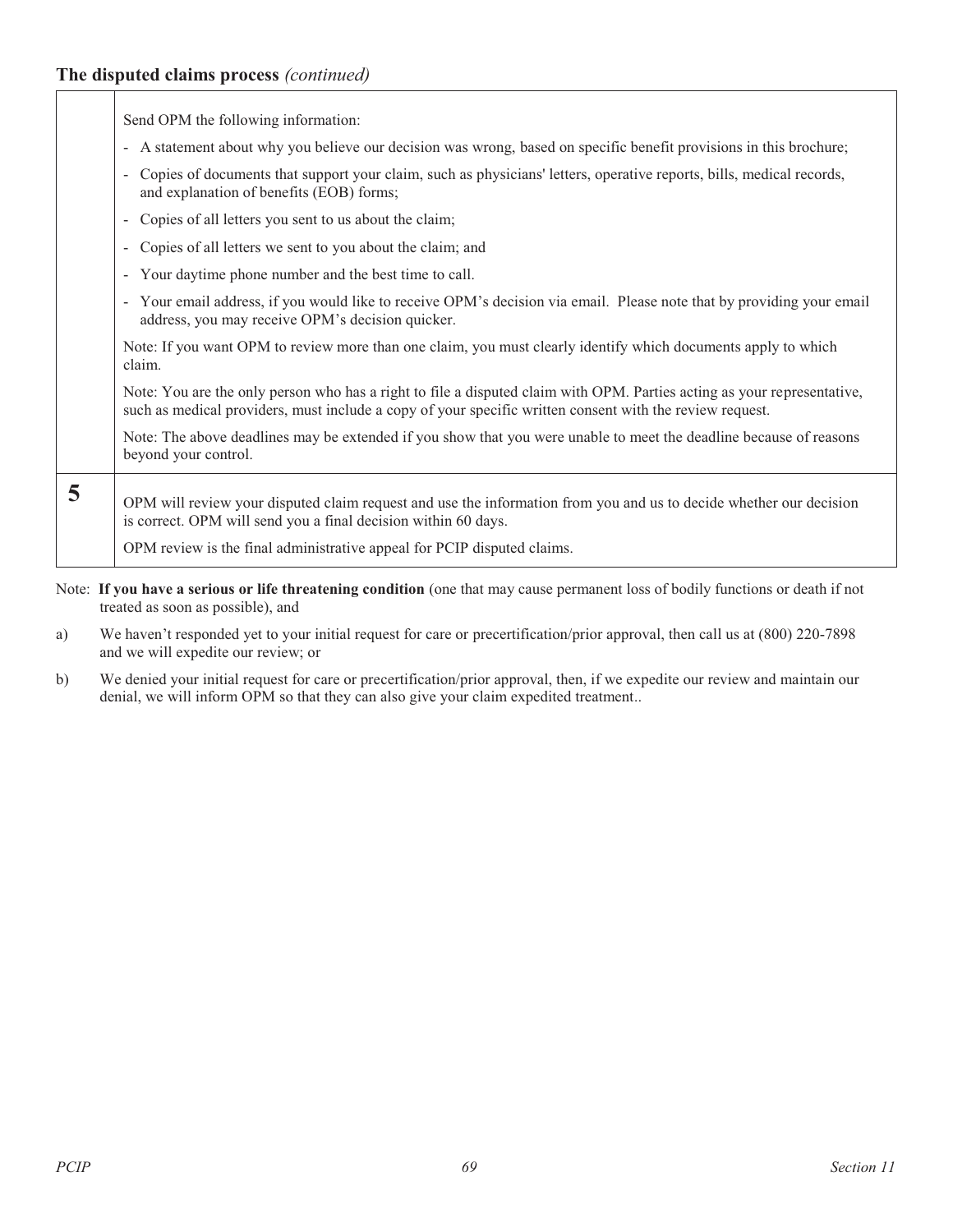### **The disputed claims process** *(continued)*

 $\Gamma$ 

 $\top$ 

|   | Send OPM the following information:                                                                                                                                                                                                                             |
|---|-----------------------------------------------------------------------------------------------------------------------------------------------------------------------------------------------------------------------------------------------------------------|
|   | A statement about why you believe our decision was wrong, based on specific benefit provisions in this brochure;<br>$\blacksquare$                                                                                                                              |
|   | Copies of documents that support your claim, such as physicians' letters, operative reports, bills, medical records,<br>$\overline{\phantom{a}}$<br>and explanation of benefits (EOB) forms;                                                                    |
|   | Copies of all letters you sent to us about the claim;<br>$\overline{\phantom{a}}$                                                                                                                                                                               |
|   | Copies of all letters we sent to you about the claim; and<br>$\overline{\phantom{a}}$                                                                                                                                                                           |
|   | Your daytime phone number and the best time to call.<br>$\blacksquare$                                                                                                                                                                                          |
|   | Your email address, if you would like to receive OPM's decision via email. Please note that by providing your email<br>$\sim$<br>address, you may receive OPM's decision quicker.                                                                               |
|   | Note: If you want OPM to review more than one claim, you must clearly identify which documents apply to which<br>claim.                                                                                                                                         |
|   | Note: You are the only person who has a right to file a disputed claim with OPM. Parties acting as your representative,<br>such as medical providers, must include a copy of your specific written consent with the review request.                             |
|   | Note: The above deadlines may be extended if you show that you were unable to meet the deadline because of reasons<br>beyond your control.                                                                                                                      |
| 5 | OPM will review your disputed claim request and use the information from you and us to decide whether our decision<br>is correct. OPM will send you a final decision within 60 days.<br>OPM review is the final administrative appeal for PCIP disputed claims. |

- Note: **If you have a serious or life threatening condition** (one that may cause permanent loss of bodily functions or death if not treated as soon as possible), and
- a) We haven't responded yet to your initial request for care or precertification/prior approval, then call us at (800) 220-7898 and we will expedite our review; or
- b) We denied your initial request for care or precertification/prior approval, then, if we expedite our review and maintain our denial, we will inform OPM so that they can also give your claim expedited treatment..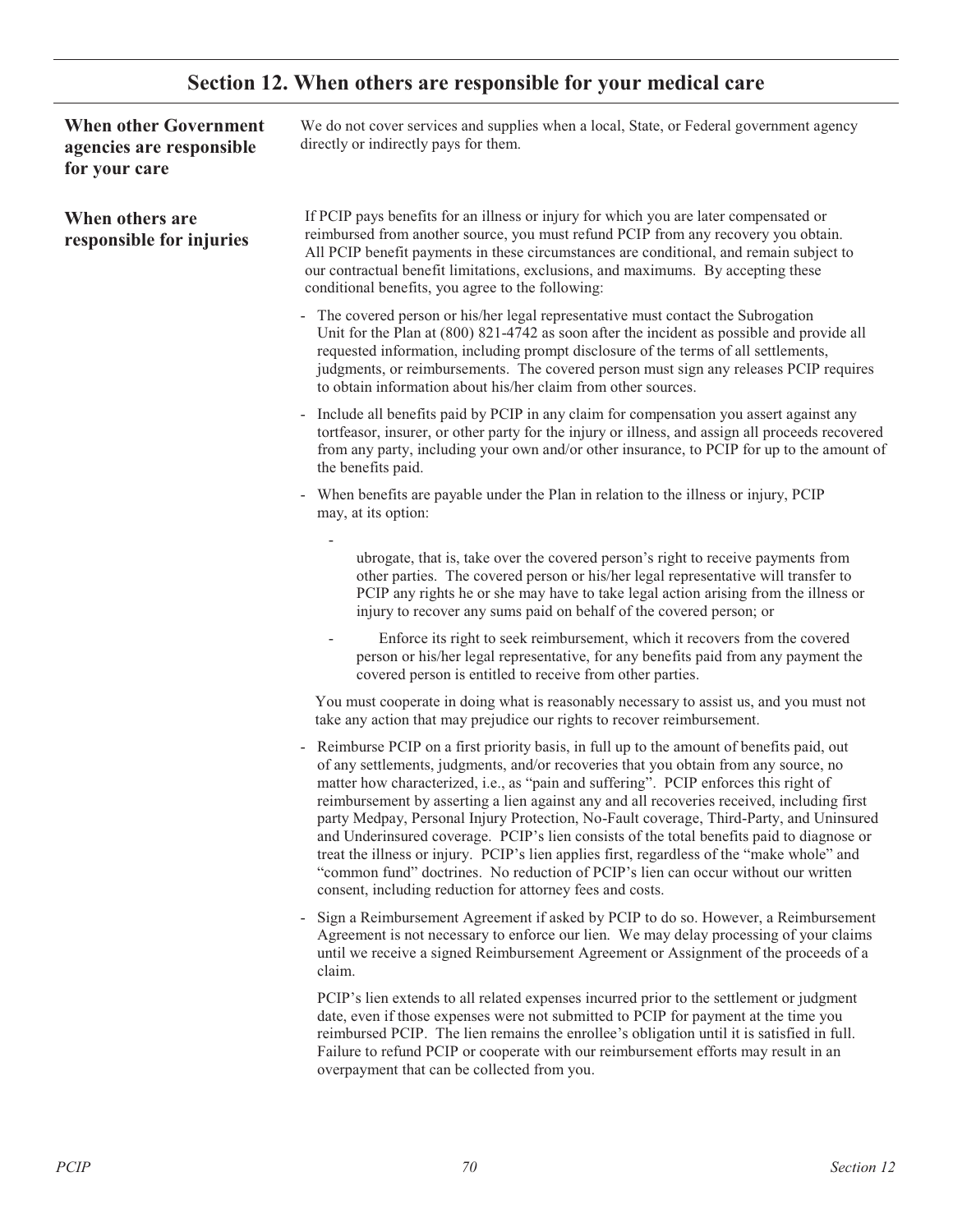## **Section 12. When others are responsible for your medical care**

| <b>When other Government</b><br>agencies are responsible<br>for your care | We do not cover services and supplies when a local, State, or Federal government agency<br>directly or indirectly pays for them.                                                                                                                                                                                                                                                                                                                                                                                                                                                                                                                                                                                                                                                                                  |
|---------------------------------------------------------------------------|-------------------------------------------------------------------------------------------------------------------------------------------------------------------------------------------------------------------------------------------------------------------------------------------------------------------------------------------------------------------------------------------------------------------------------------------------------------------------------------------------------------------------------------------------------------------------------------------------------------------------------------------------------------------------------------------------------------------------------------------------------------------------------------------------------------------|
| When others are<br>responsible for injuries                               | If PCIP pays benefits for an illness or injury for which you are later compensated or<br>reimbursed from another source, you must refund PCIP from any recovery you obtain.<br>All PCIP benefit payments in these circumstances are conditional, and remain subject to<br>our contractual benefit limitations, exclusions, and maximums. By accepting these<br>conditional benefits, you agree to the following:                                                                                                                                                                                                                                                                                                                                                                                                  |
|                                                                           | - The covered person or his/her legal representative must contact the Subrogation<br>Unit for the Plan at $(800)$ $821-4742$ as soon after the incident as possible and provide all<br>requested information, including prompt disclosure of the terms of all settlements,<br>judgments, or reimbursements. The covered person must sign any releases PCIP requires<br>to obtain information about his/her claim from other sources.                                                                                                                                                                                                                                                                                                                                                                              |
|                                                                           | - Include all benefits paid by PCIP in any claim for compensation you assert against any<br>tortfeasor, insurer, or other party for the injury or illness, and assign all proceeds recovered<br>from any party, including your own and/or other insurance, to PCIP for up to the amount of<br>the benefits paid.                                                                                                                                                                                                                                                                                                                                                                                                                                                                                                  |
|                                                                           | When benefits are payable under the Plan in relation to the illness or injury, PCIP<br>may, at its option:                                                                                                                                                                                                                                                                                                                                                                                                                                                                                                                                                                                                                                                                                                        |
|                                                                           | ubrogate, that is, take over the covered person's right to receive payments from<br>other parties. The covered person or his/her legal representative will transfer to<br>PCIP any rights he or she may have to take legal action arising from the illness or<br>injury to recover any sums paid on behalf of the covered person; or                                                                                                                                                                                                                                                                                                                                                                                                                                                                              |
|                                                                           | Enforce its right to seek reimbursement, which it recovers from the covered<br>person or his/her legal representative, for any benefits paid from any payment the<br>covered person is entitled to receive from other parties.                                                                                                                                                                                                                                                                                                                                                                                                                                                                                                                                                                                    |
|                                                                           | You must cooperate in doing what is reasonably necessary to assist us, and you must not<br>take any action that may prejudice our rights to recover reimbursement.                                                                                                                                                                                                                                                                                                                                                                                                                                                                                                                                                                                                                                                |
|                                                                           | - Reimburse PCIP on a first priority basis, in full up to the amount of benefits paid, out<br>of any settlements, judgments, and/or recoveries that you obtain from any source, no<br>matter how characterized, i.e., as "pain and suffering". PCIP enforces this right of<br>reimbursement by asserting a lien against any and all recoveries received, including first<br>party Medpay, Personal Injury Protection, No-Fault coverage, Third-Party, and Uninsured<br>and Underinsured coverage. PCIP's lien consists of the total benefits paid to diagnose or<br>treat the illness or injury. PCIP's lien applies first, regardless of the "make whole" and<br>"common fund" doctrines. No reduction of PCIP's lien can occur without our written<br>consent, including reduction for attorney fees and costs. |
|                                                                           | Sign a Reimbursement Agreement if asked by PCIP to do so. However, a Reimbursement<br>Agreement is not necessary to enforce our lien. We may delay processing of your claims<br>until we receive a signed Reimbursement Agreement or Assignment of the proceeds of a<br>claim.                                                                                                                                                                                                                                                                                                                                                                                                                                                                                                                                    |
|                                                                           | PCIP's lien extends to all related expenses incurred prior to the settlement or judgment<br>date, even if those expenses were not submitted to PCIP for payment at the time you<br>reimbursed PCIP. The lien remains the enrollee's obligation until it is satisfied in full.<br>Failure to refund PCIP or cooperate with our reimbursement efforts may result in an<br>overpayment that can be collected from you.                                                                                                                                                                                                                                                                                                                                                                                               |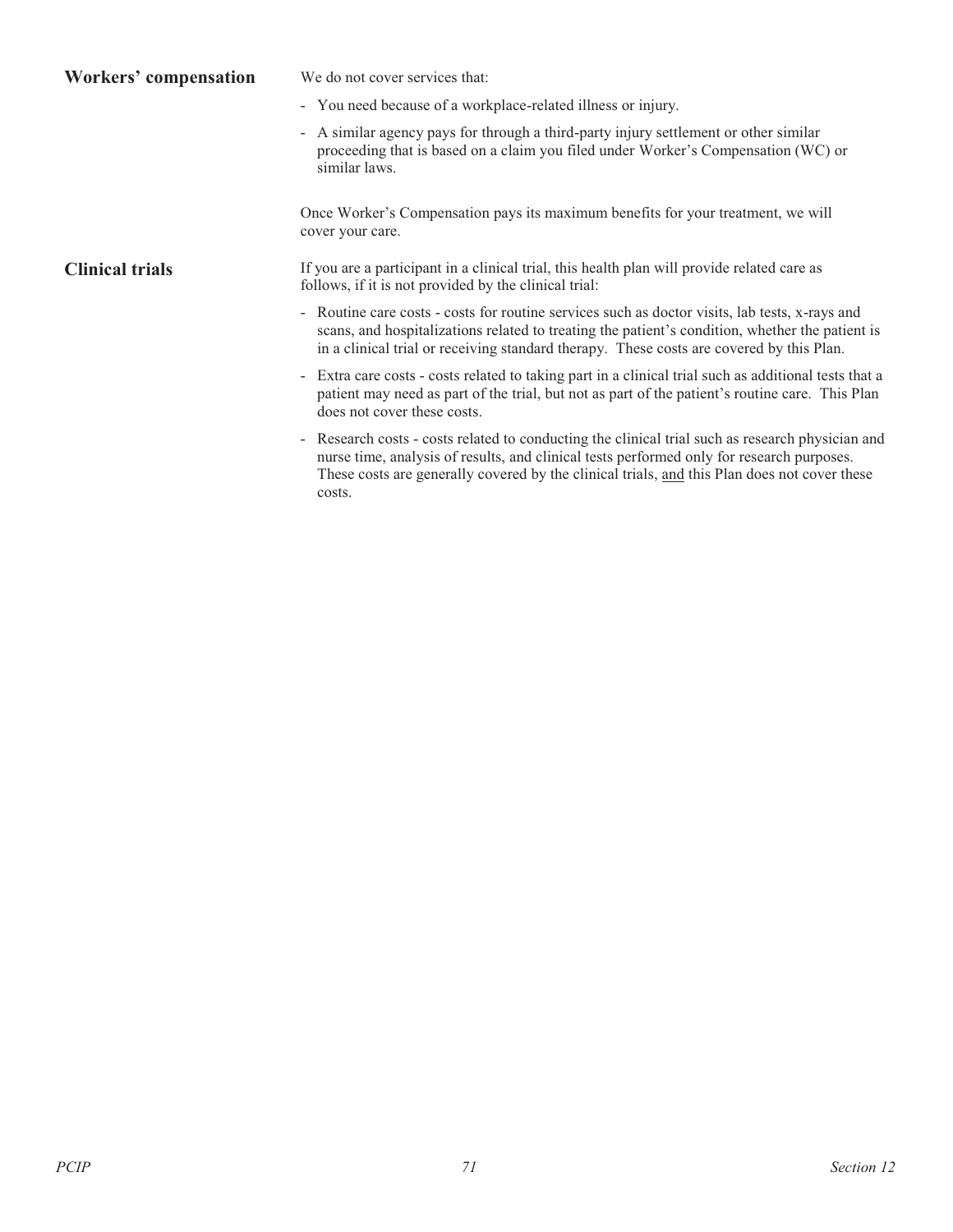| Workers' compensation  | We do not cover services that:                                                                                                                                                                                                                                                                          |  |  |  |
|------------------------|---------------------------------------------------------------------------------------------------------------------------------------------------------------------------------------------------------------------------------------------------------------------------------------------------------|--|--|--|
|                        | - You need because of a workplace-related illness or injury.                                                                                                                                                                                                                                            |  |  |  |
|                        | - A similar agency pays for through a third-party injury settlement or other similar<br>proceeding that is based on a claim you filed under Worker's Compensation (WC) or<br>similar laws.                                                                                                              |  |  |  |
|                        | Once Worker's Compensation pays its maximum benefits for your treatment, we will<br>cover your care.                                                                                                                                                                                                    |  |  |  |
| <b>Clinical trials</b> | If you are a participant in a clinical trial, this health plan will provide related care as<br>follows, if it is not provided by the clinical trial:                                                                                                                                                    |  |  |  |
|                        | - Routine care costs - costs for routine services such as doctor visits, lab tests, x-rays and<br>scans, and hospitalizations related to treating the patient's condition, whether the patient is<br>in a clinical trial or receiving standard therapy. These costs are covered by this Plan.           |  |  |  |
|                        | - Extra care costs - costs related to taking part in a clinical trial such as additional tests that a<br>patient may need as part of the trial, but not as part of the patient's routine care. This Plan<br>does not cover these costs.                                                                 |  |  |  |
|                        | - Research costs - costs related to conducting the clinical trial such as research physician and<br>nurse time, analysis of results, and clinical tests performed only for research purposes.<br>These costs are generally covered by the clinical trials, and this Plan does not cover these<br>costs. |  |  |  |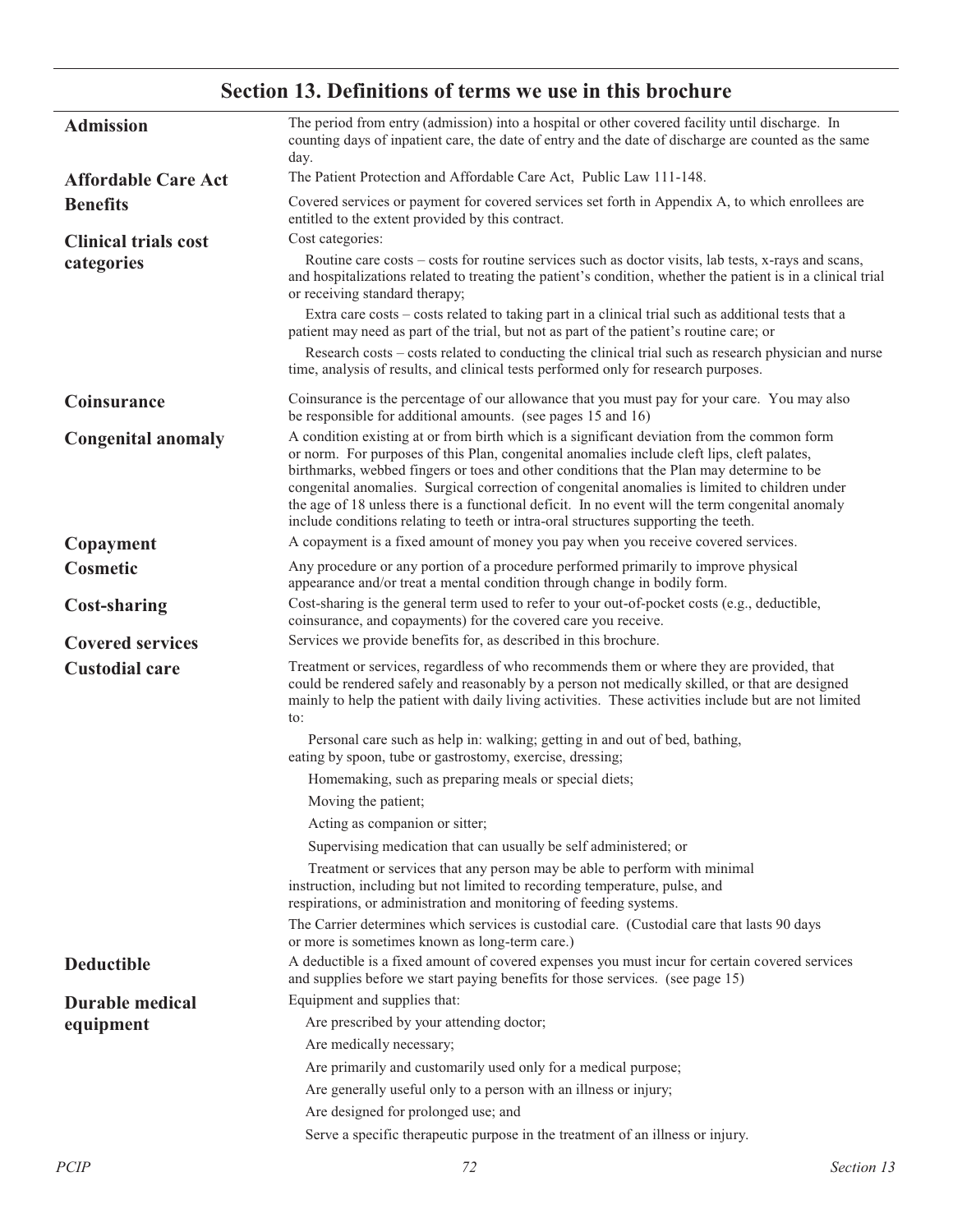# **Section 13. Definitions of terms we use in this brochure**

| <b>Admission</b>            | The period from entry (admission) into a hospital or other covered facility until discharge. In<br>counting days of inpatient care, the date of entry and the date of discharge are counted as the same<br>day.                                                                                                                                                                                                                                                                                                                                                                      |  |  |  |  |  |
|-----------------------------|--------------------------------------------------------------------------------------------------------------------------------------------------------------------------------------------------------------------------------------------------------------------------------------------------------------------------------------------------------------------------------------------------------------------------------------------------------------------------------------------------------------------------------------------------------------------------------------|--|--|--|--|--|
| <b>Affordable Care Act</b>  | The Patient Protection and Affordable Care Act, Public Law 111-148.                                                                                                                                                                                                                                                                                                                                                                                                                                                                                                                  |  |  |  |  |  |
| <b>Benefits</b>             | Covered services or payment for covered services set forth in Appendix A, to which enrollees are<br>entitled to the extent provided by this contract.                                                                                                                                                                                                                                                                                                                                                                                                                                |  |  |  |  |  |
| <b>Clinical trials cost</b> | Cost categories:                                                                                                                                                                                                                                                                                                                                                                                                                                                                                                                                                                     |  |  |  |  |  |
| categories                  | Routine care costs – costs for routine services such as doctor visits, lab tests, x-rays and scans,<br>and hospitalizations related to treating the patient's condition, whether the patient is in a clinical trial<br>or receiving standard therapy;                                                                                                                                                                                                                                                                                                                                |  |  |  |  |  |
|                             | Extra care costs – costs related to taking part in a clinical trial such as additional tests that a<br>patient may need as part of the trial, but not as part of the patient's routine care; or                                                                                                                                                                                                                                                                                                                                                                                      |  |  |  |  |  |
|                             | Research costs – costs related to conducting the clinical trial such as research physician and nurse<br>time, analysis of results, and clinical tests performed only for research purposes.                                                                                                                                                                                                                                                                                                                                                                                          |  |  |  |  |  |
| Coinsurance                 | Coinsurance is the percentage of our allowance that you must pay for your care. You may also<br>be responsible for additional amounts. (see pages 15 and 16)                                                                                                                                                                                                                                                                                                                                                                                                                         |  |  |  |  |  |
| <b>Congenital anomaly</b>   | A condition existing at or from birth which is a significant deviation from the common form<br>or norm. For purposes of this Plan, congenital anomalies include cleft lips, cleft palates,<br>birthmarks, webbed fingers or toes and other conditions that the Plan may determine to be<br>congenital anomalies. Surgical correction of congenital anomalies is limited to children under<br>the age of 18 unless there is a functional deficit. In no event will the term congenital anomaly<br>include conditions relating to teeth or intra-oral structures supporting the teeth. |  |  |  |  |  |
| Copayment                   | A copayment is a fixed amount of money you pay when you receive covered services.                                                                                                                                                                                                                                                                                                                                                                                                                                                                                                    |  |  |  |  |  |
| Cosmetic                    | Any procedure or any portion of a procedure performed primarily to improve physical<br>appearance and/or treat a mental condition through change in bodily form.                                                                                                                                                                                                                                                                                                                                                                                                                     |  |  |  |  |  |
| <b>Cost-sharing</b>         | Cost-sharing is the general term used to refer to your out-of-pocket costs (e.g., deductible,<br>coinsurance, and copayments) for the covered care you receive.                                                                                                                                                                                                                                                                                                                                                                                                                      |  |  |  |  |  |
|                             | Services we provide benefits for, as described in this brochure.                                                                                                                                                                                                                                                                                                                                                                                                                                                                                                                     |  |  |  |  |  |
| <b>Covered services</b>     |                                                                                                                                                                                                                                                                                                                                                                                                                                                                                                                                                                                      |  |  |  |  |  |
| <b>Custodial care</b>       | Treatment or services, regardless of who recommends them or where they are provided, that<br>could be rendered safely and reasonably by a person not medically skilled, or that are designed<br>mainly to help the patient with daily living activities. These activities include but are not limited<br>to:                                                                                                                                                                                                                                                                         |  |  |  |  |  |
|                             | Personal care such as help in: walking; getting in and out of bed, bathing,<br>eating by spoon, tube or gastrostomy, exercise, dressing;                                                                                                                                                                                                                                                                                                                                                                                                                                             |  |  |  |  |  |
|                             | Homemaking, such as preparing meals or special diets;                                                                                                                                                                                                                                                                                                                                                                                                                                                                                                                                |  |  |  |  |  |
|                             | Moving the patient;                                                                                                                                                                                                                                                                                                                                                                                                                                                                                                                                                                  |  |  |  |  |  |
|                             | Acting as companion or sitter;                                                                                                                                                                                                                                                                                                                                                                                                                                                                                                                                                       |  |  |  |  |  |
|                             | Supervising medication that can usually be self administered; or                                                                                                                                                                                                                                                                                                                                                                                                                                                                                                                     |  |  |  |  |  |
|                             | Treatment or services that any person may be able to perform with minimal<br>instruction, including but not limited to recording temperature, pulse, and                                                                                                                                                                                                                                                                                                                                                                                                                             |  |  |  |  |  |
|                             | respirations, or administration and monitoring of feeding systems.<br>The Carrier determines which services is custodial care. (Custodial care that lasts 90 days<br>or more is sometimes known as long-term care.)                                                                                                                                                                                                                                                                                                                                                                  |  |  |  |  |  |
| <b>Deductible</b>           | A deductible is a fixed amount of covered expenses you must incur for certain covered services<br>and supplies before we start paying benefits for those services. (see page 15)                                                                                                                                                                                                                                                                                                                                                                                                     |  |  |  |  |  |
| <b>Durable medical</b>      | Equipment and supplies that:                                                                                                                                                                                                                                                                                                                                                                                                                                                                                                                                                         |  |  |  |  |  |
| equipment                   | Are prescribed by your attending doctor;                                                                                                                                                                                                                                                                                                                                                                                                                                                                                                                                             |  |  |  |  |  |
|                             | Are medically necessary;                                                                                                                                                                                                                                                                                                                                                                                                                                                                                                                                                             |  |  |  |  |  |
|                             | Are primarily and customarily used only for a medical purpose;                                                                                                                                                                                                                                                                                                                                                                                                                                                                                                                       |  |  |  |  |  |
|                             | Are generally useful only to a person with an illness or injury;                                                                                                                                                                                                                                                                                                                                                                                                                                                                                                                     |  |  |  |  |  |
|                             | Are designed for prolonged use; and                                                                                                                                                                                                                                                                                                                                                                                                                                                                                                                                                  |  |  |  |  |  |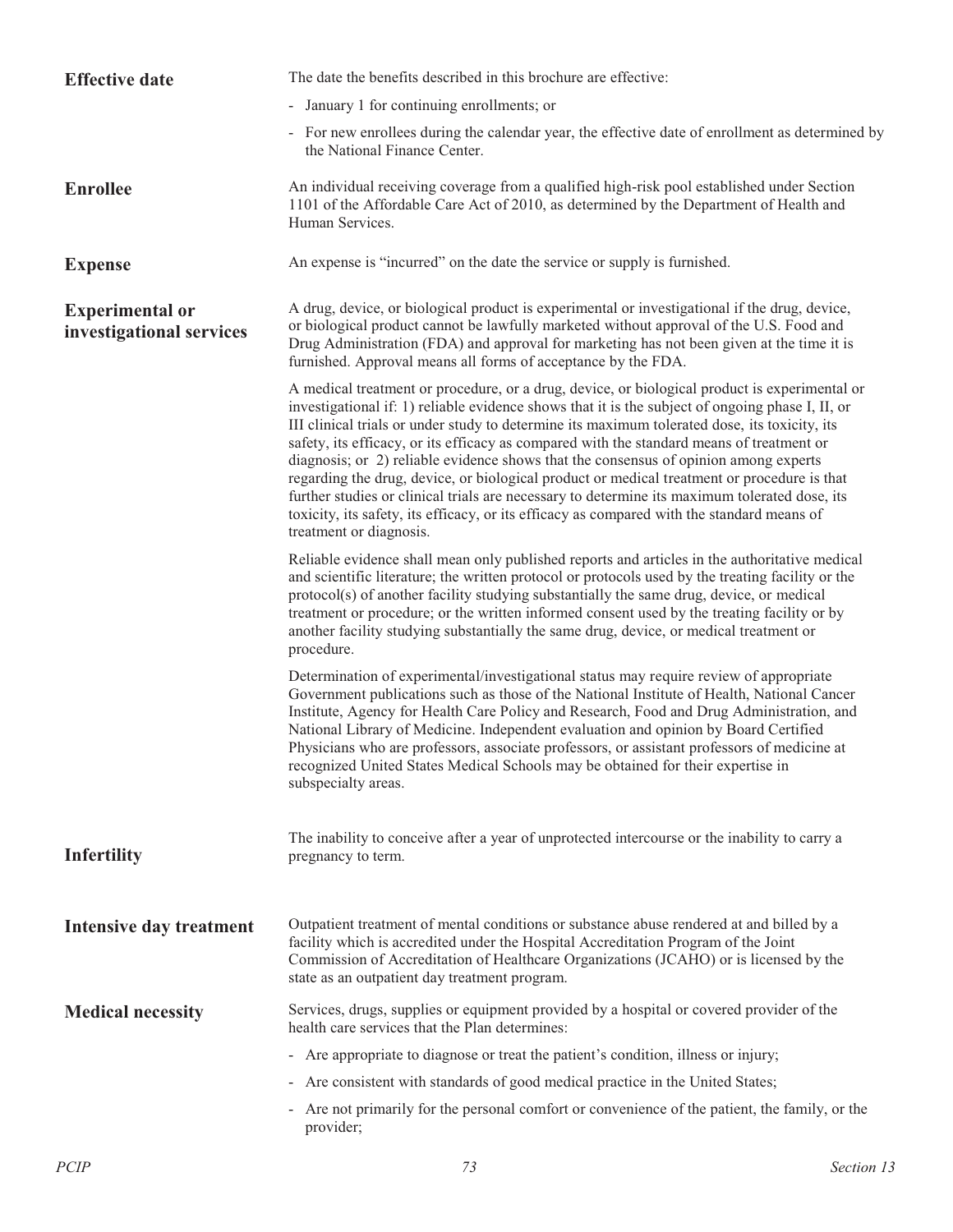| <b>Effective date</b>                              | The date the benefits described in this brochure are effective:                                                                                                                                                                                                                                                                                                                                                                                                                                                                                                                                                                                                                                                                                                                                                  |  |  |  |  |
|----------------------------------------------------|------------------------------------------------------------------------------------------------------------------------------------------------------------------------------------------------------------------------------------------------------------------------------------------------------------------------------------------------------------------------------------------------------------------------------------------------------------------------------------------------------------------------------------------------------------------------------------------------------------------------------------------------------------------------------------------------------------------------------------------------------------------------------------------------------------------|--|--|--|--|
|                                                    | - January 1 for continuing enrollments; or                                                                                                                                                                                                                                                                                                                                                                                                                                                                                                                                                                                                                                                                                                                                                                       |  |  |  |  |
|                                                    | - For new enrollees during the calendar year, the effective date of enrollment as determined by<br>the National Finance Center.                                                                                                                                                                                                                                                                                                                                                                                                                                                                                                                                                                                                                                                                                  |  |  |  |  |
| <b>Enrollee</b>                                    | An individual receiving coverage from a qualified high-risk pool established under Section<br>1101 of the Affordable Care Act of 2010, as determined by the Department of Health and<br>Human Services.                                                                                                                                                                                                                                                                                                                                                                                                                                                                                                                                                                                                          |  |  |  |  |
| <b>Expense</b>                                     | An expense is "incurred" on the date the service or supply is furnished.                                                                                                                                                                                                                                                                                                                                                                                                                                                                                                                                                                                                                                                                                                                                         |  |  |  |  |
| <b>Experimental or</b><br>investigational services | A drug, device, or biological product is experimental or investigational if the drug, device,<br>or biological product cannot be lawfully marketed without approval of the U.S. Food and<br>Drug Administration (FDA) and approval for marketing has not been given at the time it is<br>furnished. Approval means all forms of acceptance by the FDA.                                                                                                                                                                                                                                                                                                                                                                                                                                                           |  |  |  |  |
|                                                    | A medical treatment or procedure, or a drug, device, or biological product is experimental or<br>investigational if: 1) reliable evidence shows that it is the subject of ongoing phase I, II, or<br>III clinical trials or under study to determine its maximum tolerated dose, its toxicity, its<br>safety, its efficacy, or its efficacy as compared with the standard means of treatment or<br>diagnosis; or 2) reliable evidence shows that the consensus of opinion among experts<br>regarding the drug, device, or biological product or medical treatment or procedure is that<br>further studies or clinical trials are necessary to determine its maximum tolerated dose, its<br>toxicity, its safety, its efficacy, or its efficacy as compared with the standard means of<br>treatment or diagnosis. |  |  |  |  |
|                                                    | Reliable evidence shall mean only published reports and articles in the authoritative medical<br>and scientific literature; the written protocol or protocols used by the treating facility or the<br>protocol(s) of another facility studying substantially the same drug, device, or medical<br>treatment or procedure; or the written informed consent used by the treating facility or by<br>another facility studying substantially the same drug, device, or medical treatment or<br>procedure.                                                                                                                                                                                                                                                                                                            |  |  |  |  |
|                                                    | Determination of experimental/investigational status may require review of appropriate<br>Government publications such as those of the National Institute of Health, National Cancer<br>Institute, Agency for Health Care Policy and Research, Food and Drug Administration, and<br>National Library of Medicine. Independent evaluation and opinion by Board Certified<br>Physicians who are professors, associate professors, or assistant professors of medicine at<br>recognized United States Medical Schools may be obtained for their expertise in<br>subspecialty areas.                                                                                                                                                                                                                                 |  |  |  |  |
| <b>Infertility</b>                                 | The inability to conceive after a year of unprotected intercourse or the inability to carry a<br>pregnancy to term.                                                                                                                                                                                                                                                                                                                                                                                                                                                                                                                                                                                                                                                                                              |  |  |  |  |
| Intensive day treatment                            | Outpatient treatment of mental conditions or substance abuse rendered at and billed by a<br>facility which is accredited under the Hospital Accreditation Program of the Joint<br>Commission of Accreditation of Healthcare Organizations (JCAHO) or is licensed by the<br>state as an outpatient day treatment program.                                                                                                                                                                                                                                                                                                                                                                                                                                                                                         |  |  |  |  |
| <b>Medical necessity</b>                           | Services, drugs, supplies or equipment provided by a hospital or covered provider of the<br>health care services that the Plan determines:                                                                                                                                                                                                                                                                                                                                                                                                                                                                                                                                                                                                                                                                       |  |  |  |  |
|                                                    | - Are appropriate to diagnose or treat the patient's condition, illness or injury;                                                                                                                                                                                                                                                                                                                                                                                                                                                                                                                                                                                                                                                                                                                               |  |  |  |  |
|                                                    | - Are consistent with standards of good medical practice in the United States;                                                                                                                                                                                                                                                                                                                                                                                                                                                                                                                                                                                                                                                                                                                                   |  |  |  |  |
|                                                    | - Are not primarily for the personal comfort or convenience of the patient, the family, or the<br>provider;                                                                                                                                                                                                                                                                                                                                                                                                                                                                                                                                                                                                                                                                                                      |  |  |  |  |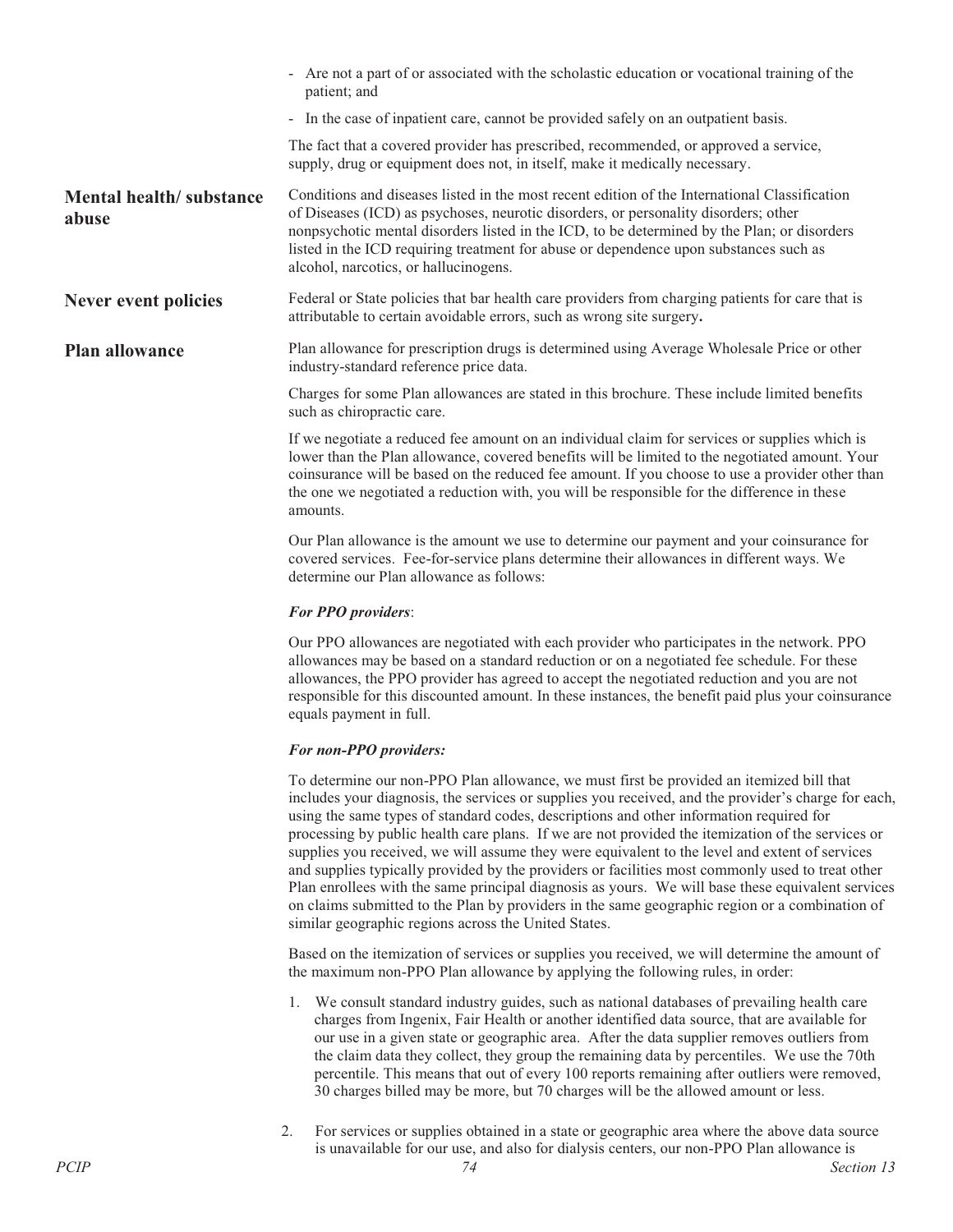|                                  | - Are not a part of or associated with the scholastic education or vocational training of the<br>patient; and                                                                                                                                                                                                                                                                                                         |  |  |  |  |
|----------------------------------|-----------------------------------------------------------------------------------------------------------------------------------------------------------------------------------------------------------------------------------------------------------------------------------------------------------------------------------------------------------------------------------------------------------------------|--|--|--|--|
|                                  | - In the case of inpatient care, cannot be provided safely on an outpatient basis.                                                                                                                                                                                                                                                                                                                                    |  |  |  |  |
|                                  | The fact that a covered provider has prescribed, recommended, or approved a service,<br>supply, drug or equipment does not, in itself, make it medically necessary.                                                                                                                                                                                                                                                   |  |  |  |  |
| Mental health/substance<br>abuse | Conditions and diseases listed in the most recent edition of the International Classification<br>of Diseases (ICD) as psychoses, neurotic disorders, or personality disorders; other<br>nonpsychotic mental disorders listed in the ICD, to be determined by the Plan; or disorders<br>listed in the ICD requiring treatment for abuse or dependence upon substances such as<br>alcohol, narcotics, or hallucinogens. |  |  |  |  |
| Never event policies             | Federal or State policies that bar health care providers from charging patients for care that is<br>attributable to certain avoidable errors, such as wrong site surgery.                                                                                                                                                                                                                                             |  |  |  |  |
| <b>Plan allowance</b>            | Plan allowance for prescription drugs is determined using Average Wholesale Price or other<br>industry-standard reference price data.                                                                                                                                                                                                                                                                                 |  |  |  |  |
|                                  | Charges for some Plan allowances are stated in this brochure. These include limited benefits<br>such as chiropractic care.                                                                                                                                                                                                                                                                                            |  |  |  |  |
|                                  | If we negotiate a reduced fee amount on an individual claim for services or supplies which is<br>lower than the Plan allowance, covered benefits will be limited to the negotiated amount. Your<br>coinsurance will be based on the reduced fee amount. If you choose to use a provider other than<br>the one we negotiated a reduction with, you will be responsible for the difference in these<br>amounts.         |  |  |  |  |
|                                  | Our Plan allowance is the amount we use to determine our payment and your coinsurance for<br>covered services. Fee-for-service plans determine their allowances in different ways. We<br>determine our Plan allowance as follows:                                                                                                                                                                                     |  |  |  |  |
|                                  | <b>For PPO providers:</b>                                                                                                                                                                                                                                                                                                                                                                                             |  |  |  |  |
|                                  | Our PPO allowances are negotiated with each provider who participates in the network. PPO<br>allowances may be based on a standard reduction or on a negotiated fee schedule. For these<br>allowances, the PPO provider has agreed to accept the negotiated reduction and you are not                                                                                                                                 |  |  |  |  |

### *For non-PPO providers:*

equals payment in full.

To determine our non-PPO Plan allowance, we must first be provided an itemized bill that includes your diagnosis, the services or supplies you received, and the provider's charge for each, using the same types of standard codes, descriptions and other information required for processing by public health care plans. If we are not provided the itemization of the services or supplies you received, we will assume they were equivalent to the level and extent of services and supplies typically provided by the providers or facilities most commonly used to treat other Plan enrollees with the same principal diagnosis as yours. We will base these equivalent services on claims submitted to the Plan by providers in the same geographic region or a combination of similar geographic regions across the United States.

responsible for this discounted amount. In these instances, the benefit paid plus your coinsurance

Based on the itemization of services or supplies you received, we will determine the amount of the maximum non-PPO Plan allowance by applying the following rules, in order:

- 1. We consult standard industry guides, such as national databases of prevailing health care charges from Ingenix, Fair Health or another identified data source, that are available for our use in a given state or geographic area. After the data supplier removes outliers from the claim data they collect, they group the remaining data by percentiles. We use the 70th percentile. This means that out of every 100 reports remaining after outliers were removed, 30 charges billed may be more, but 70 charges will be the allowed amount or less.
- 2. For services or supplies obtained in a state or geographic area where the above data source is unavailable for our use, and also for dialysis centers, our non-PPO Plan allowance is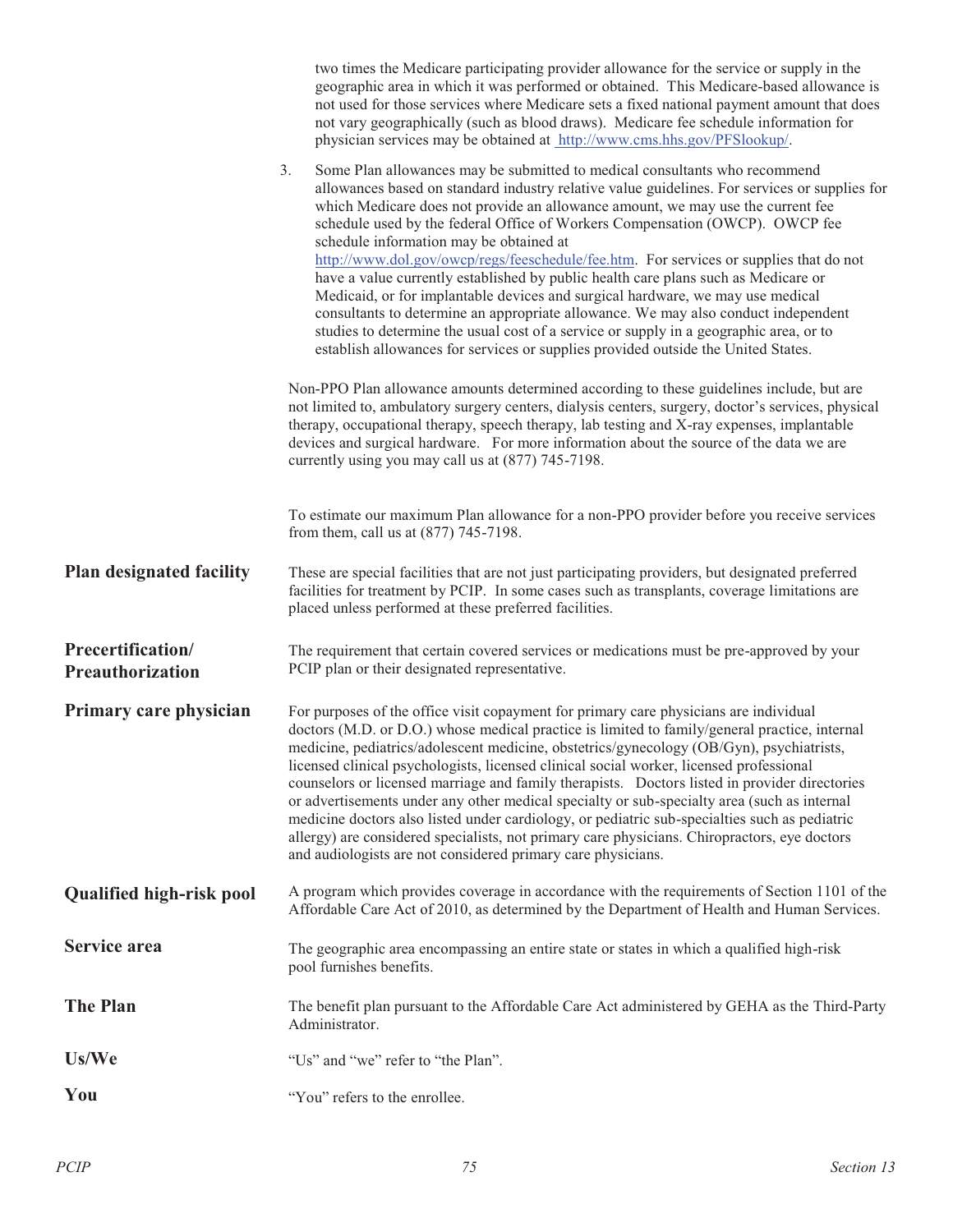|                                       | two times the Medicare participating provider allowance for the service or supply in the<br>geographic area in which it was performed or obtained. This Medicare-based allowance is<br>not used for those services where Medicare sets a fixed national payment amount that does<br>not vary geographically (such as blood draws). Medicare fee schedule information for<br>physician services may be obtained at http://www.cms.hhs.gov/PFSlookup/.                                                                                                                                                                                                                                                                                                                                                                                                                                                                                   |  |  |  |  |  |
|---------------------------------------|----------------------------------------------------------------------------------------------------------------------------------------------------------------------------------------------------------------------------------------------------------------------------------------------------------------------------------------------------------------------------------------------------------------------------------------------------------------------------------------------------------------------------------------------------------------------------------------------------------------------------------------------------------------------------------------------------------------------------------------------------------------------------------------------------------------------------------------------------------------------------------------------------------------------------------------|--|--|--|--|--|
|                                       | 3.<br>Some Plan allowances may be submitted to medical consultants who recommend<br>allowances based on standard industry relative value guidelines. For services or supplies for<br>which Medicare does not provide an allowance amount, we may use the current fee<br>schedule used by the federal Office of Workers Compensation (OWCP). OWCP fee<br>schedule information may be obtained at<br>http://www.dol.gov/owcp/regs/feeschedule/fee.htm. For services or supplies that do not<br>have a value currently established by public health care plans such as Medicare or<br>Medicaid, or for implantable devices and surgical hardware, we may use medical<br>consultants to determine an appropriate allowance. We may also conduct independent<br>studies to determine the usual cost of a service or supply in a geographic area, or to<br>establish allowances for services or supplies provided outside the United States. |  |  |  |  |  |
|                                       | Non-PPO Plan allowance amounts determined according to these guidelines include, but are<br>not limited to, ambulatory surgery centers, dialysis centers, surgery, doctor's services, physical<br>therapy, occupational therapy, speech therapy, lab testing and X-ray expenses, implantable<br>devices and surgical hardware. For more information about the source of the data we are<br>currently using you may call us at (877) 745-7198.                                                                                                                                                                                                                                                                                                                                                                                                                                                                                          |  |  |  |  |  |
|                                       | To estimate our maximum Plan allowance for a non-PPO provider before you receive services<br>from them, call us at (877) 745-7198.                                                                                                                                                                                                                                                                                                                                                                                                                                                                                                                                                                                                                                                                                                                                                                                                     |  |  |  |  |  |
| <b>Plan designated facility</b>       | These are special facilities that are not just participating providers, but designated preferred<br>facilities for treatment by PCIP. In some cases such as transplants, coverage limitations are<br>placed unless performed at these preferred facilities.                                                                                                                                                                                                                                                                                                                                                                                                                                                                                                                                                                                                                                                                            |  |  |  |  |  |
| Precertification/<br>Preauthorization | The requirement that certain covered services or medications must be pre-approved by your<br>PCIP plan or their designated representative.                                                                                                                                                                                                                                                                                                                                                                                                                                                                                                                                                                                                                                                                                                                                                                                             |  |  |  |  |  |
| Primary care physician                | For purposes of the office visit copayment for primary care physicians are individual<br>doctors (M.D. or D.O.) whose medical practice is limited to family/general practice, internal<br>medicine, pediatrics/adolescent medicine, obstetrics/gynecology (OB/Gyn), psychiatrists,<br>licensed clinical psychologists, licensed clinical social worker, licensed professional<br>counselors or licensed marriage and family therapists. Doctors listed in provider directories<br>or advertisements under any other medical specialty or sub-specialty area (such as internal<br>medicine doctors also listed under cardiology, or pediatric sub-specialties such as pediatric<br>allergy) are considered specialists, not primary care physicians. Chiropractors, eye doctors<br>and audiologists are not considered primary care physicians.                                                                                         |  |  |  |  |  |
| <b>Qualified high-risk pool</b>       | A program which provides coverage in accordance with the requirements of Section 1101 of the<br>Affordable Care Act of 2010, as determined by the Department of Health and Human Services.                                                                                                                                                                                                                                                                                                                                                                                                                                                                                                                                                                                                                                                                                                                                             |  |  |  |  |  |
| Service area                          | The geographic area encompassing an entire state or states in which a qualified high-risk<br>pool furnishes benefits.                                                                                                                                                                                                                                                                                                                                                                                                                                                                                                                                                                                                                                                                                                                                                                                                                  |  |  |  |  |  |
| <b>The Plan</b>                       | The benefit plan pursuant to the Affordable Care Act administered by GEHA as the Third-Party<br>Administrator.                                                                                                                                                                                                                                                                                                                                                                                                                                                                                                                                                                                                                                                                                                                                                                                                                         |  |  |  |  |  |
| Us/We                                 | "Us" and "we" refer to "the Plan".                                                                                                                                                                                                                                                                                                                                                                                                                                                                                                                                                                                                                                                                                                                                                                                                                                                                                                     |  |  |  |  |  |
| You                                   | "You" refers to the enrollee.                                                                                                                                                                                                                                                                                                                                                                                                                                                                                                                                                                                                                                                                                                                                                                                                                                                                                                          |  |  |  |  |  |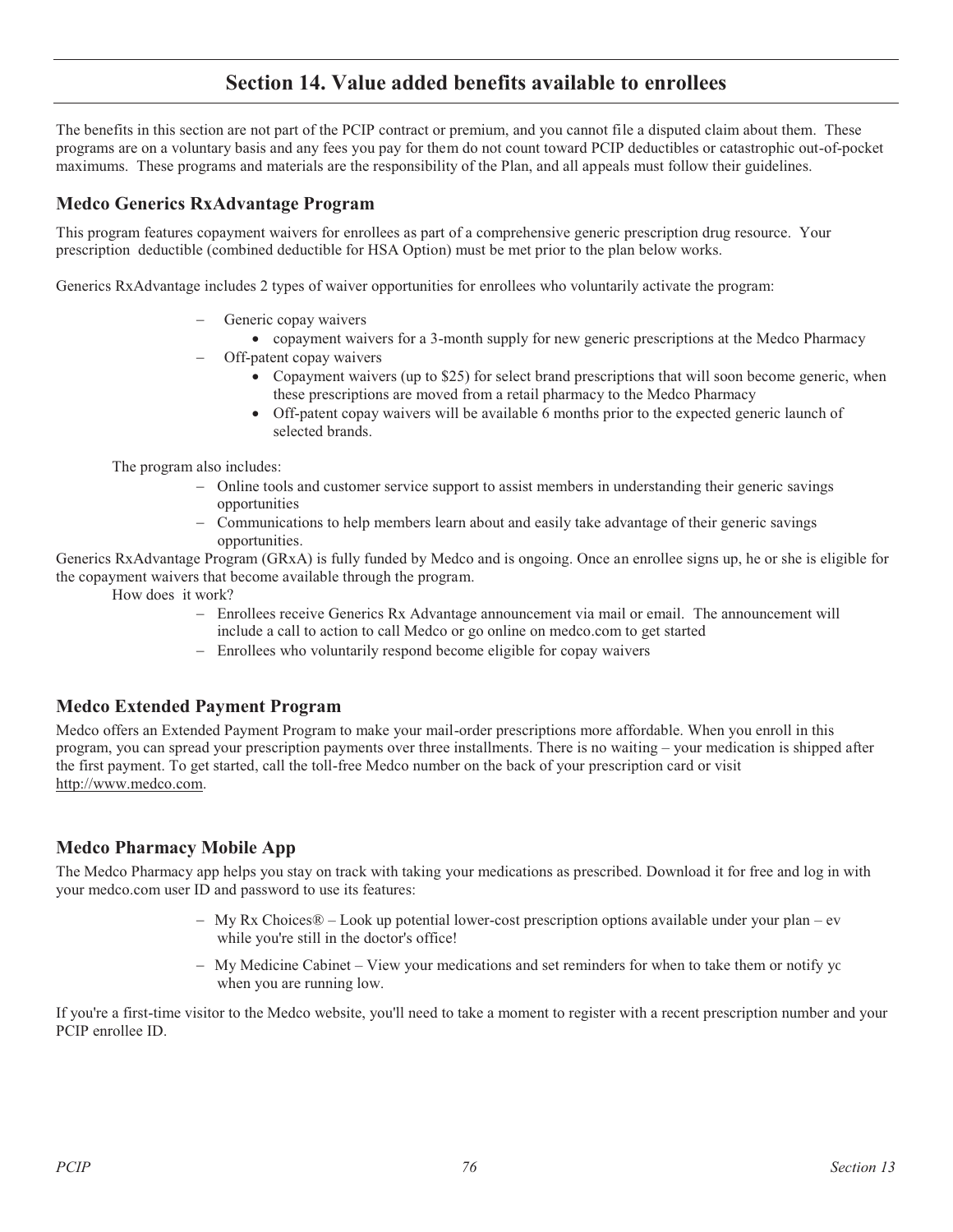# **Section 14. Value added benefits available to enrollees**

The benefits in this section are not part of the PCIP contract or premium, and you cannot file a disputed claim about them. These programs are on a voluntary basis and any fees you pay for them do not count toward PCIP deductibles or catastrophic out-of-pocket maximums. These programs and materials are the responsibility of the Plan, and all appeals must follow their guidelines.

## **Medco Generics RxAdvantage Program**

This program features copayment waivers for enrollees as part of a comprehensive generic prescription drug resource. Your prescription deductible (combined deductible for HSA Option) must be met prior to the plan below works.

Generics RxAdvantage includes 2 types of waiver opportunities for enrollees who voluntarily activate the program:

- Generic copay waivers
	- copayment waivers for a 3-month supply for new generic prescriptions at the Medco Pharmacy
- - Off-patent copay waivers
	- Copayment waivers (up to \$25) for select brand prescriptions that will soon become generic, when these prescriptions are moved from a retail pharmacy to the Medco Pharmacy
	- Off-patent copay waivers will be available 6 months prior to the expected generic launch of selected brands.

The program also includes:

- Online tools and customer service support to assist members in understanding their generic savings opportunities
- - Communications to help members learn about and easily take advantage of their generic savings opportunities.

Generics RxAdvantage Program (GRxA) is fully funded by Medco and is ongoing. Once an enrollee signs up, he or she is eligible for the copayment waivers that become available through the program.

How does it work?

- Enrollees receive Generics Rx Advantage announcement via mail or email. The announcement will include a call to action to call Medco or go online on medco.com to get started
- Enrollees who voluntarily respond become eligible for copay waivers

## **Medco Extended Payment Program**

Medco offers an Extended Payment Program to make your mail-order prescriptions more affordable. When you enroll in this program, you can spread your prescription payments over three installments. There is no waiting – your medication is shipped after the first payment. To get started, call the toll-free Medco number on the back of your prescription card or visit http://www.medco.com.

## **Medco Pharmacy Mobile App**

The Medco Pharmacy app helps you stay on track with taking your medications as prescribed. Download it for free and log in with your medco.com user ID and password to use its features:

- My Rx Choices® Look up potential lower-cost prescription options available under your plan ev while you're still in the doctor's office!
- My Medicine Cabinet View your medications and set reminders for when to take them or notify yo when you are running low.

If you're a first-time visitor to the Medco website, you'll need to take a moment to register with a recent prescription number and your PCIP enrollee ID.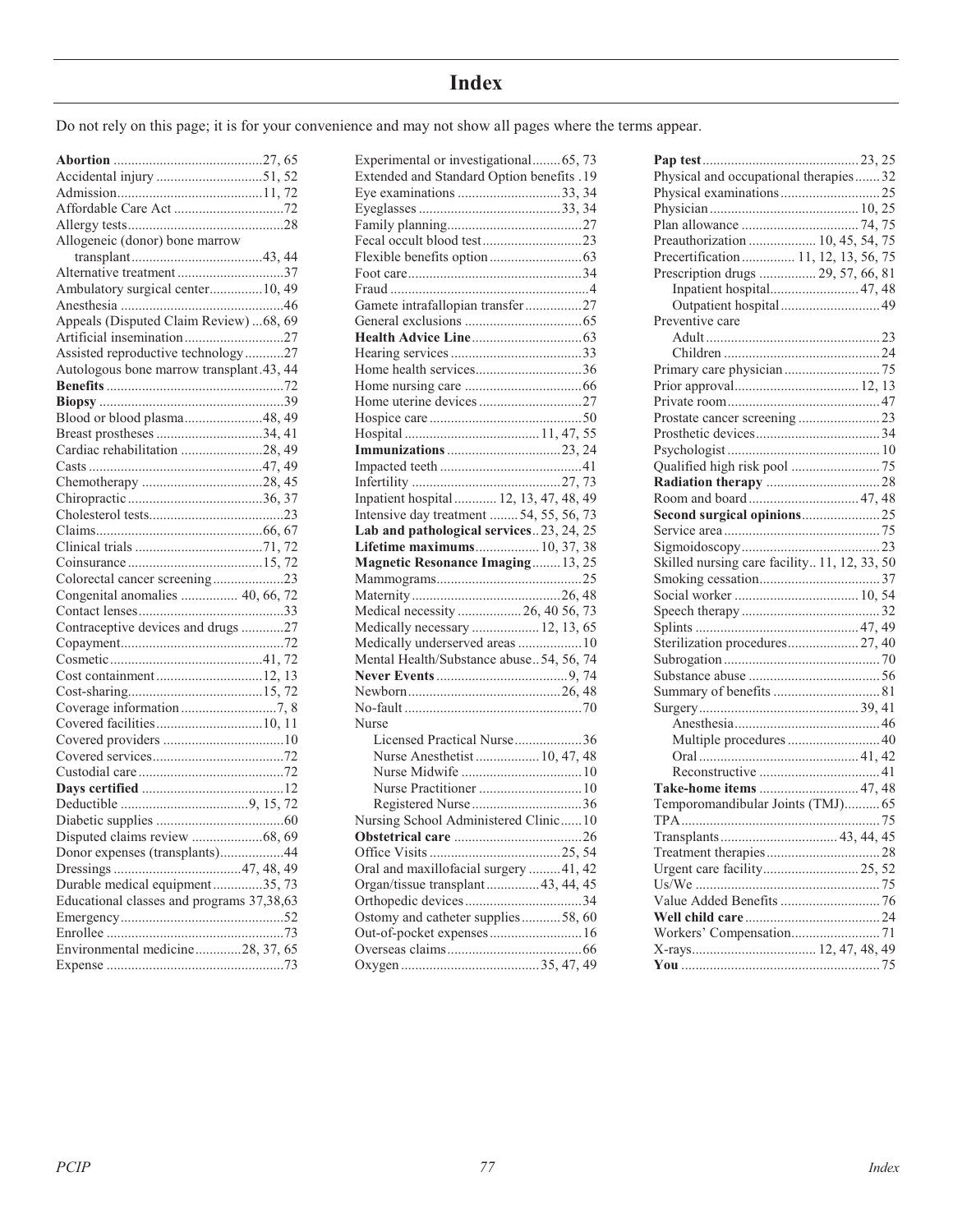# **Index**

Do not rely on this page; it is for your convenience and may not show all pages where the terms appear.

| Allogeneic (donor) bone marrow            |
|-------------------------------------------|
|                                           |
| Alternative treatment37                   |
| Ambulatory surgical center10, 49          |
|                                           |
| Appeals (Disputed Claim Review)  68, 69   |
| Artificial insemination27                 |
| Assisted reproductive technology27        |
| Autologous bone marrow transplant.43, 44  |
|                                           |
|                                           |
| Blood or blood plasma48, 49               |
| Breast prostheses 34, 41                  |
| Cardiac rehabilitation 28, 49             |
|                                           |
|                                           |
|                                           |
|                                           |
|                                           |
|                                           |
|                                           |
| Colorectal cancer screening23             |
| Congenital anomalies  40, 66, 72          |
|                                           |
| Contraceptive devices and drugs 27        |
|                                           |
|                                           |
| Cost containment12, 13                    |
|                                           |
|                                           |
| Covered facilities10, 11                  |
|                                           |
|                                           |
|                                           |
|                                           |
|                                           |
|                                           |
| Disputed claims review 68, 69             |
| Donor expenses (transplants)<br>.44       |
|                                           |
| Durable medical equipment35, 73           |
| Educational classes and programs 37,38,63 |
|                                           |
|                                           |
| Environmental medicine28, 37, 65          |
|                                           |

| Experimental or investigational 65, 73    |
|-------------------------------------------|
| Extended and Standard Option benefits .19 |
| Eye examinations 33, 34                   |
|                                           |
|                                           |
| Fecal occult blood test23                 |
|                                           |
|                                           |
|                                           |
| Gamete intrafallopian transfer27          |
|                                           |
|                                           |
|                                           |
| Home health services36                    |
|                                           |
|                                           |
|                                           |
|                                           |
|                                           |
|                                           |
|                                           |
| Inpatient hospital  12, 13, 47, 48, 49    |
| Intensive day treatment  54, 55, 56, 73   |
| Lab and pathological services23, 24, 25   |
| Lifetime maximums 10, 37, 38              |
| <b>Magnetic Resonance Imaging 13, 25</b>  |
|                                           |
|                                           |
|                                           |
|                                           |
| Medical necessity  26, 40 56, 73          |
| Medically necessary  12, 13, 65           |
| Medically underserved areas  10           |
| Mental Health/Substance abuse 54, 56, 74  |
|                                           |
|                                           |
|                                           |
| Nurse                                     |
| Licensed Practical Nurse36                |
| Nurse Anesthetist  10, 47, 48             |
|                                           |
| Nurse Practitioner  10                    |
|                                           |
| Nursing School Administered Clinic10      |
|                                           |
|                                           |
| Oral and maxillofacial surgery 41, 42     |
| Organ/tissue transplant 43, 44, 45        |
|                                           |
| Ostomy and catheter supplies58, 60        |
| Out-of-pocket expenses 16                 |
|                                           |
|                                           |

| Physical and occupational therapies32        |  |
|----------------------------------------------|--|
|                                              |  |
|                                              |  |
|                                              |  |
| Preauthorization  10, 45, 54, 75             |  |
| Precertification  11, 12, 13, 56, 75         |  |
| Prescription drugs  29, 57, 66, 81           |  |
| Inpatient hospital 47, 48                    |  |
| Outpatient hospital 49                       |  |
| Preventive care                              |  |
|                                              |  |
|                                              |  |
|                                              |  |
|                                              |  |
|                                              |  |
|                                              |  |
|                                              |  |
|                                              |  |
|                                              |  |
|                                              |  |
| Room and board 47, 48                        |  |
|                                              |  |
|                                              |  |
|                                              |  |
| Skilled nursing care facility 11, 12, 33, 50 |  |
|                                              |  |
|                                              |  |
|                                              |  |
|                                              |  |
| Sterilization procedures 27, 40              |  |
|                                              |  |
|                                              |  |
|                                              |  |
|                                              |  |
|                                              |  |
| Multiple procedures  40                      |  |
|                                              |  |
|                                              |  |
| Take-home items  47, 48                      |  |
| Temporomandibular Joints (TMJ) 65            |  |
|                                              |  |
|                                              |  |
|                                              |  |
|                                              |  |
|                                              |  |
|                                              |  |
|                                              |  |
|                                              |  |
|                                              |  |
|                                              |  |
|                                              |  |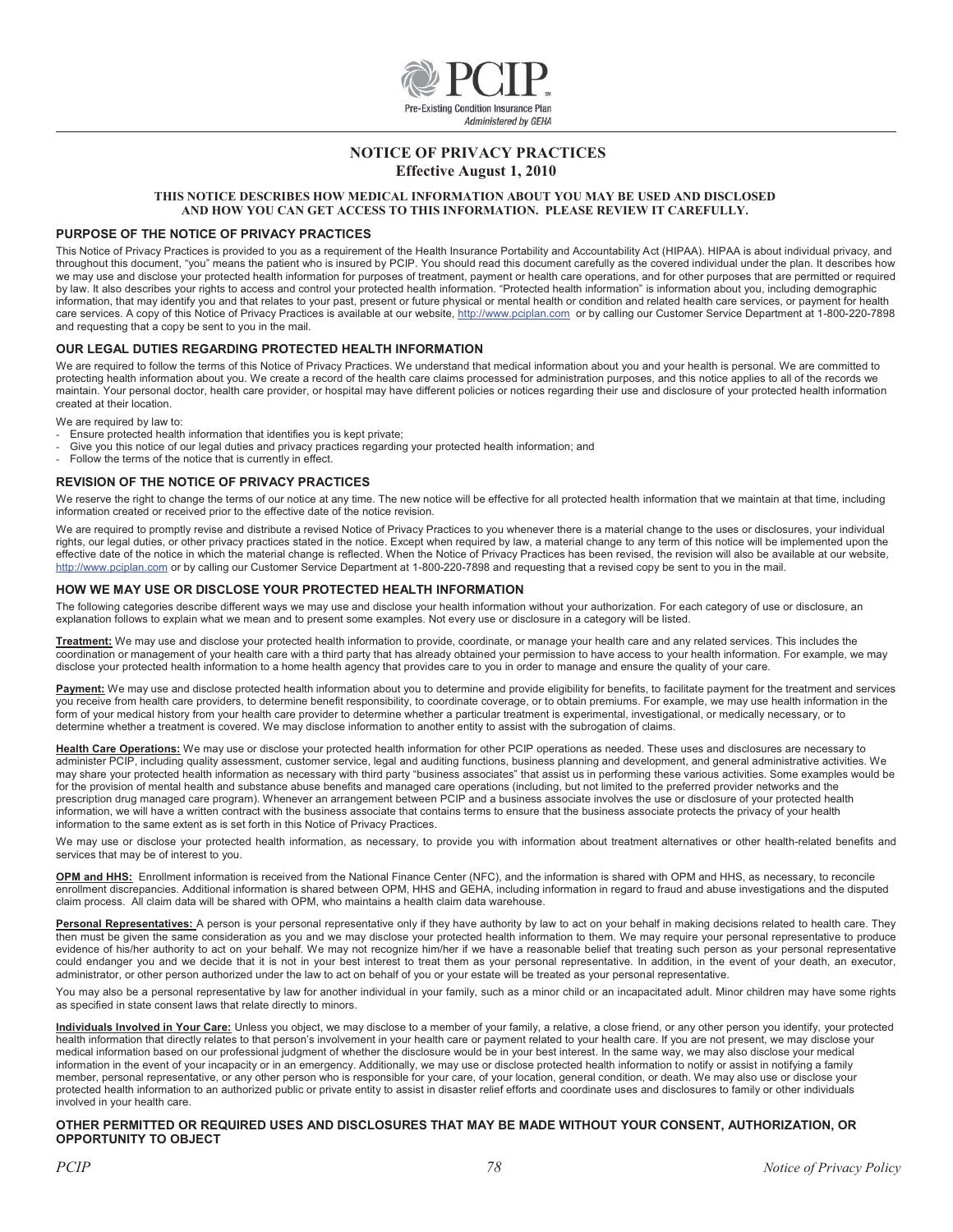

### **NOTICE OF PRIVACY PRACTICES Effective August 1, 2010**

#### **THIS NOTICE DESCRIBES HOW MEDICAL INFORMATION ABOUT YOU MAY BE USED AND DISCLOSED AND HOW YOU CAN GET ACCESS TO THIS INFORMATION. PLEASE REVIEW IT CAREFULLY.**

#### **PURPOSE OF THE NOTICE OF PRIVACY PRACTICES**

This Notice of Privacy Practices is provided to you as a requirement of the Health Insurance Portability and Accountability Act (HIPAA). HIPAA is about individual privacy, and throughout this document, "you" means the patient who is insured by PCIP. You should read this document carefully as the covered individual under the plan. It describes how we may use and disclose your protected health information for purposes of treatment, payment or health care operations, and for other purposes that are permitted or required by law. It also describes your rights to access and control your protected health information. "Protected health information" is information about you, including demographic information, that may identify you and that relates to your past, present or future physical or mental health or condition and related health care services, or payment for health care services. A copy of this Notice of Privacy Practices is available at our website, http://www.pciplan.com or by calling our Customer Service Department at 1-800-220-7898 and requesting that a copy be sent to you in the mail.

#### **OUR LEGAL DUTIES REGARDING PROTECTED HEALTH INFORMATION**

We are required to follow the terms of this Notice of Privacy Practices. We understand that medical information about you and your health is personal. We are committed to protecting health information about you. We create a record of the health care claims processed for administration purposes, and this notice applies to all of the records we maintain. Your personal doctor, health care provider, or hospital may have different policies or notices regarding their use and disclosure of your protected health information created at their location.

We are required by law to:

- Ensure protected health information that identifies you is kept private;
- Give you this notice of our legal duties and privacy practices regarding your protected health information; and
- Follow the terms of the notice that is currently in effect.

#### **REVISION OF THE NOTICE OF PRIVACY PRACTICES**

We reserve the right to change the terms of our notice at any time. The new notice will be effective for all protected health information that we maintain at that time, including information created or received prior to the effective date of the notice revision.

We are required to promptly revise and distribute a revised Notice of Privacy Practices to you whenever there is a material change to the uses or disclosures, your individual rights, our legal duties, or other privacy practices stated in the notice. Except when required by law, a material change to any term of this notice will be implemented upon the effective date of the notice in which the material change is reflected. When the Notice of Privacy Practices has been revised, the revision will also be available at our website, http://www.pciplan.com or by calling our Customer Service Department at 1-800-220-7898 and requesting that a revised copy be sent to you in the mail.

#### **HOW WE MAY USE OR DISCLOSE YOUR PROTECTED HEALTH INFORMATION**

The following categories describe different ways we may use and disclose your health information without your authorization. For each category of use or disclosure, an explanation follows to explain what we mean and to present some examples. Not every use or disclosure in a category will be listed.

**Treatment:** We may use and disclose your protected health information to provide, coordinate, or manage your health care and any related services. This includes the coordination or management of your health care with a third party that has already obtained your permission to have access to your health information. For example, we may disclose your protected health information to a home health agency that provides care to you in order to manage and ensure the quality of your care.

Payment: We may use and disclose protected health information about you to determine and provide eligibility for benefits, to facilitate payment for the treatment and services you receive from health care providers, to determine benefit responsibility, to coordinate coverage, or to obtain premiums. For example, we may use health information in the form of your medical history from your health care provider to determine whether a particular treatment is experimental, investigational, or medically necessary, or to determine whether a treatment is covered. We may disclose information to another entity to assist with the subrogation of claims.

**Health Care Operations:** We may use or disclose your protected health information for other PCIP operations as needed. These uses and disclosures are necessary to administer PCIP, including quality assessment, customer service, legal and auditing functions, business planning and development, and general administrative activities. We may share your protected health information as necessary with third party "business associates" that assist us in performing these various activities. Some examples would be for the provision of mental health and substance abuse benefits and managed care operations (including, but not limited to the preferred provider networks and the prescription drug managed care program). Whenever an arrangement between PCIP and a business associate involves the use or disclosure of your protected health information, we will have a written contract with the business associate that contains terms to ensure that the business associate protects the privacy of your health information to the same extent as is set forth in this Notice of Privacy Practices.

We may use or disclose your protected health information, as necessary, to provide you with information about treatment alternatives or other health-related benefits and services that may be of interest to you.

**OPM and HHS:** Enrollment information is received from the National Finance Center (NFC), and the information is shared with OPM and HHS, as necessary, to reconcile enrollment discrepancies. Additional information is shared between OPM, HHS and GEHA, including information in regard to fraud and abuse investigations and the disputed claim process. All claim data will be shared with OPM, who maintains a health claim data warehouse.

Personal Representatives: A person is your personal representative only if they have authority by law to act on your behalf in making decisions related to health care. They then must be given the same consideration as you and we may disclose your protected health information to them. We may require your personal representative to produce evidence of his/her authority to act on your behalf. We may not recognize him/her if we have a reasonable belief that treating such person as your personal representative could endanger you and we decide that it is not in your best interest to treat them as your personal representative. In addition, in the event of your death, an executor, administrator, or other person authorized under the law to act on behalf of you or your estate will be treated as your personal representative.

You may also be a personal representative by law for another individual in your family, such as a minor child or an incapacitated adult. Minor children may have some rights as specified in state consent laws that relate directly to minors.

**Individuals Involved in Your Care:** Unless you object, we may disclose to a member of your family, a relative, a close friend, or any other person you identify, your protected health information that directly relates to that person's involvement in your health care or payment related to your health care. If you are not present, we may disclose your medical information based on our professional judgment of whether the disclosure would be in your best interest. In the same way, we may also disclose your medical information based on our professional judgment of whether information in the event of your incapacity or in an emergency. Additionally, we may use or disclose protected health information to notify or assist in notifying a family member, personal representative, or any other person who is responsible for your care, of your location, general condition, or death. We may also use or disclose your protected health information to an authorized public or private entity to assist in disaster relief efforts and coordinate uses and disclosures to family or other individuals involved in your health care.

#### **OTHER PERMITTED OR REQUIRED USES AND DISCLOSURES THAT MAY BE MADE WITHOUT YOUR CONSENT, AUTHORIZATION, OR OPPORTUNITY TO OBJECT**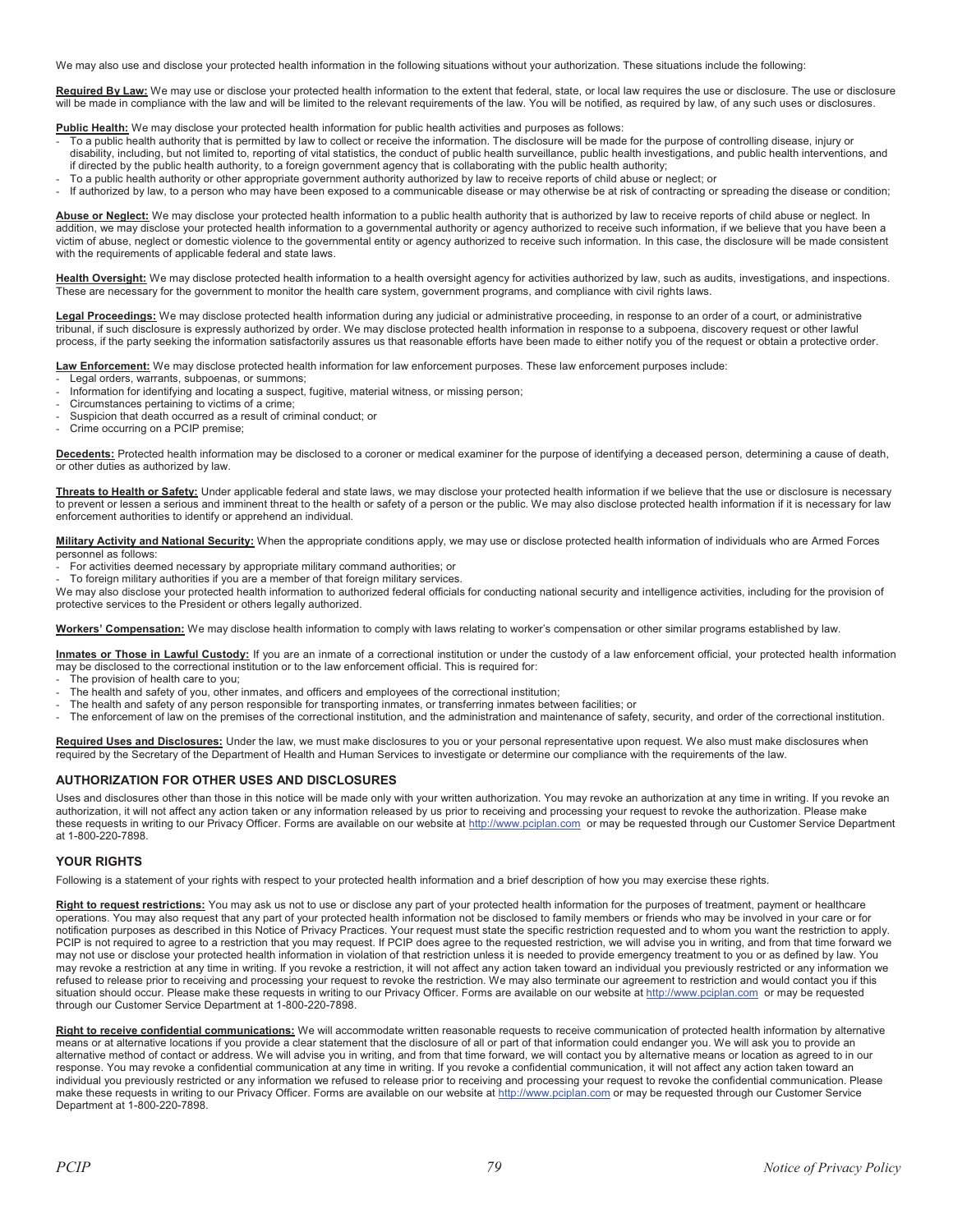We may also use and disclose your protected health information in the following situations without your authorization. These situations include the following:

Required By Law: We may use or disclose your protected health information to the extent that federal, state, or local law requires the use or disclosure. The use or disclosure will be made in compliance with the law and will be limited to the relevant requirements of the law. You will be notified, as required by law, of any such uses or disclosures.

**Public Health:** We may disclose your protected health information for public health activities and purposes as follows:

- To a public health authority that is permitted by law to collect or receive the information. The disclosure will be made for the purpose of controlling disease, injury or
- disability, including, but not limited to, reporting of vital statistics, the conduct of public health surveillance, public health investigations, and public health interventions, and if directed by the public health authority, to a foreign government agency that is collaborating with the public health authority;
- To a public health authority or other appropriate government authority authorized by law to receive reports of child abuse or neglect; or
- If authorized by law, to a person who may have been exposed to a communicable disease or may otherwise be at risk of contracting or spreading the disease or condition;

Abuse or Neglect: We may disclose your protected health information to a public health authority that is authorized by law to receive reports of child abuse or neglect. In addition, we may disclose your protected health information to a governmental authority or agency authorized to receive such information, if we believe that you have been a victim of abuse, neglect or domestic violence to the governmental entity or agency authorized to receive such information. In this case, the disclosure will be made consistent with the requirements of applicable federal and state laws.

**Health Oversight:** We may disclose protected health information to a health oversight agency for activities authorized by law, such as audits, investigations, and inspections. These are necessary for the government to monitor the health care system, government programs, and compliance with civil rights laws.

Legal Proceedings: We may disclose protected health information during any judicial or administrative proceeding, in response to an order of a court, or administrative tribunal, if such disclosure is expressly authorized by order. We may disclose protected health information in response to a subpoena, discovery request or other lawful process, if the party seeking the information satisfactorily assures us that reasonable efforts have been made to either notify you of the request or obtain a protective order.

**Law Enforcement:** We may disclose protected health information for law enforcement purposes. These law enforcement purposes include:

- Legal orders, warrants, subpoenas, or summons;
- Information for identifying and locating a suspect, fugitive, material witness, or missing person;
- Circumstances pertaining to victims of a crime;
- Suspicion that death occurred as a result of criminal conduct; or
- Crime occurring on a PCIP premise;

**Decedents:** Protected health information may be disclosed to a coroner or medical examiner for the purpose of identifying a deceased person, determining a cause of death, or other duties as authorized by law.

**Threats to Health or Safety:** Under applicable federal and state laws, we may disclose your protected health information if we believe that the use or disclosure is necessary to prevent or lessen a serious and imminent threat to the health or safety of a person or the public. We may also disclose protected health information if it is necessary for law enforcement authorities to identify or apprehend an individual.

**Military Activity and National Security:** When the appropriate conditions apply, we may use or disclose protected health information of individuals who are Armed Forces personnel as follows:

- For activities deemed necessary by appropriate military command authorities; or
- To foreign military authorities if you are a member of that foreign military services.

We may also disclose your protected health information to authorized federal officials for conducting national security and intelligence activities, including for the provision of protective services to the President or others legally authorized.

**Workers' Compensation:** We may disclose health information to comply with laws relating to worker's compensation or other similar programs established by law.

**Inmates or Those in Lawful Custody:** If you are an inmate of a correctional institution or under the custody of a law enforcement official, your protected health information may be disclosed to the correctional institution or to the law enforcement official. This is required for:

- The provision of health care to you;
- The health and safety of you, other inmates, and officers and employees of the correctional institution;
- The health and safety of any person responsible for transporting inmates, or transferring inmates between facilities; or
- The enforcement of law on the premises of the correctional institution, and the administration and maintenance of safety, security, and order of the correctional institution.

**Required Uses and Disclosures:** Under the law, we must make disclosures to you or your personal representative upon request. We also must make disclosures when required by the Secretary of the Department of Health and Human Services to investigate or determine our compliance with the requirements of the law.

#### **AUTHORIZATION FOR OTHER USES AND DISCLOSURES**

Uses and disclosures other than those in this notice will be made only with your written authorization. You may revoke an authorization at any time in writing. If you revoke an authorization, it will not affect any action taken or any information released by us prior to receiving and processing your request to revoke the authorization. Please make these requests in writing to our Privacy Officer. Forms are available on our website at http://www.pciplan.com or may be requested through our Customer Service Department at 1-800-220-7898.

#### **YOUR RIGHTS**

Following is a statement of your rights with respect to your protected health information and a brief description of how you may exercise these rights.

Right to request restrictions: You may ask us not to use or disclose any part of your protected health information for the purposes of treatment, payment or healthcare operations. You may also request that any part of your protected health information not be disclosed to family members or friends who may be involved in your care or for notification purposes as described in this Notice of Privacy Practices. Your request must state the specific restriction requested and to whom you want the restriction to apply. PCIP is not required to agree to a restriction that you may request. If PCIP does agree to the requested restriction, we will advise you in writing, and from that time forward we may not use or disclose your protected health information in violation of that restriction unless it is needed to provide emergency treatment to you or as defined by law. You may revoke a restriction at any time in writing. If you revoke a restriction, it will not affect any action taken toward an individual you previously restricted or any information we refused to release prior to receiving and processing your request to revoke the restriction. We may also terminate our agreement to restriction and would contact you if this situation should occur. Please make these requests in writing to our Privacy Officer. Forms are available on our website at http://www.pciplan.com or may be requested through our Customer Service Department at 1-800-220-7898.

**Right to receive confidential communications:** We will accommodate written reasonable requests to receive communication of protected health information by alternative means or at alternative locations if you provide a clear statement that the disclosure of all or part of that information could endanger you. We will ask you to provide an alternative method of contact or address. We will advise you in writing, and from that time forward, we will contact you by alternative means or location as agreed to in our response. You may revoke a confidential communication at any time in writing. If you revoke a confidential communication, it will not affect any action taken toward an individual you previously restricted or any information we refused to release prior to receiving and processing your request to revoke the confidential communication. Please make these requests in writing to our Privacy Officer. Forms are available on our website at http://www.pciplan.com or may be requested through our Customer Service Department at 1-800-220-7898.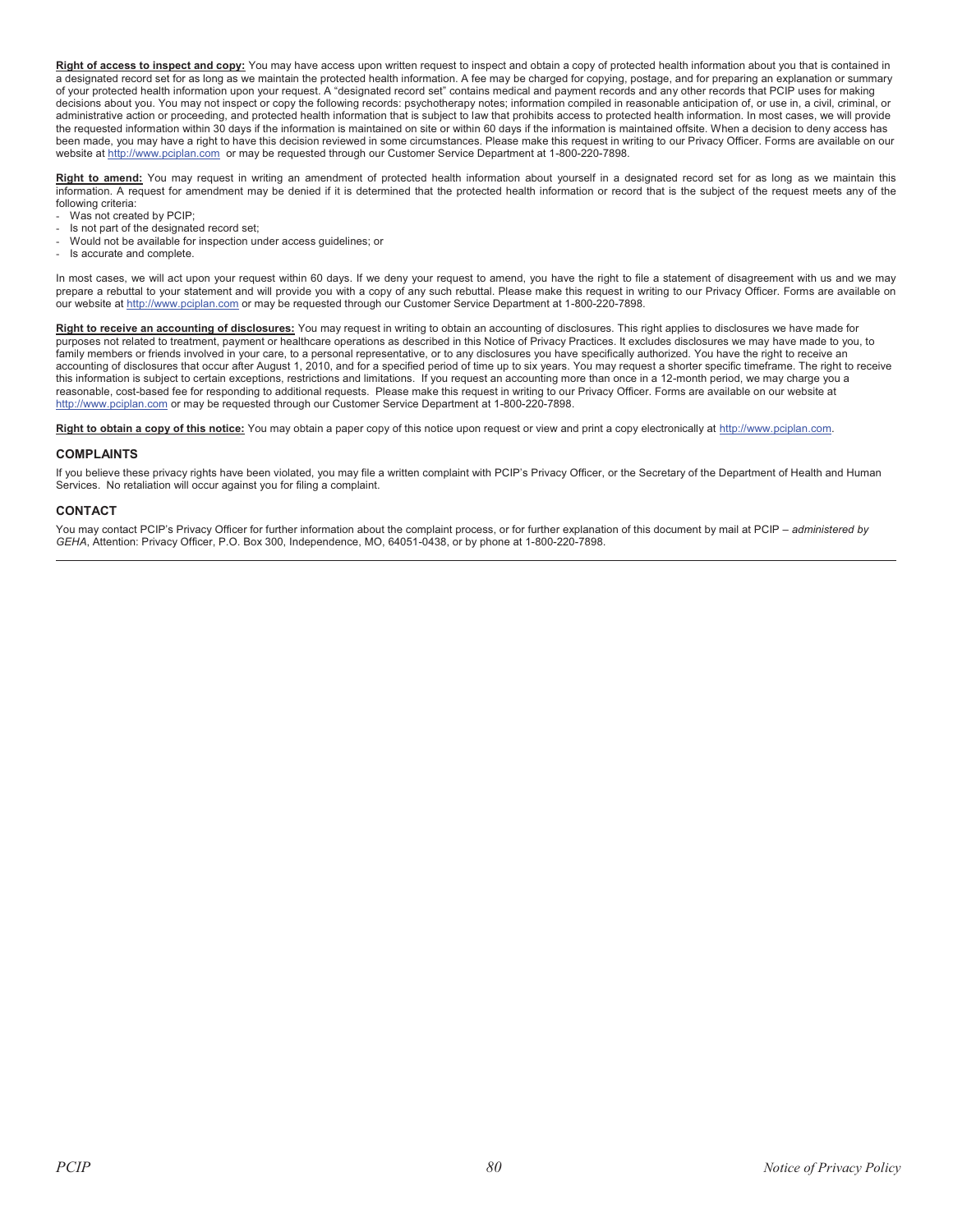Right of access to inspect and copy: You may have access upon written request to inspect and obtain a copy of protected health information about you that is contained in a designated record set for as long as we maintain the protected health information. A fee may be charged for copying, postage, and for preparing an explanation or summary of your protected health information upon your request. A "designated record set" contains medical and payment records and any other records that PCIP uses for making decisions about you. You may not inspect or copy the following records: psychotherapy notes; information compiled in reasonable anticipation of, or use in, a civil, criminal, or administrative action or proceeding, and protected health information that is subject to law that prohibits access to protected health information. In most cases, we will provide the requested information within 30 days if the information is maintained on site or within 60 days if the information is maintained offsite. When a decision to deny access has been made, you may have a right to have this decision reviewed in some circumstances. Please make this request in writing to our Privacy Officer. Forms are available on our website at http://www.pciplan.com or may be requested through our Customer Service Department at 1-800-220-7898.

**Right to amend:** You may request in writing an amendment of protected health information about yourself in a designated record set for as long as we maintain this information. A request for amendment may be denied if it is determined that the protected health information or record that is the subject of the request meets any of the following criteria:

- Was not created by PCIP;
- Is not part of the designated record set;
- Would not be available for inspection under access guidelines; or
- Is accurate and complete.

In most cases, we will act upon your request within 60 days. If we deny your request to amend, you have the right to file a statement of disagreement with us and we may prepare a rebuttal to your statement and will provide you with a copy of any such rebuttal. Please make this request in writing to our Privacy Officer. Forms are available on our website at http://www.pciplan.com or may be requested through our Customer Service Department at 1-800-220-7898.

Right to receive an accounting of disclosures: You may request in writing to obtain an accounting of disclosures. This right applies to disclosures we have made for purposes not related to treatment, payment or healthcare operations as described in this Notice of Privacy Practices. It excludes disclosures we may have made to you, to family members or friends involved in your care, to a personal representative, or to any disclosures you have specifically authorized. You have the right to receive an accounting of disclosures that occur after August 1, 2010, and for a specified period of time up to six years. You may request a shorter specific timeframe. The right to receive this information is subject to certain exceptions, restrictions and limitations. If you request an accounting more than once in a 12-month period, we may charge you a reasonable, cost-based fee for responding to additional requests. Please make this request in writing to our Privacy Officer. Forms are available on our website at http://www.pciplan.com or may be requested through our Customer Service Department at 1-800-220-7898.

Right to obtain a copy of this notice: You may obtain a paper copy of this notice upon request or view and print a copy electronically at http://www.pciplan.com.

#### **COMPLAINTS**

If you believe these privacy rights have been violated, you may file a written complaint with PCIP's Privacy Officer, or the Secretary of the Department of Health and Human Services. No retaliation will occur against you for filing a complaint.

#### **CONTACT**

You may contact PCIP's Privacy Officer for further information about the complaint process, or for further explanation of this document by mail at PCIP *– administered by GEHA*, Attention: Privacy Officer, P.O. Box 300, Independence, MO, 64051-0438, or by phone at 1-800-220-7898.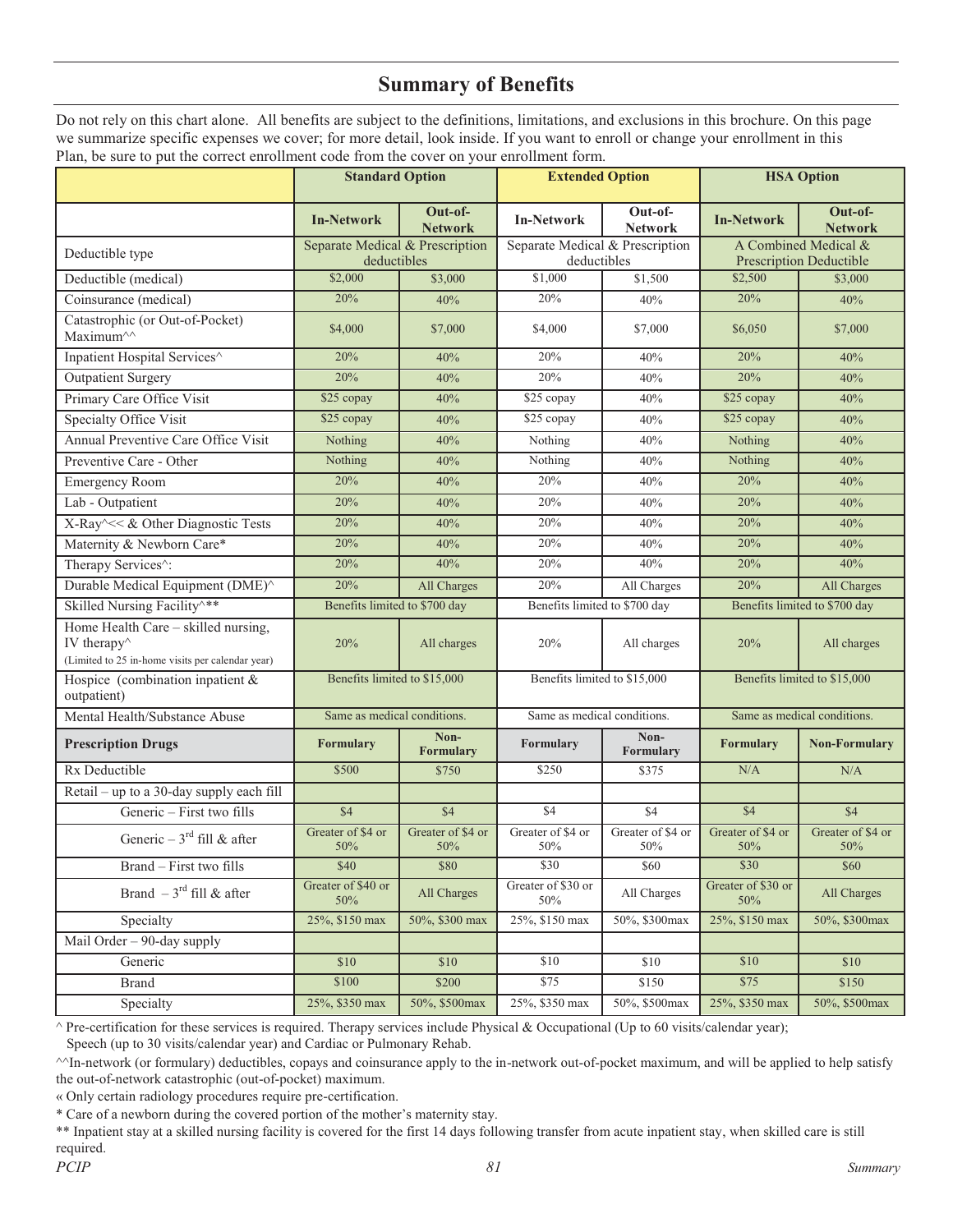## **Summary of Benefits**

Do not rely on this chart alone. All benefits are subject to the definitions, limitations, and exclusions in this brochure. On this page we summarize specific expenses we cover; for more detail, look inside. If you want to enroll or change your enrollment in this Plan, be sure to put the correct enrollment code from the cover on your enrollment form.

|                                                                                                                                     |                                                | <b>Standard Option</b><br><b>Extended Option</b> |                                                | <b>HSA Option</b>         |                                                        |                           |
|-------------------------------------------------------------------------------------------------------------------------------------|------------------------------------------------|--------------------------------------------------|------------------------------------------------|---------------------------|--------------------------------------------------------|---------------------------|
|                                                                                                                                     | <b>In-Network</b>                              | Out-of-<br><b>Network</b>                        | <b>In-Network</b>                              | Out-of-<br><b>Network</b> | <b>In-Network</b>                                      | Out-of-<br><b>Network</b> |
| Deductible type                                                                                                                     | Separate Medical & Prescription<br>deductibles |                                                  | Separate Medical & Prescription<br>deductibles |                           | A Combined Medical &<br><b>Prescription Deductible</b> |                           |
| Deductible (medical)                                                                                                                | \$2,000                                        | \$3,000                                          | \$1,000                                        | \$1,500                   | \$2,500                                                | \$3,000                   |
| Coinsurance (medical)                                                                                                               | 20%                                            | 40%                                              | 20%                                            | 40%                       | 20%                                                    | 40%                       |
| Catastrophic (or Out-of-Pocket)<br>Maximum^^                                                                                        | \$4,000                                        | \$7,000                                          | \$4,000                                        | \$7,000                   | \$6,050                                                | \$7,000                   |
| Inpatient Hospital Services^                                                                                                        | 20%                                            | 40%                                              | 20%                                            | 40%                       | 20%                                                    | 40%                       |
| <b>Outpatient Surgery</b>                                                                                                           | 20%                                            | 40%                                              | 20%                                            | 40%                       | 20%                                                    | 40%                       |
| Primary Care Office Visit                                                                                                           | \$25 copay                                     | 40%                                              | \$25 copay                                     | 40%                       | \$25 copay                                             | 40%                       |
| <b>Specialty Office Visit</b>                                                                                                       | \$25 copay                                     | 40%                                              | \$25 copay                                     | 40%                       | \$25 copay                                             | 40%                       |
| Annual Preventive Care Office Visit                                                                                                 | Nothing                                        | 40%                                              | Nothing                                        | 40%                       | Nothing                                                | 40%                       |
| Preventive Care - Other                                                                                                             | Nothing                                        | 40%                                              | Nothing                                        | 40%                       | Nothing                                                | 40%                       |
| <b>Emergency Room</b>                                                                                                               | 20%                                            | 40%                                              | 20%                                            | 40%                       | 20%                                                    | 40%                       |
| Lab - Outpatient                                                                                                                    | 20%                                            | 40%                                              | 20%                                            | 40%                       | 20%                                                    | 40%                       |
| X-Ray^<< & Other Diagnostic Tests                                                                                                   | 20%                                            | 40%                                              | 20%                                            | 40%                       | 20%                                                    | 40%                       |
| Maternity & Newborn Care*                                                                                                           | 20%                                            | 40%                                              | 20%                                            | 40%                       | 20%                                                    | 40%                       |
| Therapy Services <sup>^</sup> :                                                                                                     | 20%                                            | 40%                                              | 20%                                            | 40%                       | 20%                                                    | 40%                       |
| Durable Medical Equipment (DME)^                                                                                                    | 20%                                            | All Charges                                      | 20%                                            | All Charges               | 20%                                                    | All Charges               |
| Skilled Nursing Facility <sup>^**</sup>                                                                                             | Benefits limited to \$700 day                  |                                                  | Benefits limited to \$700 day                  |                           | Benefits limited to \$700 day                          |                           |
| Home Health Care - skilled nursing,<br>IV therapy <sup><math>\land</math></sup><br>(Limited to 25 in-home visits per calendar year) | 20%                                            | All charges                                      | 20%                                            | All charges               | 20%                                                    | All charges               |
| Hospice (combination inpatient $&$<br>outpatient)                                                                                   | Benefits limited to \$15,000                   |                                                  | Benefits limited to \$15,000                   |                           | Benefits limited to \$15,000                           |                           |
| Mental Health/Substance Abuse                                                                                                       | Same as medical conditions.                    |                                                  | Same as medical conditions.                    |                           | Same as medical conditions.                            |                           |
| <b>Prescription Drugs</b>                                                                                                           | <b>Formulary</b>                               | Non-<br><b>Formulary</b>                         | Formulary                                      | Non-<br>Formulary         | Formulary                                              | <b>Non-Formulary</b>      |
| Rx Deductible                                                                                                                       | \$500                                          | \$750                                            | \$250                                          | \$375                     | N/A                                                    | N/A                       |
| Retail - up to a 30-day supply each fill                                                                                            |                                                |                                                  |                                                |                           |                                                        |                           |
| Generic - First two fills                                                                                                           | \$4                                            | \$4                                              | \$4                                            | \$4                       | \$4                                                    | \$4                       |
| Generic – $3^{\text{rd}}$ fill & after                                                                                              | Greater of \$4 or<br>50%                       | Greater of \$4 or<br>50%                         | Greater of \$4 or<br>50%                       | Greater of \$4 or<br>50%  | Greater of \$4 or<br>50%                               | Greater of \$4 or<br>50%  |
| Brand - First two fills                                                                                                             | \$40                                           | \$80                                             | \$30                                           | \$60                      | \$30                                                   | \$60                      |
| Brand $-3^{\text{rd}}$ fill & after                                                                                                 | Greater of \$40 or<br>50%                      | All Charges                                      | Greater of \$30 or<br>50%                      | All Charges               | Greater of \$30 or<br>50%                              | All Charges               |
| Specialty                                                                                                                           | 25%, \$150 max                                 | 50%, \$300 max                                   | 25%, \$150 max                                 | 50%, \$300max             | 25%, \$150 max                                         | 50%, \$300max             |
| Mail Order $-90$ -day supply                                                                                                        |                                                |                                                  |                                                |                           |                                                        |                           |
| Generic                                                                                                                             | \$10                                           | \$10                                             | \$10                                           | \$10                      | \$10                                                   | \$10                      |
| Brand                                                                                                                               | \$100                                          | \$200                                            | \$75                                           | \$150                     | \$75                                                   | \$150                     |
| Specialty                                                                                                                           | 25%, \$350 max                                 | 50%, \$500max                                    | 25%, \$350 max                                 | 50%, \$500max             | 25%, \$350 max                                         | 50%, \$500max             |

 $^{\wedge}$  Pre-certification for these services is required. Therapy services include Physical & Occupational (Up to 60 visits/calendar year);

Speech (up to 30 visits/calendar year) and Cardiac or Pulmonary Rehab.

 $\gamma$ In-network (or formulary) deductibles, copays and coinsurance apply to the in-network out-of-pocket maximum, and will be applied to help satisfy the out-of-network catastrophic (out-of-pocket) maximum.

« Only certain radiology procedures require pre-certification.

\* Care of a newborn during the covered portion of the mother's maternity stay.

\*\* Inpatient stay at a skilled nursing facility is covered for the first 14 days following transfer from acute inpatient stay, when skilled care is still required.